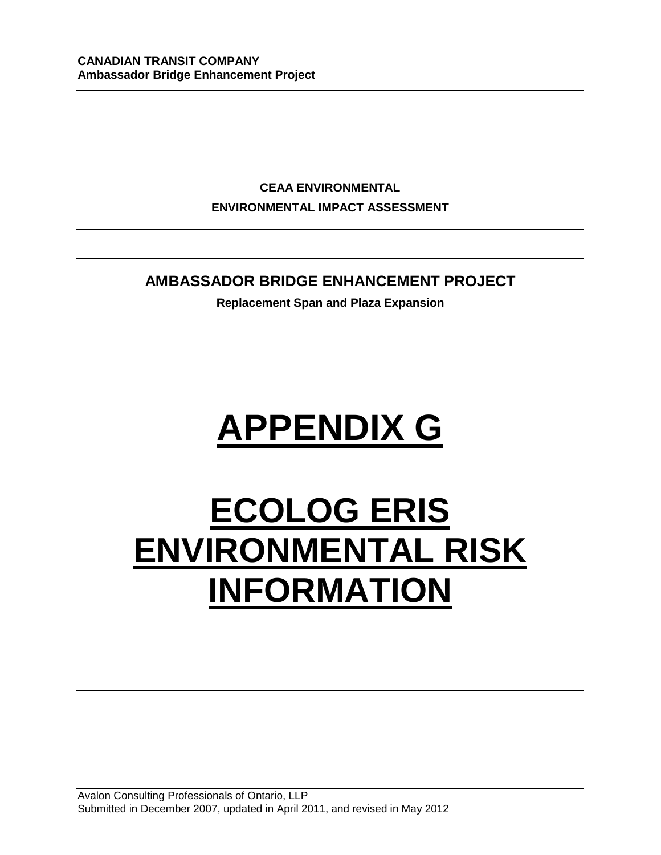**CEAA ENVIRONMENTAL ENVIRONMENTAL IMPACT ASSESSMENT**

### **AMBASSADOR BRIDGE ENHANCEMENT PROJECT**

**Replacement Span and Plaza Expansion**

# **APPENDIX G**

## **ECOLOG ERIS ENVIRONMENTAL RISK INFORMATION**

Avalon Consulting Professionals of Ontario, LLP Submitted in December 2007, updated in April 2011, and revised in May 2012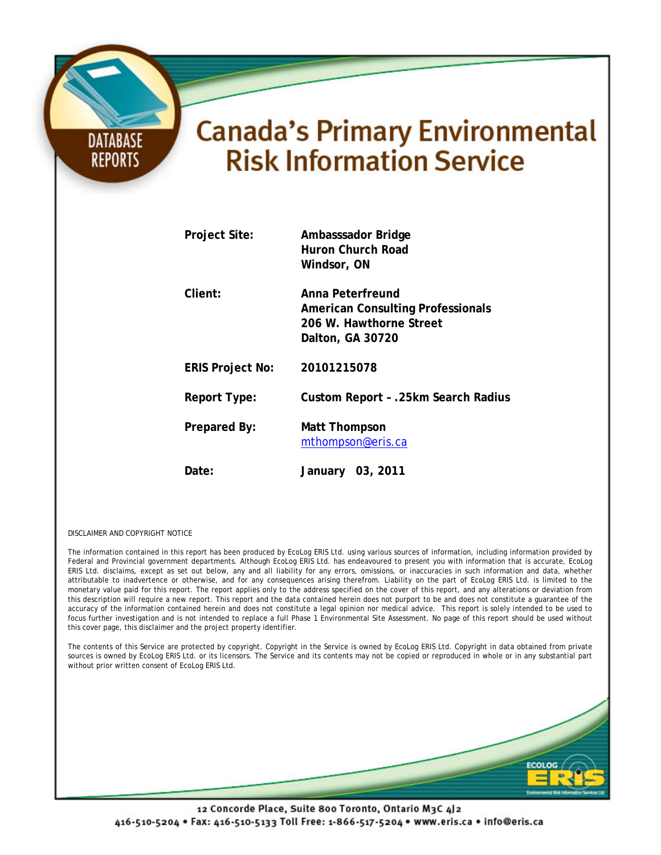## **Canada's Primary Environmental Risk Information Service**

| Project Site:           | Ambasssador Bridge<br>Huron Church Road<br>Windsor, ON                                                      |
|-------------------------|-------------------------------------------------------------------------------------------------------------|
| Client:                 | Anna Peterfreund<br><b>American Consulting Professionals</b><br>206 W. Hawthorne Street<br>Dalton, GA 30720 |
| <b>ERIS Project No:</b> | 20101215078                                                                                                 |
| Report Type:            | Custom Report - .25km Search Radius                                                                         |
| Prepared By:            | Matt Thompson<br>mthompson@eris.ca                                                                          |
| Date:                   | 03, 2011<br>January                                                                                         |

DISCLAIMER AND COPYRIGHT NOTICE

**DATABASE** 

**REPORTS** 

The information contained in this report has been produced by EcoLog ERIS Ltd. using various sources of information, including information provided by Federal and Provincial government departments. Although EcoLog ERIS Ltd. has endeavoured to present you with information that is accurate, EcoLog ERIS Ltd. disclaims, except as set out below, any and all liability for any errors, omissions, or inaccuracies in such information and data, whether attributable to inadvertence or otherwise, and for any consequences arising therefrom. Liability on the part of EcoLog ERIS Ltd. is limited to the monetary value paid for this report. The report applies only to the address specified on the cover of this report, and any alterations or deviation from this description will require a new report. This report and the data contained herein does not purport to be and does not constitute a guarantee of the accuracy of the information contained herein and does not constitute a legal opinion nor medical advice. This report is solely intended to be used to focus further investigation and is not intended to replace a full Phase 1 Environmental Site Assessment. No page of this report should be used without this cover page, this disclaimer and the project property identifier.

The contents of this Service are protected by copyright. Copyright in the Service is owned by EcoLog ERIS Ltd. Copyright in data obtained from private sources is owned by EcoLog ERIS Ltd. or its licensors. The Service and its contents may not be copied or reproduced in whole or in any substantial part without prior written consent of EcoLog ERIS Ltd.

12 Concorde Place, Suite 800 Toronto, Ontario M3C 4J2 416-510-5204 · Fax: 416-510-5133 Toll Free: 1-866-517-5204 · www.eris.ca · info@eris.ca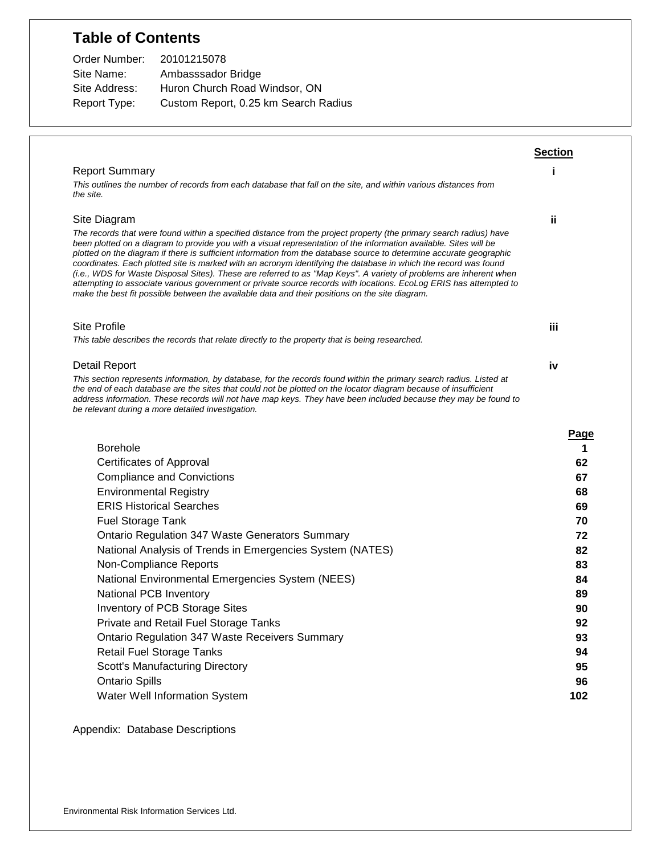## **Table of Contents**

| Order Number: | 20101215078                          |
|---------------|--------------------------------------|
| Site Name:    | Ambasssador Bridge                   |
| Site Address: | Huron Church Road Windsor, ON        |
| Report Type:  | Custom Report, 0.25 km Search Radius |

|                                                                                                                                                                                                                                                                                                                                                                                                                                                                                                                                                                                                                                                                                                                                                                                                                                | <b>Section</b> |
|--------------------------------------------------------------------------------------------------------------------------------------------------------------------------------------------------------------------------------------------------------------------------------------------------------------------------------------------------------------------------------------------------------------------------------------------------------------------------------------------------------------------------------------------------------------------------------------------------------------------------------------------------------------------------------------------------------------------------------------------------------------------------------------------------------------------------------|----------------|
| <b>Report Summary</b>                                                                                                                                                                                                                                                                                                                                                                                                                                                                                                                                                                                                                                                                                                                                                                                                          |                |
| This outlines the number of records from each database that fall on the site, and within various distances from<br>the site.                                                                                                                                                                                                                                                                                                                                                                                                                                                                                                                                                                                                                                                                                                   |                |
| Site Diagram                                                                                                                                                                                                                                                                                                                                                                                                                                                                                                                                                                                                                                                                                                                                                                                                                   | ii.            |
| The records that were found within a specified distance from the project property (the primary search radius) have<br>been plotted on a diagram to provide you with a visual representation of the information available. Sites will be<br>plotted on the diagram if there is sufficient information from the database source to determine accurate geographic<br>coordinates. Each plotted site is marked with an acronym identifying the database in which the record was found<br>(i.e., WDS for Waste Disposal Sites). These are referred to as "Map Keys". A variety of problems are inherent when<br>attempting to associate various government or private source records with locations. EcoLog ERIS has attempted to<br>make the best fit possible between the available data and their positions on the site diagram. |                |
| <b>Site Profile</b>                                                                                                                                                                                                                                                                                                                                                                                                                                                                                                                                                                                                                                                                                                                                                                                                            | Ϊij            |
| This table describes the records that relate directly to the property that is being researched.                                                                                                                                                                                                                                                                                                                                                                                                                                                                                                                                                                                                                                                                                                                                |                |
| <b>Detail Report</b>                                                                                                                                                                                                                                                                                                                                                                                                                                                                                                                                                                                                                                                                                                                                                                                                           | iv             |
| This section represents information, by database, for the records found within the primary search radius. Listed at<br>the end of each database are the sites that could not be plotted on the locator diagram because of insufficient<br>address information. These records will not have map keys. They have been included because they may be found to<br>be relevant during a more detailed investigation.                                                                                                                                                                                                                                                                                                                                                                                                                 |                |
| <b>Borehole</b>                                                                                                                                                                                                                                                                                                                                                                                                                                                                                                                                                                                                                                                                                                                                                                                                                | Page<br>1      |
| <b>Certificates of Approval</b>                                                                                                                                                                                                                                                                                                                                                                                                                                                                                                                                                                                                                                                                                                                                                                                                | 62             |
| <b>Compliance and Convictions</b>                                                                                                                                                                                                                                                                                                                                                                                                                                                                                                                                                                                                                                                                                                                                                                                              | 67             |
| <b>Environmental Registry</b>                                                                                                                                                                                                                                                                                                                                                                                                                                                                                                                                                                                                                                                                                                                                                                                                  | 68             |
| <b>ERIS Historical Searches</b>                                                                                                                                                                                                                                                                                                                                                                                                                                                                                                                                                                                                                                                                                                                                                                                                | 69             |
| <b>Fuel Storage Tank</b>                                                                                                                                                                                                                                                                                                                                                                                                                                                                                                                                                                                                                                                                                                                                                                                                       | 70             |
| <b>Ontario Regulation 347 Waste Generators Summary</b>                                                                                                                                                                                                                                                                                                                                                                                                                                                                                                                                                                                                                                                                                                                                                                         | 72             |
| National Analysis of Trends in Emergencies System (NATES)                                                                                                                                                                                                                                                                                                                                                                                                                                                                                                                                                                                                                                                                                                                                                                      | 82             |
| Non-Compliance Reports                                                                                                                                                                                                                                                                                                                                                                                                                                                                                                                                                                                                                                                                                                                                                                                                         | 83             |
| National Environmental Emergencies System (NEES)                                                                                                                                                                                                                                                                                                                                                                                                                                                                                                                                                                                                                                                                                                                                                                               | 84             |
| National PCB Inventory                                                                                                                                                                                                                                                                                                                                                                                                                                                                                                                                                                                                                                                                                                                                                                                                         | 89             |
| Inventory of PCB Storage Sites                                                                                                                                                                                                                                                                                                                                                                                                                                                                                                                                                                                                                                                                                                                                                                                                 | 90             |
| <b>Private and Retail Fuel Storage Tanks</b>                                                                                                                                                                                                                                                                                                                                                                                                                                                                                                                                                                                                                                                                                                                                                                                   | 92             |
| <b>Ontario Regulation 347 Waste Receivers Summary</b>                                                                                                                                                                                                                                                                                                                                                                                                                                                                                                                                                                                                                                                                                                                                                                          | 93             |
| <b>Retail Fuel Storage Tanks</b>                                                                                                                                                                                                                                                                                                                                                                                                                                                                                                                                                                                                                                                                                                                                                                                               | 94             |
| <b>Scott's Manufacturing Directory</b>                                                                                                                                                                                                                                                                                                                                                                                                                                                                                                                                                                                                                                                                                                                                                                                         | 95             |
| <b>Ontario Spills</b>                                                                                                                                                                                                                                                                                                                                                                                                                                                                                                                                                                                                                                                                                                                                                                                                          | 96             |
|                                                                                                                                                                                                                                                                                                                                                                                                                                                                                                                                                                                                                                                                                                                                                                                                                                |                |

Appendix: Database Descriptions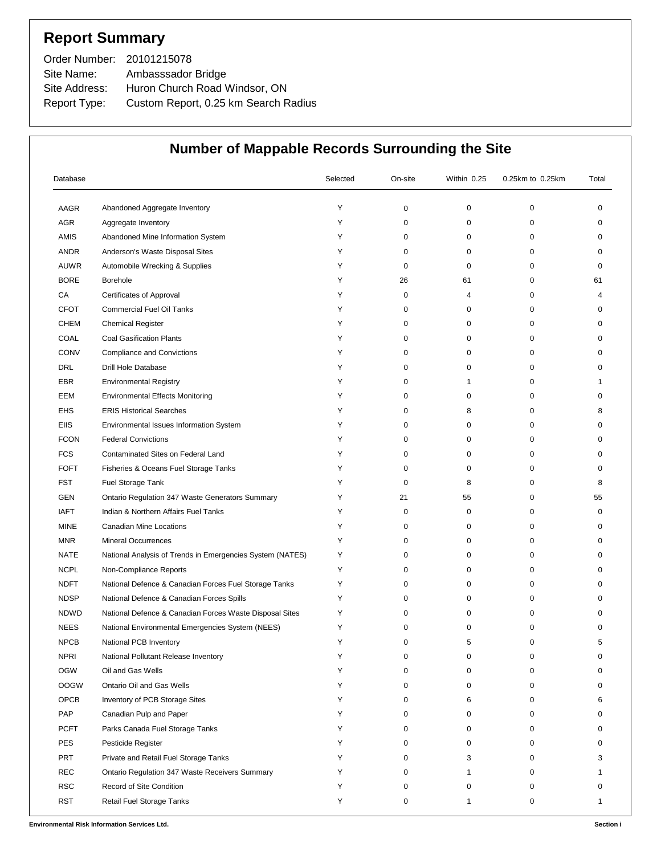## **Report Summary**

| Order Number: 20101215078 |                                      |
|---------------------------|--------------------------------------|
| Site Name:                | Ambasssador Bridge                   |
| Site Address:             | Huron Church Road Windsor, ON        |
| Report Type:              | Custom Report, 0.25 km Search Radius |

| Database    |                                                           | Selected | On-site | Within 0.25 | 0.25km to 0.25km | Total    |
|-------------|-----------------------------------------------------------|----------|---------|-------------|------------------|----------|
| AAGR        | Abandoned Aggregate Inventory                             | Υ        | 0       | 0           | 0                | 0        |
| AGR         | Aggregate Inventory                                       | Y        | 0       | 0           | 0                | $\Omega$ |
| AMIS        | Abandoned Mine Information System                         | Y        | 0       | 0           | 0                | 0        |
| <b>ANDR</b> | Anderson's Waste Disposal Sites                           | Y        | 0       | 0           | 0                | 0        |
| <b>AUWR</b> | Automobile Wrecking & Supplies                            | Y        | 0       | 0           | 0                | 0        |
| <b>BORE</b> | Borehole                                                  | Y        | 26      | 61          | 0                | 61       |
| CA          | Certificates of Approval                                  | Y        | 0       | 4           | 0                | 4        |
| <b>CFOT</b> | <b>Commercial Fuel Oil Tanks</b>                          | Y        | 0       | 0           | 0                | 0        |
| <b>CHEM</b> | <b>Chemical Register</b>                                  | Y        | 0       | 0           | 0                | 0        |
| COAL        | <b>Coal Gasification Plants</b>                           | Υ        | 0       | 0           | 0                | 0        |
| <b>CONV</b> | <b>Compliance and Convictions</b>                         | Y        | 0       | 0           | 0                | 0        |
| <b>DRL</b>  | <b>Drill Hole Database</b>                                | Υ        | 0       | 0           | 0                | 0        |
| <b>EBR</b>  | <b>Environmental Registry</b>                             | Y        | 0       | 1           | 0                |          |
| EEM         | <b>Environmental Effects Monitoring</b>                   | Υ        | 0       | 0           | 0                | 0        |
| EHS         | <b>ERIS Historical Searches</b>                           | Y        | 0       | 8           | 0                | 8        |
| <b>EIIS</b> | Environmental Issues Information System                   | Υ        | 0       | 0           | 0                | 0        |
| <b>FCON</b> | <b>Federal Convictions</b>                                | Y        | 0       | 0           | 0                | 0        |
| <b>FCS</b>  | Contaminated Sites on Federal Land                        | Y        | 0       | 0           | 0                | 0        |
| <b>FOFT</b> | Fisheries & Oceans Fuel Storage Tanks                     | Y        | 0       | 0           | 0                | 0        |
| <b>FST</b>  | Fuel Storage Tank                                         | Y        | 0       | 8           | 0                | 8        |
| <b>GEN</b>  | Ontario Regulation 347 Waste Generators Summary           | Y        | 21      | 55          | 0                | 55       |
| <b>IAFT</b> | Indian & Northern Affairs Fuel Tanks                      | Y        | 0       | 0           | 0                | 0        |
| <b>MINE</b> | Canadian Mine Locations                                   | Y        | 0       | 0           | 0                | 0        |
| <b>MNR</b>  | <b>Mineral Occurrences</b>                                | Y        | 0       | 0           | 0                | 0        |
| <b>NATE</b> | National Analysis of Trends in Emergencies System (NATES) | Y        | 0       | 0           | 0                | 0        |
| <b>NCPL</b> | Non-Compliance Reports                                    | Υ        | 0       | 0           | 0                | $\Omega$ |
| <b>NDFT</b> | National Defence & Canadian Forces Fuel Storage Tanks     | Y        | 0       | 0           | 0                | 0        |
| <b>NDSP</b> | National Defence & Canadian Forces Spills                 | Υ        | 0       | 0           | 0                | O        |
| <b>NDWD</b> | National Defence & Canadian Forces Waste Disposal Sites   | Y        | 0       | 0           | 0                | 0        |
| <b>NEES</b> | National Environmental Emergencies System (NEES)          |          | U       | $\Omega$    | $\Omega$         |          |
| <b>NPCB</b> | National PCB Inventory                                    | Y        | 0       | 5           | 0                | 5        |
| <b>NPRI</b> | National Pollutant Release Inventory                      | Y        | 0       | 0           | 0                | o        |
| <b>OGW</b>  | Oil and Gas Wells                                         | Y        | 0       | 0           | 0                | $\Omega$ |
| <b>OOGW</b> | Ontario Oil and Gas Wells                                 | Y        | 0       | 0           | 0                | $\Omega$ |
| OPCB        | Inventory of PCB Storage Sites                            | Y        | 0       | 6           | 0                | 6        |
| PAP         | Canadian Pulp and Paper                                   | Y        | 0       | 0           | 0                | 0        |
| <b>PCFT</b> | Parks Canada Fuel Storage Tanks                           | Y        | 0       | 0           | 0                |          |
| <b>PES</b>  | Pesticide Register                                        |          | 0       | 0           | 0                | $\Omega$ |
| <b>PRT</b>  | Private and Retail Fuel Storage Tanks                     |          | 0       | 3           | 0                | 3        |
| <b>REC</b>  | Ontario Regulation 347 Waste Receivers Summary            | Y        | 0       | 1           | 0                |          |
| <b>RSC</b>  | Record of Site Condition                                  | Y        | 0       | 0           | 0                |          |
| <b>RST</b>  | Retail Fuel Storage Tanks                                 | Y        | 0       | 1           | 0                | 1        |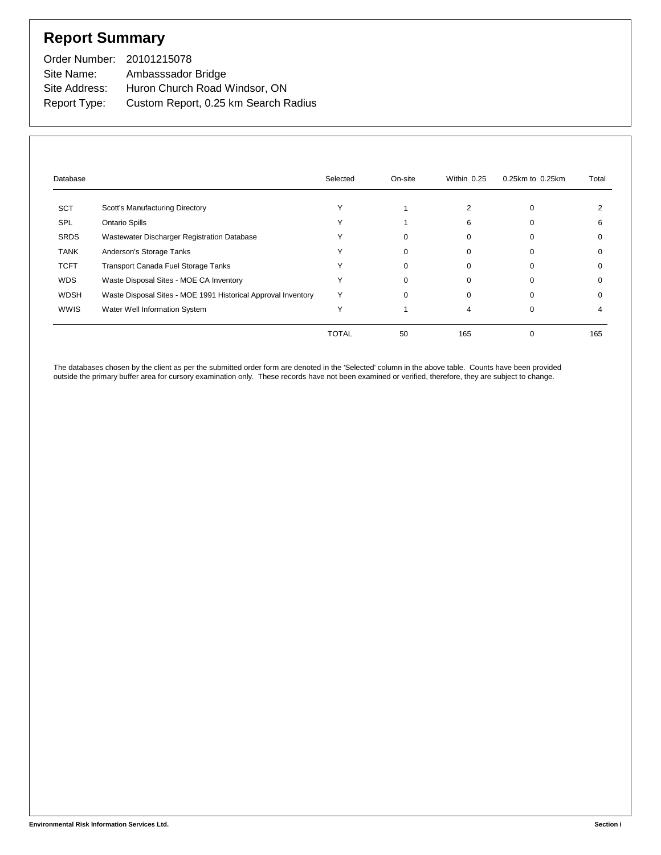## **Report Summary**

| Order Number: 20101215078 |                                      |
|---------------------------|--------------------------------------|
| Site Name:                | Ambasssador Bridge                   |
| Site Address:             | Huron Church Road Windsor, ON        |
| Report Type:              | Custom Report, 0.25 km Search Radius |

| Database    |                                                               | Selected     | On-site | Within 0.25 | 0.25km to 0.25km | Total |
|-------------|---------------------------------------------------------------|--------------|---------|-------------|------------------|-------|
| <b>SCT</b>  | Scott's Manufacturing Directory                               |              |         |             | ი                |       |
| <b>SPL</b>  | <b>Ontario Spills</b>                                         |              |         | 6           |                  |       |
| <b>SRDS</b> | Wastewater Discharger Registration Database                   |              |         | $\Omega$    |                  |       |
| <b>TANK</b> | Anderson's Storage Tanks                                      |              |         | $\Omega$    | ი                |       |
| <b>TCFT</b> | <b>Transport Canada Fuel Storage Tanks</b>                    |              |         | $\Omega$    | 0                |       |
| <b>WDS</b>  | Waste Disposal Sites - MOE CA Inventory                       |              |         | $\Omega$    | 0                |       |
| WDSH        | Waste Disposal Sites - MOE 1991 Historical Approval Inventory |              | 0       | $\Omega$    |                  |       |
| <b>WWIS</b> | Water Well Information System                                 |              |         |             | 0                |       |
|             |                                                               | <b>TOTAL</b> | 50      | 165         |                  | 165   |

The databases chosen by the client as per the submitted order form are denoted in the 'Selected' column in the above table. Counts have been provided outside the primary buffer area for cursory examination only. These records have not been examined or verified, therefore, they are subject to change.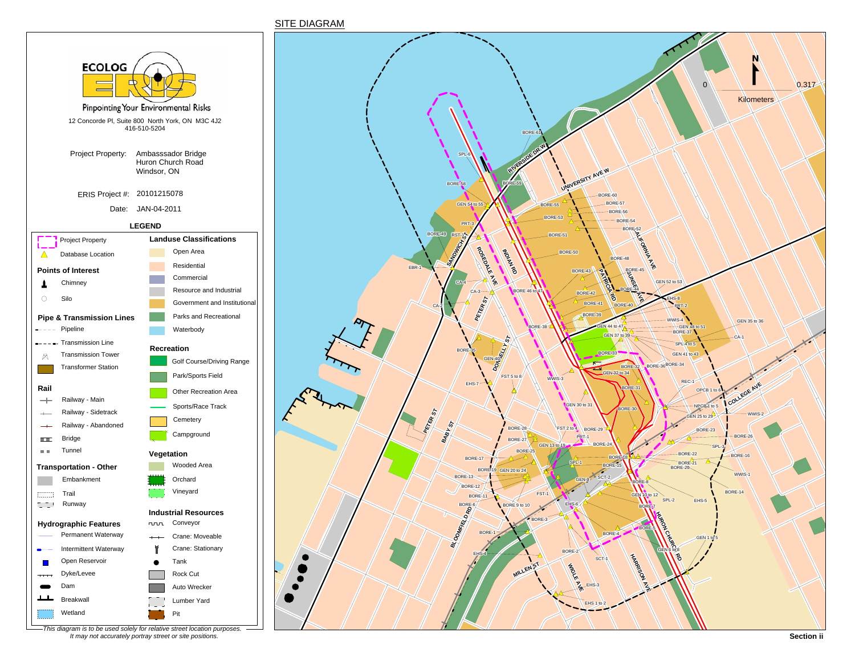





*This diagram is to be used solely for relative street location purposes. It may not accurately portray street or site positions.*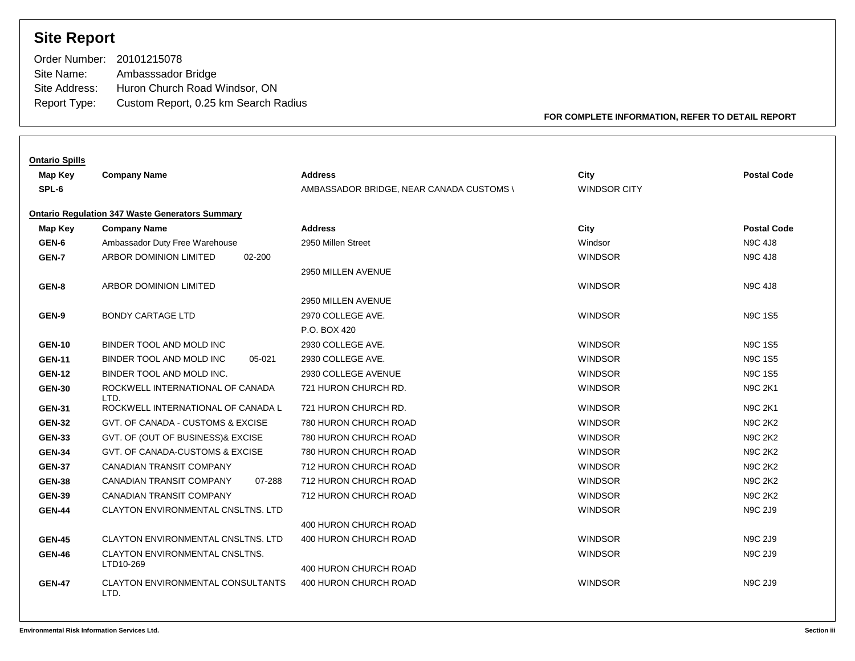## **Site Report**

| Order Number: 20101215078            |
|--------------------------------------|
| Ambasssador Bridge                   |
| Huron Church Road Windsor, ON        |
| Custom Report, 0.25 km Search Radius |
|                                      |

**FOR COMPLETE INFORMATION, REFER TO DETAIL REPORT**

| <b>Ontario Spills</b> |                                                        |                                          |                     |                    |
|-----------------------|--------------------------------------------------------|------------------------------------------|---------------------|--------------------|
| Map Key               | <b>Company Name</b>                                    | <b>Address</b>                           | City                | <b>Postal Code</b> |
| SPL-6                 |                                                        | AMBASSADOR BRIDGE, NEAR CANADA CUSTOMS \ | <b>WINDSOR CITY</b> |                    |
|                       | <b>Ontario Regulation 347 Waste Generators Summary</b> |                                          |                     |                    |
| Map Key               | <b>Company Name</b>                                    | <b>Address</b>                           | City                | <b>Postal Code</b> |
| GEN-6                 | Ambassador Duty Free Warehouse                         | 2950 Millen Street                       | Windsor             | <b>N9C 4J8</b>     |
| GEN-7                 | ARBOR DOMINION LIMITED<br>02-200                       |                                          | <b>WINDSOR</b>      | <b>N9C 4J8</b>     |
|                       |                                                        | 2950 MILLEN AVENUE                       |                     |                    |
| GEN-8                 | <b>ARBOR DOMINION LIMITED</b>                          |                                          | <b>WINDSOR</b>      | <b>N9C 4J8</b>     |
|                       |                                                        | 2950 MILLEN AVENUE                       |                     |                    |
| GEN-9                 | <b>BONDY CARTAGE LTD</b>                               | 2970 COLLEGE AVE.                        | <b>WINDSOR</b>      | <b>N9C 1S5</b>     |
|                       |                                                        | P.O. BOX 420                             |                     |                    |
| <b>GEN-10</b>         | BINDER TOOL AND MOLD INC                               | 2930 COLLEGE AVE.                        | <b>WINDSOR</b>      | <b>N9C 1S5</b>     |
| <b>GEN-11</b>         | BINDER TOOL AND MOLD INC<br>05-021                     | 2930 COLLEGE AVE.                        | <b>WINDSOR</b>      | <b>N9C 1S5</b>     |
| <b>GEN-12</b>         | BINDER TOOL AND MOLD INC.                              | 2930 COLLEGE AVENUE                      | <b>WINDSOR</b>      | <b>N9C 1S5</b>     |
| <b>GEN-30</b>         | ROCKWELL INTERNATIONAL OF CANADA<br>LTD.               | 721 HURON CHURCH RD.                     | <b>WINDSOR</b>      | <b>N9C 2K1</b>     |
| <b>GEN-31</b>         | ROCKWELL INTERNATIONAL OF CANADA L                     | 721 HURON CHURCH RD.                     | <b>WINDSOR</b>      | <b>N9C 2K1</b>     |
| <b>GEN-32</b>         | GVT. OF CANADA - CUSTOMS & EXCISE                      | 780 HURON CHURCH ROAD                    | <b>WINDSOR</b>      | <b>N9C 2K2</b>     |
| <b>GEN-33</b>         | GVT. OF (OUT OF BUSINESS)& EXCISE                      | 780 HURON CHURCH ROAD                    | <b>WINDSOR</b>      | <b>N9C 2K2</b>     |
| <b>GEN-34</b>         | GVT. OF CANADA-CUSTOMS & EXCISE                        | 780 HURON CHURCH ROAD                    | <b>WINDSOR</b>      | <b>N9C 2K2</b>     |
| <b>GEN-37</b>         | <b>CANADIAN TRANSIT COMPANY</b>                        | 712 HURON CHURCH ROAD                    | <b>WINDSOR</b>      | <b>N9C 2K2</b>     |
| <b>GEN-38</b>         | <b>CANADIAN TRANSIT COMPANY</b><br>07-288              | 712 HURON CHURCH ROAD                    | <b>WINDSOR</b>      | <b>N9C 2K2</b>     |
| <b>GEN-39</b>         | <b>CANADIAN TRANSIT COMPANY</b>                        | 712 HURON CHURCH ROAD                    | <b>WINDSOR</b>      | <b>N9C 2K2</b>     |
| <b>GEN-44</b>         | CLAYTON ENVIRONMENTAL CNSLTNS. LTD                     |                                          | <b>WINDSOR</b>      | <b>N9C 2J9</b>     |
|                       |                                                        | 400 HURON CHURCH ROAD                    |                     |                    |
| <b>GEN-45</b>         | <b>CLAYTON ENVIRONMENTAL CNSLTNS, LTD</b>              | 400 HURON CHURCH ROAD                    | <b>WINDSOR</b>      | <b>N9C 2J9</b>     |
| <b>GEN-46</b>         | CLAYTON ENVIRONMENTAL CNSLTNS.                         |                                          | <b>WINDSOR</b>      | <b>N9C 2J9</b>     |
|                       | LTD10-269                                              | 400 HURON CHURCH ROAD                    |                     |                    |
| <b>GEN-47</b>         | <b>CLAYTON ENVIRONMENTAL CONSULTANTS</b><br>LTD.       | 400 HURON CHURCH ROAD                    | <b>WINDSOR</b>      | <b>N9C 2J9</b>     |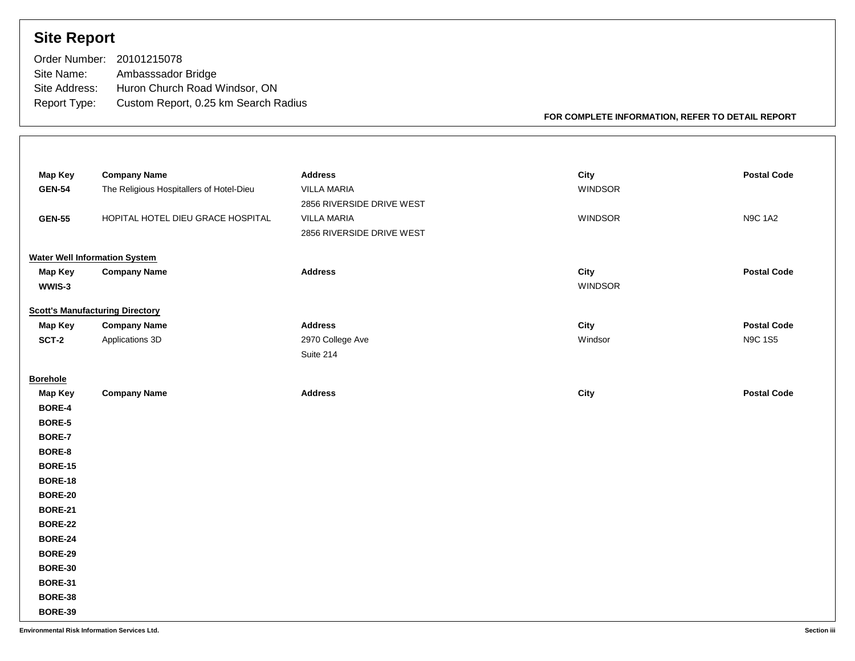## **Site Report**

| Order Number: 20101215078            |
|--------------------------------------|
| Ambasssador Bridge                   |
| Huron Church Road Windsor, ON        |
| Custom Report, 0.25 km Search Radius |
|                                      |

**FOR COMPLETE INFORMATION, REFER TO DETAIL REPORT**

| <b>Map Key</b>                       | <b>Company Name</b>                      | <b>Address</b>            | City           | <b>Postal Code</b> |
|--------------------------------------|------------------------------------------|---------------------------|----------------|--------------------|
| <b>GEN-54</b>                        | The Religious Hospitallers of Hotel-Dieu | VILLA MARIA               | <b>WINDSOR</b> |                    |
|                                      |                                          | 2856 RIVERSIDE DRIVE WEST |                |                    |
| <b>GEN-55</b>                        | HOPITAL HOTEL DIEU GRACE HOSPITAL        | <b>VILLA MARIA</b>        | <b>WINDSOR</b> | <b>N9C 1A2</b>     |
|                                      |                                          | 2856 RIVERSIDE DRIVE WEST |                |                    |
| <b>Water Well Information System</b> |                                          |                           |                |                    |
| Map Key                              | <b>Company Name</b>                      | <b>Address</b>            | City           | <b>Postal Code</b> |
| WWIS-3                               |                                          |                           | <b>WINDSOR</b> |                    |
|                                      | <b>Scott's Manufacturing Directory</b>   |                           |                |                    |
| Map Key                              | <b>Company Name</b>                      | <b>Address</b>            | City           | <b>Postal Code</b> |
| SCT-2                                | Applications 3D                          | 2970 College Ave          | Windsor        | <b>N9C 1S5</b>     |
|                                      |                                          | Suite 214                 |                |                    |
| <b>Borehole</b>                      |                                          |                           |                |                    |
| <b>Map Key</b>                       | <b>Company Name</b>                      | <b>Address</b>            | City           | <b>Postal Code</b> |
| BORE-4                               |                                          |                           |                |                    |
| BORE-5                               |                                          |                           |                |                    |
| <b>BORE-7</b>                        |                                          |                           |                |                    |
| BORE-8                               |                                          |                           |                |                    |
| <b>BORE-15</b>                       |                                          |                           |                |                    |
| <b>BORE-18</b>                       |                                          |                           |                |                    |
| <b>BORE-20</b>                       |                                          |                           |                |                    |
| <b>BORE-21</b>                       |                                          |                           |                |                    |
| <b>BORE-22</b>                       |                                          |                           |                |                    |
| <b>BORE-24</b>                       |                                          |                           |                |                    |
| <b>BORE-29</b>                       |                                          |                           |                |                    |
| <b>BORE-30</b>                       |                                          |                           |                |                    |
| <b>BORE-31</b>                       |                                          |                           |                |                    |
| <b>BORE-38</b>                       |                                          |                           |                |                    |
| <b>BORE-39</b>                       |                                          |                           |                |                    |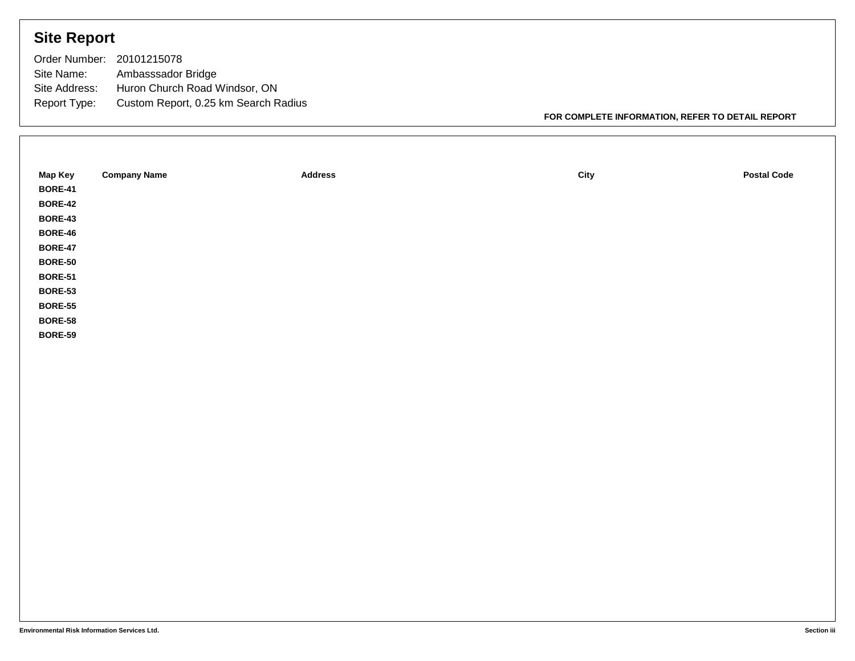## **Site Report**

| Order Number: 20101215078 |                                      |
|---------------------------|--------------------------------------|
| Site Name:                | Ambasssador Bridge                   |
| Site Address:             | Huron Church Road Windsor, ON        |
| Report Type:              | Custom Report, 0.25 km Search Radius |

**FOR COMPLETE INFORMATION, REFER TO DETAIL REPORT**

| Map Key        | <b>Company Name</b> | <b>Address</b> | City | <b>Postal Code</b> |
|----------------|---------------------|----------------|------|--------------------|
| <b>BORE-41</b> |                     |                |      |                    |
| <b>BORE-42</b> |                     |                |      |                    |
| <b>BORE-43</b> |                     |                |      |                    |
| <b>BORE-46</b> |                     |                |      |                    |
| <b>BORE-47</b> |                     |                |      |                    |
| <b>BORE-50</b> |                     |                |      |                    |
| <b>BORE-51</b> |                     |                |      |                    |
| <b>BORE-53</b> |                     |                |      |                    |
| <b>BORE-55</b> |                     |                |      |                    |
| <b>BORE-58</b> |                     |                |      |                    |
| <b>BORE-59</b> |                     |                |      |                    |
|                |                     |                |      |                    |
|                |                     |                |      |                    |
|                |                     |                |      |                    |
|                |                     |                |      |                    |
|                |                     |                |      |                    |
|                |                     |                |      |                    |
|                |                     |                |      |                    |
|                |                     |                |      |                    |
|                |                     |                |      |                    |
|                |                     |                |      |                    |
|                |                     |                |      |                    |
|                |                     |                |      |                    |
|                |                     |                |      |                    |
|                |                     |                |      |                    |
|                |                     |                |      |                    |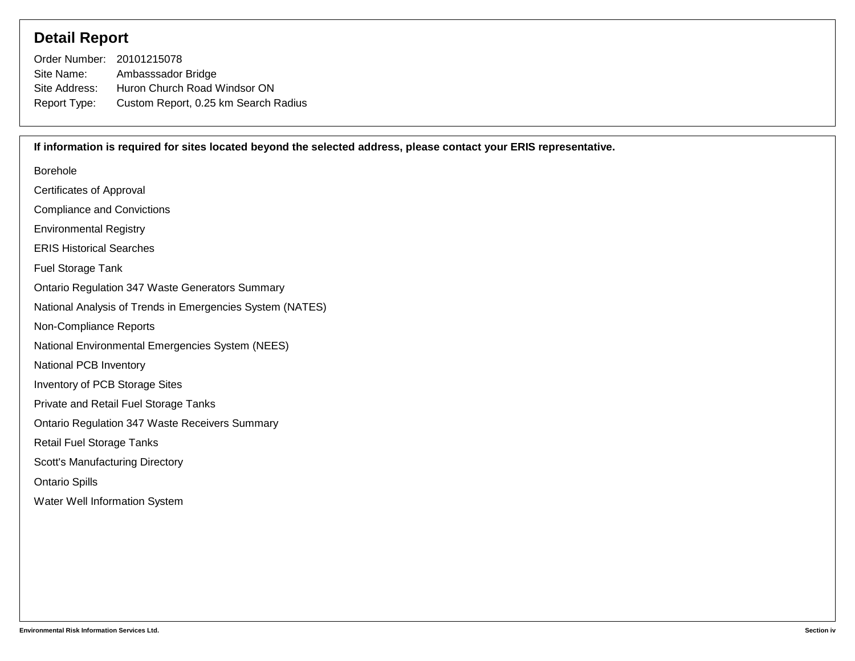### **Detail Report**

| Order Number: 20101215078 |                                      |
|---------------------------|--------------------------------------|
| Site Name:                | Ambasssador Bridge                   |
| Site Address:             | Huron Church Road Windsor ON         |
| Report Type:              | Custom Report, 0.25 km Search Radius |

Borehole Certificates of Approval Compliance and Convictions Environmental Registry ERIS Historical Searches Fuel Storage Tank Ontario Regulation 347 Waste Generators Summary National Analysis of Trends in Emergencies System (NATES) Non-Compliance Reports National Environmental Emergencies System (NEES) National PCB Inventory Inventory of PCB Storage Sites Private and Retail Fuel Storage Tanks Ontario Regulation 347 Waste Receivers Summary Retail Fuel Storage Tanks Scott's Manufacturing Directory Ontario Spills Water Well Information System **If information is required for sites located beyond the selected address, please contact your ERIS representative.**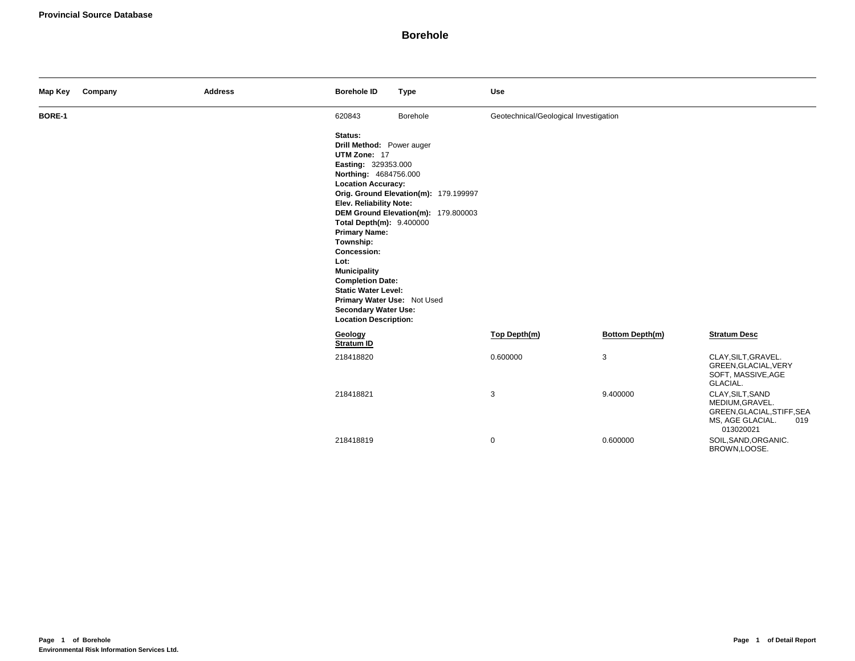| Map Key       | Company | <b>Address</b> | <b>Borehole ID</b>                                                                                                                                                                                                                                                                                                                                                                                                                        | <b>Type</b>                                                                  | <b>Use</b>                            |                        |                                                                                                           |
|---------------|---------|----------------|-------------------------------------------------------------------------------------------------------------------------------------------------------------------------------------------------------------------------------------------------------------------------------------------------------------------------------------------------------------------------------------------------------------------------------------------|------------------------------------------------------------------------------|---------------------------------------|------------------------|-----------------------------------------------------------------------------------------------------------|
| <b>BORE-1</b> |         |                | 620843                                                                                                                                                                                                                                                                                                                                                                                                                                    | Borehole                                                                     | Geotechnical/Geological Investigation |                        |                                                                                                           |
|               |         |                | Status:<br>Drill Method: Power auger<br>UTM Zone: 17<br>Easting: 329353.000<br>Northing: 4684756.000<br><b>Location Accuracy:</b><br>Elev. Reliability Note:<br>Total Depth(m): 9.400000<br><b>Primary Name:</b><br>Township:<br><b>Concession:</b><br>Lot:<br><b>Municipality</b><br><b>Completion Date:</b><br><b>Static Water Level:</b><br>Primary Water Use: Not Used<br><b>Secondary Water Use:</b><br><b>Location Description:</b> | Orig. Ground Elevation(m): 179.199997<br>DEM Ground Elevation(m): 179.800003 |                                       |                        |                                                                                                           |
|               |         |                | Geology<br><b>Stratum ID</b>                                                                                                                                                                                                                                                                                                                                                                                                              |                                                                              | Top Depth(m)                          | <b>Bottom Depth(m)</b> | <b>Stratum Desc</b>                                                                                       |
|               |         |                | 218418820                                                                                                                                                                                                                                                                                                                                                                                                                                 |                                                                              | 0.600000                              | 3                      | CLAY, SILT, GRAVEL.<br>GREEN, GLACIAL, VERY<br>SOFT, MASSIVE, AGE<br>GLACIAL.                             |
|               |         |                | 218418821                                                                                                                                                                                                                                                                                                                                                                                                                                 |                                                                              | 3                                     | 9.400000               | CLAY, SILT, SAND<br>MEDIUM, GRAVEL.<br>GREEN, GLACIAL, STIFF, SEA<br>MS, AGE GLACIAL.<br>019<br>013020021 |
|               |         |                | 218418819                                                                                                                                                                                                                                                                                                                                                                                                                                 |                                                                              | $\mathbf 0$                           | 0.600000               | SOIL, SAND, ORGANIC.<br>BROWN,LOOSE.                                                                      |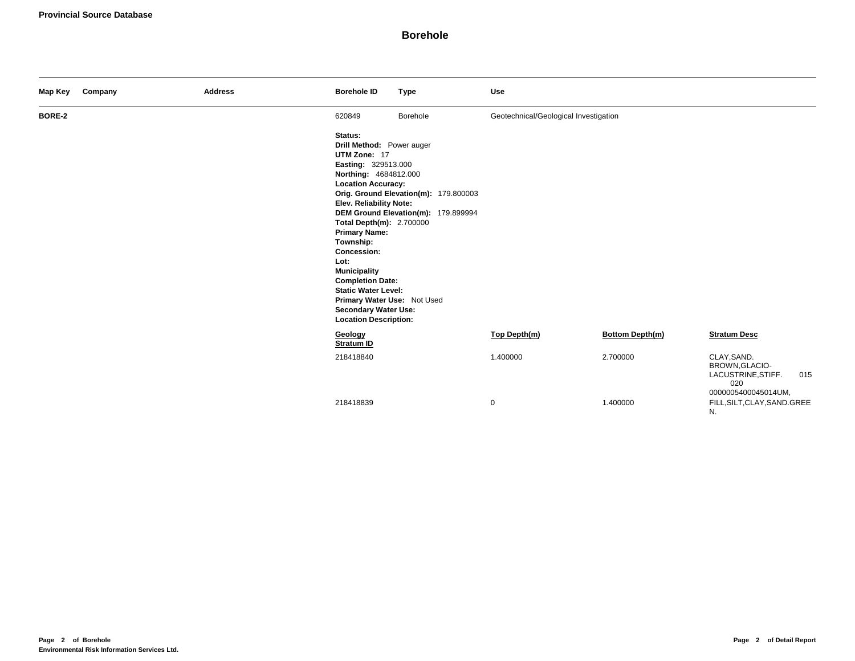| Map Key | Company | <b>Address</b> | <b>Borehole ID</b>                                                                                                                                                                                                                                                                                                                                                                                                                                                                                                        | <b>Type</b> | <b>Use</b>                            |                        |                                                            |     |
|---------|---------|----------------|---------------------------------------------------------------------------------------------------------------------------------------------------------------------------------------------------------------------------------------------------------------------------------------------------------------------------------------------------------------------------------------------------------------------------------------------------------------------------------------------------------------------------|-------------|---------------------------------------|------------------------|------------------------------------------------------------|-----|
| BORE-2  |         |                | 620849                                                                                                                                                                                                                                                                                                                                                                                                                                                                                                                    | Borehole    | Geotechnical/Geological Investigation |                        |                                                            |     |
|         |         |                | Status:<br>Drill Method: Power auger<br>UTM Zone: 17<br>Easting: 329513.000<br>Northing: 4684812.000<br><b>Location Accuracy:</b><br>Orig. Ground Elevation(m): 179.800003<br>Elev. Reliability Note:<br>DEM Ground Elevation(m): 179.899994<br>Total Depth(m): 2.700000<br><b>Primary Name:</b><br>Township:<br><b>Concession:</b><br>Lot:<br><b>Municipality</b><br><b>Completion Date:</b><br><b>Static Water Level:</b><br>Primary Water Use: Not Used<br><b>Secondary Water Use:</b><br><b>Location Description:</b> |             |                                       |                        |                                                            |     |
|         |         |                | Geology<br>Stratum ID                                                                                                                                                                                                                                                                                                                                                                                                                                                                                                     |             | Top Depth(m)                          | <b>Bottom Depth(m)</b> | <b>Stratum Desc</b>                                        |     |
|         |         |                | 218418840                                                                                                                                                                                                                                                                                                                                                                                                                                                                                                                 |             | 1.400000                              | 2.700000               | CLAY, SAND.<br>BROWN, GLACIO-<br>LACUSTRINE, STIFF.<br>020 | 015 |
|         |         |                | 218418839                                                                                                                                                                                                                                                                                                                                                                                                                                                                                                                 |             | $\mathbf 0$                           | 1.400000               | 0000005400045014UM,<br>FILL, SILT, CLAY, SAND. GREE<br>N.  |     |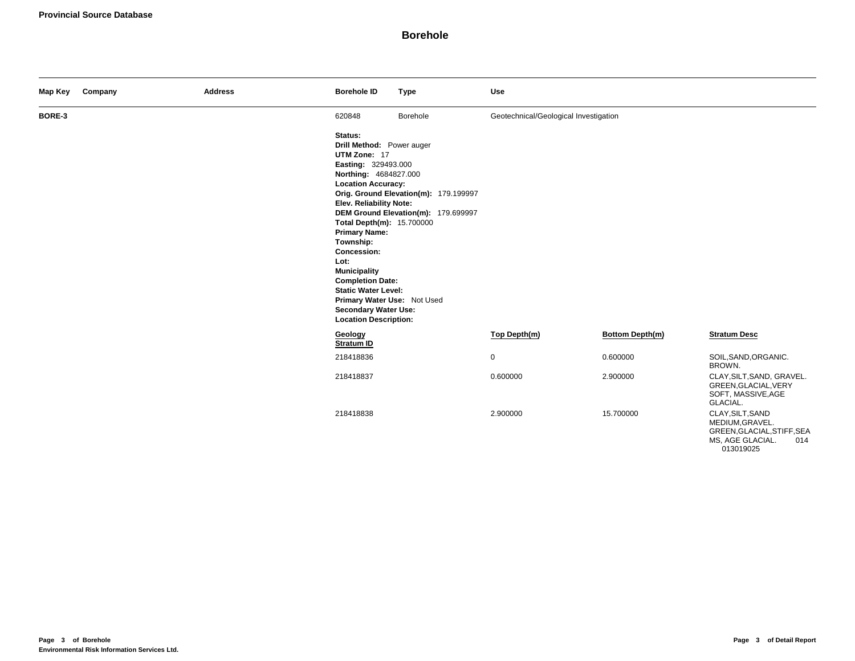| Map Key | Company | <b>Address</b> | <b>Borehole ID</b>                                                                                                                                                                                                                                                                                                                                                                                                                         | <b>Type</b>                                                                  | Use                                   |                        |                                                                                                           |
|---------|---------|----------------|--------------------------------------------------------------------------------------------------------------------------------------------------------------------------------------------------------------------------------------------------------------------------------------------------------------------------------------------------------------------------------------------------------------------------------------------|------------------------------------------------------------------------------|---------------------------------------|------------------------|-----------------------------------------------------------------------------------------------------------|
| BORE-3  |         |                | 620848                                                                                                                                                                                                                                                                                                                                                                                                                                     | Borehole                                                                     | Geotechnical/Geological Investigation |                        |                                                                                                           |
|         |         |                | Status:<br>Drill Method: Power auger<br>UTM Zone: 17<br>Easting: 329493.000<br>Northing: 4684827.000<br><b>Location Accuracy:</b><br><b>Elev. Reliability Note:</b><br>Total Depth(m): 15.700000<br><b>Primary Name:</b><br>Township:<br>Concession:<br>Lot:<br><b>Municipality</b><br><b>Completion Date:</b><br><b>Static Water Level:</b><br>Primary Water Use: Not Used<br><b>Secondary Water Use:</b><br><b>Location Description:</b> | Orig. Ground Elevation(m): 179.199997<br>DEM Ground Elevation(m): 179.699997 |                                       |                        |                                                                                                           |
|         |         |                | Geology<br><b>Stratum ID</b>                                                                                                                                                                                                                                                                                                                                                                                                               |                                                                              | Top Depth(m)                          | <b>Bottom Depth(m)</b> | <b>Stratum Desc</b>                                                                                       |
|         |         |                | 218418836                                                                                                                                                                                                                                                                                                                                                                                                                                  |                                                                              | $\mathbf 0$                           | 0.600000               | SOIL, SAND, ORGANIC.<br>BROWN.                                                                            |
|         |         |                | 218418837                                                                                                                                                                                                                                                                                                                                                                                                                                  |                                                                              | 0.600000                              | 2.900000               | CLAY, SILT, SAND, GRAVEL.<br>GREEN, GLACIAL, VERY<br>SOFT, MASSIVE, AGE<br>GLACIAL.                       |
|         |         |                | 218418838                                                                                                                                                                                                                                                                                                                                                                                                                                  |                                                                              | 2.900000                              | 15.700000              | CLAY, SILT, SAND<br>MEDIUM, GRAVEL.<br>GREEN, GLACIAL, STIFF, SEA<br>MS, AGE GLACIAL.<br>014<br>013019025 |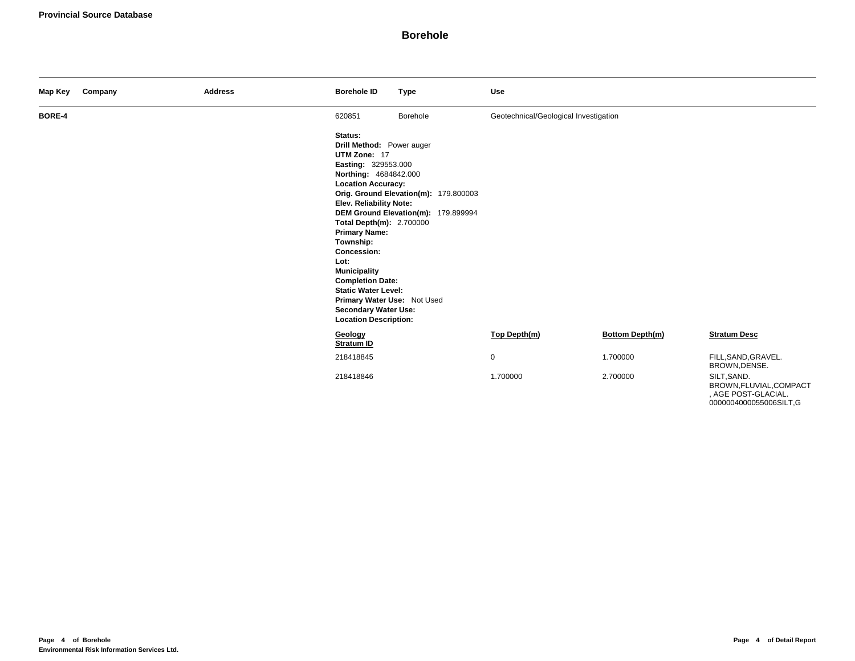| Map Key       | Company | <b>Address</b> | <b>Borehole ID</b>                                                                                                                                                                                                                                                                                                                                                                                                                        | <b>Type</b>                                                                  | <b>Use</b>                            |                        |                                                               |
|---------------|---------|----------------|-------------------------------------------------------------------------------------------------------------------------------------------------------------------------------------------------------------------------------------------------------------------------------------------------------------------------------------------------------------------------------------------------------------------------------------------|------------------------------------------------------------------------------|---------------------------------------|------------------------|---------------------------------------------------------------|
| <b>BORE-4</b> |         |                | 620851                                                                                                                                                                                                                                                                                                                                                                                                                                    | Borehole                                                                     | Geotechnical/Geological Investigation |                        |                                                               |
|               |         |                | Status:<br>Drill Method: Power auger<br>UTM Zone: 17<br>Easting: 329553.000<br>Northing: 4684842.000<br><b>Location Accuracy:</b><br>Elev. Reliability Note:<br><b>Total Depth(m): 2.700000</b><br><b>Primary Name:</b><br>Township:<br>Concession:<br>Lot:<br><b>Municipality</b><br><b>Completion Date:</b><br><b>Static Water Level:</b><br>Primary Water Use: Not Used<br><b>Secondary Water Use:</b><br><b>Location Description:</b> | Orig. Ground Elevation(m): 179.800003<br>DEM Ground Elevation(m): 179.899994 |                                       |                        |                                                               |
|               |         |                | Geology<br><b>Stratum ID</b>                                                                                                                                                                                                                                                                                                                                                                                                              |                                                                              | Top Depth(m)                          | <b>Bottom Depth(m)</b> | <b>Stratum Desc</b>                                           |
|               |         |                | 218418845                                                                                                                                                                                                                                                                                                                                                                                                                                 |                                                                              | 0                                     | 1.700000               | FILL, SAND, GRAVEL.<br>BROWN, DENSE.                          |
|               |         |                | 218418846                                                                                                                                                                                                                                                                                                                                                                                                                                 |                                                                              | 1.700000                              | 2.700000               | SILT, SAND.<br>BROWN, FLUVIAL, COMPACT<br>, AGE POST-GLACIAL. |

0000004000055006SILT,G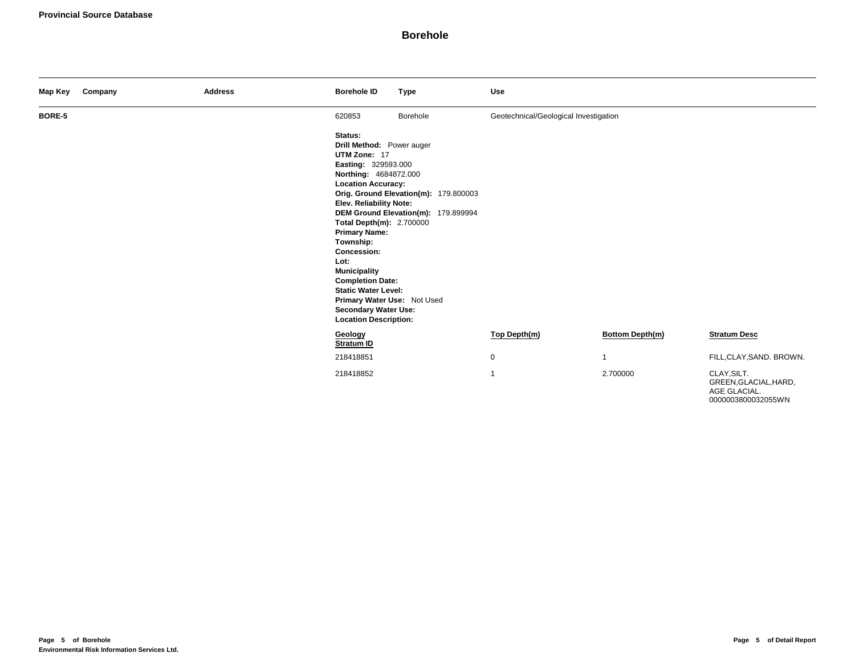| Map Key | Company | <b>Address</b> | <b>Borehole ID</b>                                                                                                                                                                                                                                                                                                                                                                                                                        | <b>Type</b>                                                                  | Use                                   |                 |                                                      |
|---------|---------|----------------|-------------------------------------------------------------------------------------------------------------------------------------------------------------------------------------------------------------------------------------------------------------------------------------------------------------------------------------------------------------------------------------------------------------------------------------------|------------------------------------------------------------------------------|---------------------------------------|-----------------|------------------------------------------------------|
| BORE-5  |         |                | 620853                                                                                                                                                                                                                                                                                                                                                                                                                                    | Borehole                                                                     | Geotechnical/Geological Investigation |                 |                                                      |
|         |         |                | Status:<br>Drill Method: Power auger<br>UTM Zone: 17<br>Easting: 329593.000<br>Northing: 4684872.000<br><b>Location Accuracy:</b><br>Elev. Reliability Note:<br>Total Depth(m): 2.700000<br><b>Primary Name:</b><br>Township:<br><b>Concession:</b><br>Lot:<br><b>Municipality</b><br><b>Completion Date:</b><br><b>Static Water Level:</b><br>Primary Water Use: Not Used<br><b>Secondary Water Use:</b><br><b>Location Description:</b> | Orig. Ground Elevation(m): 179.800003<br>DEM Ground Elevation(m): 179.899994 |                                       |                 |                                                      |
|         |         |                | Geology<br>Stratum ID                                                                                                                                                                                                                                                                                                                                                                                                                     |                                                                              | Top Depth(m)                          | Bottom Depth(m) | <b>Stratum Desc</b>                                  |
|         |         |                | 218418851                                                                                                                                                                                                                                                                                                                                                                                                                                 |                                                                              | 0                                     | $\mathbf{1}$    | FILL, CLAY, SAND. BROWN.                             |
|         |         |                | 218418852                                                                                                                                                                                                                                                                                                                                                                                                                                 |                                                                              | $\mathbf{1}$                          | 2.700000        | CLAY, SILT.<br>GREEN, GLACIAL, HARD,<br>AGE GLACIAL. |

0000003800032055WN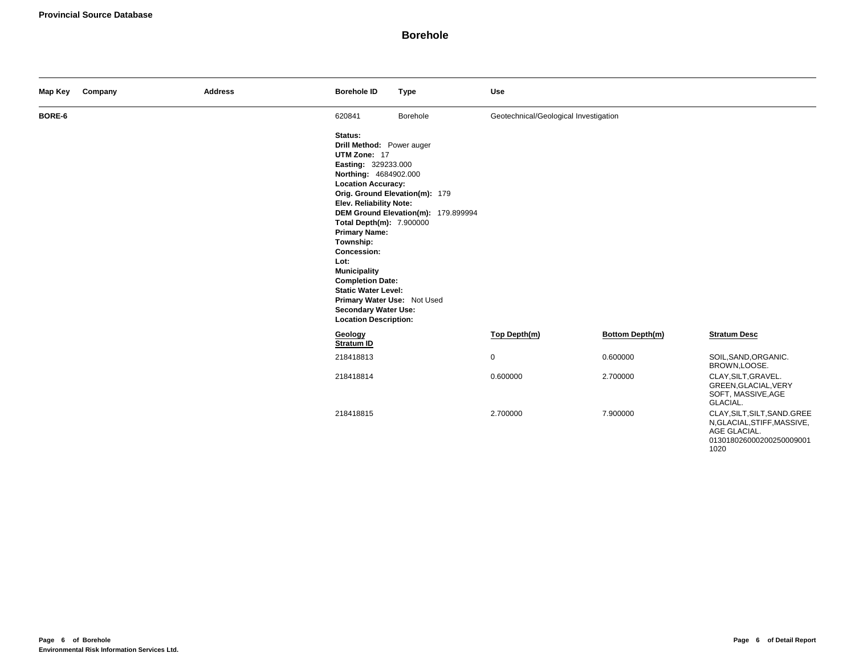| Map Key | Company | <b>Address</b> | <b>Borehole ID</b>                                                                                                                                                                                                                                                                                                                                                                                                                 | <b>Type</b>                                                           | Use                                   |                        |                                                                                                                 |
|---------|---------|----------------|------------------------------------------------------------------------------------------------------------------------------------------------------------------------------------------------------------------------------------------------------------------------------------------------------------------------------------------------------------------------------------------------------------------------------------|-----------------------------------------------------------------------|---------------------------------------|------------------------|-----------------------------------------------------------------------------------------------------------------|
| BORE-6  |         |                | 620841                                                                                                                                                                                                                                                                                                                                                                                                                             | Borehole                                                              | Geotechnical/Geological Investigation |                        |                                                                                                                 |
|         |         |                | Status:<br>Drill Method: Power auger<br>UTM Zone: 17<br>Easting: 329233.000<br>Northing: 4684902.000<br><b>Location Accuracy:</b><br>Elev. Reliability Note:<br>Total Depth(m): 7.900000<br><b>Primary Name:</b><br>Township:<br>Concession:<br>Lot:<br><b>Municipality</b><br><b>Completion Date:</b><br><b>Static Water Level:</b><br>Primary Water Use: Not Used<br><b>Secondary Water Use:</b><br><b>Location Description:</b> | Orig. Ground Elevation(m): 179<br>DEM Ground Elevation(m): 179.899994 |                                       |                        |                                                                                                                 |
|         |         |                | Geology<br><b>Stratum ID</b>                                                                                                                                                                                                                                                                                                                                                                                                       |                                                                       | Top Depth(m)                          | <b>Bottom Depth(m)</b> | <b>Stratum Desc</b>                                                                                             |
|         |         |                | 218418813                                                                                                                                                                                                                                                                                                                                                                                                                          |                                                                       | $\mathbf 0$                           | 0.600000               | SOIL, SAND, ORGANIC.<br>BROWN,LOOSE.                                                                            |
|         |         |                | 218418814                                                                                                                                                                                                                                                                                                                                                                                                                          |                                                                       | 0.600000                              | 2.700000               | CLAY, SILT, GRAVEL.<br>GREEN, GLACIAL, VERY<br>SOFT, MASSIVE, AGE<br>GLACIAL.                                   |
|         |         |                | 218418815                                                                                                                                                                                                                                                                                                                                                                                                                          |                                                                       | 2.700000                              | 7.900000               | CLAY, SILT, SILT, SAND. GREE<br>N, GLACIAL, STIFF, MASSIVE,<br>AGE GLACIAL.<br>013018026000200250009001<br>1020 |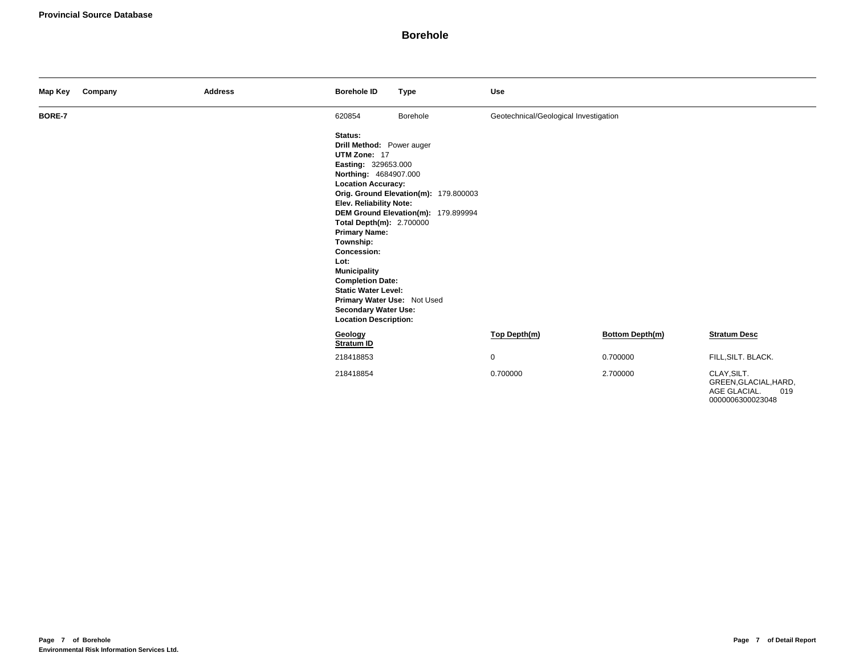| Map Key | Company | <b>Address</b> | <b>Borehole ID</b>                                                                                                                                                                                                                                                                                                                                                                                                                        | <b>Type</b>                                                                  | Use                                   |                 |                                                             |
|---------|---------|----------------|-------------------------------------------------------------------------------------------------------------------------------------------------------------------------------------------------------------------------------------------------------------------------------------------------------------------------------------------------------------------------------------------------------------------------------------------|------------------------------------------------------------------------------|---------------------------------------|-----------------|-------------------------------------------------------------|
| BORE-7  |         |                | 620854                                                                                                                                                                                                                                                                                                                                                                                                                                    | Borehole                                                                     | Geotechnical/Geological Investigation |                 |                                                             |
|         |         |                | Status:<br>Drill Method: Power auger<br>UTM Zone: 17<br>Easting: 329653.000<br>Northing: 4684907.000<br><b>Location Accuracy:</b><br>Elev. Reliability Note:<br>Total Depth(m): 2.700000<br><b>Primary Name:</b><br>Township:<br><b>Concession:</b><br>Lot:<br><b>Municipality</b><br><b>Completion Date:</b><br><b>Static Water Level:</b><br>Primary Water Use: Not Used<br><b>Secondary Water Use:</b><br><b>Location Description:</b> | Orig. Ground Elevation(m): 179.800003<br>DEM Ground Elevation(m): 179.899994 |                                       |                 |                                                             |
|         |         |                | Geology<br><b>Stratum ID</b>                                                                                                                                                                                                                                                                                                                                                                                                              |                                                                              | Top Depth(m)                          | Bottom Depth(m) | <b>Stratum Desc</b>                                         |
|         |         |                | 218418853                                                                                                                                                                                                                                                                                                                                                                                                                                 |                                                                              | $\mathbf 0$                           | 0.700000        | FILL, SILT. BLACK.                                          |
|         |         |                | 218418854                                                                                                                                                                                                                                                                                                                                                                                                                                 |                                                                              | 0.700000                              | 2.700000        | CLAY, SILT.<br>GREEN, GLACIAL, HARD,<br>AGE GLACIAL.<br>019 |

0000006300023048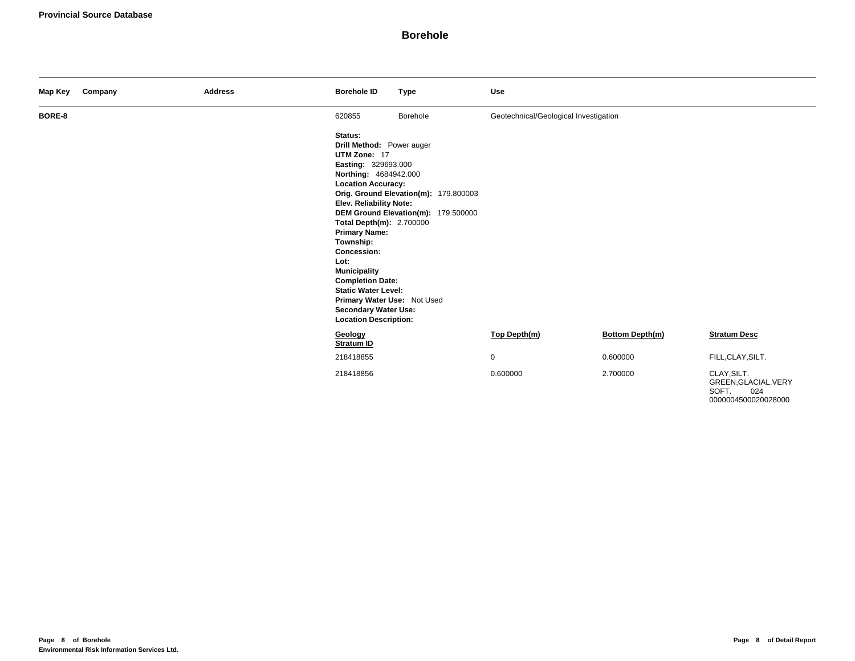| Map Key | Company | <b>Address</b> | <b>Borehole ID</b>                                                                                                                                                                                                                                                                                                                                                                                                                        | <b>Type</b>                                                                  | Use                                   |                 |                                                     |
|---------|---------|----------------|-------------------------------------------------------------------------------------------------------------------------------------------------------------------------------------------------------------------------------------------------------------------------------------------------------------------------------------------------------------------------------------------------------------------------------------------|------------------------------------------------------------------------------|---------------------------------------|-----------------|-----------------------------------------------------|
| BORE-8  |         |                | 620855                                                                                                                                                                                                                                                                                                                                                                                                                                    | Borehole                                                                     | Geotechnical/Geological Investigation |                 |                                                     |
|         |         |                | Status:<br>Drill Method: Power auger<br>UTM Zone: 17<br>Easting: 329693.000<br>Northing: 4684942.000<br><b>Location Accuracy:</b><br>Elev. Reliability Note:<br>Total Depth(m): 2.700000<br><b>Primary Name:</b><br>Township:<br><b>Concession:</b><br>Lot:<br><b>Municipality</b><br><b>Completion Date:</b><br><b>Static Water Level:</b><br>Primary Water Use: Not Used<br><b>Secondary Water Use:</b><br><b>Location Description:</b> | Orig. Ground Elevation(m): 179.800003<br>DEM Ground Elevation(m): 179.500000 |                                       |                 |                                                     |
|         |         |                | Geology<br><b>Stratum ID</b>                                                                                                                                                                                                                                                                                                                                                                                                              |                                                                              | Top Depth(m)                          | Bottom Depth(m) | <b>Stratum Desc</b>                                 |
|         |         |                | 218418855                                                                                                                                                                                                                                                                                                                                                                                                                                 |                                                                              | $\mathbf 0$                           | 0.600000        | FILL, CLAY, SILT.                                   |
|         |         |                | 218418856                                                                                                                                                                                                                                                                                                                                                                                                                                 |                                                                              | 0.600000                              | 2.700000        | CLAY, SILT.<br>GREEN, GLACIAL, VERY<br>SOFT.<br>024 |

0000004500020028000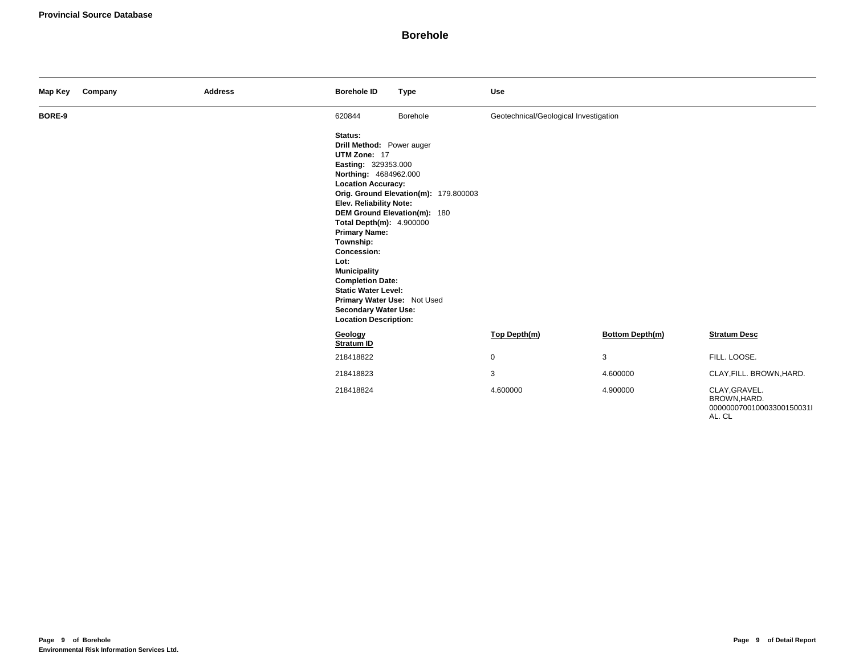| Map Key | Company | <b>Address</b> | <b>Borehole ID</b>                                                                                                                                                                                                                                                                                                                                                                                                                                                                                          | <b>Type</b> | <b>Use</b>                            |                        |                                                                      |
|---------|---------|----------------|-------------------------------------------------------------------------------------------------------------------------------------------------------------------------------------------------------------------------------------------------------------------------------------------------------------------------------------------------------------------------------------------------------------------------------------------------------------------------------------------------------------|-------------|---------------------------------------|------------------------|----------------------------------------------------------------------|
| BORE-9  |         |                | 620844                                                                                                                                                                                                                                                                                                                                                                                                                                                                                                      | Borehole    | Geotechnical/Geological Investigation |                        |                                                                      |
|         |         |                | Status:<br>Drill Method: Power auger<br>UTM Zone: 17<br>Easting: 329353.000<br>Northing: 4684962.000<br><b>Location Accuracy:</b><br>Orig. Ground Elevation(m): 179.800003<br>Elev. Reliability Note:<br>DEM Ground Elevation(m): 180<br>Total Depth(m): 4.900000<br><b>Primary Name:</b><br>Township:<br>Concession:<br>Lot:<br><b>Municipality</b><br><b>Completion Date:</b><br><b>Static Water Level:</b><br>Primary Water Use: Not Used<br><b>Secondary Water Use:</b><br><b>Location Description:</b> |             |                                       |                        |                                                                      |
|         |         |                | Geology<br>Stratum ID                                                                                                                                                                                                                                                                                                                                                                                                                                                                                       |             | Top Depth(m)                          | <b>Bottom Depth(m)</b> | <b>Stratum Desc</b>                                                  |
|         |         |                | 218418822                                                                                                                                                                                                                                                                                                                                                                                                                                                                                                   |             | $\mathbf 0$                           | 3                      | FILL. LOOSE.                                                         |
|         |         |                | 218418823                                                                                                                                                                                                                                                                                                                                                                                                                                                                                                   |             | 3                                     | 4.600000               | CLAY, FILL. BROWN, HARD.                                             |
|         |         |                | 218418824                                                                                                                                                                                                                                                                                                                                                                                                                                                                                                   |             | 4.600000                              | 4.900000               | CLAY, GRAVEL.<br>BROWN, HARD.<br>000000070010003300150031l<br>AL. CL |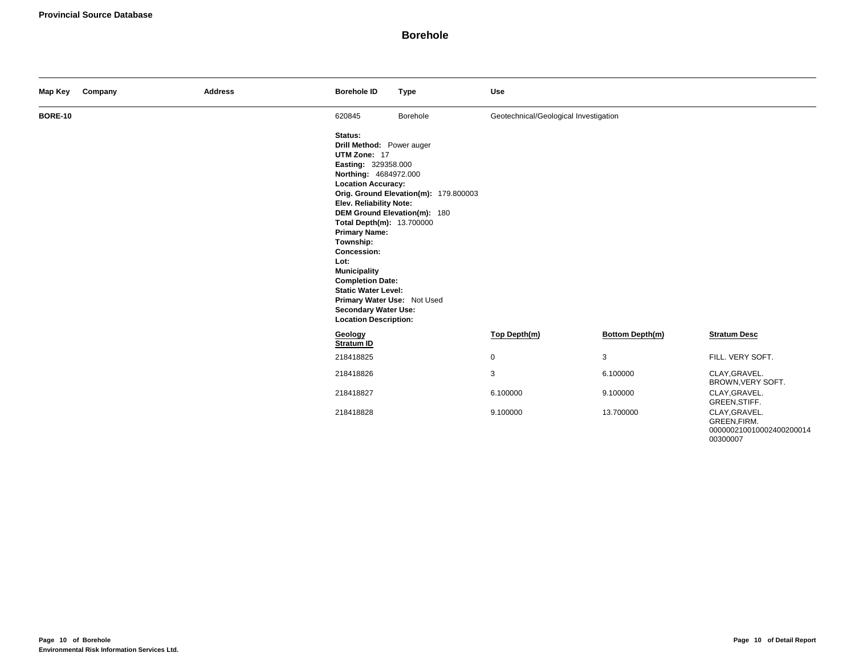| Map Key        | Company | <b>Address</b> | <b>Borehole ID</b>                                                                                                                                                                                                                                                                                                                                                                                                                                                                                                  | <b>Type</b> | <b>Use</b>                            |                        |                                                                       |
|----------------|---------|----------------|---------------------------------------------------------------------------------------------------------------------------------------------------------------------------------------------------------------------------------------------------------------------------------------------------------------------------------------------------------------------------------------------------------------------------------------------------------------------------------------------------------------------|-------------|---------------------------------------|------------------------|-----------------------------------------------------------------------|
| <b>BORE-10</b> |         |                | 620845                                                                                                                                                                                                                                                                                                                                                                                                                                                                                                              | Borehole    | Geotechnical/Geological Investigation |                        |                                                                       |
|                |         |                | Status:<br>Drill Method: Power auger<br>UTM Zone: 17<br>Easting: 329358.000<br>Northing: 4684972.000<br><b>Location Accuracy:</b><br>Orig. Ground Elevation(m): 179.800003<br>Elev. Reliability Note:<br>DEM Ground Elevation(m): 180<br>Total Depth(m): 13.700000<br><b>Primary Name:</b><br>Township:<br><b>Concession:</b><br>Lot:<br><b>Municipality</b><br><b>Completion Date:</b><br><b>Static Water Level:</b><br>Primary Water Use: Not Used<br><b>Secondary Water Use:</b><br><b>Location Description:</b> |             |                                       |                        |                                                                       |
|                |         |                | Geology<br>Stratum ID                                                                                                                                                                                                                                                                                                                                                                                                                                                                                               |             | Top Depth(m)                          | <b>Bottom Depth(m)</b> | <b>Stratum Desc</b>                                                   |
|                |         |                | 218418825                                                                                                                                                                                                                                                                                                                                                                                                                                                                                                           |             | $\mathbf 0$                           | 3                      | FILL. VERY SOFT.                                                      |
|                |         |                | 218418826                                                                                                                                                                                                                                                                                                                                                                                                                                                                                                           |             | 3                                     | 6.100000               | CLAY, GRAVEL.<br>BROWN, VERY SOFT.                                    |
|                |         |                | 218418827                                                                                                                                                                                                                                                                                                                                                                                                                                                                                                           |             | 6.100000                              | 9.100000               | CLAY, GRAVEL.<br>GREEN, STIFF.                                        |
|                |         |                | 218418828                                                                                                                                                                                                                                                                                                                                                                                                                                                                                                           |             | 9.100000                              | 13.700000              | CLAY, GRAVEL.<br>GREEN, FIRM.<br>000000210010002400200014<br>00300007 |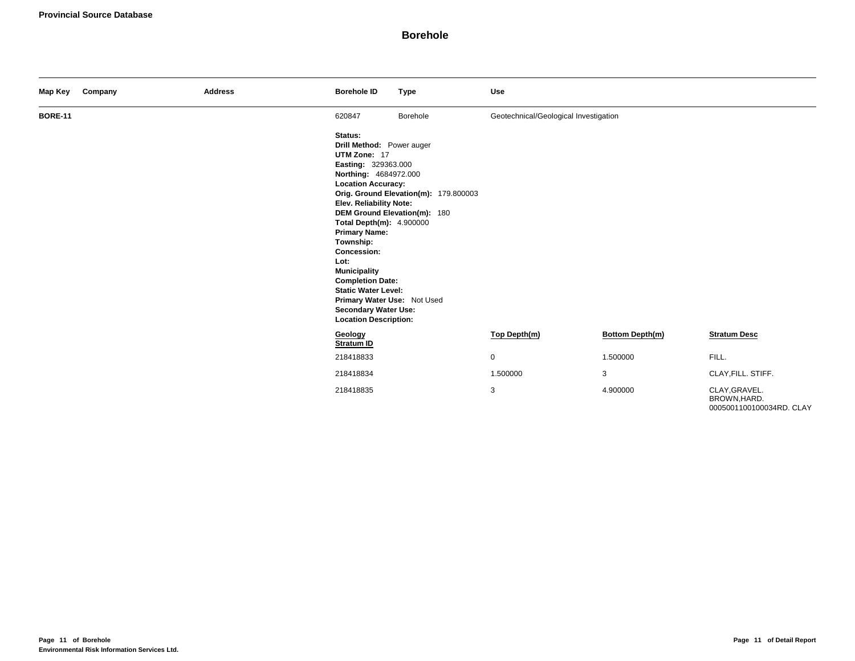| Map Key        | Company | <b>Address</b> | <b>Borehole ID</b>                                                                                                                                                                                                                                                                                                                                                                                                                 | <b>Type</b>                                                           | Use                                   |                        |                                                           |
|----------------|---------|----------------|------------------------------------------------------------------------------------------------------------------------------------------------------------------------------------------------------------------------------------------------------------------------------------------------------------------------------------------------------------------------------------------------------------------------------------|-----------------------------------------------------------------------|---------------------------------------|------------------------|-----------------------------------------------------------|
| <b>BORE-11</b> |         |                | 620847                                                                                                                                                                                                                                                                                                                                                                                                                             | Borehole                                                              | Geotechnical/Geological Investigation |                        |                                                           |
|                |         |                | Status:<br>Drill Method: Power auger<br>UTM Zone: 17<br>Easting: 329363.000<br>Northing: 4684972.000<br><b>Location Accuracy:</b><br>Elev. Reliability Note:<br>Total Depth(m): 4.900000<br><b>Primary Name:</b><br>Township:<br>Concession:<br>Lot:<br><b>Municipality</b><br><b>Completion Date:</b><br><b>Static Water Level:</b><br>Primary Water Use: Not Used<br><b>Secondary Water Use:</b><br><b>Location Description:</b> | Orig. Ground Elevation(m): 179.800003<br>DEM Ground Elevation(m): 180 |                                       |                        |                                                           |
|                |         |                | Geology<br>Stratum ID                                                                                                                                                                                                                                                                                                                                                                                                              |                                                                       | Top Depth(m)                          | <b>Bottom Depth(m)</b> | <b>Stratum Desc</b>                                       |
|                |         |                | 218418833                                                                                                                                                                                                                                                                                                                                                                                                                          |                                                                       | $\mathbf 0$                           | 1.500000               | FILL.                                                     |
|                |         |                | 218418834                                                                                                                                                                                                                                                                                                                                                                                                                          |                                                                       | 1.500000                              | 3                      | CLAY, FILL. STIFF.                                        |
|                |         |                | 218418835                                                                                                                                                                                                                                                                                                                                                                                                                          |                                                                       | 3                                     | 4.900000               | CLAY, GRAVEL.<br>BROWN, HARD.<br>0005001100100034RD. CLAY |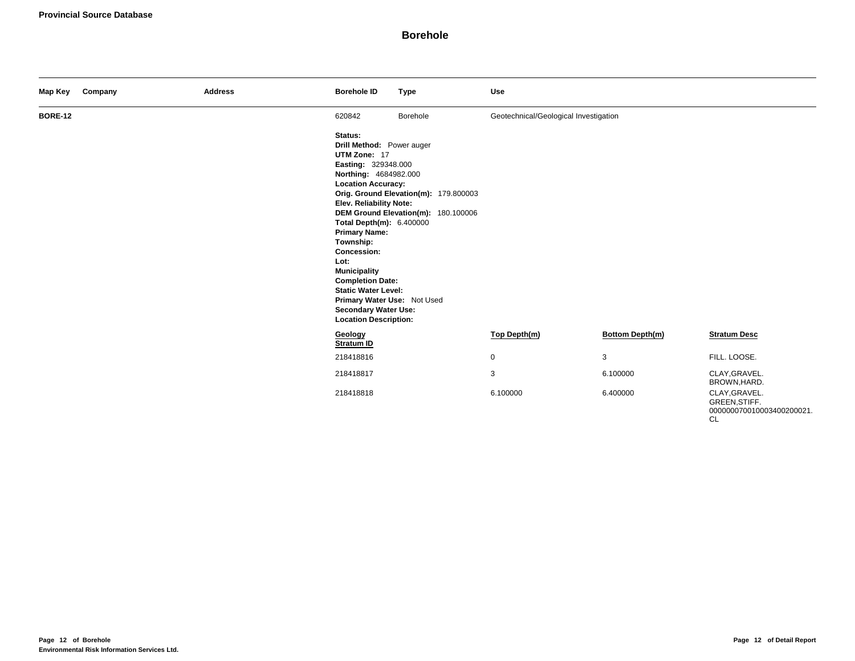| Map Key        | Company | <b>Address</b> | <b>Borehole ID</b>                                                                                                                                                                                                                                                                                                                                                                                                                        | <b>Type</b>                                                                  | <b>Use</b>                            |                        |                                                                          |
|----------------|---------|----------------|-------------------------------------------------------------------------------------------------------------------------------------------------------------------------------------------------------------------------------------------------------------------------------------------------------------------------------------------------------------------------------------------------------------------------------------------|------------------------------------------------------------------------------|---------------------------------------|------------------------|--------------------------------------------------------------------------|
| <b>BORE-12</b> |         |                | 620842                                                                                                                                                                                                                                                                                                                                                                                                                                    | Borehole                                                                     | Geotechnical/Geological Investigation |                        |                                                                          |
|                |         |                | Status:<br>Drill Method: Power auger<br>UTM Zone: 17<br>Easting: 329348.000<br>Northing: 4684982.000<br><b>Location Accuracy:</b><br>Elev. Reliability Note:<br>Total Depth(m): 6.400000<br><b>Primary Name:</b><br>Township:<br><b>Concession:</b><br>Lot:<br><b>Municipality</b><br><b>Completion Date:</b><br><b>Static Water Level:</b><br>Primary Water Use: Not Used<br><b>Secondary Water Use:</b><br><b>Location Description:</b> | Orig. Ground Elevation(m): 179.800003<br>DEM Ground Elevation(m): 180.100006 |                                       |                        |                                                                          |
|                |         |                | Geology<br>Stratum ID                                                                                                                                                                                                                                                                                                                                                                                                                     |                                                                              | Top Depth(m)                          | <b>Bottom Depth(m)</b> | <b>Stratum Desc</b>                                                      |
|                |         |                | 218418816                                                                                                                                                                                                                                                                                                                                                                                                                                 |                                                                              | $\mathbf 0$                           | 3                      | FILL. LOOSE.                                                             |
|                |         |                | 218418817                                                                                                                                                                                                                                                                                                                                                                                                                                 |                                                                              | 3                                     | 6.100000               | CLAY, GRAVEL.<br>BROWN, HARD.                                            |
|                |         |                | 218418818                                                                                                                                                                                                                                                                                                                                                                                                                                 |                                                                              | 6.100000                              | 6.400000               | CLAY, GRAVEL.<br>GREEN, STIFF.<br>000000070010003400200021.<br><b>CL</b> |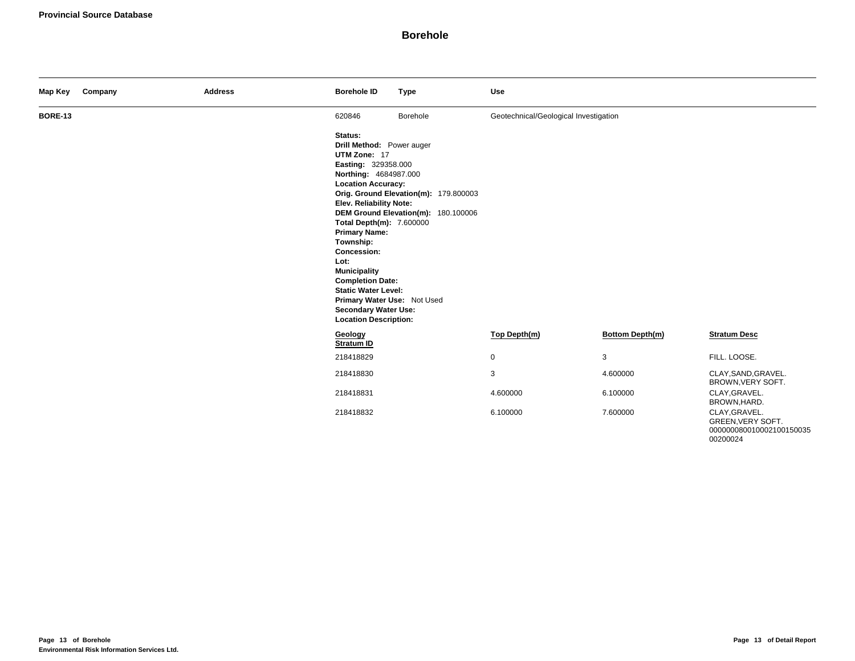| Map Key        | Company | <b>Address</b> | <b>Borehole ID</b>                                                                                                                                                                                                                                                                                                                                                                                                                        | <b>Type</b>                                                                  | <b>Use</b>                            |                        |                                                                            |
|----------------|---------|----------------|-------------------------------------------------------------------------------------------------------------------------------------------------------------------------------------------------------------------------------------------------------------------------------------------------------------------------------------------------------------------------------------------------------------------------------------------|------------------------------------------------------------------------------|---------------------------------------|------------------------|----------------------------------------------------------------------------|
| <b>BORE-13</b> |         |                | 620846                                                                                                                                                                                                                                                                                                                                                                                                                                    | Borehole                                                                     | Geotechnical/Geological Investigation |                        |                                                                            |
|                |         |                | Status:<br>Drill Method: Power auger<br>UTM Zone: 17<br>Easting: 329358.000<br>Northing: 4684987.000<br><b>Location Accuracy:</b><br>Elev. Reliability Note:<br>Total Depth(m): 7.600000<br><b>Primary Name:</b><br>Township:<br><b>Concession:</b><br>Lot:<br><b>Municipality</b><br><b>Completion Date:</b><br><b>Static Water Level:</b><br>Primary Water Use: Not Used<br><b>Secondary Water Use:</b><br><b>Location Description:</b> | Orig. Ground Elevation(m): 179.800003<br>DEM Ground Elevation(m): 180.100006 |                                       |                        |                                                                            |
|                |         |                | Geology<br>Stratum ID                                                                                                                                                                                                                                                                                                                                                                                                                     |                                                                              | Top Depth(m)                          | <b>Bottom Depth(m)</b> | <b>Stratum Desc</b>                                                        |
|                |         |                | 218418829                                                                                                                                                                                                                                                                                                                                                                                                                                 |                                                                              | $\mathbf 0$                           | 3                      | FILL. LOOSE.                                                               |
|                |         |                | 218418830                                                                                                                                                                                                                                                                                                                                                                                                                                 |                                                                              | 3                                     | 4.600000               | CLAY, SAND, GRAVEL.<br>BROWN, VERY SOFT.                                   |
|                |         |                | 218418831                                                                                                                                                                                                                                                                                                                                                                                                                                 |                                                                              | 4.600000                              | 6.100000               | CLAY, GRAVEL.<br>BROWN, HARD.                                              |
|                |         |                | 218418832                                                                                                                                                                                                                                                                                                                                                                                                                                 |                                                                              | 6.100000                              | 7.600000               | CLAY, GRAVEL.<br>GREEN, VERY SOFT.<br>000000080010002100150035<br>00200024 |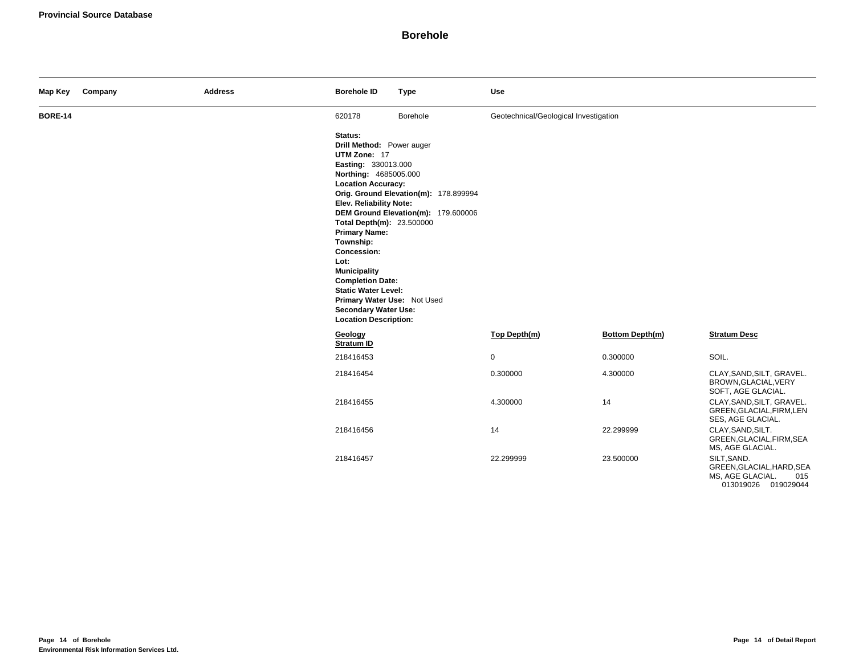| Map Key        | Company | <b>Address</b> | <b>Borehole ID</b>                                                                                                                                                                                                                                                                                                                                                                                                                  | <b>Type</b>                                                                  | Use                                   |                 |                                                                                            |
|----------------|---------|----------------|-------------------------------------------------------------------------------------------------------------------------------------------------------------------------------------------------------------------------------------------------------------------------------------------------------------------------------------------------------------------------------------------------------------------------------------|------------------------------------------------------------------------------|---------------------------------------|-----------------|--------------------------------------------------------------------------------------------|
| <b>BORE-14</b> |         |                | 620178                                                                                                                                                                                                                                                                                                                                                                                                                              | Borehole                                                                     | Geotechnical/Geological Investigation |                 |                                                                                            |
|                |         |                | Status:<br>Drill Method: Power auger<br>UTM Zone: 17<br>Easting: 330013.000<br>Northing: 4685005.000<br><b>Location Accuracy:</b><br>Elev. Reliability Note:<br>Total Depth(m): 23.500000<br><b>Primary Name:</b><br>Township:<br>Concession:<br>Lot:<br><b>Municipality</b><br><b>Completion Date:</b><br><b>Static Water Level:</b><br>Primary Water Use: Not Used<br><b>Secondary Water Use:</b><br><b>Location Description:</b> | Orig. Ground Elevation(m): 178.899994<br>DEM Ground Elevation(m): 179.600006 |                                       |                 |                                                                                            |
|                |         |                | Geology<br><b>Stratum ID</b>                                                                                                                                                                                                                                                                                                                                                                                                        |                                                                              | Top Depth(m)                          | Bottom Depth(m) | <b>Stratum Desc</b>                                                                        |
|                |         |                | 218416453                                                                                                                                                                                                                                                                                                                                                                                                                           |                                                                              | $\mathsf 0$                           | 0.300000        | SOIL.                                                                                      |
|                |         |                | 218416454                                                                                                                                                                                                                                                                                                                                                                                                                           |                                                                              | 0.300000                              | 4.300000        | CLAY, SAND, SILT, GRAVEL.<br>BROWN, GLACIAL, VERY<br>SOFT, AGE GLACIAL.                    |
|                |         |                | 218416455                                                                                                                                                                                                                                                                                                                                                                                                                           |                                                                              | 4.300000                              | 14              | CLAY, SAND, SILT, GRAVEL.<br>GREEN, GLACIAL, FIRM, LEN<br>SES, AGE GLACIAL.                |
|                |         |                | 218416456                                                                                                                                                                                                                                                                                                                                                                                                                           |                                                                              | 14                                    | 22.299999       | CLAY, SAND, SILT.<br>GREEN, GLACIAL, FIRM, SEA<br>MS, AGE GLACIAL.                         |
|                |         |                | 218416457                                                                                                                                                                                                                                                                                                                                                                                                                           |                                                                              | 22.299999                             | 23.500000       | SILT, SAND.<br>GREEN, GLACIAL, HARD, SEA<br>MS, AGE GLACIAL.<br>015<br>013019026 019029044 |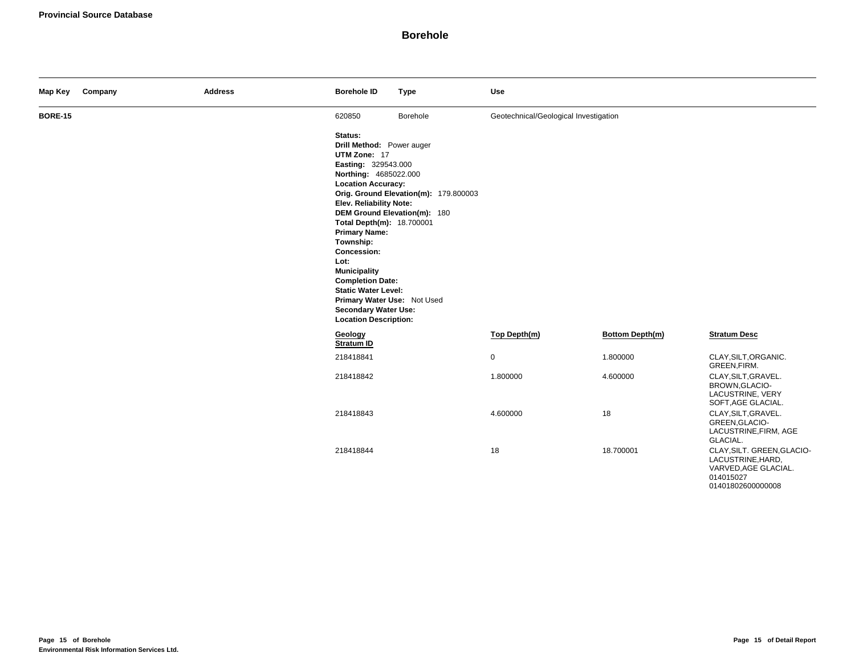| Map Key        | Company | <b>Address</b> | <b>Borehole ID</b>                                                                                                                                                                                                                                                                                                                                                                                                                         | <b>Type</b>                                                           | <b>Use</b>                            |                 |                                                                                                           |
|----------------|---------|----------------|--------------------------------------------------------------------------------------------------------------------------------------------------------------------------------------------------------------------------------------------------------------------------------------------------------------------------------------------------------------------------------------------------------------------------------------------|-----------------------------------------------------------------------|---------------------------------------|-----------------|-----------------------------------------------------------------------------------------------------------|
| <b>BORE-15</b> |         |                | 620850                                                                                                                                                                                                                                                                                                                                                                                                                                     | Borehole                                                              | Geotechnical/Geological Investigation |                 |                                                                                                           |
|                |         |                | Status:<br>Drill Method: Power auger<br>UTM Zone: 17<br>Easting: 329543.000<br>Northing: 4685022.000<br><b>Location Accuracy:</b><br>Elev. Reliability Note:<br>Total Depth(m): 18.700001<br><b>Primary Name:</b><br>Township:<br><b>Concession:</b><br>Lot:<br><b>Municipality</b><br><b>Completion Date:</b><br><b>Static Water Level:</b><br>Primary Water Use: Not Used<br><b>Secondary Water Use:</b><br><b>Location Description:</b> | Orig. Ground Elevation(m): 179.800003<br>DEM Ground Elevation(m): 180 |                                       |                 |                                                                                                           |
|                |         |                | Geology<br>Stratum ID                                                                                                                                                                                                                                                                                                                                                                                                                      |                                                                       | Top Depth(m)                          | Bottom Depth(m) | <b>Stratum Desc</b>                                                                                       |
|                |         |                | 218418841                                                                                                                                                                                                                                                                                                                                                                                                                                  |                                                                       | 0                                     | 1.800000        | CLAY, SILT, ORGANIC.<br>GREEN, FIRM.                                                                      |
|                |         |                | 218418842                                                                                                                                                                                                                                                                                                                                                                                                                                  |                                                                       | 1.800000                              | 4.600000        | CLAY, SILT, GRAVEL.<br>BROWN, GLACIO-<br>LACUSTRINE, VERY<br>SOFT, AGE GLACIAL.                           |
|                |         |                | 218418843                                                                                                                                                                                                                                                                                                                                                                                                                                  |                                                                       | 4.600000                              | 18              | CLAY, SILT, GRAVEL.<br>GREEN, GLACIO-<br>LACUSTRINE, FIRM, AGE<br>GLACIAL.                                |
|                |         |                | 218418844                                                                                                                                                                                                                                                                                                                                                                                                                                  |                                                                       | 18                                    | 18.700001       | CLAY, SILT. GREEN, GLACIO-<br>LACUSTRINE, HARD,<br>VARVED, AGE GLACIAL.<br>014015027<br>01401802600000008 |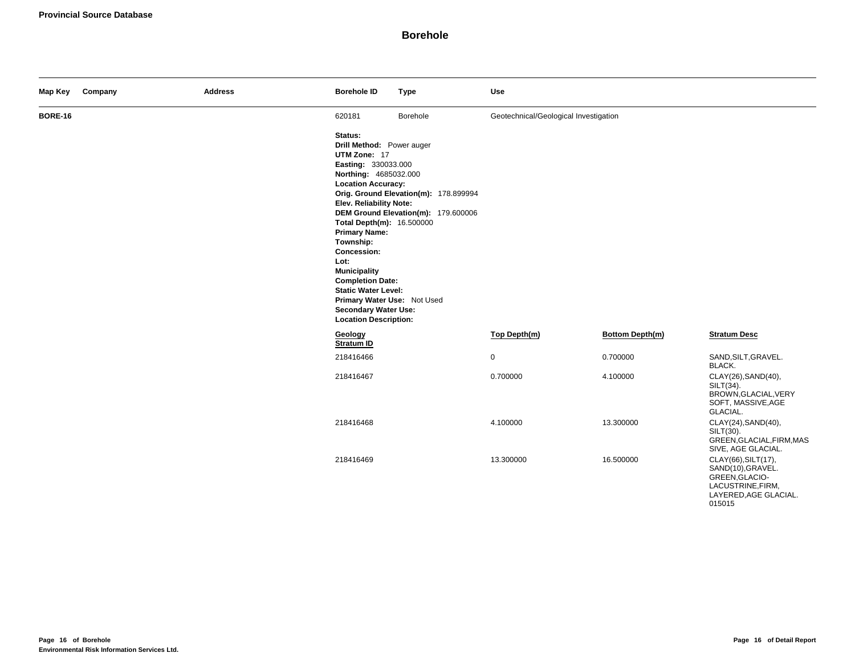| Map Key        | Company | <b>Address</b> | <b>Borehole ID</b>                                                                                                                                                                                                                                                                                                                                                                                                                  | <b>Type</b>                                                                  | <b>Use</b>                            |                 |                                                                                                                    |
|----------------|---------|----------------|-------------------------------------------------------------------------------------------------------------------------------------------------------------------------------------------------------------------------------------------------------------------------------------------------------------------------------------------------------------------------------------------------------------------------------------|------------------------------------------------------------------------------|---------------------------------------|-----------------|--------------------------------------------------------------------------------------------------------------------|
| <b>BORE-16</b> |         |                | 620181                                                                                                                                                                                                                                                                                                                                                                                                                              | Borehole                                                                     | Geotechnical/Geological Investigation |                 |                                                                                                                    |
|                |         |                | Status:<br>Drill Method: Power auger<br>UTM Zone: 17<br>Easting: 330033.000<br>Northing: 4685032.000<br><b>Location Accuracy:</b><br>Elev. Reliability Note:<br>Total Depth(m): 16.500000<br><b>Primary Name:</b><br>Township:<br>Concession:<br>Lot:<br><b>Municipality</b><br><b>Completion Date:</b><br><b>Static Water Level:</b><br>Primary Water Use: Not Used<br><b>Secondary Water Use:</b><br><b>Location Description:</b> | Orig. Ground Elevation(m): 178.899994<br>DEM Ground Elevation(m): 179.600006 |                                       |                 |                                                                                                                    |
|                |         |                | Geology<br><b>Stratum ID</b>                                                                                                                                                                                                                                                                                                                                                                                                        |                                                                              | Top Depth(m)                          | Bottom Depth(m) | <b>Stratum Desc</b>                                                                                                |
|                |         |                | 218416466                                                                                                                                                                                                                                                                                                                                                                                                                           |                                                                              | $\mathsf{O}$                          | 0.700000        | SAND, SILT, GRAVEL.<br>BLACK.                                                                                      |
|                |         |                | 218416467                                                                                                                                                                                                                                                                                                                                                                                                                           |                                                                              | 0.700000                              | 4.100000        | CLAY(26), SAND(40),<br>SILT(34).<br>BROWN, GLACIAL, VERY<br>SOFT, MASSIVE, AGE<br>GLACIAL.                         |
|                |         |                | 218416468                                                                                                                                                                                                                                                                                                                                                                                                                           |                                                                              | 4.100000                              | 13.300000       | CLAY(24), SAND(40),<br>SILT(30).<br>GREEN, GLACIAL, FIRM, MAS<br>SIVE, AGE GLACIAL.                                |
|                |         |                | 218416469                                                                                                                                                                                                                                                                                                                                                                                                                           |                                                                              | 13.300000                             | 16.500000       | CLAY(66), SILT(17),<br>SAND(10), GRAVEL.<br>GREEN, GLACIO-<br>LACUSTRINE, FIRM,<br>LAYERED, AGE GLACIAL.<br>015015 |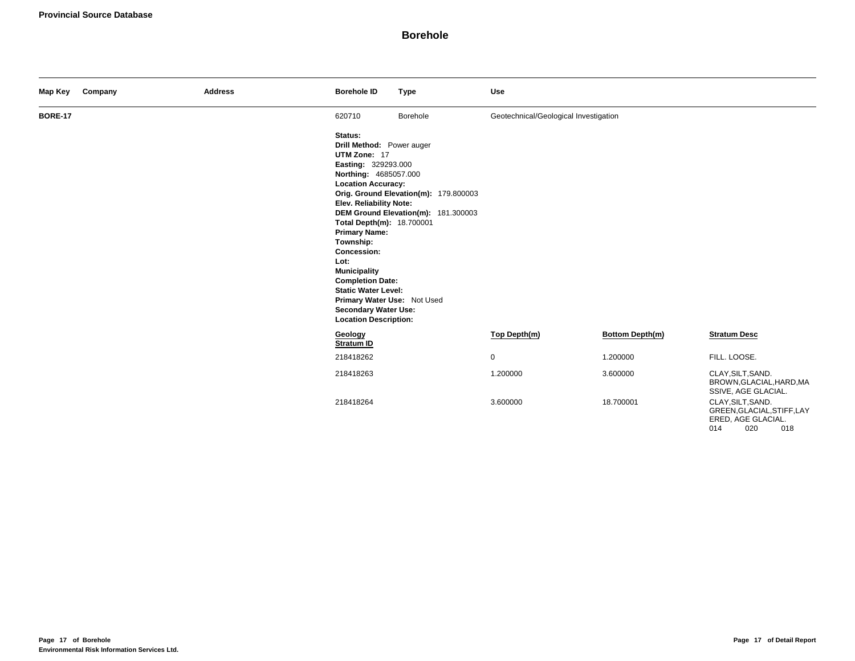| Map Key        | Company | <b>Address</b> | <b>Borehole ID</b>                                                                                                                                                                                                                                                                                                                                                                                                                  | <b>Type</b>                                                                  | <b>Use</b>                            |                 |                                                                                            |
|----------------|---------|----------------|-------------------------------------------------------------------------------------------------------------------------------------------------------------------------------------------------------------------------------------------------------------------------------------------------------------------------------------------------------------------------------------------------------------------------------------|------------------------------------------------------------------------------|---------------------------------------|-----------------|--------------------------------------------------------------------------------------------|
| <b>BORE-17</b> |         |                | 620710                                                                                                                                                                                                                                                                                                                                                                                                                              | Borehole                                                                     | Geotechnical/Geological Investigation |                 |                                                                                            |
|                |         |                | Status:<br>Drill Method: Power auger<br>UTM Zone: 17<br>Easting: 329293.000<br>Northing: 4685057.000<br><b>Location Accuracy:</b><br>Elev. Reliability Note:<br>Total Depth(m): 18.700001<br><b>Primary Name:</b><br>Township:<br>Concession:<br>Lot:<br><b>Municipality</b><br><b>Completion Date:</b><br><b>Static Water Level:</b><br>Primary Water Use: Not Used<br><b>Secondary Water Use:</b><br><b>Location Description:</b> | Orig. Ground Elevation(m): 179.800003<br>DEM Ground Elevation(m): 181.300003 |                                       |                 |                                                                                            |
|                |         |                | Geology<br>Stratum ID                                                                                                                                                                                                                                                                                                                                                                                                               |                                                                              | Top Depth(m)                          | Bottom Depth(m) | <b>Stratum Desc</b>                                                                        |
|                |         |                | 218418262                                                                                                                                                                                                                                                                                                                                                                                                                           |                                                                              | $\mathbf 0$                           | 1.200000        | FILL. LOOSE.                                                                               |
|                |         |                | 218418263                                                                                                                                                                                                                                                                                                                                                                                                                           |                                                                              | 1.200000                              | 3.600000        | CLAY, SILT, SAND.<br>BROWN, GLACIAL, HARD, MA<br>SSIVE, AGE GLACIAL.                       |
|                |         |                | 218418264                                                                                                                                                                                                                                                                                                                                                                                                                           |                                                                              | 3.600000                              | 18.700001       | CLAY, SILT, SAND.<br>GREEN, GLACIAL, STIFF, LAY<br>ERED, AGE GLACIAL.<br>020<br>014<br>018 |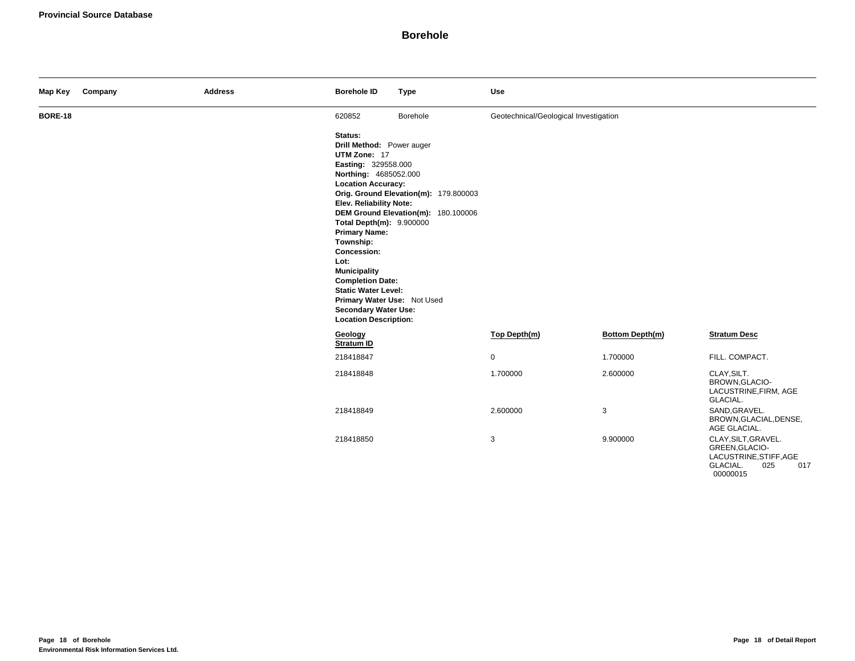| Map Key        | Company | <b>Address</b> | <b>Borehole ID</b>                                                                                                                                                                                                                                                                                                                                                                                                                        | <b>Type</b>                                                                  | <b>Use</b>                            |                 |                                                                                                       |
|----------------|---------|----------------|-------------------------------------------------------------------------------------------------------------------------------------------------------------------------------------------------------------------------------------------------------------------------------------------------------------------------------------------------------------------------------------------------------------------------------------------|------------------------------------------------------------------------------|---------------------------------------|-----------------|-------------------------------------------------------------------------------------------------------|
| <b>BORE-18</b> |         |                | 620852                                                                                                                                                                                                                                                                                                                                                                                                                                    | Borehole                                                                     | Geotechnical/Geological Investigation |                 |                                                                                                       |
|                |         |                | Status:<br>Drill Method: Power auger<br>UTM Zone: 17<br>Easting: 329558.000<br>Northing: 4685052.000<br><b>Location Accuracy:</b><br>Elev. Reliability Note:<br>Total Depth(m): 9.900000<br><b>Primary Name:</b><br>Township:<br><b>Concession:</b><br>Lot:<br><b>Municipality</b><br><b>Completion Date:</b><br><b>Static Water Level:</b><br>Primary Water Use: Not Used<br><b>Secondary Water Use:</b><br><b>Location Description:</b> | Orig. Ground Elevation(m): 179.800003<br>DEM Ground Elevation(m): 180.100006 |                                       |                 |                                                                                                       |
|                |         |                | Geology<br>Stratum ID                                                                                                                                                                                                                                                                                                                                                                                                                     |                                                                              | Top Depth(m)                          | Bottom Depth(m) | <b>Stratum Desc</b>                                                                                   |
|                |         |                | 218418847                                                                                                                                                                                                                                                                                                                                                                                                                                 |                                                                              | $\mathbf 0$                           | 1.700000        | FILL. COMPACT.                                                                                        |
|                |         |                | 218418848                                                                                                                                                                                                                                                                                                                                                                                                                                 |                                                                              | 1.700000                              | 2.600000        | CLAY, SILT.<br>BROWN, GLACIO-<br>LACUSTRINE, FIRM, AGE<br>GLACIAL.                                    |
|                |         |                | 218418849                                                                                                                                                                                                                                                                                                                                                                                                                                 |                                                                              | 2.600000                              | 3               | SAND, GRAVEL.<br>BROWN, GLACIAL, DENSE,<br>AGE GLACIAL.                                               |
|                |         |                | 218418850                                                                                                                                                                                                                                                                                                                                                                                                                                 |                                                                              | 3                                     | 9.900000        | CLAY, SILT, GRAVEL.<br>GREEN, GLACIO-<br>LACUSTRINE, STIFF, AGE<br>GLACIAL.<br>025<br>017<br>00000015 |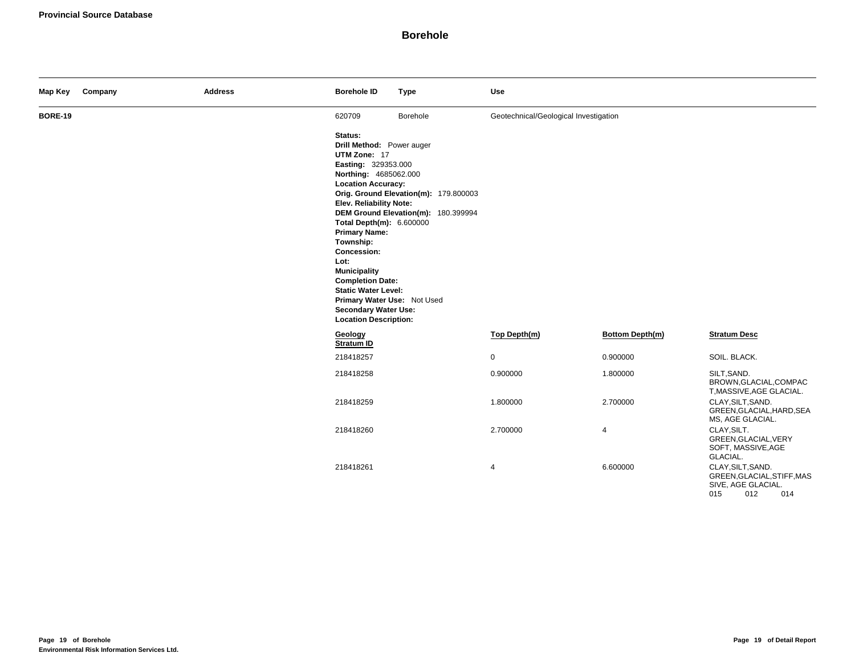| Map Key        | Company | <b>Address</b> | <b>Borehole ID</b>                                                                                                                                                                                                                                                                                                                                                                                                                 | <b>Type</b>                                                                  | <b>Use</b>                            |                 |                                                                                            |
|----------------|---------|----------------|------------------------------------------------------------------------------------------------------------------------------------------------------------------------------------------------------------------------------------------------------------------------------------------------------------------------------------------------------------------------------------------------------------------------------------|------------------------------------------------------------------------------|---------------------------------------|-----------------|--------------------------------------------------------------------------------------------|
| <b>BORE-19</b> |         |                | 620709                                                                                                                                                                                                                                                                                                                                                                                                                             | Borehole                                                                     | Geotechnical/Geological Investigation |                 |                                                                                            |
|                |         |                | Status:<br>Drill Method: Power auger<br>UTM Zone: 17<br>Easting: 329353.000<br>Northing: 4685062.000<br><b>Location Accuracy:</b><br>Elev. Reliability Note:<br>Total Depth(m): 6.600000<br><b>Primary Name:</b><br>Township:<br>Concession:<br>Lot:<br><b>Municipality</b><br><b>Completion Date:</b><br><b>Static Water Level:</b><br>Primary Water Use: Not Used<br><b>Secondary Water Use:</b><br><b>Location Description:</b> | Orig. Ground Elevation(m): 179.800003<br>DEM Ground Elevation(m): 180.399994 |                                       |                 |                                                                                            |
|                |         |                | Geology<br>Stratum ID                                                                                                                                                                                                                                                                                                                                                                                                              |                                                                              | Top Depth(m)                          | Bottom Depth(m) | <b>Stratum Desc</b>                                                                        |
|                |         |                | 218418257                                                                                                                                                                                                                                                                                                                                                                                                                          |                                                                              | 0                                     | 0.900000        | SOIL. BLACK.                                                                               |
|                |         |                | 218418258                                                                                                                                                                                                                                                                                                                                                                                                                          |                                                                              | 0.900000                              | 1.800000        | SILT, SAND.<br>BROWN, GLACIAL, COMPAC<br>T, MASSIVE, AGE GLACIAL.                          |
|                |         |                | 218418259                                                                                                                                                                                                                                                                                                                                                                                                                          |                                                                              | 1.800000                              | 2.700000        | CLAY, SILT, SAND.<br>GREEN, GLACIAL, HARD, SEA<br>MS, AGE GLACIAL.                         |
|                |         |                | 218418260                                                                                                                                                                                                                                                                                                                                                                                                                          |                                                                              | 2.700000                              | 4               | CLAY, SILT.<br>GREEN, GLACIAL, VERY<br>SOFT, MASSIVE, AGE<br>GLACIAL.                      |
|                |         |                | 218418261                                                                                                                                                                                                                                                                                                                                                                                                                          |                                                                              | 4                                     | 6.600000        | CLAY, SILT, SAND.<br>GREEN, GLACIAL, STIFF, MAS<br>SIVE, AGE GLACIAL.<br>015<br>012<br>014 |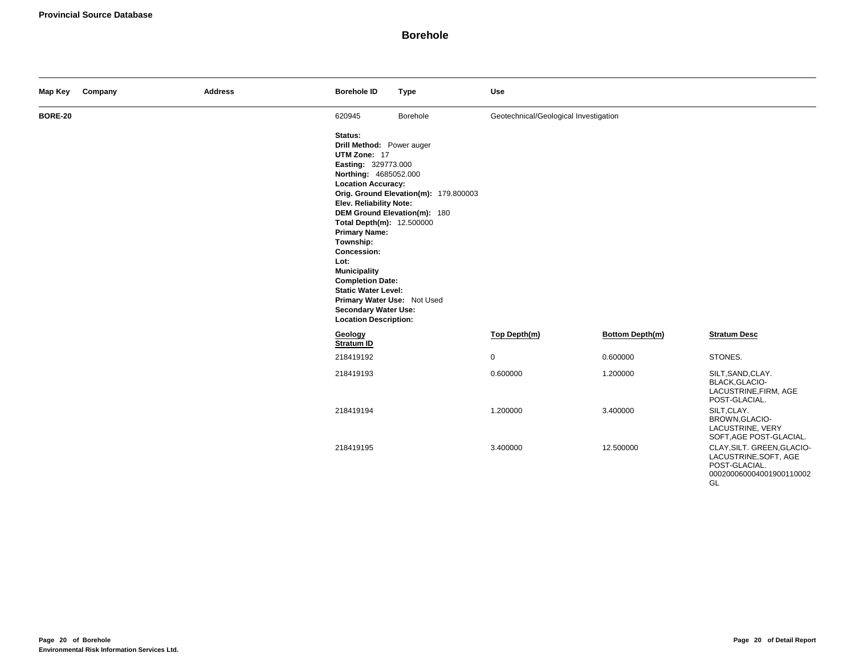| Map Key        | Company | <b>Address</b> | <b>Borehole ID</b>                                                                                                                                                                                                                                                                                                                                                                                                                  | <b>Type</b>                                                           | <b>Use</b>                            |                 |                                                                                                        |
|----------------|---------|----------------|-------------------------------------------------------------------------------------------------------------------------------------------------------------------------------------------------------------------------------------------------------------------------------------------------------------------------------------------------------------------------------------------------------------------------------------|-----------------------------------------------------------------------|---------------------------------------|-----------------|--------------------------------------------------------------------------------------------------------|
| <b>BORE-20</b> |         |                | 620945                                                                                                                                                                                                                                                                                                                                                                                                                              | Borehole                                                              | Geotechnical/Geological Investigation |                 |                                                                                                        |
|                |         |                | Status:<br>Drill Method: Power auger<br>UTM Zone: 17<br>Easting: 329773.000<br>Northing: 4685052.000<br><b>Location Accuracy:</b><br>Elev. Reliability Note:<br>Total Depth(m): 12.500000<br><b>Primary Name:</b><br>Township:<br>Concession:<br>Lot:<br><b>Municipality</b><br><b>Completion Date:</b><br><b>Static Water Level:</b><br>Primary Water Use: Not Used<br><b>Secondary Water Use:</b><br><b>Location Description:</b> | Orig. Ground Elevation(m): 179.800003<br>DEM Ground Elevation(m): 180 |                                       |                 |                                                                                                        |
|                |         |                | Geology<br>Stratum ID                                                                                                                                                                                                                                                                                                                                                                                                               |                                                                       | Top Depth(m)                          | Bottom Depth(m) | <b>Stratum Desc</b>                                                                                    |
|                |         |                | 218419192                                                                                                                                                                                                                                                                                                                                                                                                                           |                                                                       | $\mathsf{O}$                          | 0.600000        | STONES.                                                                                                |
|                |         |                | 218419193                                                                                                                                                                                                                                                                                                                                                                                                                           |                                                                       | 0.600000                              | 1.200000        | SILT, SAND, CLAY.<br>BLACK, GLACIO-<br>LACUSTRINE, FIRM, AGE<br>POST-GLACIAL.                          |
|                |         |                | 218419194                                                                                                                                                                                                                                                                                                                                                                                                                           |                                                                       | 1.200000                              | 3.400000        | SILT, CLAY.<br>BROWN, GLACIO-<br>LACUSTRINE, VERY<br>SOFT, AGE POST-GLACIAL.                           |
|                |         |                | 218419195                                                                                                                                                                                                                                                                                                                                                                                                                           |                                                                       | 3.400000                              | 12.500000       | CLAY, SILT. GREEN, GLACIO-<br>LACUSTRINE, SOFT, AGE<br>POST-GLACIAL.<br>000200060004001900110002<br>GL |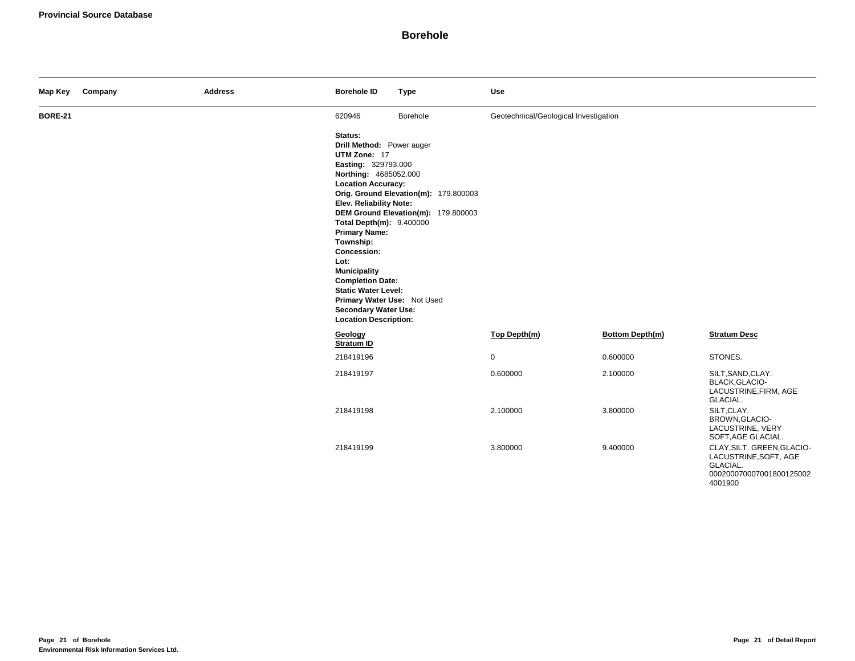| Map Key        | Company | <b>Address</b> | <b>Borehole ID</b>                                                                                                                                                                                                                                                                                                                                                                                                                 | <b>Type</b>                                                                  | <b>Use</b>                            |                 |                                                                                                        |
|----------------|---------|----------------|------------------------------------------------------------------------------------------------------------------------------------------------------------------------------------------------------------------------------------------------------------------------------------------------------------------------------------------------------------------------------------------------------------------------------------|------------------------------------------------------------------------------|---------------------------------------|-----------------|--------------------------------------------------------------------------------------------------------|
| <b>BORE-21</b> |         |                | 620946                                                                                                                                                                                                                                                                                                                                                                                                                             | Borehole                                                                     | Geotechnical/Geological Investigation |                 |                                                                                                        |
|                |         |                | Status:<br>Drill Method: Power auger<br>UTM Zone: 17<br>Easting: 329793.000<br>Northing: 4685052.000<br><b>Location Accuracy:</b><br>Elev. Reliability Note:<br>Total Depth(m): 9.400000<br><b>Primary Name:</b><br>Township:<br>Concession:<br>Lot:<br><b>Municipality</b><br><b>Completion Date:</b><br><b>Static Water Level:</b><br>Primary Water Use: Not Used<br><b>Secondary Water Use:</b><br><b>Location Description:</b> | Orig. Ground Elevation(m): 179.800003<br>DEM Ground Elevation(m): 179.800003 |                                       |                 |                                                                                                        |
|                |         |                | Geology<br>Stratum ID                                                                                                                                                                                                                                                                                                                                                                                                              |                                                                              | Top Depth(m)                          | Bottom Depth(m) | <b>Stratum Desc</b>                                                                                    |
|                |         |                | 218419196                                                                                                                                                                                                                                                                                                                                                                                                                          |                                                                              | 0                                     | 0.600000        | STONES.                                                                                                |
|                |         |                | 218419197                                                                                                                                                                                                                                                                                                                                                                                                                          |                                                                              | 0.600000                              | 2.100000        | SILT, SAND, CLAY.<br>BLACK, GLACIO-<br>LACUSTRINE, FIRM, AGE<br>GLACIAL.                               |
|                |         |                | 218419198                                                                                                                                                                                                                                                                                                                                                                                                                          |                                                                              | 2.100000                              | 3.800000        | SILT, CLAY.<br>BROWN, GLACIO-<br>LACUSTRINE, VERY<br>SOFT, AGE GLACIAL.                                |
|                |         |                | 218419199                                                                                                                                                                                                                                                                                                                                                                                                                          |                                                                              | 3.800000                              | 9.400000        | CLAY, SILT. GREEN, GLACIO-<br>LACUSTRINE, SOFT, AGE<br>GLACIAL.<br>000200070007001800125002<br>4001900 |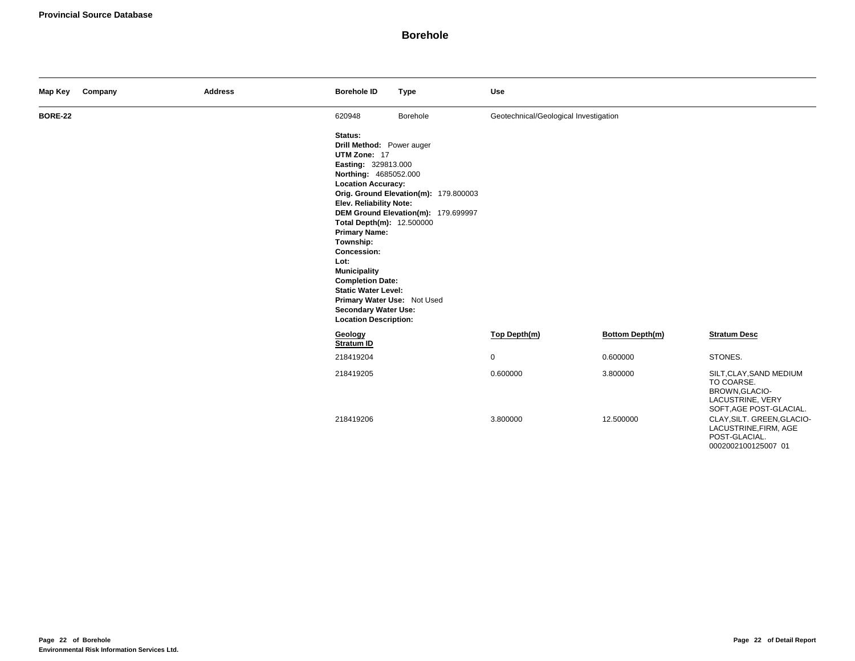| Map Key        | Company | <b>Address</b> | <b>Borehole ID</b>                                                                                                                                                                                                                                                                                                                                                                                                                                | <b>Type</b>                                                                  | Use                                   |                       |                                                                                                                                                                                                       |
|----------------|---------|----------------|---------------------------------------------------------------------------------------------------------------------------------------------------------------------------------------------------------------------------------------------------------------------------------------------------------------------------------------------------------------------------------------------------------------------------------------------------|------------------------------------------------------------------------------|---------------------------------------|-----------------------|-------------------------------------------------------------------------------------------------------------------------------------------------------------------------------------------------------|
| <b>BORE-22</b> |         |                | 620948                                                                                                                                                                                                                                                                                                                                                                                                                                            | Borehole                                                                     | Geotechnical/Geological Investigation |                       |                                                                                                                                                                                                       |
|                |         |                | Status:<br>Drill Method: Power auger<br>UTM Zone: 17<br><b>Easting: 329813.000</b><br>Northing: 4685052.000<br><b>Location Accuracy:</b><br>Elev. Reliability Note:<br>Total Depth(m): 12.500000<br><b>Primary Name:</b><br>Township:<br><b>Concession:</b><br>Lot:<br><b>Municipality</b><br><b>Completion Date:</b><br><b>Static Water Level:</b><br>Primary Water Use: Not Used<br><b>Secondary Water Use:</b><br><b>Location Description:</b> | Orig. Ground Elevation(m): 179.800003<br>DEM Ground Elevation(m): 179.699997 |                                       |                       |                                                                                                                                                                                                       |
|                |         |                | Geology<br>Stratum ID                                                                                                                                                                                                                                                                                                                                                                                                                             |                                                                              | Top Depth(m)                          | Bottom Depth(m)       | <b>Stratum Desc</b>                                                                                                                                                                                   |
|                |         |                | 218419204                                                                                                                                                                                                                                                                                                                                                                                                                                         |                                                                              | 0                                     | 0.600000              | STONES.                                                                                                                                                                                               |
|                |         |                | 218419205<br>218419206                                                                                                                                                                                                                                                                                                                                                                                                                            |                                                                              | 0.600000<br>3.800000                  | 3.800000<br>12.500000 | SILT, CLAY, SAND MEDIUM<br>TO COARSE.<br>BROWN, GLACIO-<br>LACUSTRINE, VERY<br>SOFT, AGE POST-GLACIAL.<br>CLAY, SILT. GREEN, GLACIO-<br>LACUSTRINE, FIRM, AGE<br>POST-GLACIAL.<br>0002002100125007 01 |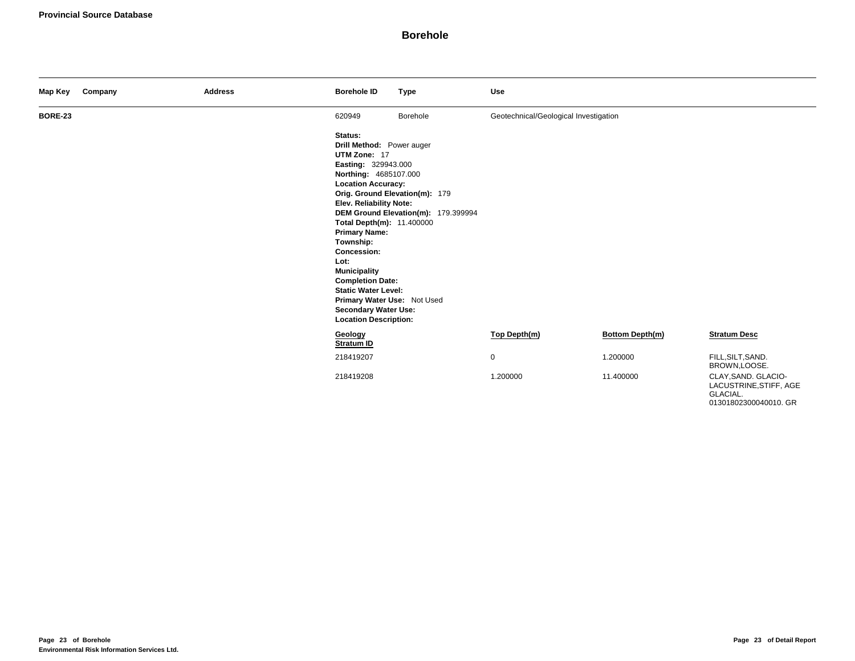| Map Key        | Company | <b>Address</b> | <b>Borehole ID</b>                                                                                                                                                                                                                                                                                                                                                                                                                                | <b>Type</b>                                                           | Use                                   |                 |                                                           |
|----------------|---------|----------------|---------------------------------------------------------------------------------------------------------------------------------------------------------------------------------------------------------------------------------------------------------------------------------------------------------------------------------------------------------------------------------------------------------------------------------------------------|-----------------------------------------------------------------------|---------------------------------------|-----------------|-----------------------------------------------------------|
| <b>BORE-23</b> |         |                | 620949                                                                                                                                                                                                                                                                                                                                                                                                                                            | Borehole                                                              | Geotechnical/Geological Investigation |                 |                                                           |
|                |         |                | Status:<br>Drill Method: Power auger<br>UTM Zone: 17<br>Easting: 329943.000<br>Northing: 4685107.000<br><b>Location Accuracy:</b><br><b>Elev. Reliability Note:</b><br>Total Depth(m): 11.400000<br><b>Primary Name:</b><br>Township:<br><b>Concession:</b><br>Lot:<br><b>Municipality</b><br><b>Completion Date:</b><br><b>Static Water Level:</b><br>Primary Water Use: Not Used<br><b>Secondary Water Use:</b><br><b>Location Description:</b> | Orig. Ground Elevation(m): 179<br>DEM Ground Elevation(m): 179.399994 |                                       |                 |                                                           |
|                |         |                | Geology<br>Stratum ID                                                                                                                                                                                                                                                                                                                                                                                                                             |                                                                       | Top Depth(m)                          | Bottom Depth(m) | <b>Stratum Desc</b>                                       |
|                |         |                | 218419207                                                                                                                                                                                                                                                                                                                                                                                                                                         |                                                                       | $\mathbf 0$                           | 1.200000        | FILL, SILT, SAND.<br>BROWN,LOOSE.                         |
|                |         |                | 218419208                                                                                                                                                                                                                                                                                                                                                                                                                                         |                                                                       | 1.200000                              | 11.400000       | CLAY, SAND. GLACIO-<br>LACUSTRINE, STIFF, AGE<br>GLACIAL. |

01301802300040010. GR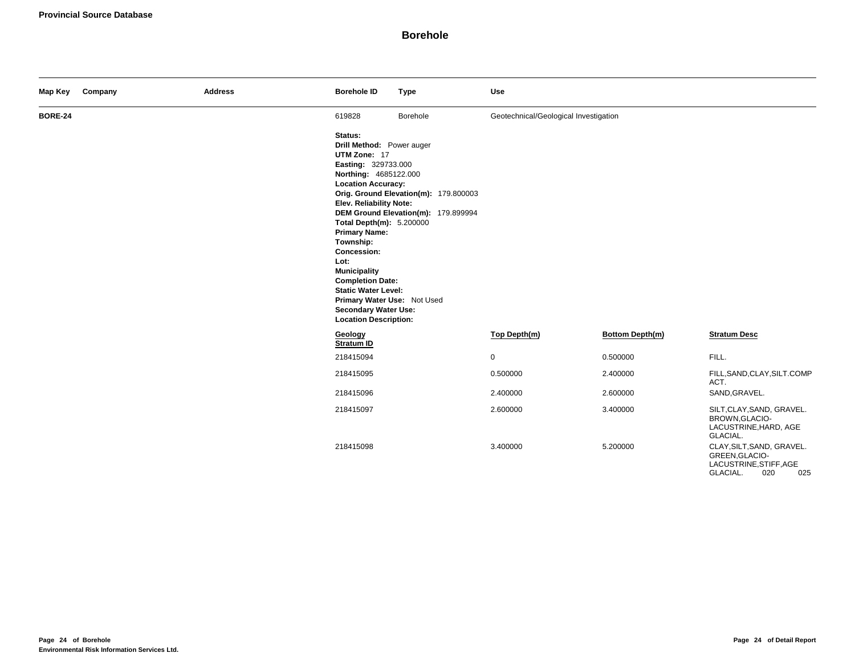| Map Key        | Company | <b>Address</b> | <b>Borehole ID</b>                                                                                                                                                                                                                                                                                                                                                                                                                 | <b>Type</b>                                                                  | Use                                   |                 |                                                                                                 |
|----------------|---------|----------------|------------------------------------------------------------------------------------------------------------------------------------------------------------------------------------------------------------------------------------------------------------------------------------------------------------------------------------------------------------------------------------------------------------------------------------|------------------------------------------------------------------------------|---------------------------------------|-----------------|-------------------------------------------------------------------------------------------------|
| <b>BORE-24</b> |         |                | 619828                                                                                                                                                                                                                                                                                                                                                                                                                             | Borehole                                                                     | Geotechnical/Geological Investigation |                 |                                                                                                 |
|                |         |                | Status:<br>Drill Method: Power auger<br>UTM Zone: 17<br>Easting: 329733.000<br>Northing: 4685122.000<br><b>Location Accuracy:</b><br>Elev. Reliability Note:<br>Total Depth(m): 5.200000<br><b>Primary Name:</b><br>Township:<br>Concession:<br>Lot:<br><b>Municipality</b><br><b>Completion Date:</b><br><b>Static Water Level:</b><br>Primary Water Use: Not Used<br><b>Secondary Water Use:</b><br><b>Location Description:</b> | Orig. Ground Elevation(m): 179.800003<br>DEM Ground Elevation(m): 179.899994 |                                       |                 |                                                                                                 |
|                |         |                | Geology<br>Stratum ID                                                                                                                                                                                                                                                                                                                                                                                                              |                                                                              | Top Depth(m)                          | Bottom Depth(m) | <b>Stratum Desc</b>                                                                             |
|                |         |                | 218415094                                                                                                                                                                                                                                                                                                                                                                                                                          |                                                                              | 0                                     | 0.500000        | FILL.                                                                                           |
|                |         |                | 218415095                                                                                                                                                                                                                                                                                                                                                                                                                          |                                                                              | 0.500000                              | 2.400000        | FILL, SAND, CLAY, SILT.COMP<br>ACT.                                                             |
|                |         |                | 218415096                                                                                                                                                                                                                                                                                                                                                                                                                          |                                                                              | 2.400000                              | 2.600000        | SAND, GRAVEL.                                                                                   |
|                |         |                | 218415097                                                                                                                                                                                                                                                                                                                                                                                                                          |                                                                              | 2.600000                              | 3.400000        | SILT, CLAY, SAND, GRAVEL.<br>BROWN, GLACIO-<br>LACUSTRINE, HARD, AGE<br>GLACIAL.                |
|                |         |                | 218415098                                                                                                                                                                                                                                                                                                                                                                                                                          |                                                                              | 3.400000                              | 5.200000        | CLAY, SILT, SAND, GRAVEL.<br>GREEN, GLACIO-<br>LACUSTRINE, STIFF, AGE<br>GLACIAL.<br>020<br>025 |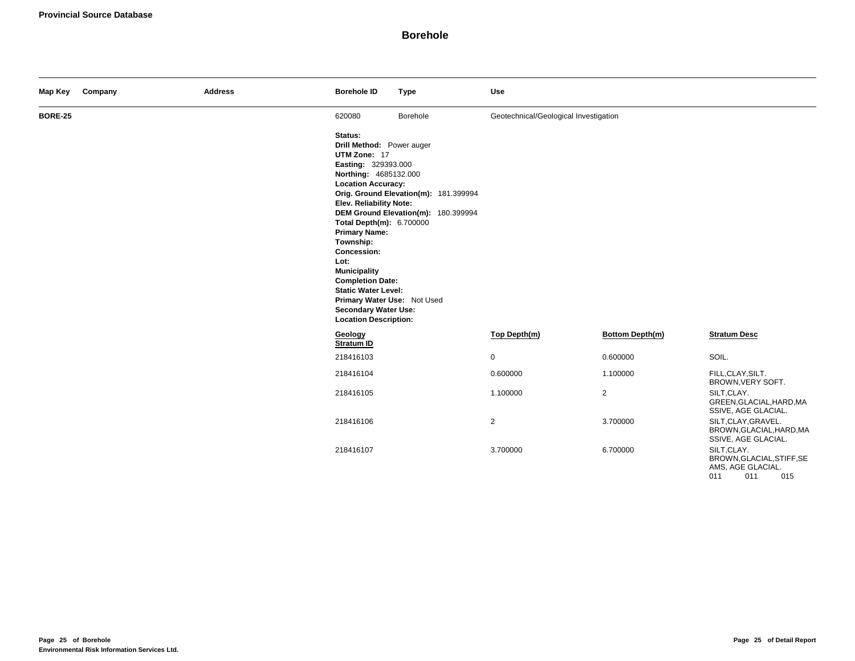| Map Key        | Company | <b>Address</b> | <b>Borehole ID</b>                                                                                                                                                                                                                                                                                                                                                                                                                 | <b>Type</b>                                                                  | Use                                   |                 |                                                                                    |
|----------------|---------|----------------|------------------------------------------------------------------------------------------------------------------------------------------------------------------------------------------------------------------------------------------------------------------------------------------------------------------------------------------------------------------------------------------------------------------------------------|------------------------------------------------------------------------------|---------------------------------------|-----------------|------------------------------------------------------------------------------------|
| <b>BORE-25</b> |         |                | 620080                                                                                                                                                                                                                                                                                                                                                                                                                             | Borehole                                                                     | Geotechnical/Geological Investigation |                 |                                                                                    |
|                |         |                | Status:<br>Drill Method: Power auger<br>UTM Zone: 17<br>Easting: 329393.000<br>Northing: 4685132.000<br><b>Location Accuracy:</b><br>Elev. Reliability Note:<br>Total Depth(m): 6.700000<br><b>Primary Name:</b><br>Township:<br>Concession:<br>Lot:<br><b>Municipality</b><br><b>Completion Date:</b><br><b>Static Water Level:</b><br>Primary Water Use: Not Used<br><b>Secondary Water Use:</b><br><b>Location Description:</b> | Orig. Ground Elevation(m): 181.399994<br>DEM Ground Elevation(m): 180.399994 |                                       |                 |                                                                                    |
|                |         |                | Geology<br>Stratum ID                                                                                                                                                                                                                                                                                                                                                                                                              |                                                                              | Top Depth(m)                          | Bottom Depth(m) | <b>Stratum Desc</b>                                                                |
|                |         |                | 218416103                                                                                                                                                                                                                                                                                                                                                                                                                          |                                                                              | $\mathbf 0$                           | 0.600000        | SOIL.                                                                              |
|                |         |                | 218416104                                                                                                                                                                                                                                                                                                                                                                                                                          |                                                                              | 0.600000                              | 1.100000        | FILL, CLAY, SILT.<br>BROWN, VERY SOFT.                                             |
|                |         |                | 218416105                                                                                                                                                                                                                                                                                                                                                                                                                          |                                                                              | 1.100000                              | $\overline{2}$  | SILT, CLAY.<br>GREEN, GLACIAL, HARD, MA<br>SSIVE, AGE GLACIAL.                     |
|                |         |                | 218416106                                                                                                                                                                                                                                                                                                                                                                                                                          |                                                                              | $\overline{c}$                        | 3.700000        | SILT, CLAY, GRAVEL.<br>BROWN, GLACIAL, HARD, MA<br>SSIVE, AGE GLACIAL.             |
|                |         |                | 218416107                                                                                                                                                                                                                                                                                                                                                                                                                          |                                                                              | 3.700000                              | 6.700000        | SILT, CLAY.<br>BROWN, GLACIAL, STIFF, SE<br>AMS, AGE GLACIAL.<br>011<br>011<br>015 |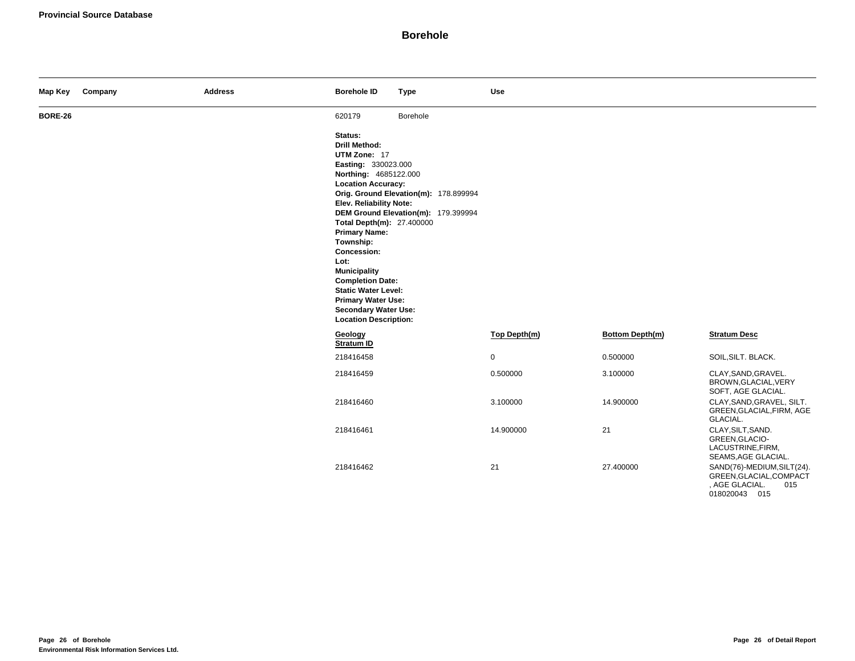| Map Key        | Company | <b>Address</b> | <b>Borehole ID</b>                                                                                                                                                                                                                                                                                                                                                                                                           | <b>Type</b>                                                                  | Use          |                 |                                                                                                 |
|----------------|---------|----------------|------------------------------------------------------------------------------------------------------------------------------------------------------------------------------------------------------------------------------------------------------------------------------------------------------------------------------------------------------------------------------------------------------------------------------|------------------------------------------------------------------------------|--------------|-----------------|-------------------------------------------------------------------------------------------------|
| <b>BORE-26</b> |         |                | 620179                                                                                                                                                                                                                                                                                                                                                                                                                       | Borehole                                                                     |              |                 |                                                                                                 |
|                |         |                | Status:<br><b>Drill Method:</b><br>UTM Zone: 17<br>Easting: 330023.000<br>Northing: 4685122.000<br><b>Location Accuracy:</b><br>Elev. Reliability Note:<br>Total Depth(m): 27.400000<br><b>Primary Name:</b><br>Township:<br>Concession:<br>Lot:<br><b>Municipality</b><br><b>Completion Date:</b><br><b>Static Water Level:</b><br><b>Primary Water Use:</b><br><b>Secondary Water Use:</b><br><b>Location Description:</b> | Orig. Ground Elevation(m): 178.899994<br>DEM Ground Elevation(m): 179.399994 |              |                 |                                                                                                 |
|                |         |                | Geology<br>Stratum ID                                                                                                                                                                                                                                                                                                                                                                                                        |                                                                              | Top Depth(m) | Bottom Depth(m) | <b>Stratum Desc</b>                                                                             |
|                |         |                | 218416458                                                                                                                                                                                                                                                                                                                                                                                                                    |                                                                              | $\mathsf 0$  | 0.500000        | SOIL, SILT. BLACK.                                                                              |
|                |         |                | 218416459                                                                                                                                                                                                                                                                                                                                                                                                                    |                                                                              | 0.500000     | 3.100000        | CLAY, SAND, GRAVEL.<br>BROWN, GLACIAL, VERY<br>SOFT, AGE GLACIAL.                               |
|                |         |                | 218416460                                                                                                                                                                                                                                                                                                                                                                                                                    |                                                                              | 3.100000     | 14.900000       | CLAY, SAND, GRAVEL, SILT.<br>GREEN, GLACIAL, FIRM, AGE<br>GLACIAL.                              |
|                |         |                | 218416461                                                                                                                                                                                                                                                                                                                                                                                                                    |                                                                              | 14.900000    | 21              | CLAY, SILT, SAND.<br>GREEN, GLACIO-<br>LACUSTRINE, FIRM,<br>SEAMS, AGE GLACIAL.                 |
|                |         |                | 218416462                                                                                                                                                                                                                                                                                                                                                                                                                    |                                                                              | 21           | 27.400000       | SAND(76)-MEDIUM, SILT(24).<br>GREEN, GLACIAL, COMPACT<br>, AGE GLACIAL.<br>015<br>018020043 015 |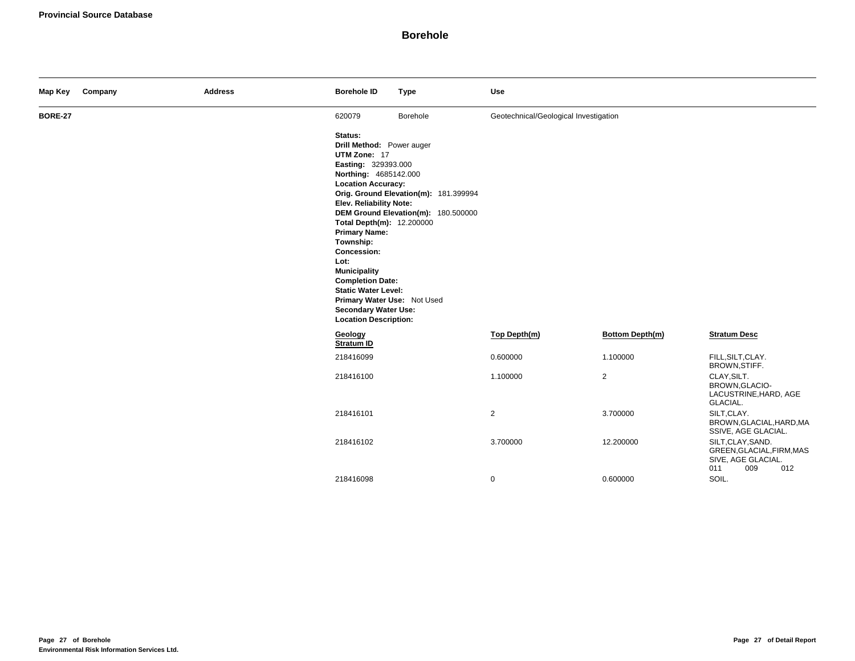| Map Key        | Company | <b>Address</b> | <b>Borehole ID</b>                                                                                                                                                                                                                                                                                                                                                                                                                  | <b>Type</b>                                                                  | Use                                   |                        |                                                                                           |
|----------------|---------|----------------|-------------------------------------------------------------------------------------------------------------------------------------------------------------------------------------------------------------------------------------------------------------------------------------------------------------------------------------------------------------------------------------------------------------------------------------|------------------------------------------------------------------------------|---------------------------------------|------------------------|-------------------------------------------------------------------------------------------|
| <b>BORE-27</b> |         |                | 620079                                                                                                                                                                                                                                                                                                                                                                                                                              | Borehole                                                                     | Geotechnical/Geological Investigation |                        |                                                                                           |
|                |         |                | Status:<br>Drill Method: Power auger<br>UTM Zone: 17<br>Easting: 329393.000<br>Northing: 4685142.000<br><b>Location Accuracy:</b><br>Elev. Reliability Note:<br>Total Depth(m): 12.200000<br><b>Primary Name:</b><br>Township:<br>Concession:<br>Lot:<br><b>Municipality</b><br><b>Completion Date:</b><br><b>Static Water Level:</b><br>Primary Water Use: Not Used<br><b>Secondary Water Use:</b><br><b>Location Description:</b> | Orig. Ground Elevation(m): 181.399994<br>DEM Ground Elevation(m): 180.500000 |                                       |                        |                                                                                           |
|                |         |                | Geology<br>Stratum ID                                                                                                                                                                                                                                                                                                                                                                                                               |                                                                              | Top Depth(m)                          | <b>Bottom Depth(m)</b> | <b>Stratum Desc</b>                                                                       |
|                |         |                | 218416099                                                                                                                                                                                                                                                                                                                                                                                                                           |                                                                              | 0.600000                              | 1.100000               | FILL, SILT, CLAY.<br>BROWN, STIFF.                                                        |
|                |         |                | 218416100                                                                                                                                                                                                                                                                                                                                                                                                                           |                                                                              | 1.100000                              | $\overline{2}$         | CLAY, SILT.<br>BROWN, GLACIO-<br>LACUSTRINE, HARD, AGE<br>GLACIAL.                        |
|                |         |                | 218416101                                                                                                                                                                                                                                                                                                                                                                                                                           |                                                                              | $\overline{2}$                        | 3.700000               | SILT, CLAY.<br>BROWN, GLACIAL, HARD, MA<br>SSIVE, AGE GLACIAL.                            |
|                |         |                | 218416102                                                                                                                                                                                                                                                                                                                                                                                                                           |                                                                              | 3.700000                              | 12.200000              | SILT, CLAY, SAND.<br>GREEN, GLACIAL, FIRM, MAS<br>SIVE, AGE GLACIAL.<br>011<br>009<br>012 |
|                |         |                | 218416098                                                                                                                                                                                                                                                                                                                                                                                                                           |                                                                              | $\mathbf 0$                           | 0.600000               | SOIL.                                                                                     |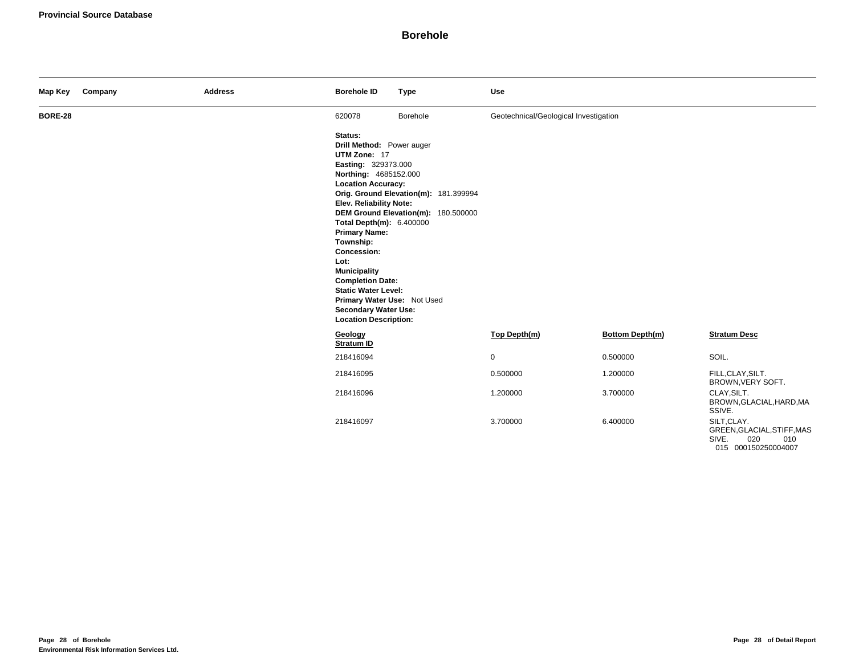| Map Key        | Company | <b>Address</b> | <b>Borehole ID</b>                                                                                                                                                                                                                                                                                                                                                                                                                 | <b>Type</b>                                                                  | <b>Use</b>                            |                        |                                                                                         |
|----------------|---------|----------------|------------------------------------------------------------------------------------------------------------------------------------------------------------------------------------------------------------------------------------------------------------------------------------------------------------------------------------------------------------------------------------------------------------------------------------|------------------------------------------------------------------------------|---------------------------------------|------------------------|-----------------------------------------------------------------------------------------|
| <b>BORE-28</b> |         |                | 620078                                                                                                                                                                                                                                                                                                                                                                                                                             | Borehole                                                                     | Geotechnical/Geological Investigation |                        |                                                                                         |
|                |         |                | Status:<br>Drill Method: Power auger<br>UTM Zone: 17<br>Easting: 329373.000<br>Northing: 4685152.000<br><b>Location Accuracy:</b><br>Elev. Reliability Note:<br>Total Depth(m): 6.400000<br><b>Primary Name:</b><br>Township:<br>Concession:<br>Lot:<br><b>Municipality</b><br><b>Completion Date:</b><br><b>Static Water Level:</b><br>Primary Water Use: Not Used<br><b>Secondary Water Use:</b><br><b>Location Description:</b> | Orig. Ground Elevation(m): 181.399994<br>DEM Ground Elevation(m): 180.500000 |                                       |                        |                                                                                         |
|                |         |                | Geology<br>Stratum ID                                                                                                                                                                                                                                                                                                                                                                                                              |                                                                              | Top Depth(m)                          | <b>Bottom Depth(m)</b> | <b>Stratum Desc</b>                                                                     |
|                |         |                | 218416094                                                                                                                                                                                                                                                                                                                                                                                                                          |                                                                              | $\mathbf 0$                           | 0.500000               | SOIL.                                                                                   |
|                |         |                | 218416095                                                                                                                                                                                                                                                                                                                                                                                                                          |                                                                              | 0.500000                              | 1.200000               | FILL, CLAY, SILT.<br>BROWN, VERY SOFT.                                                  |
|                |         |                | 218416096                                                                                                                                                                                                                                                                                                                                                                                                                          |                                                                              | 1.200000                              | 3.700000               | CLAY, SILT.<br>BROWN, GLACIAL, HARD, MA<br>SSIVE.                                       |
|                |         |                | 218416097                                                                                                                                                                                                                                                                                                                                                                                                                          |                                                                              | 3.700000                              | 6.400000               | SILT, CLAY.<br>GREEN, GLACIAL, STIFF, MAS<br>SIVE.<br>020<br>010<br>015 000150250004007 |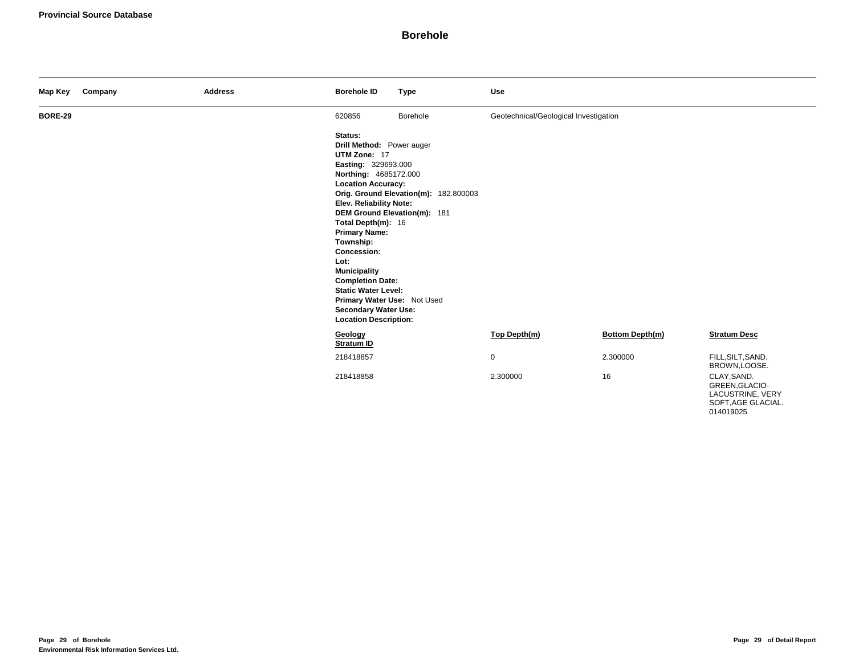| Map Key        | Company | <b>Address</b> | <b>Borehole ID</b>                                                                                                                                                                                                                                                                                                                                                                                                                  | <b>Type</b>                                                           | <b>Use</b>                            |                        |                                                   |
|----------------|---------|----------------|-------------------------------------------------------------------------------------------------------------------------------------------------------------------------------------------------------------------------------------------------------------------------------------------------------------------------------------------------------------------------------------------------------------------------------------|-----------------------------------------------------------------------|---------------------------------------|------------------------|---------------------------------------------------|
| <b>BORE-29</b> |         |                | 620856                                                                                                                                                                                                                                                                                                                                                                                                                              | Borehole                                                              | Geotechnical/Geological Investigation |                        |                                                   |
|                |         |                | Status:<br>Drill Method: Power auger<br>UTM Zone: 17<br>Easting: 329693.000<br>Northing: 4685172.000<br><b>Location Accuracy:</b><br>Elev. Reliability Note:<br>Total Depth(m): 16<br><b>Primary Name:</b><br>Township:<br><b>Concession:</b><br>Lot:<br><b>Municipality</b><br><b>Completion Date:</b><br><b>Static Water Level:</b><br>Primary Water Use: Not Used<br><b>Secondary Water Use:</b><br><b>Location Description:</b> | Orig. Ground Elevation(m): 182.800003<br>DEM Ground Elevation(m): 181 |                                       |                        |                                                   |
|                |         |                | Geology<br><b>Stratum ID</b>                                                                                                                                                                                                                                                                                                                                                                                                        |                                                                       | Top Depth(m)                          | <b>Bottom Depth(m)</b> | <b>Stratum Desc</b>                               |
|                |         |                | 218418857                                                                                                                                                                                                                                                                                                                                                                                                                           |                                                                       | $\mathbf 0$                           | 2.300000               | FILL, SILT, SAND.<br>BROWN,LOOSE.                 |
|                |         |                | 218418858                                                                                                                                                                                                                                                                                                                                                                                                                           |                                                                       | 2.300000                              | 16                     | CLAY, SAND.<br>GREEN, GLACIO-<br>LACUSTRINE, VERY |

SOFT,AGE GLACIAL. 014019025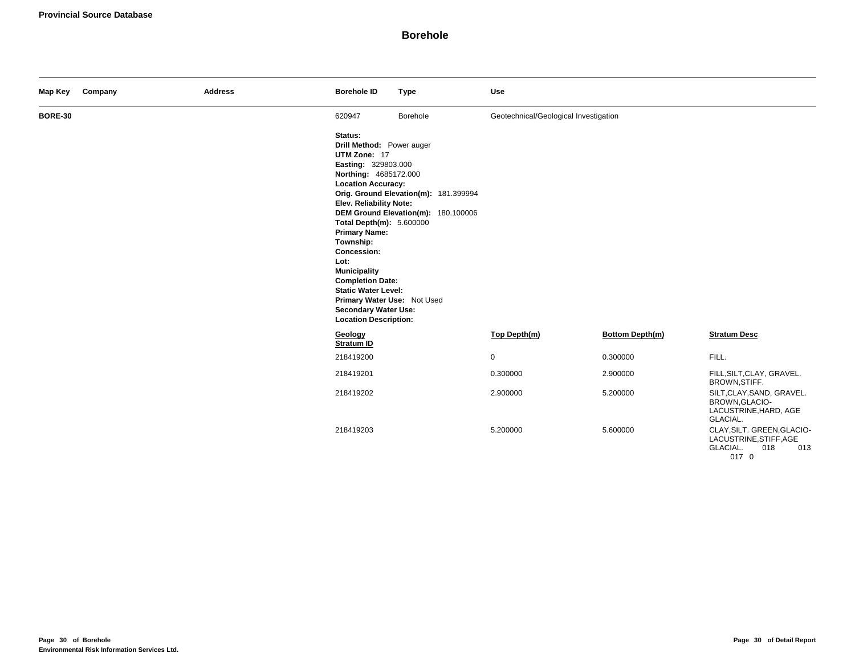| Map Key        | Company | <b>Address</b> | <b>Borehole ID</b>                                                                                                                                                                                                                                                                                                                                                                                                                 | <b>Type</b>                                                                  | <b>Use</b>                            |                        |                                                                                         |
|----------------|---------|----------------|------------------------------------------------------------------------------------------------------------------------------------------------------------------------------------------------------------------------------------------------------------------------------------------------------------------------------------------------------------------------------------------------------------------------------------|------------------------------------------------------------------------------|---------------------------------------|------------------------|-----------------------------------------------------------------------------------------|
| <b>BORE-30</b> |         |                | 620947                                                                                                                                                                                                                                                                                                                                                                                                                             | Borehole                                                                     | Geotechnical/Geological Investigation |                        |                                                                                         |
|                |         |                | Status:<br>Drill Method: Power auger<br>UTM Zone: 17<br>Easting: 329803.000<br>Northing: 4685172.000<br><b>Location Accuracy:</b><br><b>Elev. Reliability Note:</b><br>Total Depth(m): 5.600000<br><b>Primary Name:</b><br>Township:<br>Concession:<br>Lot:<br><b>Municipality</b><br><b>Completion Date:</b><br><b>Static Water Level:</b><br>Primary Water Use: Not Used<br>Secondary Water Use:<br><b>Location Description:</b> | Orig. Ground Elevation(m): 181.399994<br>DEM Ground Elevation(m): 180.100006 |                                       |                        |                                                                                         |
|                |         |                | Geology<br>Stratum ID                                                                                                                                                                                                                                                                                                                                                                                                              |                                                                              | Top Depth(m)                          | <b>Bottom Depth(m)</b> | <b>Stratum Desc</b>                                                                     |
|                |         |                | 218419200                                                                                                                                                                                                                                                                                                                                                                                                                          |                                                                              | $\mathbf 0$                           | 0.300000               | FILL.                                                                                   |
|                |         |                | 218419201                                                                                                                                                                                                                                                                                                                                                                                                                          |                                                                              | 0.300000                              | 2.900000               | FILL, SILT, CLAY, GRAVEL.<br>BROWN, STIFF.                                              |
|                |         |                | 218419202                                                                                                                                                                                                                                                                                                                                                                                                                          |                                                                              | 2.900000                              | 5.200000               | SILT, CLAY, SAND, GRAVEL.<br>BROWN, GLACIO-<br>LACUSTRINE, HARD, AGE<br>GLACIAL.        |
|                |         |                | 218419203                                                                                                                                                                                                                                                                                                                                                                                                                          |                                                                              | 5.200000                              | 5.600000               | CLAY, SILT. GREEN, GLACIO-<br>LACUSTRINE, STIFF, AGE<br>GLACIAL.<br>018<br>013<br>017 0 |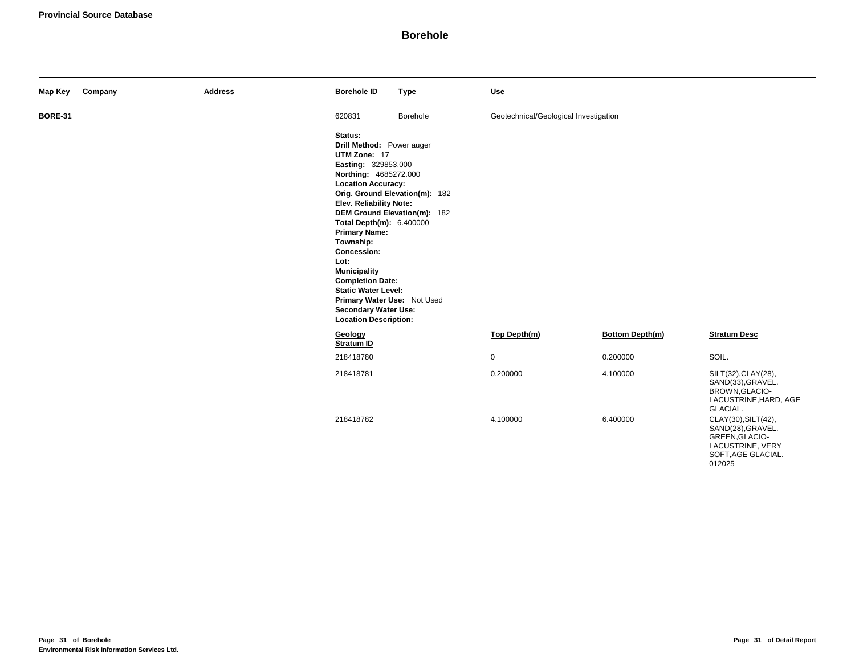| Map Key        | Company | <b>Address</b> | <b>Borehole ID</b>                                                                                                                                                                                                                                                                                                                                                                                                                 | <b>Type</b>                                                    | <b>Use</b>                            |                 |                                                                                                                |
|----------------|---------|----------------|------------------------------------------------------------------------------------------------------------------------------------------------------------------------------------------------------------------------------------------------------------------------------------------------------------------------------------------------------------------------------------------------------------------------------------|----------------------------------------------------------------|---------------------------------------|-----------------|----------------------------------------------------------------------------------------------------------------|
| <b>BORE-31</b> |         |                | 620831                                                                                                                                                                                                                                                                                                                                                                                                                             | Borehole                                                       | Geotechnical/Geological Investigation |                 |                                                                                                                |
|                |         |                | Status:<br>Drill Method: Power auger<br>UTM Zone: 17<br>Easting: 329853.000<br>Northing: 4685272.000<br><b>Location Accuracy:</b><br>Elev. Reliability Note:<br>Total Depth(m): 6.400000<br><b>Primary Name:</b><br>Township:<br>Concession:<br>Lot:<br><b>Municipality</b><br><b>Completion Date:</b><br><b>Static Water Level:</b><br>Primary Water Use: Not Used<br><b>Secondary Water Use:</b><br><b>Location Description:</b> | Orig. Ground Elevation(m): 182<br>DEM Ground Elevation(m): 182 |                                       |                 |                                                                                                                |
|                |         |                | Geology<br>Stratum ID                                                                                                                                                                                                                                                                                                                                                                                                              |                                                                | Top Depth(m)                          | Bottom Depth(m) | <b>Stratum Desc</b>                                                                                            |
|                |         |                | 218418780                                                                                                                                                                                                                                                                                                                                                                                                                          |                                                                | $\mathbf 0$                           | 0.200000        | SOIL.                                                                                                          |
|                |         |                | 218418781                                                                                                                                                                                                                                                                                                                                                                                                                          |                                                                | 0.200000                              | 4.100000        | SILT(32), CLAY(28),<br>SAND(33), GRAVEL.<br>BROWN, GLACIO-<br>LACUSTRINE, HARD, AGE<br>GLACIAL.                |
|                |         |                | 218418782                                                                                                                                                                                                                                                                                                                                                                                                                          |                                                                | 4.100000                              | 6.400000        | CLAY(30), SILT(42),<br>SAND(28), GRAVEL.<br>GREEN, GLACIO-<br>LACUSTRINE, VERY<br>SOFT, AGE GLACIAL.<br>012025 |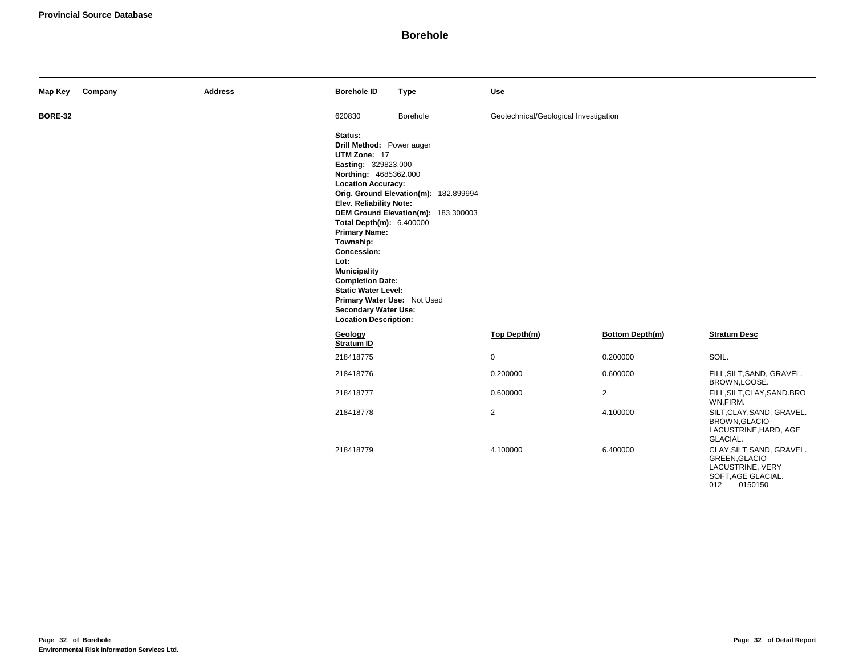| Map Key        | Company | <b>Address</b> | <b>Borehole ID</b>                                                                                                                                                                                                                                                                                                                                                                                                                 | <b>Type</b>                                                                  | <b>Use</b>                            |                 |                                                                                                         |
|----------------|---------|----------------|------------------------------------------------------------------------------------------------------------------------------------------------------------------------------------------------------------------------------------------------------------------------------------------------------------------------------------------------------------------------------------------------------------------------------------|------------------------------------------------------------------------------|---------------------------------------|-----------------|---------------------------------------------------------------------------------------------------------|
| <b>BORE-32</b> |         |                | 620830                                                                                                                                                                                                                                                                                                                                                                                                                             | Borehole                                                                     | Geotechnical/Geological Investigation |                 |                                                                                                         |
|                |         |                | Status:<br>Drill Method: Power auger<br>UTM Zone: 17<br>Easting: 329823.000<br>Northing: 4685362.000<br><b>Location Accuracy:</b><br>Elev. Reliability Note:<br>Total Depth(m): 6.400000<br><b>Primary Name:</b><br>Township:<br>Concession:<br>Lot:<br><b>Municipality</b><br><b>Completion Date:</b><br><b>Static Water Level:</b><br>Primary Water Use: Not Used<br><b>Secondary Water Use:</b><br><b>Location Description:</b> | Orig. Ground Elevation(m): 182.899994<br>DEM Ground Elevation(m): 183.300003 |                                       |                 |                                                                                                         |
|                |         |                | Geology<br><b>Stratum ID</b>                                                                                                                                                                                                                                                                                                                                                                                                       |                                                                              | Top Depth(m)                          | Bottom Depth(m) | <b>Stratum Desc</b>                                                                                     |
|                |         |                | 218418775                                                                                                                                                                                                                                                                                                                                                                                                                          |                                                                              | $\mathsf 0$                           | 0.200000        | SOIL.                                                                                                   |
|                |         |                | 218418776                                                                                                                                                                                                                                                                                                                                                                                                                          |                                                                              | 0.200000                              | 0.600000        | FILL, SILT, SAND, GRAVEL.<br>BROWN,LOOSE.                                                               |
|                |         |                | 218418777                                                                                                                                                                                                                                                                                                                                                                                                                          |                                                                              | 0.600000                              | $\overline{2}$  | FILL, SILT, CLAY, SAND. BRO<br>WN,FIRM.                                                                 |
|                |         |                | 218418778                                                                                                                                                                                                                                                                                                                                                                                                                          |                                                                              | $\overline{2}$                        | 4.100000        | SILT, CLAY, SAND, GRAVEL.<br>BROWN, GLACIO-<br>LACUSTRINE, HARD, AGE<br>GLACIAL.                        |
|                |         |                | 218418779                                                                                                                                                                                                                                                                                                                                                                                                                          |                                                                              | 4.100000                              | 6.400000        | CLAY, SILT, SAND, GRAVEL.<br>GREEN, GLACIO-<br>LACUSTRINE, VERY<br>SOFT, AGE GLACIAL.<br>0150150<br>012 |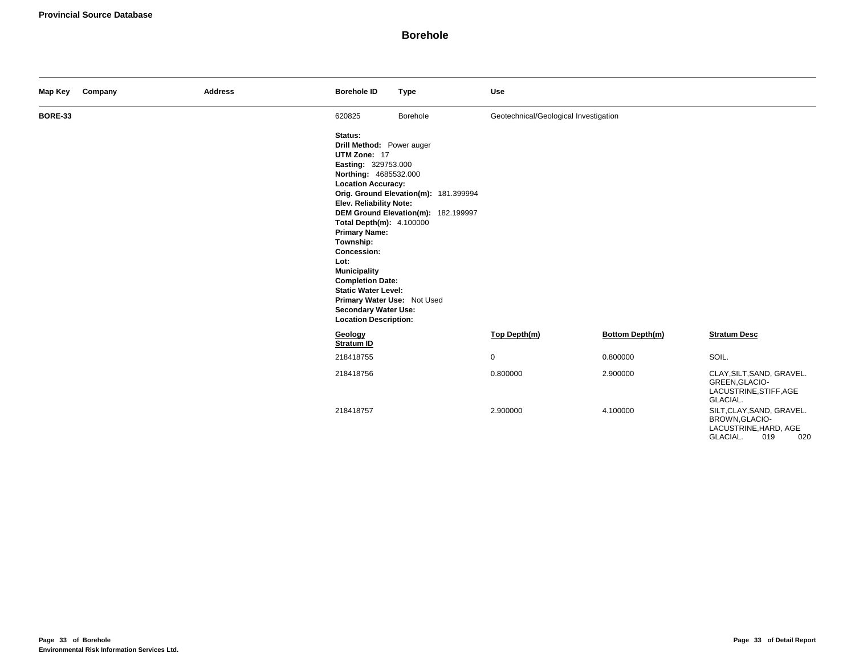| Map Key        | Company | <b>Address</b> | <b>Borehole ID</b>                                                                                                                                                                                                                                                                                                                                                                                                                               | <b>Type</b>                                                                  | <b>Use</b>                            |                 |                                                                                                |
|----------------|---------|----------------|--------------------------------------------------------------------------------------------------------------------------------------------------------------------------------------------------------------------------------------------------------------------------------------------------------------------------------------------------------------------------------------------------------------------------------------------------|------------------------------------------------------------------------------|---------------------------------------|-----------------|------------------------------------------------------------------------------------------------|
| <b>BORE-33</b> |         |                | 620825                                                                                                                                                                                                                                                                                                                                                                                                                                           | Borehole                                                                     | Geotechnical/Geological Investigation |                 |                                                                                                |
|                |         |                | Status:<br>Drill Method: Power auger<br>UTM Zone: 17<br>Easting: 329753.000<br>Northing: 4685532.000<br><b>Location Accuracy:</b><br><b>Elev. Reliability Note:</b><br>Total Depth(m): 4.100000<br><b>Primary Name:</b><br>Township:<br><b>Concession:</b><br>Lot:<br><b>Municipality</b><br><b>Completion Date:</b><br><b>Static Water Level:</b><br>Primary Water Use: Not Used<br><b>Secondary Water Use:</b><br><b>Location Description:</b> | Orig. Ground Elevation(m): 181.399994<br>DEM Ground Elevation(m): 182.199997 |                                       |                 |                                                                                                |
|                |         |                | Geology<br>Stratum ID                                                                                                                                                                                                                                                                                                                                                                                                                            |                                                                              | Top Depth(m)                          | Bottom Depth(m) | <b>Stratum Desc</b>                                                                            |
|                |         |                | 218418755                                                                                                                                                                                                                                                                                                                                                                                                                                        |                                                                              | 0                                     | 0.800000        | SOIL.                                                                                          |
|                |         |                | 218418756                                                                                                                                                                                                                                                                                                                                                                                                                                        |                                                                              | 0.800000                              | 2.900000        | CLAY, SILT, SAND, GRAVEL.<br>GREEN, GLACIO-<br>LACUSTRINE, STIFF, AGE<br>GLACIAL.              |
|                |         |                | 218418757                                                                                                                                                                                                                                                                                                                                                                                                                                        |                                                                              | 2.900000                              | 4.100000        | SILT, CLAY, SAND, GRAVEL.<br>BROWN, GLACIO-<br>LACUSTRINE, HARD, AGE<br>GLACIAL.<br>019<br>020 |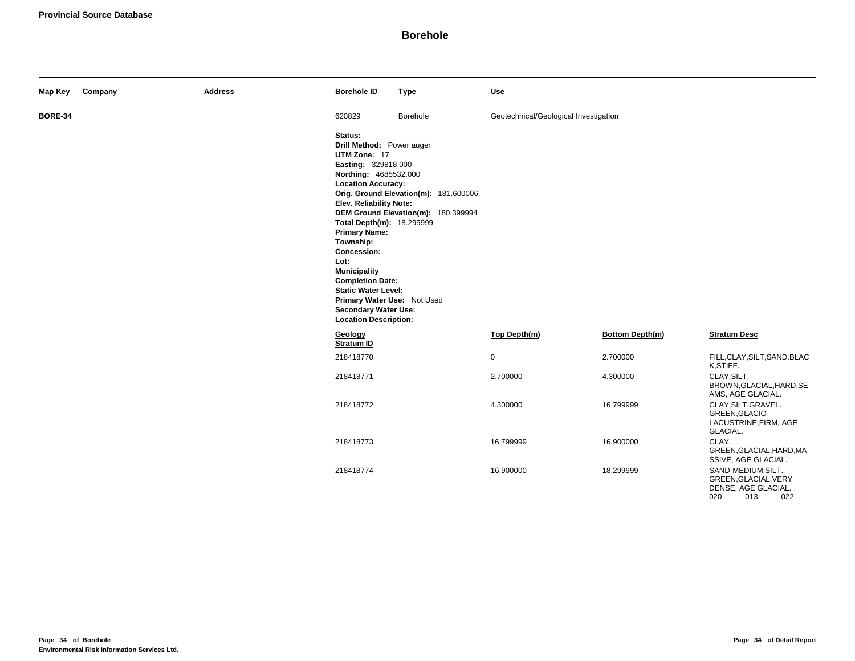| Map Key        | Company | <b>Address</b> | <b>Borehole ID</b>                                                                                                                                                                                                                                                                                                                                                                                                                  | <b>Type</b>                                                                  | <b>Use</b>                            |                        |                                                                                        |
|----------------|---------|----------------|-------------------------------------------------------------------------------------------------------------------------------------------------------------------------------------------------------------------------------------------------------------------------------------------------------------------------------------------------------------------------------------------------------------------------------------|------------------------------------------------------------------------------|---------------------------------------|------------------------|----------------------------------------------------------------------------------------|
| <b>BORE-34</b> |         |                | 620829                                                                                                                                                                                                                                                                                                                                                                                                                              | Borehole                                                                     | Geotechnical/Geological Investigation |                        |                                                                                        |
|                |         |                | Status:<br>Drill Method: Power auger<br>UTM Zone: 17<br>Easting: 329818.000<br>Northing: 4685532.000<br><b>Location Accuracy:</b><br>Elev. Reliability Note:<br>Total Depth(m): 18.299999<br><b>Primary Name:</b><br>Township:<br>Concession:<br>Lot:<br><b>Municipality</b><br><b>Completion Date:</b><br><b>Static Water Level:</b><br>Primary Water Use: Not Used<br><b>Secondary Water Use:</b><br><b>Location Description:</b> | Orig. Ground Elevation(m): 181.600006<br>DEM Ground Elevation(m): 180.399994 |                                       |                        |                                                                                        |
|                |         |                | Geology<br>Stratum ID                                                                                                                                                                                                                                                                                                                                                                                                               |                                                                              | Top Depth(m)                          | <b>Bottom Depth(m)</b> | <b>Stratum Desc</b>                                                                    |
|                |         |                | 218418770                                                                                                                                                                                                                                                                                                                                                                                                                           |                                                                              | $\mathbf 0$                           | 2.700000               | FILL, CLAY, SILT, SAND. BLAC<br>K,STIFF.                                               |
|                |         |                | 218418771                                                                                                                                                                                                                                                                                                                                                                                                                           |                                                                              | 2.700000                              | 4.300000               | CLAY.SILT.<br>BROWN, GLACIAL, HARD, SE<br>AMS, AGE GLACIAL.                            |
|                |         |                | 218418772                                                                                                                                                                                                                                                                                                                                                                                                                           |                                                                              | 4.300000                              | 16.799999              | CLAY, SILT, GRAVEL.<br>GREEN, GLACIO-<br>LACUSTRINE, FIRM, AGE<br>GLACIAL.             |
|                |         |                | 218418773                                                                                                                                                                                                                                                                                                                                                                                                                           |                                                                              | 16.799999                             | 16.900000              | CLAY.<br>GREEN, GLACIAL, HARD, MA<br>SSIVE, AGE GLACIAL.                               |
|                |         |                | 218418774                                                                                                                                                                                                                                                                                                                                                                                                                           |                                                                              | 16.900000                             | 18.299999              | SAND-MEDIUM, SILT.<br>GREEN, GLACIAL, VERY<br>DENSE, AGE GLACIAL.<br>020<br>013<br>022 |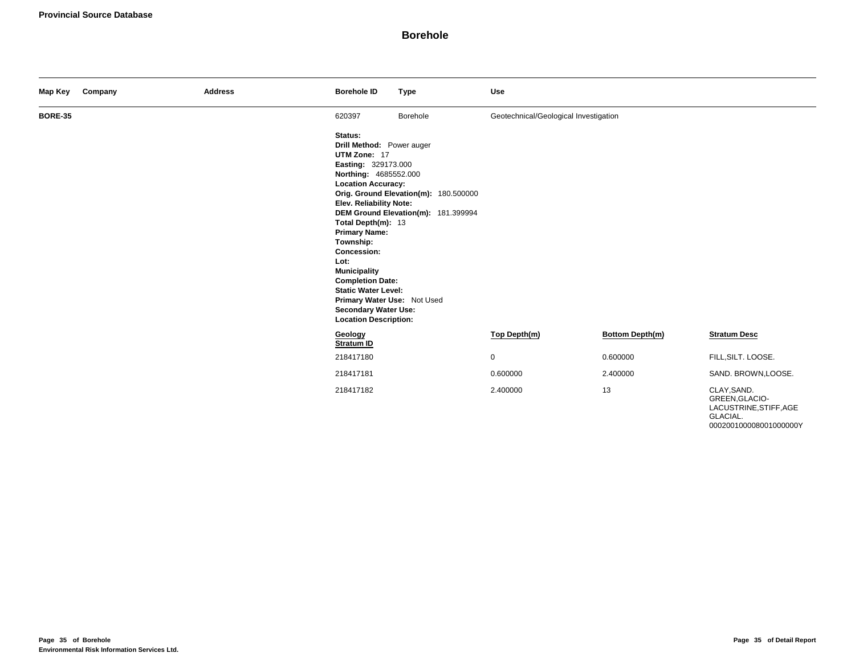| Map Key        | Company | <b>Address</b> | <b>Borehole ID</b>                                                                                                                                                                                                                                                                                                                                                                                                                  | <b>Type</b>                                                                  | <b>Use</b>                            |                        |                                                                     |
|----------------|---------|----------------|-------------------------------------------------------------------------------------------------------------------------------------------------------------------------------------------------------------------------------------------------------------------------------------------------------------------------------------------------------------------------------------------------------------------------------------|------------------------------------------------------------------------------|---------------------------------------|------------------------|---------------------------------------------------------------------|
| <b>BORE-35</b> |         |                | 620397                                                                                                                                                                                                                                                                                                                                                                                                                              | Borehole                                                                     | Geotechnical/Geological Investigation |                        |                                                                     |
|                |         |                | Status:<br>Drill Method: Power auger<br>UTM Zone: 17<br>Easting: 329173.000<br>Northing: 4685552.000<br><b>Location Accuracy:</b><br>Elev. Reliability Note:<br>Total Depth(m): 13<br><b>Primary Name:</b><br>Township:<br><b>Concession:</b><br>Lot:<br><b>Municipality</b><br><b>Completion Date:</b><br><b>Static Water Level:</b><br>Primary Water Use: Not Used<br><b>Secondary Water Use:</b><br><b>Location Description:</b> | Orig. Ground Elevation(m): 180.500000<br>DEM Ground Elevation(m): 181.399994 |                                       |                        |                                                                     |
|                |         |                | Geology<br>Stratum ID                                                                                                                                                                                                                                                                                                                                                                                                               |                                                                              | Top Depth(m)                          | <b>Bottom Depth(m)</b> | <b>Stratum Desc</b>                                                 |
|                |         |                | 218417180                                                                                                                                                                                                                                                                                                                                                                                                                           |                                                                              | $\mathbf 0$                           | 0.600000               | FILL, SILT. LOOSE.                                                  |
|                |         |                | 218417181                                                                                                                                                                                                                                                                                                                                                                                                                           |                                                                              | 0.600000                              | 2.400000               | SAND. BROWN, LOOSE.                                                 |
|                |         |                | 218417182                                                                                                                                                                                                                                                                                                                                                                                                                           |                                                                              | 2.400000                              | 13                     | CLAY, SAND.<br>GREEN, GLACIO-<br>LACUSTRINE, STIFF, AGE<br>GLACIAL. |

000200100008001000000Y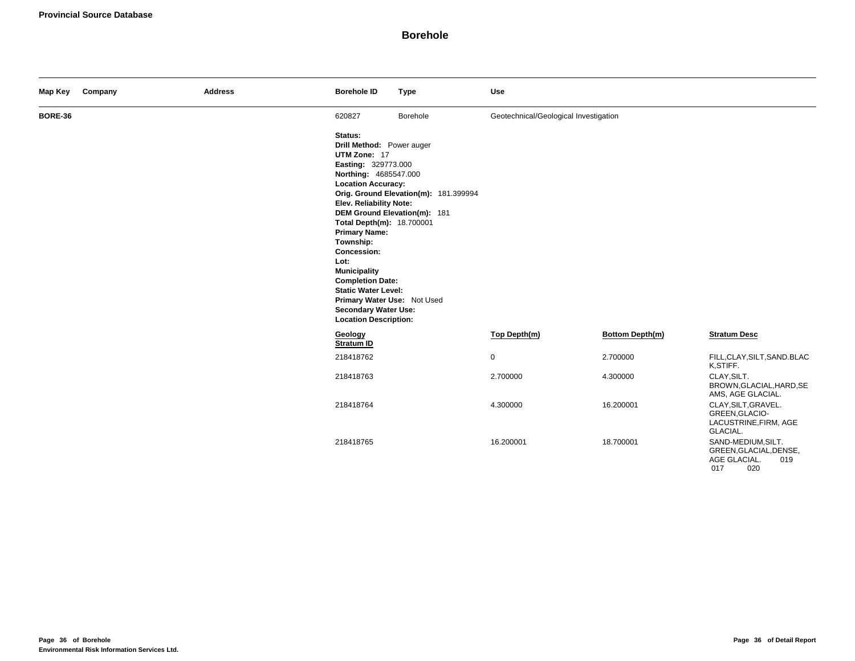| Map Key        | Company | <b>Address</b> | <b>Borehole ID</b>                                                                                                                                                                                                                                                                                                                                                                                                                                                                | <b>Type</b>                           | Use                                   |                 |                                                                                   |
|----------------|---------|----------------|-----------------------------------------------------------------------------------------------------------------------------------------------------------------------------------------------------------------------------------------------------------------------------------------------------------------------------------------------------------------------------------------------------------------------------------------------------------------------------------|---------------------------------------|---------------------------------------|-----------------|-----------------------------------------------------------------------------------|
| <b>BORE-36</b> |         |                | 620827                                                                                                                                                                                                                                                                                                                                                                                                                                                                            | Borehole                              | Geotechnical/Geological Investigation |                 |                                                                                   |
|                |         |                | Status:<br>Drill Method: Power auger<br>UTM Zone: 17<br>Easting: 329773.000<br>Northing: 4685547.000<br><b>Location Accuracy:</b><br><b>Elev. Reliability Note:</b><br>DEM Ground Elevation(m): 181<br>Total Depth(m): 18.700001<br><b>Primary Name:</b><br>Township:<br><b>Concession:</b><br>Lot:<br><b>Municipality</b><br><b>Completion Date:</b><br><b>Static Water Level:</b><br>Primary Water Use: Not Used<br><b>Secondary Water Use:</b><br><b>Location Description:</b> | Orig. Ground Elevation(m): 181.399994 |                                       |                 |                                                                                   |
|                |         |                | Geology<br><b>Stratum ID</b>                                                                                                                                                                                                                                                                                                                                                                                                                                                      |                                       | Top Depth(m)                          | Bottom Depth(m) | <b>Stratum Desc</b>                                                               |
|                |         |                | 218418762                                                                                                                                                                                                                                                                                                                                                                                                                                                                         |                                       | $\mathbf 0$                           | 2.700000        | FILL, CLAY, SILT, SAND. BLAC<br>K,STIFF.                                          |
|                |         |                | 218418763                                                                                                                                                                                                                                                                                                                                                                                                                                                                         |                                       | 2.700000                              | 4.300000        | CLAY, SILT.<br>BROWN, GLACIAL, HARD, SE<br>AMS, AGE GLACIAL.                      |
|                |         |                | 218418764                                                                                                                                                                                                                                                                                                                                                                                                                                                                         |                                       | 4.300000                              | 16.200001       | CLAY, SILT, GRAVEL.<br>GREEN, GLACIO-<br>LACUSTRINE, FIRM, AGE<br>GLACIAL.        |
|                |         |                | 218418765                                                                                                                                                                                                                                                                                                                                                                                                                                                                         |                                       | 16.200001                             | 18.700001       | SAND-MEDIUM, SILT.<br>GREEN, GLACIAL, DENSE,<br>AGE GLACIAL.<br>019<br>017<br>020 |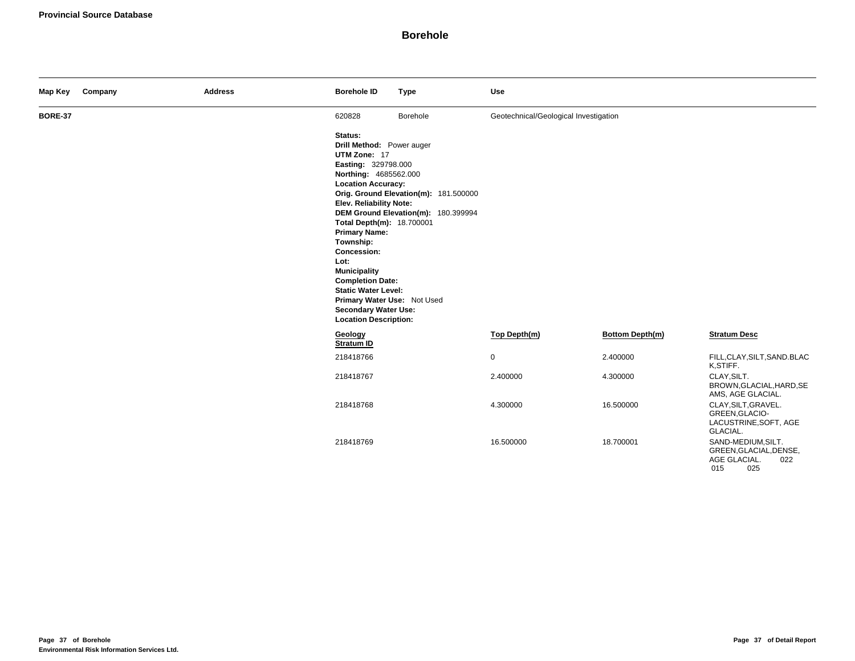| Map Key        | Company | <b>Address</b> | <b>Borehole ID</b>                                                                                                                                                                                                                                                                                                                                                                                                                  | <b>Type</b>                                                                  | Use                                   |                        |                                                                                   |
|----------------|---------|----------------|-------------------------------------------------------------------------------------------------------------------------------------------------------------------------------------------------------------------------------------------------------------------------------------------------------------------------------------------------------------------------------------------------------------------------------------|------------------------------------------------------------------------------|---------------------------------------|------------------------|-----------------------------------------------------------------------------------|
| <b>BORE-37</b> |         |                | 620828                                                                                                                                                                                                                                                                                                                                                                                                                              | Borehole                                                                     | Geotechnical/Geological Investigation |                        |                                                                                   |
|                |         |                | Status:<br>Drill Method: Power auger<br>UTM Zone: 17<br>Easting: 329798.000<br>Northing: 4685562.000<br><b>Location Accuracy:</b><br>Elev. Reliability Note:<br>Total Depth(m): 18.700001<br><b>Primary Name:</b><br>Township:<br>Concession:<br>Lot:<br><b>Municipality</b><br><b>Completion Date:</b><br><b>Static Water Level:</b><br>Primary Water Use: Not Used<br><b>Secondary Water Use:</b><br><b>Location Description:</b> | Orig. Ground Elevation(m): 181.500000<br>DEM Ground Elevation(m): 180.399994 |                                       |                        |                                                                                   |
|                |         |                | Geology<br><b>Stratum ID</b>                                                                                                                                                                                                                                                                                                                                                                                                        |                                                                              | Top Depth(m)                          | <b>Bottom Depth(m)</b> | <b>Stratum Desc</b>                                                               |
|                |         |                | 218418766                                                                                                                                                                                                                                                                                                                                                                                                                           |                                                                              | $\mathbf 0$                           | 2.400000               | FILL, CLAY, SILT, SAND. BLAC<br>K,STIFF.                                          |
|                |         |                | 218418767                                                                                                                                                                                                                                                                                                                                                                                                                           |                                                                              | 2.400000                              | 4.300000               | CLAY, SILT.<br>BROWN, GLACIAL, HARD, SE<br>AMS, AGE GLACIAL.                      |
|                |         |                | 218418768                                                                                                                                                                                                                                                                                                                                                                                                                           |                                                                              | 4.300000                              | 16.500000              | CLAY, SILT, GRAVEL.<br>GREEN, GLACIO-<br>LACUSTRINE, SOFT, AGE<br>GLACIAL.        |
|                |         |                | 218418769                                                                                                                                                                                                                                                                                                                                                                                                                           |                                                                              | 16.500000                             | 18.700001              | SAND-MEDIUM, SILT.<br>GREEN, GLACIAL, DENSE,<br>AGE GLACIAL.<br>022<br>015<br>025 |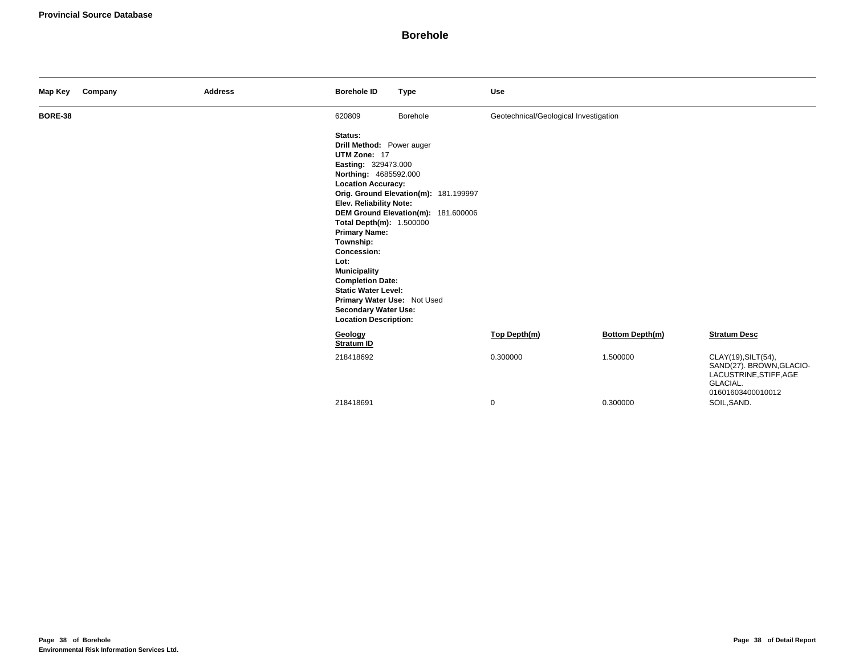| Map Key        | Company | <b>Address</b> | <b>Borehole ID</b>                                                                                                                                                                                                                                                                                                                                                                                                                        | <b>Type</b>                                                                  | Use                                   |                        |                                                                                                            |
|----------------|---------|----------------|-------------------------------------------------------------------------------------------------------------------------------------------------------------------------------------------------------------------------------------------------------------------------------------------------------------------------------------------------------------------------------------------------------------------------------------------|------------------------------------------------------------------------------|---------------------------------------|------------------------|------------------------------------------------------------------------------------------------------------|
| <b>BORE-38</b> |         |                | 620809                                                                                                                                                                                                                                                                                                                                                                                                                                    | Borehole                                                                     | Geotechnical/Geological Investigation |                        |                                                                                                            |
|                |         |                | Status:<br>Drill Method: Power auger<br>UTM Zone: 17<br>Easting: 329473.000<br>Northing: 4685592.000<br><b>Location Accuracy:</b><br>Elev. Reliability Note:<br>Total Depth(m): 1.500000<br><b>Primary Name:</b><br>Township:<br><b>Concession:</b><br>Lot:<br><b>Municipality</b><br><b>Completion Date:</b><br><b>Static Water Level:</b><br>Primary Water Use: Not Used<br><b>Secondary Water Use:</b><br><b>Location Description:</b> | Orig. Ground Elevation(m): 181.199997<br>DEM Ground Elevation(m): 181.600006 |                                       |                        |                                                                                                            |
|                |         |                | Geology<br>Stratum ID                                                                                                                                                                                                                                                                                                                                                                                                                     |                                                                              | Top Depth(m)                          | <b>Bottom Depth(m)</b> | <b>Stratum Desc</b>                                                                                        |
|                |         |                | 218418692                                                                                                                                                                                                                                                                                                                                                                                                                                 |                                                                              | 0.300000                              | 1.500000               | CLAY(19), SILT(54),<br>SAND(27). BROWN, GLACIO-<br>LACUSTRINE, STIFF, AGE<br>GLACIAL.<br>01601603400010012 |
|                |         |                | 218418691                                                                                                                                                                                                                                                                                                                                                                                                                                 |                                                                              | $\mathbf 0$                           | 0.300000               | SOIL, SAND.                                                                                                |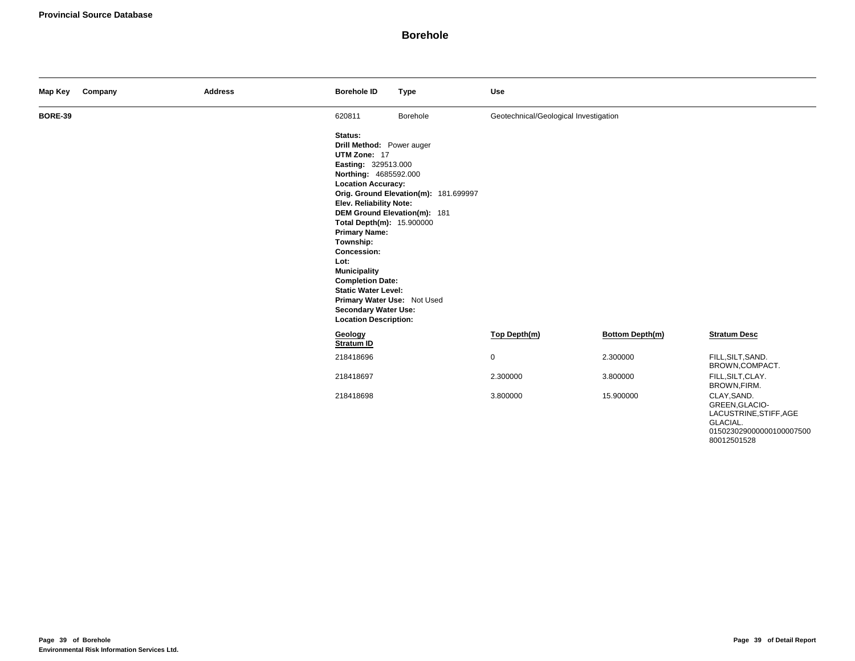| Map Key        | Company | <b>Address</b> | <b>Borehole ID</b>                                                                                                                                                                                                                                                                                                                                                                                                                         | <b>Type</b>                                                           | <b>Use</b>                            |                        |                                                                     |
|----------------|---------|----------------|--------------------------------------------------------------------------------------------------------------------------------------------------------------------------------------------------------------------------------------------------------------------------------------------------------------------------------------------------------------------------------------------------------------------------------------------|-----------------------------------------------------------------------|---------------------------------------|------------------------|---------------------------------------------------------------------|
| <b>BORE-39</b> |         |                | 620811                                                                                                                                                                                                                                                                                                                                                                                                                                     | Borehole                                                              | Geotechnical/Geological Investigation |                        |                                                                     |
|                |         |                | Status:<br>Drill Method: Power auger<br>UTM Zone: 17<br>Easting: 329513.000<br>Northing: 4685592.000<br><b>Location Accuracy:</b><br>Elev. Reliability Note:<br>Total Depth(m): 15.900000<br><b>Primary Name:</b><br>Township:<br><b>Concession:</b><br>Lot:<br><b>Municipality</b><br><b>Completion Date:</b><br><b>Static Water Level:</b><br>Primary Water Use: Not Used<br><b>Secondary Water Use:</b><br><b>Location Description:</b> | Orig. Ground Elevation(m): 181.699997<br>DEM Ground Elevation(m): 181 |                                       |                        |                                                                     |
|                |         |                | Geology<br><b>Stratum ID</b>                                                                                                                                                                                                                                                                                                                                                                                                               |                                                                       | Top Depth(m)                          | <b>Bottom Depth(m)</b> | <b>Stratum Desc</b>                                                 |
|                |         |                | 218418696                                                                                                                                                                                                                                                                                                                                                                                                                                  |                                                                       | $\mathsf 0$                           | 2.300000               | FILL, SILT, SAND.<br>BROWN,COMPACT.                                 |
|                |         |                | 218418697                                                                                                                                                                                                                                                                                                                                                                                                                                  |                                                                       | 2.300000                              | 3.800000               | FILL, SILT, CLAY.<br>BROWN, FIRM.                                   |
|                |         |                | 218418698                                                                                                                                                                                                                                                                                                                                                                                                                                  |                                                                       | 3.800000                              | 15.900000              | CLAY, SAND.<br>GREEN, GLACIO-<br>LACUSTRINE, STIFF, AGE<br>GLACIAL. |

015023029000000100007500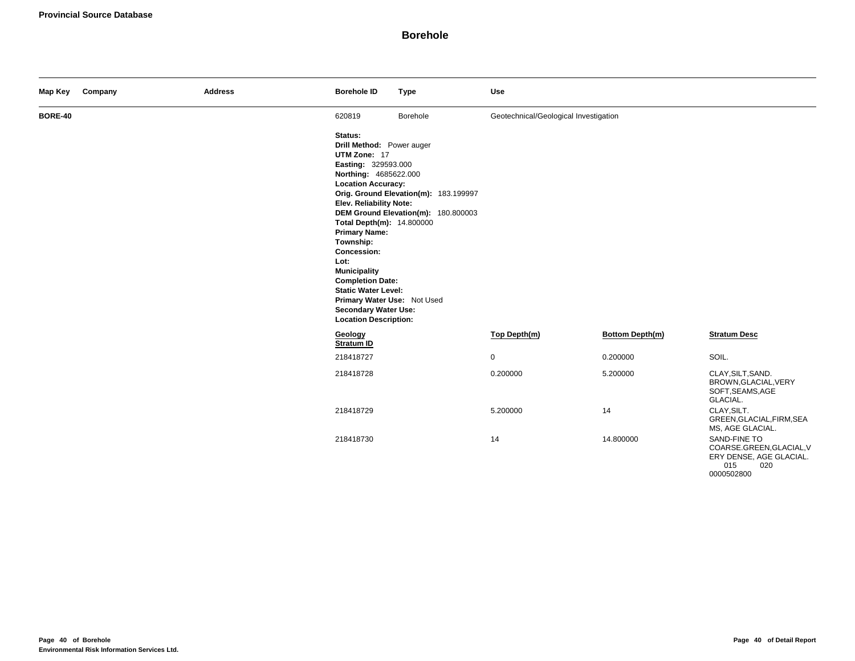| Map Key        | Company | <b>Address</b> | <b>Borehole ID</b>                                                                                                                                                                                                                                                                                                                                                                                                                  | <b>Type</b>                                                                  | <b>Use</b>                            |                 |                                                                                                 |
|----------------|---------|----------------|-------------------------------------------------------------------------------------------------------------------------------------------------------------------------------------------------------------------------------------------------------------------------------------------------------------------------------------------------------------------------------------------------------------------------------------|------------------------------------------------------------------------------|---------------------------------------|-----------------|-------------------------------------------------------------------------------------------------|
| <b>BORE-40</b> |         |                | 620819                                                                                                                                                                                                                                                                                                                                                                                                                              | Borehole                                                                     | Geotechnical/Geological Investigation |                 |                                                                                                 |
|                |         |                | Status:<br>Drill Method: Power auger<br>UTM Zone: 17<br>Easting: 329593.000<br>Northing: 4685622.000<br><b>Location Accuracy:</b><br>Elev. Reliability Note:<br>Total Depth(m): 14.800000<br><b>Primary Name:</b><br>Township:<br>Concession:<br>Lot:<br><b>Municipality</b><br><b>Completion Date:</b><br><b>Static Water Level:</b><br>Primary Water Use: Not Used<br><b>Secondary Water Use:</b><br><b>Location Description:</b> | Orig. Ground Elevation(m): 183.199997<br>DEM Ground Elevation(m): 180.800003 |                                       |                 |                                                                                                 |
|                |         |                | Geology<br>Stratum ID                                                                                                                                                                                                                                                                                                                                                                                                               |                                                                              | Top Depth(m)                          | Bottom Depth(m) | <b>Stratum Desc</b>                                                                             |
|                |         |                | 218418727                                                                                                                                                                                                                                                                                                                                                                                                                           |                                                                              | 0                                     | 0.200000        | SOIL.                                                                                           |
|                |         |                | 218418728                                                                                                                                                                                                                                                                                                                                                                                                                           |                                                                              | 0.200000                              | 5.200000        | CLAY, SILT, SAND.<br>BROWN, GLACIAL, VERY<br>SOFT, SEAMS, AGE<br>GLACIAL.                       |
|                |         |                | 218418729                                                                                                                                                                                                                                                                                                                                                                                                                           |                                                                              | 5.200000                              | 14              | CLAY, SILT.<br>GREEN, GLACIAL, FIRM, SEA<br>MS, AGE GLACIAL.                                    |
|                |         |                | 218418730                                                                                                                                                                                                                                                                                                                                                                                                                           |                                                                              | 14                                    | 14.800000       | SAND-FINE TO<br>COARSE.GREEN, GLACIAL, V<br>ERY DENSE, AGE GLACIAL.<br>015<br>020<br>0000502800 |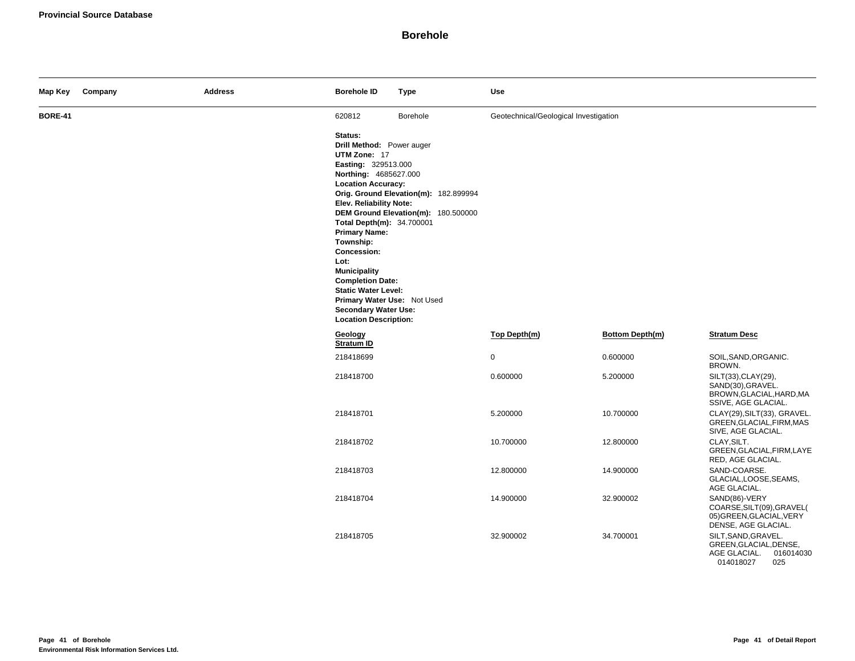| Map Key        | Company | <b>Address</b> | <b>Borehole ID</b>                                                                                                                                                                                                                                                                                                                                                                                                                  | <b>Type</b>                                                                  | Use                                   |                 |                                                                                                |
|----------------|---------|----------------|-------------------------------------------------------------------------------------------------------------------------------------------------------------------------------------------------------------------------------------------------------------------------------------------------------------------------------------------------------------------------------------------------------------------------------------|------------------------------------------------------------------------------|---------------------------------------|-----------------|------------------------------------------------------------------------------------------------|
| <b>BORE-41</b> |         |                | 620812                                                                                                                                                                                                                                                                                                                                                                                                                              | Borehole                                                                     | Geotechnical/Geological Investigation |                 |                                                                                                |
|                |         |                | Status:<br>Drill Method: Power auger<br>UTM Zone: 17<br>Easting: 329513.000<br>Northing: 4685627.000<br><b>Location Accuracy:</b><br>Elev. Reliability Note:<br>Total Depth(m): 34.700001<br><b>Primary Name:</b><br>Township:<br>Concession:<br>Lot:<br><b>Municipality</b><br><b>Completion Date:</b><br><b>Static Water Level:</b><br>Primary Water Use: Not Used<br><b>Secondary Water Use:</b><br><b>Location Description:</b> | Orig. Ground Elevation(m): 182.899994<br>DEM Ground Elevation(m): 180.500000 |                                       |                 |                                                                                                |
|                |         |                | Geology<br><b>Stratum ID</b>                                                                                                                                                                                                                                                                                                                                                                                                        |                                                                              | Top Depth(m)                          | Bottom Depth(m) | <b>Stratum Desc</b>                                                                            |
|                |         |                | 218418699                                                                                                                                                                                                                                                                                                                                                                                                                           |                                                                              | 0                                     | 0.600000        | SOIL, SAND, ORGANIC.<br>BROWN.                                                                 |
|                |         |                | 218418700                                                                                                                                                                                                                                                                                                                                                                                                                           |                                                                              | 0.600000                              | 5.200000        | SILT(33), CLAY(29),<br>SAND(30), GRAVEL.<br>BROWN, GLACIAL, HARD, MA<br>SSIVE, AGE GLACIAL.    |
|                |         |                | 218418701                                                                                                                                                                                                                                                                                                                                                                                                                           |                                                                              | 5.200000                              | 10.700000       | CLAY(29), SILT(33), GRAVEL.<br>GREEN, GLACIAL, FIRM, MAS<br>SIVE, AGE GLACIAL.                 |
|                |         |                | 218418702                                                                                                                                                                                                                                                                                                                                                                                                                           |                                                                              | 10.700000                             | 12.800000       | CLAY, SILT.<br>GREEN, GLACIAL, FIRM, LAYE<br>RED, AGE GLACIAL.                                 |
|                |         |                | 218418703                                                                                                                                                                                                                                                                                                                                                                                                                           |                                                                              | 12.800000                             | 14.900000       | SAND-COARSE.<br>GLACIAL, LOOSE, SEAMS,<br>AGE GLACIAL.                                         |
|                |         |                | 218418704                                                                                                                                                                                                                                                                                                                                                                                                                           |                                                                              | 14.900000                             | 32.900002       | SAND(86)-VERY<br>COARSE, SILT (09), GRAVEL(<br>05) GREEN, GLACIAL, VERY<br>DENSE, AGE GLACIAL. |
|                |         |                | 218418705                                                                                                                                                                                                                                                                                                                                                                                                                           |                                                                              | 32.900002                             | 34.700001       | SILT, SAND, GRAVEL.<br>GREEN, GLACIAL, DENSE,<br>AGE GLACIAL.<br>016014030<br>014018027<br>025 |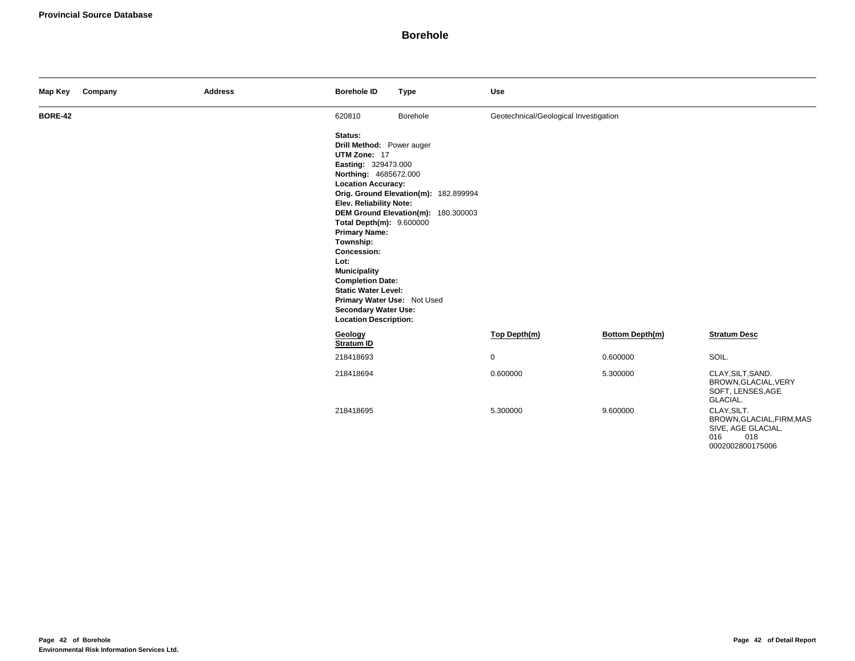| Map Key        | Company | <b>Address</b> | <b>Borehole ID</b>                                                                                                                                                                                                                                                                                                                                                                                                                 | <b>Type</b>                                                                  | Use                                   |                        |                                                                                                 |
|----------------|---------|----------------|------------------------------------------------------------------------------------------------------------------------------------------------------------------------------------------------------------------------------------------------------------------------------------------------------------------------------------------------------------------------------------------------------------------------------------|------------------------------------------------------------------------------|---------------------------------------|------------------------|-------------------------------------------------------------------------------------------------|
| <b>BORE-42</b> |         |                | 620810                                                                                                                                                                                                                                                                                                                                                                                                                             | Borehole                                                                     | Geotechnical/Geological Investigation |                        |                                                                                                 |
|                |         |                | Status:<br>Drill Method: Power auger<br>UTM Zone: 17<br>Easting: 329473.000<br>Northing: 4685672.000<br><b>Location Accuracy:</b><br><b>Elev. Reliability Note:</b><br>Total Depth(m): 9.600000<br><b>Primary Name:</b><br>Township:<br>Concession:<br>Lot:<br><b>Municipality</b><br><b>Completion Date:</b><br><b>Static Water Level:</b><br>Primary Water Use: Not Used<br>Secondary Water Use:<br><b>Location Description:</b> | Orig. Ground Elevation(m): 182.899994<br>DEM Ground Elevation(m): 180.300003 |                                       |                        |                                                                                                 |
|                |         |                | Geology<br>Stratum ID                                                                                                                                                                                                                                                                                                                                                                                                              |                                                                              | Top Depth(m)                          | <b>Bottom Depth(m)</b> | <b>Stratum Desc</b>                                                                             |
|                |         |                | 218418693                                                                                                                                                                                                                                                                                                                                                                                                                          |                                                                              | $\mathbf 0$                           | 0.600000               | SOIL.                                                                                           |
|                |         |                | 218418694                                                                                                                                                                                                                                                                                                                                                                                                                          |                                                                              | 0.600000                              | 5.300000               | CLAY, SILT, SAND.<br>BROWN, GLACIAL, VERY<br>SOFT, LENSES, AGE<br>GLACIAL.                      |
|                |         |                | 218418695                                                                                                                                                                                                                                                                                                                                                                                                                          |                                                                              | 5.300000                              | 9.600000               | CLAY.SILT.<br>BROWN, GLACIAL, FIRM, MAS<br>SIVE, AGE GLACIAL.<br>018<br>016<br>0002002800175006 |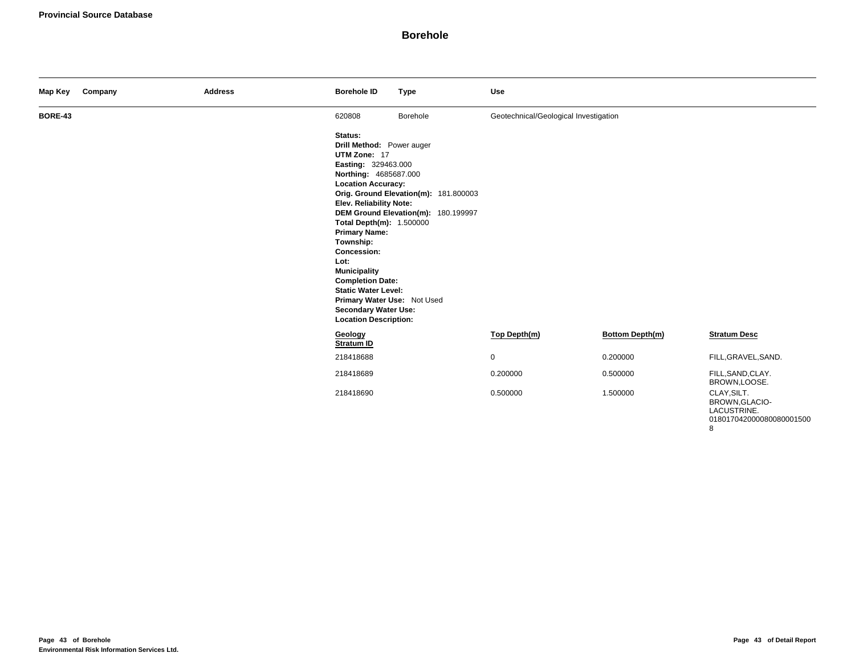| Map Key        | Company | <b>Address</b> | <b>Borehole ID</b>                                                                                                                                                                                                                                                                                                                                                                                                                                                                                                                             | <b>Type</b> | <b>Use</b>                            |                        |                                                                          |
|----------------|---------|----------------|------------------------------------------------------------------------------------------------------------------------------------------------------------------------------------------------------------------------------------------------------------------------------------------------------------------------------------------------------------------------------------------------------------------------------------------------------------------------------------------------------------------------------------------------|-------------|---------------------------------------|------------------------|--------------------------------------------------------------------------|
| <b>BORE-43</b> |         |                | 620808                                                                                                                                                                                                                                                                                                                                                                                                                                                                                                                                         | Borehole    | Geotechnical/Geological Investigation |                        |                                                                          |
|                |         |                | Drill Method: Power auger<br>UTM Zone: 17<br>Easting: 329463.000<br>Northing: 4685687.000<br><b>Location Accuracy:</b><br>Orig. Ground Elevation(m): 181.800003<br><b>Elev. Reliability Note:</b><br>DEM Ground Elevation(m): 180.199997<br>Total Depth(m): 1.500000<br><b>Primary Name:</b><br>Township:<br><b>Concession:</b><br>Lot:<br><b>Municipality</b><br><b>Completion Date:</b><br><b>Static Water Level:</b><br>Primary Water Use: Not Used<br><b>Secondary Water Use:</b><br><b>Location Description:</b><br>Geology<br>Stratum ID |             |                                       |                        |                                                                          |
|                |         |                |                                                                                                                                                                                                                                                                                                                                                                                                                                                                                                                                                |             | Top Depth(m)                          | <b>Bottom Depth(m)</b> | <b>Stratum Desc</b>                                                      |
|                |         |                | 218418688                                                                                                                                                                                                                                                                                                                                                                                                                                                                                                                                      |             | $\mathbf 0$                           | 0.200000               | FILL, GRAVEL, SAND.                                                      |
|                |         |                | 218418689                                                                                                                                                                                                                                                                                                                                                                                                                                                                                                                                      |             | 0.200000                              | 0.500000               | FILL, SAND, CLAY.<br>BROWN,LOOSE.                                        |
|                |         |                | 218418690                                                                                                                                                                                                                                                                                                                                                                                                                                                                                                                                      |             | 0.500000                              | 1.500000               | CLAY, SILT.<br>BROWN, GLACIO-<br>LACUSTRINE.<br>018017042000080080001500 |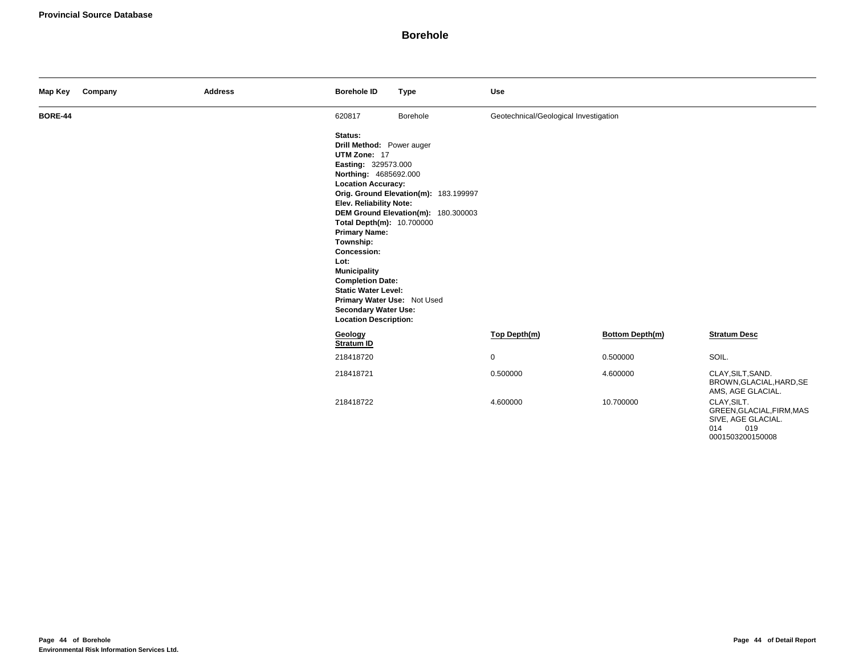| Map Key        | Company | <b>Address</b> | <b>Borehole ID</b>                                                                                                                                                                                                                                                                                                                                                                                                                         | <b>Type</b>                                                                  | <b>Use</b>                            |                 |                                                                              |
|----------------|---------|----------------|--------------------------------------------------------------------------------------------------------------------------------------------------------------------------------------------------------------------------------------------------------------------------------------------------------------------------------------------------------------------------------------------------------------------------------------------|------------------------------------------------------------------------------|---------------------------------------|-----------------|------------------------------------------------------------------------------|
| <b>BORE-44</b> |         |                | 620817                                                                                                                                                                                                                                                                                                                                                                                                                                     | Borehole                                                                     | Geotechnical/Geological Investigation |                 |                                                                              |
|                |         |                | Status:<br>Drill Method: Power auger<br>UTM Zone: 17<br>Easting: 329573.000<br>Northing: 4685692.000<br><b>Location Accuracy:</b><br>Elev. Reliability Note:<br>Total Depth(m): 10.700000<br><b>Primary Name:</b><br>Township:<br><b>Concession:</b><br>Lot:<br><b>Municipality</b><br><b>Completion Date:</b><br><b>Static Water Level:</b><br>Primary Water Use: Not Used<br><b>Secondary Water Use:</b><br><b>Location Description:</b> | Orig. Ground Elevation(m): 183.199997<br>DEM Ground Elevation(m): 180.300003 |                                       |                 |                                                                              |
|                |         |                | Geology<br>Stratum ID                                                                                                                                                                                                                                                                                                                                                                                                                      |                                                                              | Top Depth(m)                          | Bottom Depth(m) | <b>Stratum Desc</b>                                                          |
|                |         |                | 218418720                                                                                                                                                                                                                                                                                                                                                                                                                                  |                                                                              | $\mathbf 0$                           | 0.500000        | SOIL.                                                                        |
|                |         |                | 218418721                                                                                                                                                                                                                                                                                                                                                                                                                                  |                                                                              | 0.500000                              | 4.600000        | CLAY, SILT, SAND.<br>BROWN, GLACIAL, HARD, SE<br>AMS, AGE GLACIAL.           |
|                |         |                | 218418722                                                                                                                                                                                                                                                                                                                                                                                                                                  |                                                                              | 4.600000                              | 10.700000       | CLAY, SILT.<br>GREEN, GLACIAL, FIRM, MAS<br>SIVE, AGE GLACIAL.<br>014<br>019 |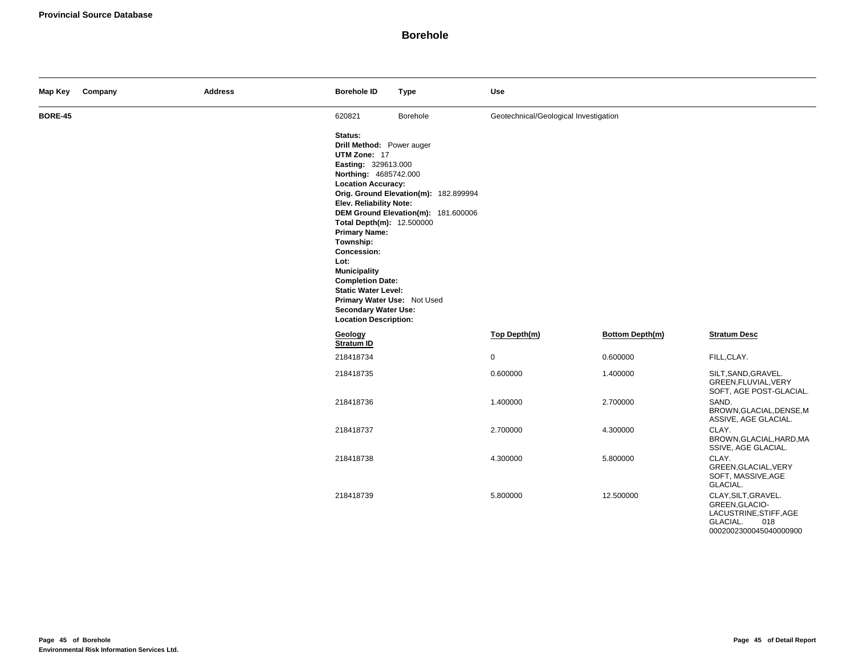| Map Key        | Company | <b>Address</b> | <b>Borehole ID</b>                                                                                                                                                                                                                                                                                                                                                                                                                  | <b>Type</b>                                                                  | <b>Use</b>                            |                 |                                                                                    |
|----------------|---------|----------------|-------------------------------------------------------------------------------------------------------------------------------------------------------------------------------------------------------------------------------------------------------------------------------------------------------------------------------------------------------------------------------------------------------------------------------------|------------------------------------------------------------------------------|---------------------------------------|-----------------|------------------------------------------------------------------------------------|
| <b>BORE-45</b> |         |                | 620821                                                                                                                                                                                                                                                                                                                                                                                                                              | Borehole                                                                     | Geotechnical/Geological Investigation |                 |                                                                                    |
|                |         |                | Status:<br>Drill Method: Power auger<br>UTM Zone: 17<br>Easting: 329613.000<br>Northing: 4685742.000<br><b>Location Accuracy:</b><br>Elev. Reliability Note:<br>Total Depth(m): 12.500000<br><b>Primary Name:</b><br>Township:<br>Concession:<br>Lot:<br><b>Municipality</b><br><b>Completion Date:</b><br><b>Static Water Level:</b><br>Primary Water Use: Not Used<br><b>Secondary Water Use:</b><br><b>Location Description:</b> | Orig. Ground Elevation(m): 182.899994<br>DEM Ground Elevation(m): 181.600006 |                                       |                 |                                                                                    |
|                |         |                | Geology<br>Stratum ID                                                                                                                                                                                                                                                                                                                                                                                                               |                                                                              | Top Depth(m)                          | Bottom Depth(m) | <b>Stratum Desc</b>                                                                |
|                |         |                | 218418734                                                                                                                                                                                                                                                                                                                                                                                                                           |                                                                              | $\mathbf 0$                           | 0.600000        | FILL, CLAY.                                                                        |
|                |         |                | 218418735                                                                                                                                                                                                                                                                                                                                                                                                                           |                                                                              | 0.600000                              | 1.400000        | SILT, SAND, GRAVEL.<br>GREEN, FLUVIAL, VERY<br>SOFT, AGE POST-GLACIAL.             |
|                |         |                | 218418736                                                                                                                                                                                                                                                                                                                                                                                                                           |                                                                              | 1.400000                              | 2.700000        | SAND.<br>BROWN, GLACIAL, DENSE, M<br>ASSIVE, AGE GLACIAL.                          |
|                |         |                | 218418737                                                                                                                                                                                                                                                                                                                                                                                                                           |                                                                              | 2.700000                              | 4.300000        | CLAY.<br>BROWN, GLACIAL, HARD, MA<br>SSIVE, AGE GLACIAL.                           |
|                |         |                | 218418738                                                                                                                                                                                                                                                                                                                                                                                                                           |                                                                              | 4.300000                              | 5.800000        | CLAY.<br>GREEN, GLACIAL, VERY<br>SOFT, MASSIVE, AGE<br>GLACIAL.                    |
|                |         |                | 218418739                                                                                                                                                                                                                                                                                                                                                                                                                           |                                                                              | 5.800000                              | 12.500000       | CLAY, SILT, GRAVEL.<br>GREEN, GLACIO-<br>LACUSTRINE, STIFF, AGE<br>GLACIAL.<br>018 |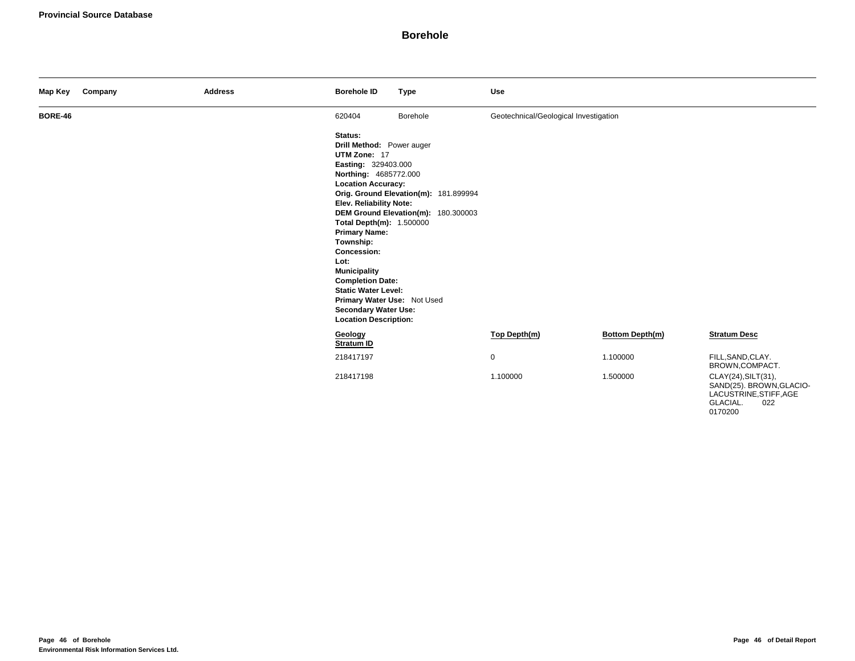| Map Key        | Company | <b>Address</b> | <b>Borehole ID</b>                                                                                                                                                                                                                                                                                                                                                                                                                 | <b>Type</b>                                                                  | Use                                   |                 |                                                                                              |
|----------------|---------|----------------|------------------------------------------------------------------------------------------------------------------------------------------------------------------------------------------------------------------------------------------------------------------------------------------------------------------------------------------------------------------------------------------------------------------------------------|------------------------------------------------------------------------------|---------------------------------------|-----------------|----------------------------------------------------------------------------------------------|
| <b>BORE-46</b> |         |                | 620404                                                                                                                                                                                                                                                                                                                                                                                                                             | Borehole                                                                     | Geotechnical/Geological Investigation |                 |                                                                                              |
|                |         |                | Status:<br>Drill Method: Power auger<br>UTM Zone: 17<br>Easting: 329403.000<br>Northing: 4685772.000<br><b>Location Accuracy:</b><br><b>Elev. Reliability Note:</b><br>Total Depth(m): 1.500000<br><b>Primary Name:</b><br>Township:<br>Concession:<br>Lot:<br><b>Municipality</b><br><b>Completion Date:</b><br><b>Static Water Level:</b><br>Primary Water Use: Not Used<br>Secondary Water Use:<br><b>Location Description:</b> | Orig. Ground Elevation(m): 181.899994<br>DEM Ground Elevation(m): 180.300003 |                                       |                 |                                                                                              |
|                |         |                | Geology<br>Stratum ID                                                                                                                                                                                                                                                                                                                                                                                                              |                                                                              | Top Depth(m)                          | Bottom Depth(m) | <b>Stratum Desc</b>                                                                          |
|                |         |                | 218417197                                                                                                                                                                                                                                                                                                                                                                                                                          |                                                                              | 0                                     | 1.100000        | FILL, SAND, CLAY.<br>BROWN,COMPACT.                                                          |
|                |         |                | 218417198                                                                                                                                                                                                                                                                                                                                                                                                                          |                                                                              | 1.100000                              | 1.500000        | CLAY(24), SILT(31),<br>SAND(25). BROWN, GLACIO-<br>LACUSTRINE, STIFF, AGE<br>GLACIAL.<br>022 |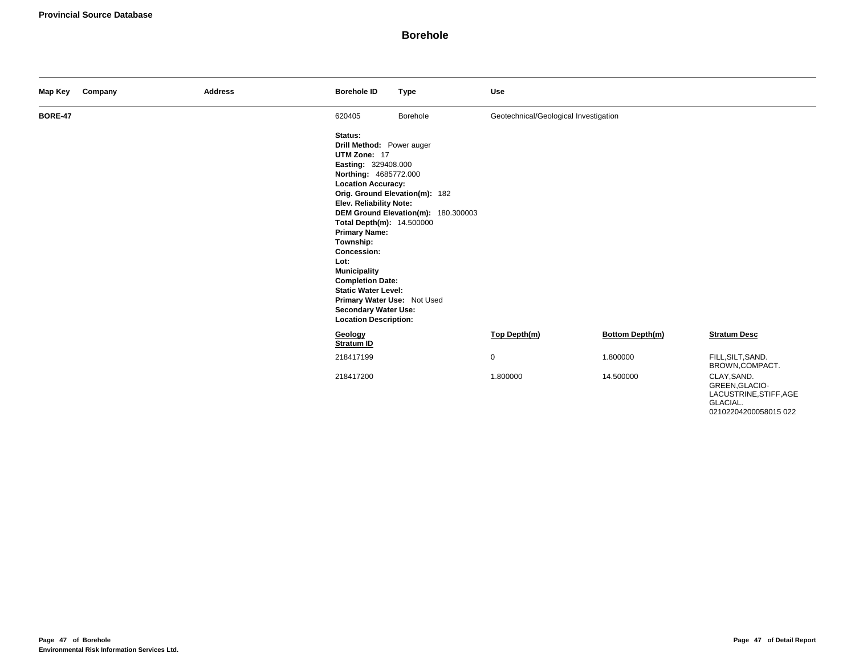| Map Key        | Company | <b>Address</b> | <b>Borehole ID</b>                                                                                                                                                                                                                                                                                                                                                                                                                  | <b>Type</b>                                                           | <b>Use</b>                            |                        |                                                                     |
|----------------|---------|----------------|-------------------------------------------------------------------------------------------------------------------------------------------------------------------------------------------------------------------------------------------------------------------------------------------------------------------------------------------------------------------------------------------------------------------------------------|-----------------------------------------------------------------------|---------------------------------------|------------------------|---------------------------------------------------------------------|
| <b>BORE-47</b> |         |                | 620405                                                                                                                                                                                                                                                                                                                                                                                                                              | Borehole                                                              | Geotechnical/Geological Investigation |                        |                                                                     |
|                |         |                | Status:<br>Drill Method: Power auger<br>UTM Zone: 17<br>Easting: 329408.000<br>Northing: 4685772.000<br><b>Location Accuracy:</b><br><b>Elev. Reliability Note:</b><br>Total Depth(m): 14.500000<br><b>Primary Name:</b><br>Township:<br>Concession:<br>Lot:<br><b>Municipality</b><br><b>Completion Date:</b><br><b>Static Water Level:</b><br>Primary Water Use: Not Used<br>Secondary Water Use:<br><b>Location Description:</b> | Orig. Ground Elevation(m): 182<br>DEM Ground Elevation(m): 180.300003 |                                       |                        |                                                                     |
|                |         |                | Geology<br>Stratum ID                                                                                                                                                                                                                                                                                                                                                                                                               |                                                                       | Top Depth(m)                          | <b>Bottom Depth(m)</b> | <b>Stratum Desc</b>                                                 |
|                |         |                | 218417199                                                                                                                                                                                                                                                                                                                                                                                                                           |                                                                       | $\mathbf 0$                           | 1.800000               | FILL, SILT, SAND.<br>BROWN,COMPACT.                                 |
|                |         |                | 218417200                                                                                                                                                                                                                                                                                                                                                                                                                           |                                                                       | 1.800000                              | 14.500000              | CLAY, SAND.<br>GREEN, GLACIO-<br>LACUSTRINE, STIFF, AGE<br>GLACIAL. |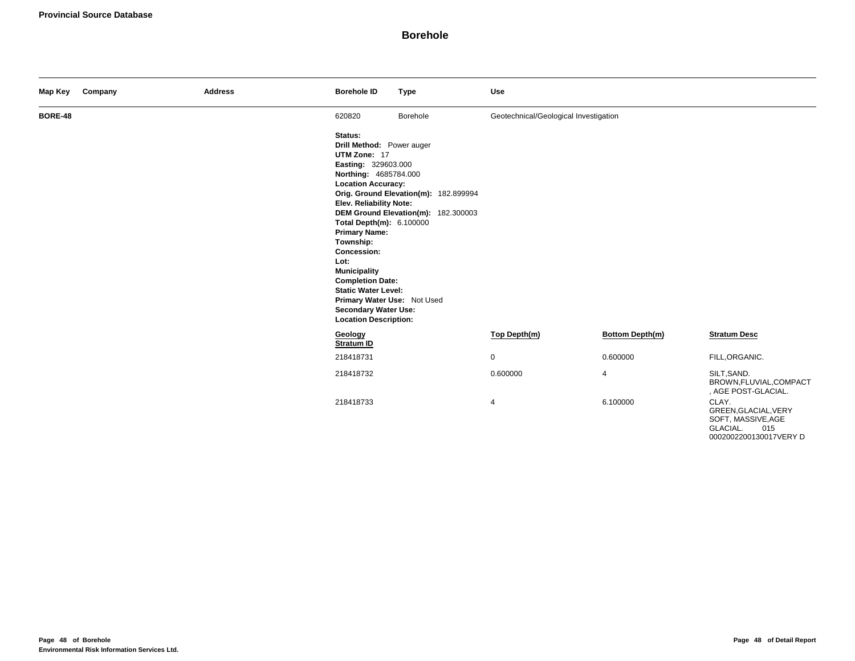| Map Key        | Company | <b>Address</b> | <b>Borehole ID</b>                                                                                                                                                                                                                                                                                                                                                                                                                        | <b>Type</b>                                                                  | <b>Use</b>                            |                        |                                                                        |
|----------------|---------|----------------|-------------------------------------------------------------------------------------------------------------------------------------------------------------------------------------------------------------------------------------------------------------------------------------------------------------------------------------------------------------------------------------------------------------------------------------------|------------------------------------------------------------------------------|---------------------------------------|------------------------|------------------------------------------------------------------------|
| <b>BORE-48</b> |         |                | 620820                                                                                                                                                                                                                                                                                                                                                                                                                                    | Borehole                                                                     | Geotechnical/Geological Investigation |                        |                                                                        |
|                |         |                | Status:<br>Drill Method: Power auger<br>UTM Zone: 17<br>Easting: 329603.000<br>Northing: 4685784.000<br><b>Location Accuracy:</b><br><b>Elev. Reliability Note:</b><br>Total Depth(m): 6.100000<br><b>Primary Name:</b><br>Township:<br><b>Concession:</b><br>Lot:<br><b>Municipality</b><br><b>Completion Date:</b><br><b>Static Water Level:</b><br>Primary Water Use: Not Used<br>Secondary Water Use:<br><b>Location Description:</b> | Orig. Ground Elevation(m): 182.899994<br>DEM Ground Elevation(m): 182.300003 |                                       |                        |                                                                        |
|                |         |                | Geology<br><b>Stratum ID</b>                                                                                                                                                                                                                                                                                                                                                                                                              |                                                                              | Top Depth(m)                          | <b>Bottom Depth(m)</b> | <b>Stratum Desc</b>                                                    |
|                |         |                | 218418731                                                                                                                                                                                                                                                                                                                                                                                                                                 |                                                                              | $\mathbf 0$                           | 0.600000               | FILL, ORGANIC.                                                         |
|                |         |                | 218418732                                                                                                                                                                                                                                                                                                                                                                                                                                 |                                                                              | 0.600000                              | 4                      | SILT, SAND.<br>BROWN, FLUVIAL, COMPACT<br>, AGE POST-GLACIAL.          |
|                |         |                | 218418733                                                                                                                                                                                                                                                                                                                                                                                                                                 |                                                                              | 4                                     | 6.100000               | CLAY.<br>GREEN, GLACIAL, VERY<br>SOFT, MASSIVE, AGE<br>GLACIAL.<br>015 |

0002002200130017VERY D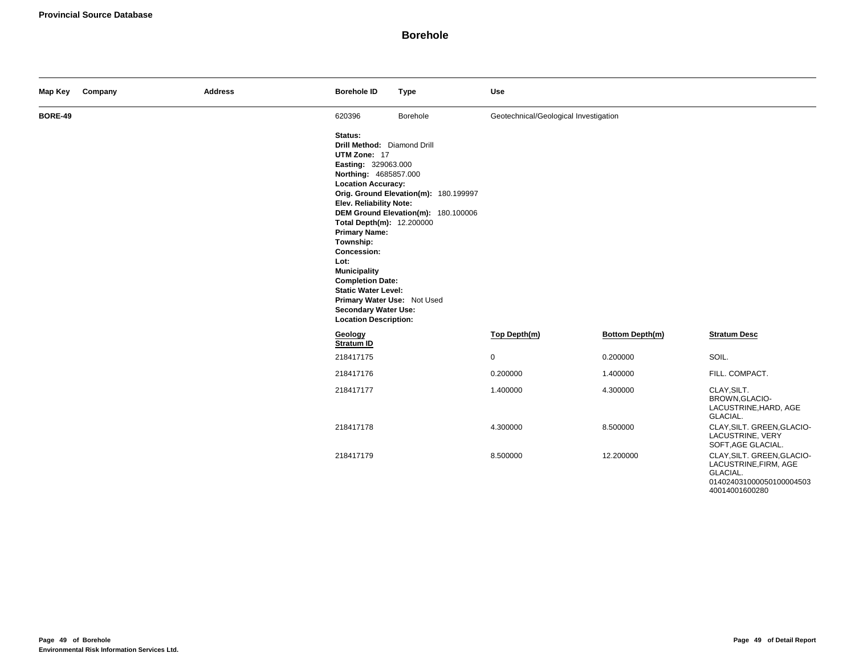| Map Key        | Company | <b>Address</b> | <b>Borehole ID</b>                                                                                                                                                                                                                                                                                                                                                                                                                    | <b>Type</b>                                                                  | Use                                   |                        |                                                                                                               |
|----------------|---------|----------------|---------------------------------------------------------------------------------------------------------------------------------------------------------------------------------------------------------------------------------------------------------------------------------------------------------------------------------------------------------------------------------------------------------------------------------------|------------------------------------------------------------------------------|---------------------------------------|------------------------|---------------------------------------------------------------------------------------------------------------|
| <b>BORE-49</b> |         |                | 620396                                                                                                                                                                                                                                                                                                                                                                                                                                | Borehole                                                                     | Geotechnical/Geological Investigation |                        |                                                                                                               |
|                |         |                | Status:<br>Drill Method: Diamond Drill<br>UTM Zone: 17<br>Easting: 329063.000<br>Northing: 4685857.000<br><b>Location Accuracy:</b><br>Elev. Reliability Note:<br>Total Depth(m): 12.200000<br><b>Primary Name:</b><br>Township:<br>Concession:<br>Lot:<br><b>Municipality</b><br><b>Completion Date:</b><br><b>Static Water Level:</b><br>Primary Water Use: Not Used<br><b>Secondary Water Use:</b><br><b>Location Description:</b> | Orig. Ground Elevation(m): 180.199997<br>DEM Ground Elevation(m): 180.100006 |                                       |                        |                                                                                                               |
|                |         |                | Geology<br>Stratum ID                                                                                                                                                                                                                                                                                                                                                                                                                 |                                                                              | Top Depth(m)                          | <b>Bottom Depth(m)</b> | <b>Stratum Desc</b>                                                                                           |
|                |         |                | 218417175                                                                                                                                                                                                                                                                                                                                                                                                                             |                                                                              | 0                                     | 0.200000               | SOIL.                                                                                                         |
|                |         |                | 218417176                                                                                                                                                                                                                                                                                                                                                                                                                             |                                                                              | 0.200000                              | 1.400000               | FILL. COMPACT.                                                                                                |
|                |         |                | 218417177                                                                                                                                                                                                                                                                                                                                                                                                                             |                                                                              | 1.400000                              | 4.300000               | CLAY, SILT.<br>BROWN, GLACIO-<br>LACUSTRINE, HARD, AGE<br>GLACIAL.                                            |
|                |         |                | 218417178                                                                                                                                                                                                                                                                                                                                                                                                                             |                                                                              | 4.300000                              | 8.500000               | CLAY, SILT. GREEN, GLACIO-<br>LACUSTRINE, VERY<br>SOFT, AGE GLACIAL.                                          |
|                |         |                | 218417179                                                                                                                                                                                                                                                                                                                                                                                                                             |                                                                              | 8.500000                              | 12.200000              | CLAY, SILT. GREEN, GLACIO-<br>LACUSTRINE, FIRM, AGE<br>GLACIAL.<br>014024031000050100004503<br>40014001600280 |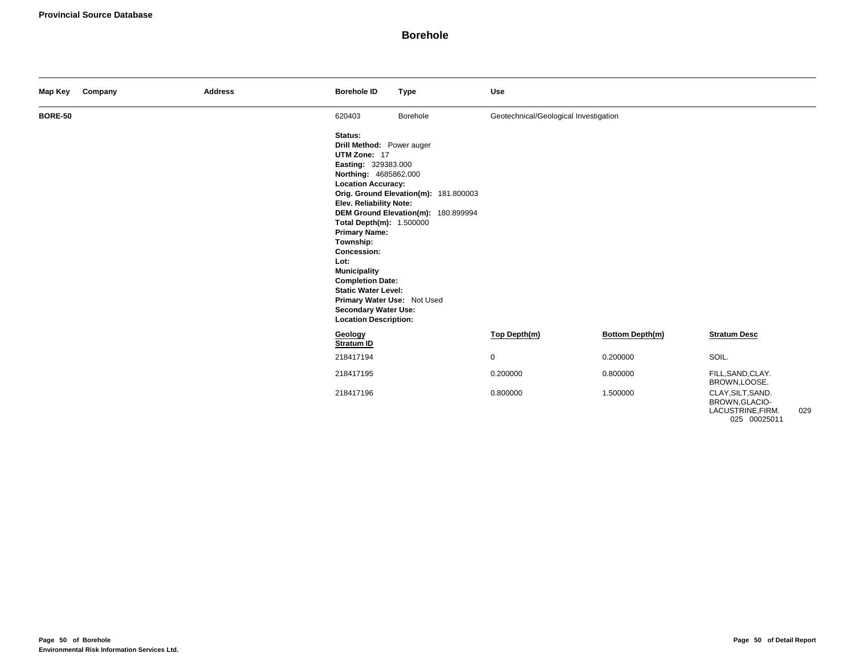| Map Key        | Company | <b>Address</b> | <b>Borehole ID</b>                                                                                                                                                                                                                                                                                                                                                                                                                        | <b>Type</b>                                                                  | Use                                   |                        |                                                                          |     |
|----------------|---------|----------------|-------------------------------------------------------------------------------------------------------------------------------------------------------------------------------------------------------------------------------------------------------------------------------------------------------------------------------------------------------------------------------------------------------------------------------------------|------------------------------------------------------------------------------|---------------------------------------|------------------------|--------------------------------------------------------------------------|-----|
| <b>BORE-50</b> |         |                | 620403                                                                                                                                                                                                                                                                                                                                                                                                                                    | Borehole                                                                     | Geotechnical/Geological Investigation |                        |                                                                          |     |
|                |         |                | Status:<br>Drill Method: Power auger<br>UTM Zone: 17<br>Easting: 329383.000<br>Northing: 4685862.000<br><b>Location Accuracy:</b><br>Elev. Reliability Note:<br>Total Depth(m): 1.500000<br><b>Primary Name:</b><br>Township:<br><b>Concession:</b><br>Lot:<br><b>Municipality</b><br><b>Completion Date:</b><br><b>Static Water Level:</b><br>Primary Water Use: Not Used<br><b>Secondary Water Use:</b><br><b>Location Description:</b> | Orig. Ground Elevation(m): 181.800003<br>DEM Ground Elevation(m): 180.899994 |                                       |                        |                                                                          |     |
|                |         |                | Geology<br>Stratum ID                                                                                                                                                                                                                                                                                                                                                                                                                     |                                                                              | Top Depth(m)                          | <b>Bottom Depth(m)</b> | <b>Stratum Desc</b>                                                      |     |
|                |         |                | 218417194                                                                                                                                                                                                                                                                                                                                                                                                                                 |                                                                              | $\mathbf 0$                           | 0.200000               | SOIL.                                                                    |     |
|                |         |                | 218417195                                                                                                                                                                                                                                                                                                                                                                                                                                 |                                                                              | 0.200000                              | 0.800000               | FILL, SAND, CLAY.<br>BROWN,LOOSE.                                        |     |
|                |         |                | 218417196                                                                                                                                                                                                                                                                                                                                                                                                                                 |                                                                              | 0.800000                              | 1.500000               | CLAY, SILT, SAND.<br>BROWN, GLACIO-<br>LACUSTRINE, FIRM.<br>025 00025011 | 029 |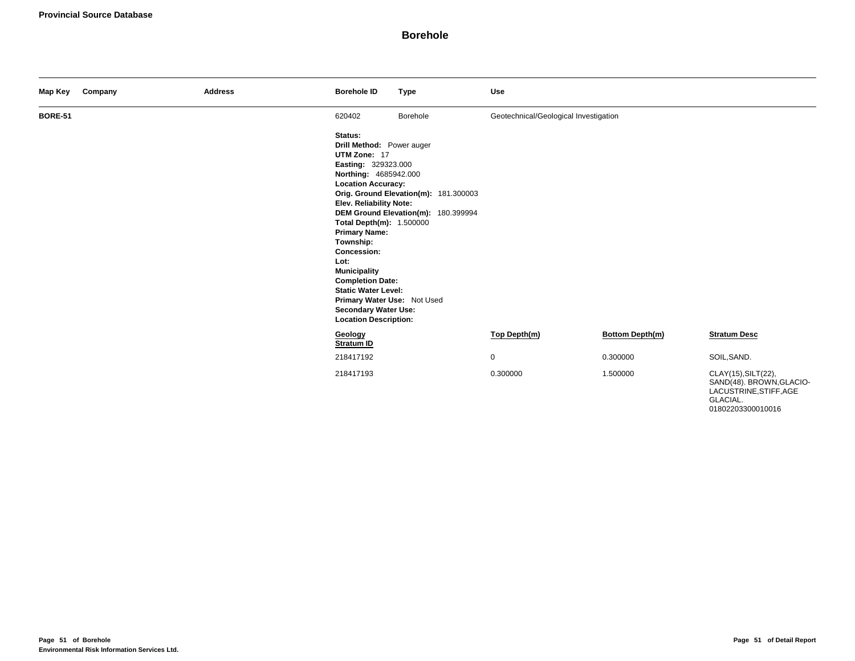| Map Key        | Company | <b>Address</b> | <b>Borehole ID</b>                                                                                                                                                                                                                                                                                                                                                                                                                        | <b>Type</b>                                                                  | Use                                   |                        |                                                                                       |
|----------------|---------|----------------|-------------------------------------------------------------------------------------------------------------------------------------------------------------------------------------------------------------------------------------------------------------------------------------------------------------------------------------------------------------------------------------------------------------------------------------------|------------------------------------------------------------------------------|---------------------------------------|------------------------|---------------------------------------------------------------------------------------|
| <b>BORE-51</b> |         |                | 620402                                                                                                                                                                                                                                                                                                                                                                                                                                    | Borehole                                                                     | Geotechnical/Geological Investigation |                        |                                                                                       |
|                |         |                | Status:<br>Drill Method: Power auger<br>UTM Zone: 17<br>Easting: 329323.000<br>Northing: 4685942.000<br><b>Location Accuracy:</b><br><b>Elev. Reliability Note:</b><br>Total Depth(m): 1.500000<br><b>Primary Name:</b><br>Township:<br>Concession:<br>Lot:<br><b>Municipality</b><br><b>Completion Date:</b><br><b>Static Water Level:</b><br>Primary Water Use: Not Used<br><b>Secondary Water Use:</b><br><b>Location Description:</b> | Orig. Ground Elevation(m): 181.300003<br>DEM Ground Elevation(m): 180.399994 |                                       |                        |                                                                                       |
|                |         |                | Geology<br>Stratum ID                                                                                                                                                                                                                                                                                                                                                                                                                     |                                                                              | Top Depth(m)                          | <b>Bottom Depth(m)</b> | <b>Stratum Desc</b>                                                                   |
|                |         |                | 218417192                                                                                                                                                                                                                                                                                                                                                                                                                                 |                                                                              | $\mathbf 0$                           | 0.300000               | SOIL, SAND.                                                                           |
|                |         |                | 218417193                                                                                                                                                                                                                                                                                                                                                                                                                                 |                                                                              | 0.300000                              | 1.500000               | CLAY(15), SILT(22),<br>SAND(48). BROWN, GLACIO-<br>LACUSTRINE, STIFF, AGE<br>GLACIAL. |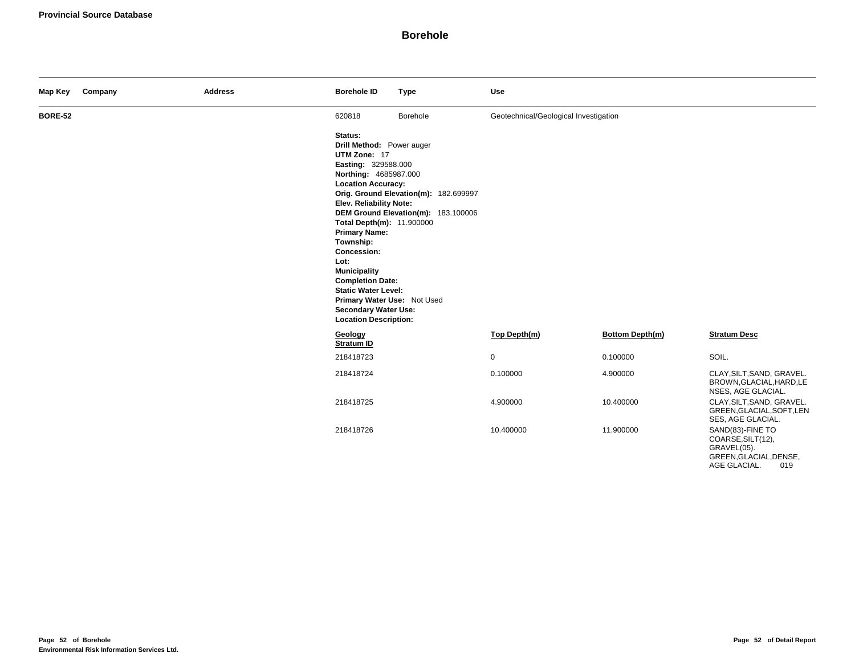| Map Key        | Company | <b>Address</b> | <b>Borehole ID</b>                                                                                                                                                                                                                                                                                                                                                                                                                         | <b>Type</b>                                                                  | <b>Use</b>                            |                 |                                                                                                       |
|----------------|---------|----------------|--------------------------------------------------------------------------------------------------------------------------------------------------------------------------------------------------------------------------------------------------------------------------------------------------------------------------------------------------------------------------------------------------------------------------------------------|------------------------------------------------------------------------------|---------------------------------------|-----------------|-------------------------------------------------------------------------------------------------------|
| <b>BORE-52</b> |         |                | 620818                                                                                                                                                                                                                                                                                                                                                                                                                                     | Borehole                                                                     | Geotechnical/Geological Investigation |                 |                                                                                                       |
|                |         |                | Status:<br>Drill Method: Power auger<br>UTM Zone: 17<br>Easting: 329588.000<br>Northing: 4685987.000<br><b>Location Accuracy:</b><br>Elev. Reliability Note:<br>Total Depth(m): 11.900000<br><b>Primary Name:</b><br>Township:<br><b>Concession:</b><br>Lot:<br><b>Municipality</b><br><b>Completion Date:</b><br><b>Static Water Level:</b><br>Primary Water Use: Not Used<br><b>Secondary Water Use:</b><br><b>Location Description:</b> | Orig. Ground Elevation(m): 182.699997<br>DEM Ground Elevation(m): 183.100006 |                                       |                 |                                                                                                       |
|                |         |                | Geology<br>Stratum ID                                                                                                                                                                                                                                                                                                                                                                                                                      |                                                                              | Top Depth(m)                          | Bottom Depth(m) | <b>Stratum Desc</b>                                                                                   |
|                |         |                | 218418723                                                                                                                                                                                                                                                                                                                                                                                                                                  |                                                                              | $\mathbf 0$                           | 0.100000        | SOIL.                                                                                                 |
|                |         |                | 218418724                                                                                                                                                                                                                                                                                                                                                                                                                                  |                                                                              | 0.100000                              | 4.900000        | CLAY, SILT, SAND, GRAVEL.<br>BROWN, GLACIAL, HARD, LE<br>NSES, AGE GLACIAL.                           |
|                |         |                | 218418725                                                                                                                                                                                                                                                                                                                                                                                                                                  |                                                                              | 4.900000                              | 10.400000       | CLAY, SILT, SAND, GRAVEL.<br>GREEN, GLACIAL, SOFT, LEN<br>SES, AGE GLACIAL.                           |
|                |         |                | 218418726                                                                                                                                                                                                                                                                                                                                                                                                                                  |                                                                              | 10.400000                             | 11.900000       | SAND(83)-FINE TO<br>COARSE, SILT(12),<br>GRAVEL(05).<br>GREEN, GLACIAL, DENSE,<br>AGE GLACIAL.<br>019 |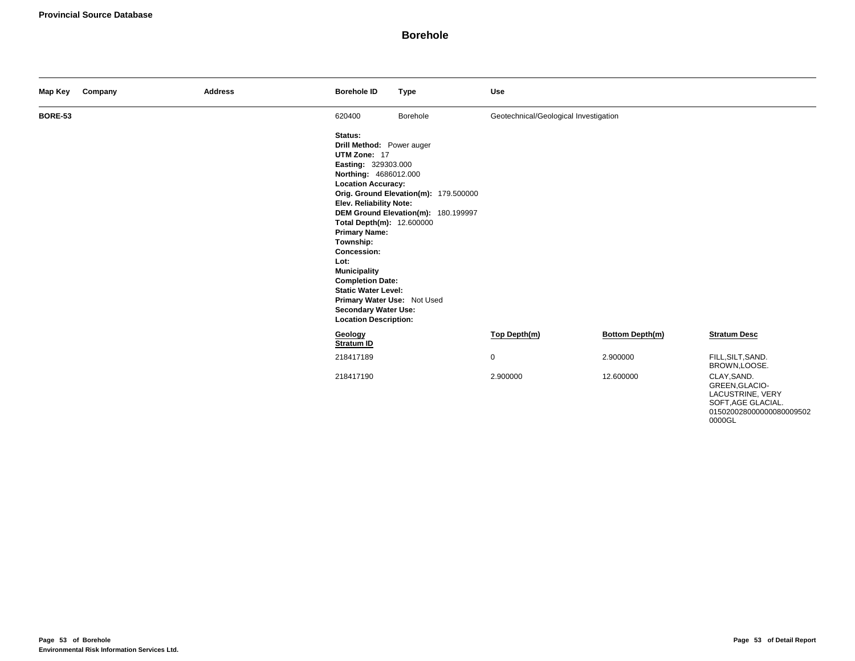| Map Key        | Company | <b>Address</b> | <b>Borehole ID</b>                                                                                                                                                                                                                                                                                                                                                                                                                         | <b>Type</b>                                                                  | Use                                   |                        |                                                                         |
|----------------|---------|----------------|--------------------------------------------------------------------------------------------------------------------------------------------------------------------------------------------------------------------------------------------------------------------------------------------------------------------------------------------------------------------------------------------------------------------------------------------|------------------------------------------------------------------------------|---------------------------------------|------------------------|-------------------------------------------------------------------------|
| <b>BORE-53</b> |         |                | 620400                                                                                                                                                                                                                                                                                                                                                                                                                                     | Borehole                                                                     | Geotechnical/Geological Investigation |                        |                                                                         |
|                |         |                | Status:<br>Drill Method: Power auger<br>UTM Zone: 17<br>Easting: 329303.000<br>Northing: 4686012.000<br><b>Location Accuracy:</b><br><b>Elev. Reliability Note:</b><br>Total Depth(m): 12.600000<br><b>Primary Name:</b><br>Township:<br>Concession:<br>Lot:<br><b>Municipality</b><br><b>Completion Date:</b><br><b>Static Water Level:</b><br>Primary Water Use: Not Used<br><b>Secondary Water Use:</b><br><b>Location Description:</b> | Orig. Ground Elevation(m): 179.500000<br>DEM Ground Elevation(m): 180.199997 |                                       |                        |                                                                         |
|                |         |                | Geology<br>Stratum ID                                                                                                                                                                                                                                                                                                                                                                                                                      |                                                                              | Top Depth(m)                          | <b>Bottom Depth(m)</b> | <b>Stratum Desc</b>                                                     |
|                |         |                | 218417189                                                                                                                                                                                                                                                                                                                                                                                                                                  |                                                                              | $\mathbf 0$                           | 2.900000               | FILL, SILT, SAND.<br>BROWN,LOOSE.                                       |
|                |         |                | 218417190                                                                                                                                                                                                                                                                                                                                                                                                                                  |                                                                              | 2.900000                              | 12.600000              | CLAY, SAND.<br>GREEN, GLACIO-<br>LACUSTRINE, VERY<br>SOFT, AGE GLACIAL. |

015020028000000080009502

0000GL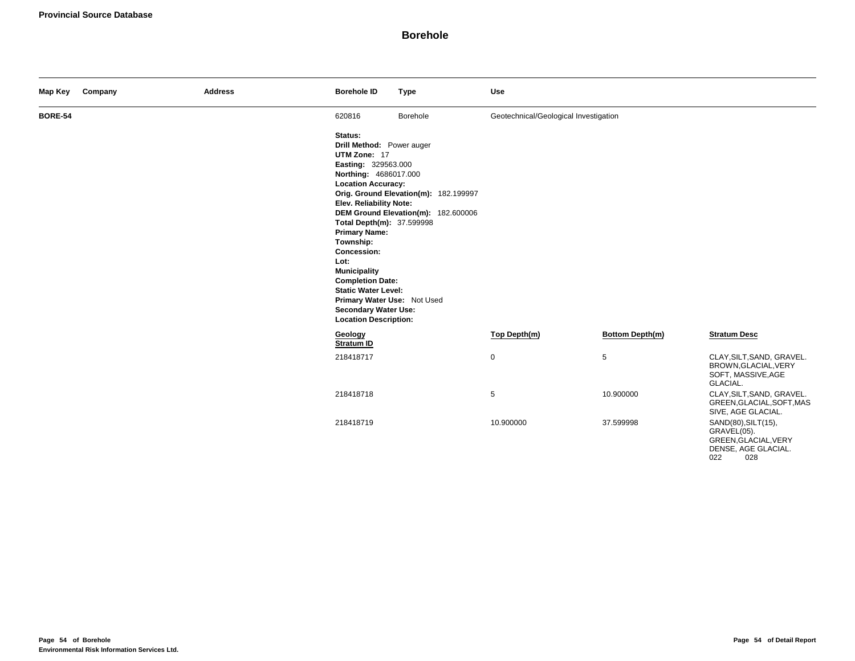| Map Key        | Company | <b>Address</b> | <b>Borehole ID</b>                                                                                                                                                                                                                                                                                                                                                                                                                         | <b>Type</b>                                                                  | Use                                   |                        |                                                                                                 |
|----------------|---------|----------------|--------------------------------------------------------------------------------------------------------------------------------------------------------------------------------------------------------------------------------------------------------------------------------------------------------------------------------------------------------------------------------------------------------------------------------------------|------------------------------------------------------------------------------|---------------------------------------|------------------------|-------------------------------------------------------------------------------------------------|
| <b>BORE-54</b> |         |                | 620816                                                                                                                                                                                                                                                                                                                                                                                                                                     | Borehole                                                                     | Geotechnical/Geological Investigation |                        |                                                                                                 |
|                |         |                | Status:<br>Drill Method: Power auger<br>UTM Zone: 17<br>Easting: 329563.000<br>Northing: 4686017.000<br><b>Location Accuracy:</b><br>Elev. Reliability Note:<br>Total Depth(m): 37.599998<br><b>Primary Name:</b><br>Township:<br><b>Concession:</b><br>Lot:<br><b>Municipality</b><br><b>Completion Date:</b><br><b>Static Water Level:</b><br>Primary Water Use: Not Used<br><b>Secondary Water Use:</b><br><b>Location Description:</b> | Orig. Ground Elevation(m): 182.199997<br>DEM Ground Elevation(m): 182.600006 |                                       |                        |                                                                                                 |
|                |         |                | Geology<br>Stratum ID                                                                                                                                                                                                                                                                                                                                                                                                                      |                                                                              | Top Depth(m)                          | <b>Bottom Depth(m)</b> | <b>Stratum Desc</b>                                                                             |
|                |         |                | 218418717                                                                                                                                                                                                                                                                                                                                                                                                                                  |                                                                              | $\mathbf 0$                           | $\sqrt{5}$             | CLAY, SILT, SAND, GRAVEL.<br>BROWN, GLACIAL, VERY<br>SOFT, MASSIVE, AGE<br>GLACIAL.             |
|                |         |                | 218418718                                                                                                                                                                                                                                                                                                                                                                                                                                  |                                                                              | $\sqrt{5}$                            | 10.900000              | CLAY, SILT, SAND, GRAVEL.<br>GREEN, GLACIAL, SOFT, MAS<br>SIVE, AGE GLACIAL.                    |
|                |         |                | 218418719                                                                                                                                                                                                                                                                                                                                                                                                                                  |                                                                              | 10.900000                             | 37.599998              | SAND(80), SILT(15),<br>GRAVEL(05).<br>GREEN, GLACIAL, VERY<br>DENSE, AGE GLACIAL.<br>022<br>028 |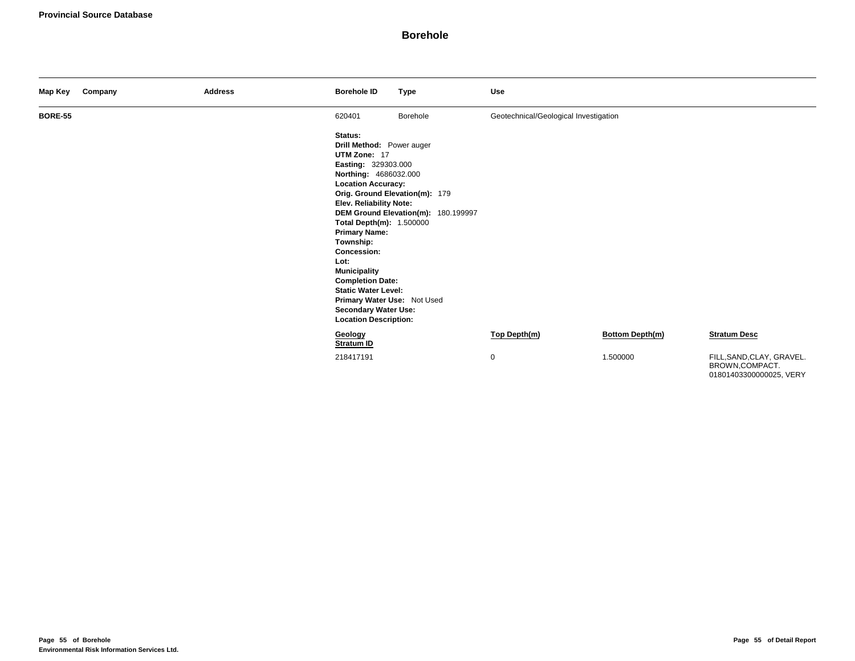| Map Key        | Company | <b>Address</b> | <b>Borehole ID</b>                                                                                                                                                                                                                                                                                                                                                                                                                        | <b>Type</b>                                                           | Use                                   |                 |                                                                        |
|----------------|---------|----------------|-------------------------------------------------------------------------------------------------------------------------------------------------------------------------------------------------------------------------------------------------------------------------------------------------------------------------------------------------------------------------------------------------------------------------------------------|-----------------------------------------------------------------------|---------------------------------------|-----------------|------------------------------------------------------------------------|
| <b>BORE-55</b> |         |                | 620401                                                                                                                                                                                                                                                                                                                                                                                                                                    | Borehole                                                              | Geotechnical/Geological Investigation |                 |                                                                        |
|                |         |                | Status:<br>Drill Method: Power auger<br>UTM Zone: 17<br>Easting: 329303.000<br>Northing: 4686032.000<br><b>Location Accuracy:</b><br>Elev. Reliability Note:<br>Total Depth(m): 1.500000<br><b>Primary Name:</b><br>Township:<br><b>Concession:</b><br>Lot:<br><b>Municipality</b><br><b>Completion Date:</b><br><b>Static Water Level:</b><br>Primary Water Use: Not Used<br><b>Secondary Water Use:</b><br><b>Location Description:</b> | Orig. Ground Elevation(m): 179<br>DEM Ground Elevation(m): 180.199997 |                                       |                 |                                                                        |
|                |         |                | Geology<br>Stratum ID                                                                                                                                                                                                                                                                                                                                                                                                                     |                                                                       | Top Depth(m)                          | Bottom Depth(m) | <b>Stratum Desc</b>                                                    |
|                |         |                | 218417191                                                                                                                                                                                                                                                                                                                                                                                                                                 |                                                                       | 0                                     | 1.500000        | FILL, SAND, CLAY, GRAVEL.<br>BROWN,COMPACT.<br>01801403300000025, VERY |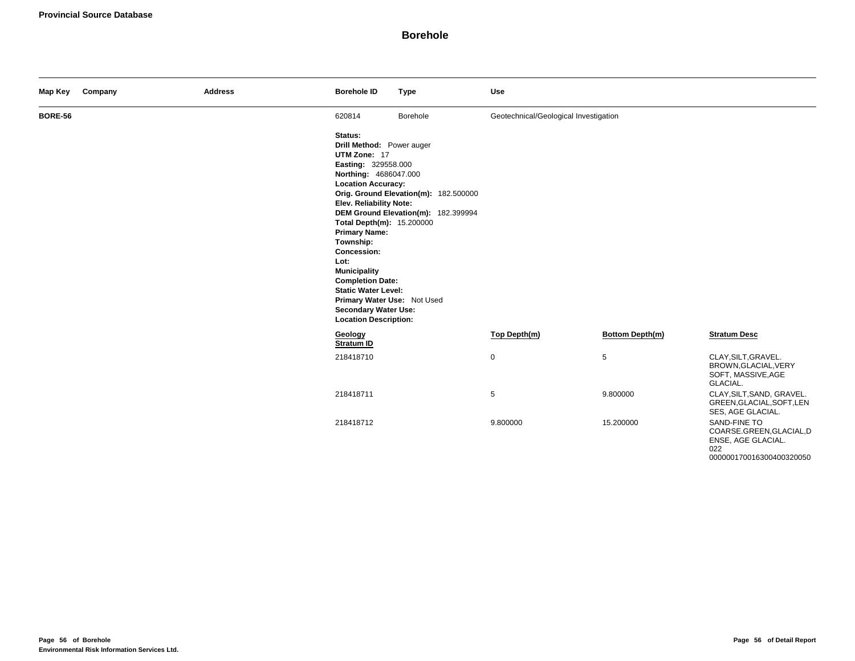| Map Key        | Company | <b>Address</b> | <b>Borehole ID</b>                                                                                                                                                                                                                                                                                                                                                                                                                                | <b>Type</b>                                                                  | <b>Use</b>                            |                        |                                                                                                   |
|----------------|---------|----------------|---------------------------------------------------------------------------------------------------------------------------------------------------------------------------------------------------------------------------------------------------------------------------------------------------------------------------------------------------------------------------------------------------------------------------------------------------|------------------------------------------------------------------------------|---------------------------------------|------------------------|---------------------------------------------------------------------------------------------------|
| <b>BORE-56</b> |         |                | 620814                                                                                                                                                                                                                                                                                                                                                                                                                                            | Borehole                                                                     | Geotechnical/Geological Investigation |                        |                                                                                                   |
|                |         |                | Status:<br>Drill Method: Power auger<br>UTM Zone: 17<br>Easting: 329558.000<br>Northing: 4686047.000<br><b>Location Accuracy:</b><br><b>Elev. Reliability Note:</b><br>Total Depth(m): 15.200000<br><b>Primary Name:</b><br>Township:<br><b>Concession:</b><br>Lot:<br><b>Municipality</b><br><b>Completion Date:</b><br><b>Static Water Level:</b><br>Primary Water Use: Not Used<br><b>Secondary Water Use:</b><br><b>Location Description:</b> | Orig. Ground Elevation(m): 182.500000<br>DEM Ground Elevation(m): 182.399994 |                                       |                        |                                                                                                   |
|                |         |                | Geology<br>Stratum ID                                                                                                                                                                                                                                                                                                                                                                                                                             |                                                                              | Top Depth(m)                          | <b>Bottom Depth(m)</b> | <b>Stratum Desc</b>                                                                               |
|                |         |                | 218418710                                                                                                                                                                                                                                                                                                                                                                                                                                         |                                                                              | $\mathbf 0$                           | $\sqrt{5}$             | CLAY, SILT, GRAVEL.<br>BROWN, GLACIAL, VERY<br>SOFT, MASSIVE, AGE<br>GLACIAL.                     |
|                |         |                | 218418711                                                                                                                                                                                                                                                                                                                                                                                                                                         |                                                                              | $\sqrt{5}$                            | 9.800000               | CLAY, SILT, SAND, GRAVEL.<br>GREEN, GLACIAL, SOFT, LEN<br>SES, AGE GLACIAL.                       |
|                |         |                | 218418712                                                                                                                                                                                                                                                                                                                                                                                                                                         |                                                                              | 9.800000                              | 15.200000              | SAND-FINE TO<br>COARSE.GREEN, GLACIAL, D<br>ENSE, AGE GLACIAL.<br>022<br>000000170016300400320050 |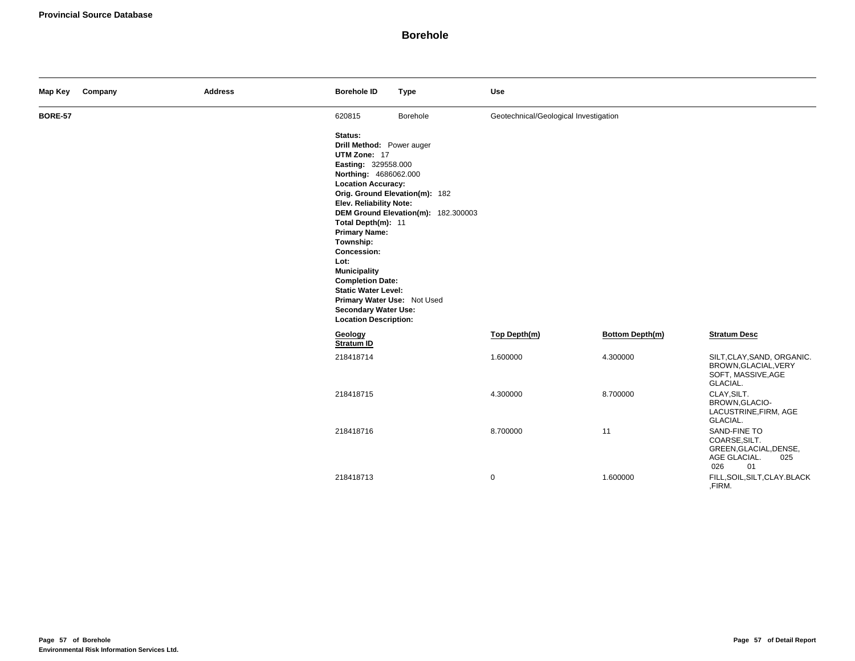| Map Key        | Company | <b>Address</b> | <b>Borehole ID</b>                                                                                                                                                                                                                                                                                                                                                                                                                  | <b>Type</b>                                                           | <b>Use</b>                            |                        |                                                                                             |
|----------------|---------|----------------|-------------------------------------------------------------------------------------------------------------------------------------------------------------------------------------------------------------------------------------------------------------------------------------------------------------------------------------------------------------------------------------------------------------------------------------|-----------------------------------------------------------------------|---------------------------------------|------------------------|---------------------------------------------------------------------------------------------|
| <b>BORE-57</b> |         |                | 620815                                                                                                                                                                                                                                                                                                                                                                                                                              | Borehole                                                              | Geotechnical/Geological Investigation |                        |                                                                                             |
|                |         |                | Status:<br>Drill Method: Power auger<br>UTM Zone: 17<br>Easting: 329558.000<br>Northing: 4686062.000<br><b>Location Accuracy:</b><br><b>Elev. Reliability Note:</b><br>Total Depth(m): 11<br><b>Primary Name:</b><br>Township:<br>Concession:<br>Lot:<br><b>Municipality</b><br><b>Completion Date:</b><br><b>Static Water Level:</b><br>Primary Water Use: Not Used<br><b>Secondary Water Use:</b><br><b>Location Description:</b> | Orig. Ground Elevation(m): 182<br>DEM Ground Elevation(m): 182.300003 |                                       |                        |                                                                                             |
|                |         |                | Geology<br><b>Stratum ID</b>                                                                                                                                                                                                                                                                                                                                                                                                        |                                                                       | Top Depth(m)                          | <b>Bottom Depth(m)</b> | <b>Stratum Desc</b>                                                                         |
|                |         |                | 218418714                                                                                                                                                                                                                                                                                                                                                                                                                           |                                                                       | 1.600000                              | 4.300000               | SILT, CLAY, SAND, ORGANIC.<br>BROWN, GLACIAL, VERY<br>SOFT, MASSIVE, AGE<br>GLACIAL.        |
|                |         |                | 218418715                                                                                                                                                                                                                                                                                                                                                                                                                           |                                                                       | 4.300000                              | 8.700000               | CLAY, SILT.<br>BROWN, GLACIO-<br>LACUSTRINE, FIRM, AGE<br>GLACIAL.                          |
|                |         |                | 218418716                                                                                                                                                                                                                                                                                                                                                                                                                           |                                                                       | 8.700000                              | 11                     | SAND-FINE TO<br>COARSE, SILT.<br>GREEN, GLACIAL, DENSE,<br>AGE GLACIAL.<br>025<br>026<br>01 |
|                |         |                | 218418713                                                                                                                                                                                                                                                                                                                                                                                                                           |                                                                       | 0                                     | 1.600000               | FILL, SOIL, SILT, CLAY. BLACK<br>,FIRM.                                                     |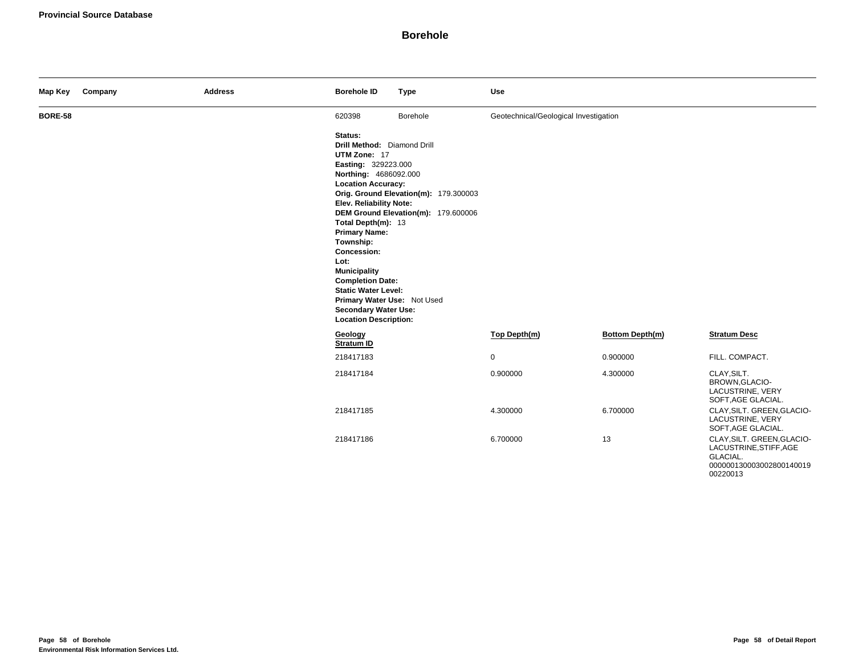| Map Key        | Company | <b>Address</b> | <b>Borehole ID</b>                                        | <b>Type</b>                           | <b>Use</b>                            |                        |                                                                                                          |
|----------------|---------|----------------|-----------------------------------------------------------|---------------------------------------|---------------------------------------|------------------------|----------------------------------------------------------------------------------------------------------|
| <b>BORE-58</b> |         |                | 620398<br>Status:                                         | Borehole                              | Geotechnical/Geological Investigation |                        |                                                                                                          |
|                |         |                | Drill Method: Diamond Drill<br>UTM Zone: 17               |                                       |                                       |                        |                                                                                                          |
|                |         |                | Easting: 329223.000                                       |                                       |                                       |                        |                                                                                                          |
|                |         |                | Northing: 4686092.000<br><b>Location Accuracy:</b>        |                                       |                                       |                        |                                                                                                          |
|                |         |                |                                                           | Orig. Ground Elevation(m): 179.300003 |                                       |                        |                                                                                                          |
|                |         |                | Elev. Reliability Note:                                   | DEM Ground Elevation(m): 179.600006   |                                       |                        |                                                                                                          |
|                |         |                | Total Depth(m): 13                                        |                                       |                                       |                        |                                                                                                          |
|                |         |                | <b>Primary Name:</b><br>Township:                         |                                       |                                       |                        |                                                                                                          |
|                |         |                | <b>Concession:</b>                                        |                                       |                                       |                        |                                                                                                          |
|                |         |                | Lot:<br><b>Municipality</b>                               |                                       |                                       |                        |                                                                                                          |
|                |         |                | <b>Completion Date:</b>                                   |                                       |                                       |                        |                                                                                                          |
|                |         |                | <b>Static Water Level:</b><br>Primary Water Use: Not Used |                                       |                                       |                        |                                                                                                          |
|                |         |                | <b>Secondary Water Use:</b>                               |                                       |                                       |                        |                                                                                                          |
|                |         |                | <b>Location Description:</b><br>Geology                   |                                       | Top Depth(m)                          | <b>Bottom Depth(m)</b> | <b>Stratum Desc</b>                                                                                      |
|                |         |                | Stratum ID                                                |                                       |                                       |                        |                                                                                                          |
|                |         |                | 218417183                                                 |                                       | 0                                     | 0.900000               | FILL. COMPACT.                                                                                           |
|                |         |                | 218417184                                                 |                                       | 0.900000                              | 4.300000               | CLAY, SILT.<br>BROWN, GLACIO-<br>LACUSTRINE, VERY<br>SOFT, AGE GLACIAL.                                  |
|                |         |                | 218417185                                                 |                                       | 4.300000                              | 6.700000               | CLAY, SILT. GREEN, GLACIO-<br>LACUSTRINE, VERY<br>SOFT, AGE GLACIAL.                                     |
|                |         |                | 218417186                                                 |                                       | 6.700000                              | 13                     | CLAY, SILT. GREEN, GLACIO-<br>LACUSTRINE, STIFF, AGE<br>GLACIAL.<br>000000130003002800140019<br>00220013 |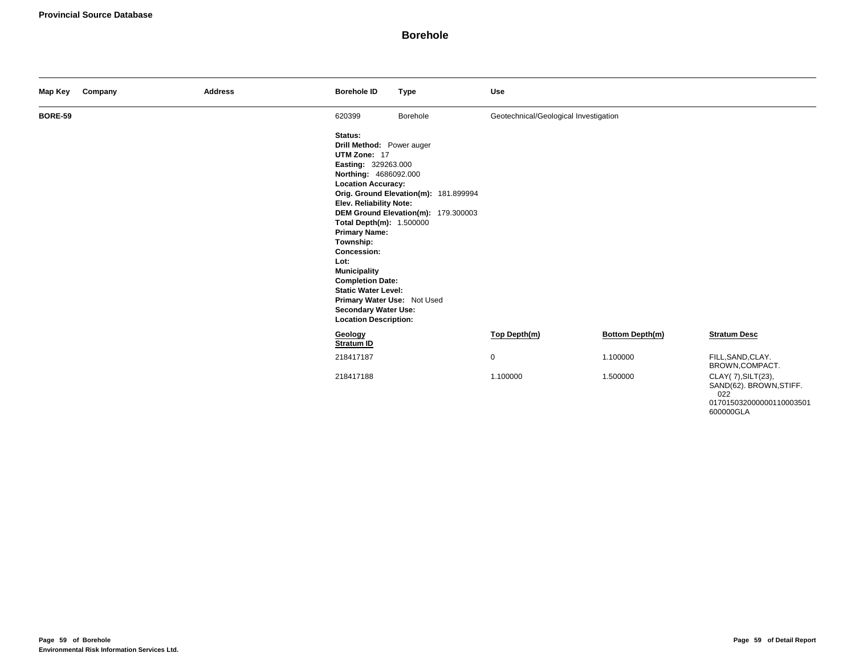| Map Key        | Company | <b>Address</b> | <b>Borehole ID</b>                                                                                                                                                                                                                                                                                                                                                                                                                 | <b>Type</b>                                                                  | Use                                   |                        |                                                      |
|----------------|---------|----------------|------------------------------------------------------------------------------------------------------------------------------------------------------------------------------------------------------------------------------------------------------------------------------------------------------------------------------------------------------------------------------------------------------------------------------------|------------------------------------------------------------------------------|---------------------------------------|------------------------|------------------------------------------------------|
| <b>BORE-59</b> |         |                | 620399                                                                                                                                                                                                                                                                                                                                                                                                                             | Borehole                                                                     | Geotechnical/Geological Investigation |                        |                                                      |
|                |         |                | Status:<br>Drill Method: Power auger<br>UTM Zone: 17<br>Easting: 329263.000<br>Northing: 4686092.000<br><b>Location Accuracy:</b><br>Elev. Reliability Note:<br>Total Depth(m): 1.500000<br><b>Primary Name:</b><br>Township:<br>Concession:<br>Lot:<br><b>Municipality</b><br><b>Completion Date:</b><br><b>Static Water Level:</b><br>Primary Water Use: Not Used<br><b>Secondary Water Use:</b><br><b>Location Description:</b> | Orig. Ground Elevation(m): 181.899994<br>DEM Ground Elevation(m): 179.300003 |                                       |                        |                                                      |
|                |         |                | Geology<br><b>Stratum ID</b>                                                                                                                                                                                                                                                                                                                                                                                                       |                                                                              | Top Depth(m)                          | <b>Bottom Depth(m)</b> | <b>Stratum Desc</b>                                  |
|                |         |                | 218417187                                                                                                                                                                                                                                                                                                                                                                                                                          |                                                                              | $\mathbf 0$                           | 1.100000               | FILL, SAND, CLAY.<br>BROWN, COMPACT.                 |
|                |         |                | 218417188                                                                                                                                                                                                                                                                                                                                                                                                                          |                                                                              | 1.100000                              | 1.500000               | CLAY(7), SILT(23),<br>SAND(62). BROWN, STIFF.<br>022 |

017015032000000110003501

600000GLA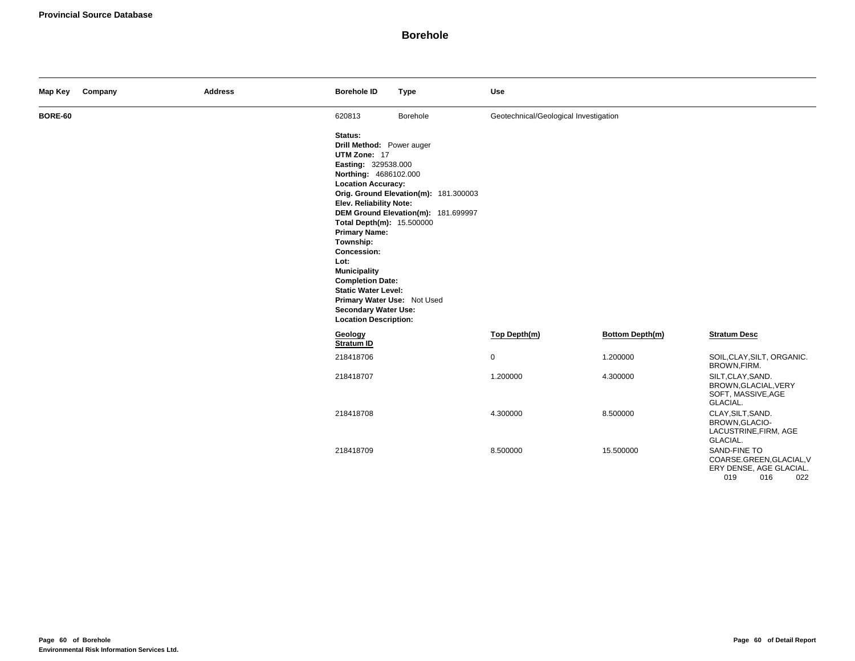| Map Key | Company | <b>Address</b> | <b>Borehole ID</b>                                                                                                                                                                                                                                                                                                                                                                                                                  | <b>Type</b>                                                                  | Use                                   |                        |                                                                                          |
|---------|---------|----------------|-------------------------------------------------------------------------------------------------------------------------------------------------------------------------------------------------------------------------------------------------------------------------------------------------------------------------------------------------------------------------------------------------------------------------------------|------------------------------------------------------------------------------|---------------------------------------|------------------------|------------------------------------------------------------------------------------------|
| BORE-60 |         |                | 620813                                                                                                                                                                                                                                                                                                                                                                                                                              | Borehole                                                                     | Geotechnical/Geological Investigation |                        |                                                                                          |
|         |         |                | Status:<br>Drill Method: Power auger<br>UTM Zone: 17<br>Easting: 329538.000<br>Northing: 4686102.000<br><b>Location Accuracy:</b><br>Elev. Reliability Note:<br>Total Depth(m): 15.500000<br><b>Primary Name:</b><br>Township:<br>Concession:<br>Lot:<br><b>Municipality</b><br><b>Completion Date:</b><br><b>Static Water Level:</b><br>Primary Water Use: Not Used<br><b>Secondary Water Use:</b><br><b>Location Description:</b> | Orig. Ground Elevation(m): 181.300003<br>DEM Ground Elevation(m): 181.699997 |                                       |                        |                                                                                          |
|         |         |                | Geology<br>Stratum ID                                                                                                                                                                                                                                                                                                                                                                                                               |                                                                              | Top Depth(m)                          | <b>Bottom Depth(m)</b> | <b>Stratum Desc</b>                                                                      |
|         |         |                | 218418706                                                                                                                                                                                                                                                                                                                                                                                                                           |                                                                              | $\mathbf 0$                           | 1.200000               | SOIL, CLAY, SILT, ORGANIC.<br>BROWN, FIRM.                                               |
|         |         |                | 218418707                                                                                                                                                                                                                                                                                                                                                                                                                           |                                                                              | 1.200000                              | 4.300000               | SILT, CLAY, SAND.<br>BROWN, GLACIAL, VERY<br>SOFT, MASSIVE, AGE<br>GLACIAL.              |
|         |         |                | 218418708                                                                                                                                                                                                                                                                                                                                                                                                                           |                                                                              | 4.300000                              | 8.500000               | CLAY, SILT, SAND.<br>BROWN, GLACIO-<br>LACUSTRINE, FIRM, AGE<br>GLACIAL.                 |
|         |         |                | 218418709                                                                                                                                                                                                                                                                                                                                                                                                                           |                                                                              | 8.500000                              | 15.500000              | SAND-FINE TO<br>COARSE.GREEN, GLACIAL, V<br>ERY DENSE, AGE GLACIAL.<br>019<br>016<br>022 |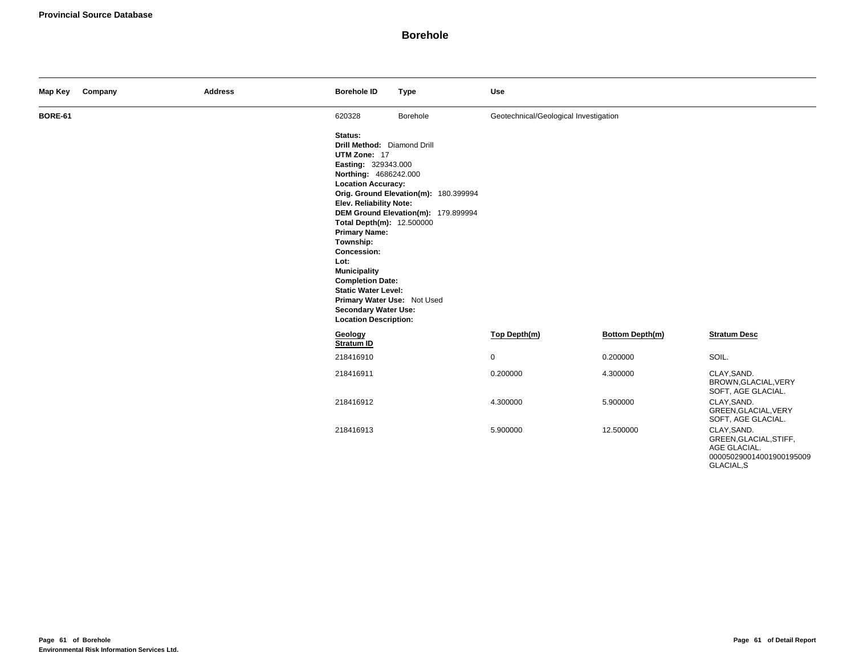| Map Key        | Company | <b>Address</b> | <b>Borehole ID</b>                                                                                                                                                                                                                                                                                                                                                                                                                    | <b>Type</b>                                                                  | <b>Use</b>                            |                 |                                                                                                 |
|----------------|---------|----------------|---------------------------------------------------------------------------------------------------------------------------------------------------------------------------------------------------------------------------------------------------------------------------------------------------------------------------------------------------------------------------------------------------------------------------------------|------------------------------------------------------------------------------|---------------------------------------|-----------------|-------------------------------------------------------------------------------------------------|
| <b>BORE-61</b> |         |                | 620328                                                                                                                                                                                                                                                                                                                                                                                                                                | Borehole                                                                     | Geotechnical/Geological Investigation |                 |                                                                                                 |
|                |         |                | Status:<br>Drill Method: Diamond Drill<br>UTM Zone: 17<br>Easting: 329343.000<br>Northing: 4686242.000<br><b>Location Accuracy:</b><br>Elev. Reliability Note:<br>Total Depth(m): 12.500000<br><b>Primary Name:</b><br>Township:<br>Concession:<br>Lot:<br><b>Municipality</b><br><b>Completion Date:</b><br><b>Static Water Level:</b><br>Primary Water Use: Not Used<br><b>Secondary Water Use:</b><br><b>Location Description:</b> | Orig. Ground Elevation(m): 180.399994<br>DEM Ground Elevation(m): 179.899994 |                                       |                 |                                                                                                 |
|                |         |                | Geology<br>Stratum ID                                                                                                                                                                                                                                                                                                                                                                                                                 |                                                                              | Top Depth(m)                          | Bottom Depth(m) | <b>Stratum Desc</b>                                                                             |
|                |         |                | 218416910                                                                                                                                                                                                                                                                                                                                                                                                                             |                                                                              | $\mathbf 0$                           | 0.200000        | SOIL.                                                                                           |
|                |         |                | 218416911                                                                                                                                                                                                                                                                                                                                                                                                                             |                                                                              | 0.200000                              | 4.300000        | CLAY, SAND.<br>BROWN, GLACIAL, VERY<br>SOFT, AGE GLACIAL.                                       |
|                |         |                | 218416912                                                                                                                                                                                                                                                                                                                                                                                                                             |                                                                              | 4.300000                              | 5.900000        | CLAY, SAND.<br>GREEN, GLACIAL, VERY<br>SOFT, AGE GLACIAL.                                       |
|                |         |                | 218416913                                                                                                                                                                                                                                                                                                                                                                                                                             |                                                                              | 5.900000                              | 12.500000       | CLAY, SAND.<br>GREEN, GLACIAL, STIFF,<br>AGE GLACIAL.<br>000050290014001900195009<br>GLACIAL, S |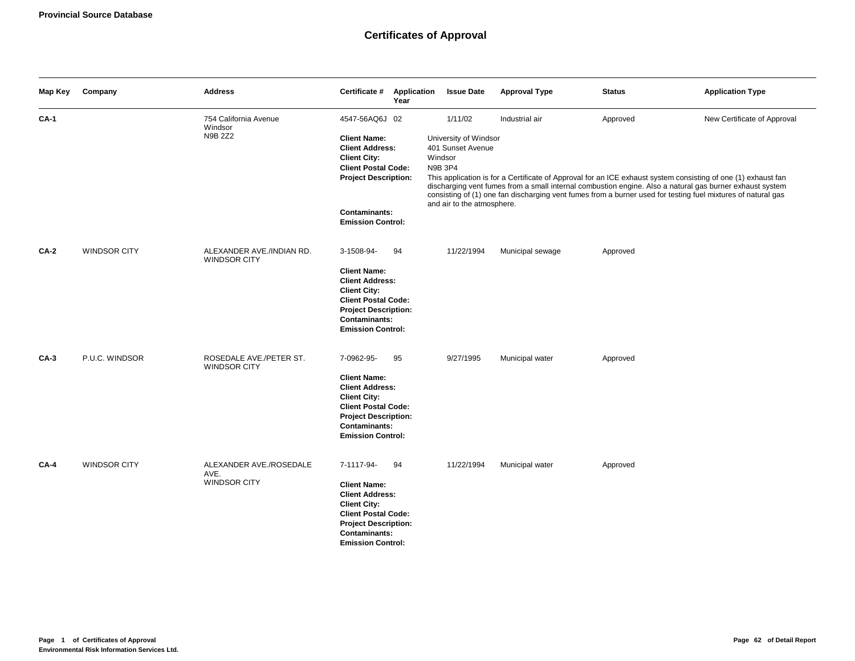# **Certificates of Approval**

| Map Key     | Company             | <b>Address</b>                                   | Certificate #                                                                                                                                                                                           | Application<br>Year | <b>Issue Date</b>                                                                                                | <b>Approval Type</b> | <b>Status</b> | <b>Application Type</b>                                                                                                                                                                                                                                                                                                                                                  |
|-------------|---------------------|--------------------------------------------------|---------------------------------------------------------------------------------------------------------------------------------------------------------------------------------------------------------|---------------------|------------------------------------------------------------------------------------------------------------------|----------------------|---------------|--------------------------------------------------------------------------------------------------------------------------------------------------------------------------------------------------------------------------------------------------------------------------------------------------------------------------------------------------------------------------|
| <b>CA-1</b> |                     | 754 California Avenue<br>Windsor<br>N9B 2Z2      | 4547-56AQ6J 02<br><b>Client Name:</b><br><b>Client Address:</b><br><b>Client City:</b><br><b>Client Postal Code:</b><br><b>Project Description:</b><br><b>Contaminants:</b><br><b>Emission Control:</b> |                     | 1/11/02<br>University of Windsor<br>401 Sunset Avenue<br>Windsor<br><b>N9B 3P4</b><br>and air to the atmosphere. | Industrial air       | Approved      | New Certificate of Approval<br>This application is for a Certificate of Approval for an ICE exhaust system consisting of one (1) exhaust fan<br>discharging vent fumes from a small internal combustion engine. Also a natural gas burner exhaust system<br>consisting of (1) one fan discharging vent fumes from a burner used for testing fuel mixtures of natural gas |
| <b>CA-2</b> | <b>WINDSOR CITY</b> | ALEXANDER AVE./INDIAN RD.<br><b>WINDSOR CITY</b> | 3-1508-94-<br><b>Client Name:</b><br><b>Client Address:</b><br><b>Client City:</b><br><b>Client Postal Code:</b><br><b>Project Description:</b><br>Contaminants:<br><b>Emission Control:</b>            | 94                  | 11/22/1994                                                                                                       | Municipal sewage     | Approved      |                                                                                                                                                                                                                                                                                                                                                                          |
| <b>CA-3</b> | P.U.C. WINDSOR      | ROSEDALE AVE./PETER ST.<br><b>WINDSOR CITY</b>   | 7-0962-95-<br><b>Client Name:</b><br><b>Client Address:</b><br><b>Client City:</b><br><b>Client Postal Code:</b><br><b>Project Description:</b><br><b>Contaminants:</b><br><b>Emission Control:</b>     | 95                  | 9/27/1995                                                                                                        | Municipal water      | Approved      |                                                                                                                                                                                                                                                                                                                                                                          |
| CA-4        | <b>WINDSOR CITY</b> | ALEXANDER AVE./ROSEDALE<br>AVE.<br>WINDSOR CITY  | 7-1117-94-<br><b>Client Name:</b><br><b>Client Address:</b><br><b>Client City:</b><br><b>Client Postal Code:</b><br><b>Project Description:</b><br><b>Contaminants:</b><br><b>Emission Control:</b>     | 94                  | 11/22/1994                                                                                                       | Municipal water      | Approved      |                                                                                                                                                                                                                                                                                                                                                                          |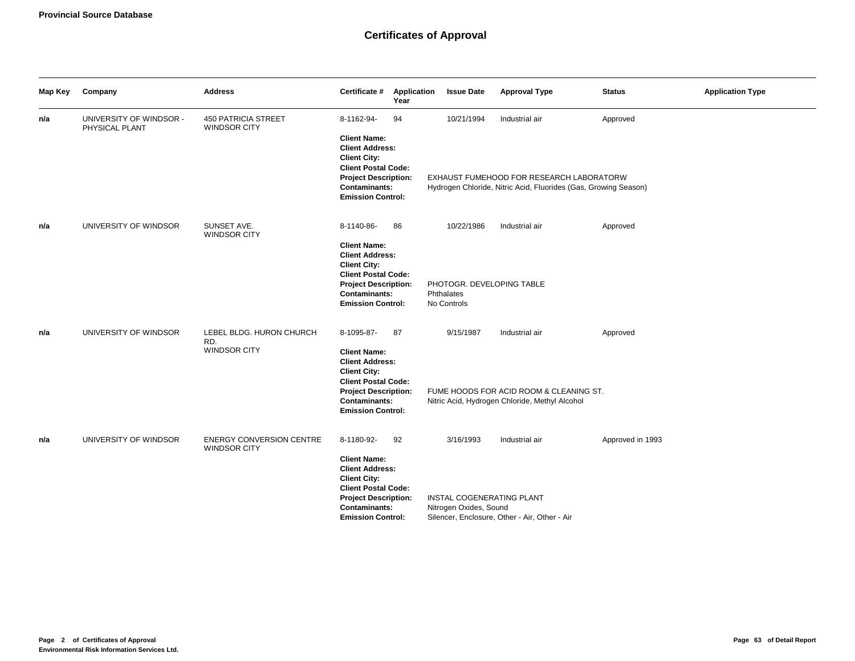| Map Key | Company                                   | <b>Address</b>                                         | Certificate #<br>Year                                                                                                                                                                                     | Application               | <b>Issue Date</b>                   | <b>Approval Type</b>                                                                                                          | <b>Status</b>    | <b>Application Type</b> |
|---------|-------------------------------------------|--------------------------------------------------------|-----------------------------------------------------------------------------------------------------------------------------------------------------------------------------------------------------------|---------------------------|-------------------------------------|-------------------------------------------------------------------------------------------------------------------------------|------------------|-------------------------|
| n/a     | UNIVERSITY OF WINDSOR -<br>PHYSICAL PLANT | <b>450 PATRICIA STREET</b><br>WINDSOR CITY             | 8-1162-94-<br>94<br><b>Client Name:</b><br><b>Client Address:</b><br><b>Client City:</b><br><b>Client Postal Code:</b><br><b>Project Description:</b><br><b>Contaminants:</b><br><b>Emission Control:</b> |                           | 10/21/1994                          | Industrial air<br>EXHAUST FUMEHOOD FOR RESEARCH LABORATORW<br>Hydrogen Chloride, Nitric Acid, Fluorides (Gas, Growing Season) | Approved         |                         |
| n/a     | UNIVERSITY OF WINDSOR                     | SUNSET AVE.<br><b>WINDSOR CITY</b>                     | 8-1140-86-<br>86<br><b>Client Name:</b><br><b>Client Address:</b><br><b>Client City:</b><br><b>Client Postal Code:</b><br><b>Project Description:</b><br><b>Contaminants:</b><br><b>Emission Control:</b> | Phthalates<br>No Controls | 10/22/1986                          | Industrial air<br>PHOTOGR. DEVELOPING TABLE                                                                                   | Approved         |                         |
| n/a     | UNIVERSITY OF WINDSOR                     | LEBEL BLDG. HURON CHURCH<br>RD.<br><b>WINDSOR CITY</b> | 8-1095-87-<br>87<br><b>Client Name:</b><br><b>Client Address:</b><br><b>Client City:</b><br><b>Client Postal Code:</b><br><b>Project Description:</b><br>Contaminants:<br><b>Emission Control:</b>        |                           | 9/15/1987                           | Industrial air<br>FUME HOODS FOR ACID ROOM & CLEANING ST.<br>Nitric Acid, Hydrogen Chloride, Methyl Alcohol                   | Approved         |                         |
| n/a     | UNIVERSITY OF WINDSOR                     | <b>ENERGY CONVERSION CENTRE</b><br><b>WINDSOR CITY</b> | 8-1180-92-<br>92<br><b>Client Name:</b><br><b>Client Address:</b><br><b>Client City:</b><br><b>Client Postal Code:</b><br><b>Project Description:</b><br><b>Contaminants:</b><br><b>Emission Control:</b> |                           | 3/16/1993<br>Nitrogen Oxides, Sound | Industrial air<br>INSTAL COGENERATING PLANT<br>Silencer, Enclosure, Other - Air, Other - Air                                  | Approved in 1993 |                         |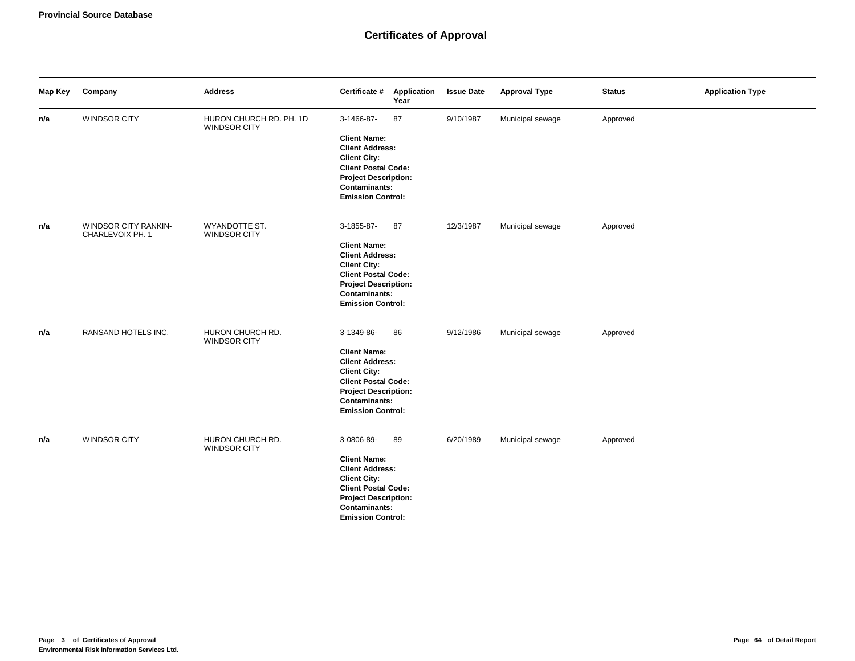| Map Key | Company                                         | <b>Address</b>                                 | Certificate #                                                                                                                                                                                | Application<br>Year | <b>Issue Date</b> | <b>Approval Type</b> | <b>Status</b> | <b>Application Type</b> |
|---------|-------------------------------------------------|------------------------------------------------|----------------------------------------------------------------------------------------------------------------------------------------------------------------------------------------------|---------------------|-------------------|----------------------|---------------|-------------------------|
| n/a     | WINDSOR CITY                                    | HURON CHURCH RD. PH. 1D<br><b>WINDSOR CITY</b> | 3-1466-87-<br><b>Client Name:</b><br><b>Client Address:</b><br><b>Client City:</b><br><b>Client Postal Code:</b><br><b>Project Description:</b><br>Contaminants:<br><b>Emission Control:</b> | 87                  | 9/10/1987         | Municipal sewage     | Approved      |                         |
| n/a     | <b>WINDSOR CITY RANKIN-</b><br>CHARLEVOIX PH. 1 | WYANDOTTE ST.<br><b>WINDSOR CITY</b>           | 3-1855-87-<br><b>Client Name:</b><br><b>Client Address:</b><br><b>Client City:</b><br><b>Client Postal Code:</b><br><b>Project Description:</b><br>Contaminants:<br><b>Emission Control:</b> | 87                  | 12/3/1987         | Municipal sewage     | Approved      |                         |
| n/a     | RANSAND HOTELS INC.                             | HURON CHURCH RD.<br><b>WINDSOR CITY</b>        | 3-1349-86-<br><b>Client Name:</b><br><b>Client Address:</b><br><b>Client City:</b><br><b>Client Postal Code:</b><br><b>Project Description:</b><br>Contaminants:<br><b>Emission Control:</b> | 86                  | 9/12/1986         | Municipal sewage     | Approved      |                         |
| n/a     | <b>WINDSOR CITY</b>                             | HURON CHURCH RD.<br><b>WINDSOR CITY</b>        | 3-0806-89-<br><b>Client Name:</b><br><b>Client Address:</b><br><b>Client City:</b><br><b>Client Postal Code:</b><br><b>Project Description:</b><br>Contaminants:<br><b>Emission Control:</b> | 89                  | 6/20/1989         | Municipal sewage     | Approved      |                         |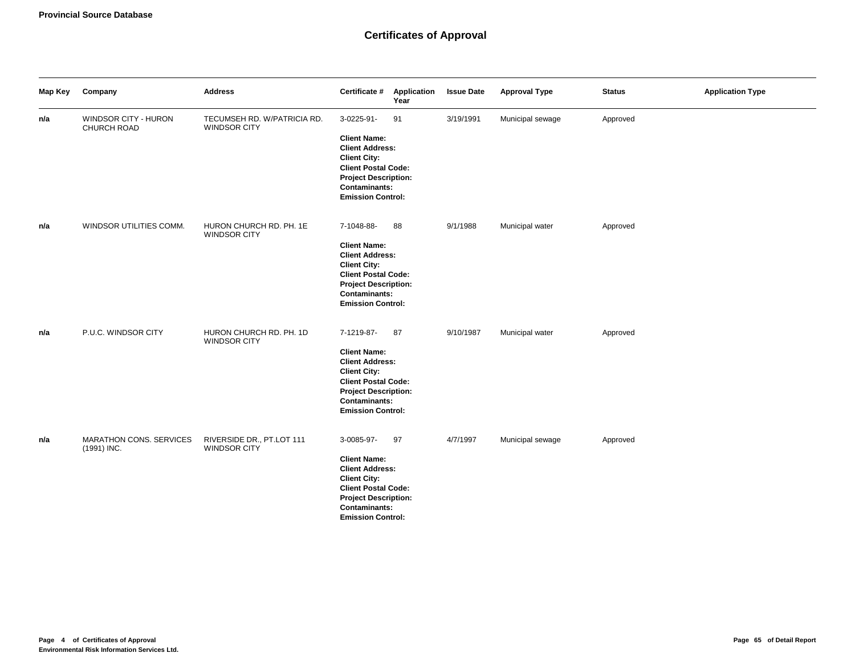| Map Key | Company                                | <b>Address</b>                              | Certificate #                                                                                                                                                                                       | Application<br>Year | <b>Issue Date</b> | <b>Approval Type</b> | <b>Status</b> | <b>Application Type</b> |
|---------|----------------------------------------|---------------------------------------------|-----------------------------------------------------------------------------------------------------------------------------------------------------------------------------------------------------|---------------------|-------------------|----------------------|---------------|-------------------------|
| n/a     | WINDSOR CITY - HURON<br>CHURCH ROAD    | TECUMSEH RD. W/PATRICIA RD.<br>WINDSOR CITY | 3-0225-91-<br><b>Client Name:</b><br><b>Client Address:</b><br><b>Client City:</b><br><b>Client Postal Code:</b><br><b>Project Description:</b><br><b>Contaminants:</b><br><b>Emission Control:</b> | 91                  | 3/19/1991         | Municipal sewage     | Approved      |                         |
| n/a     | WINDSOR UTILITIES COMM.                | HURON CHURCH RD. PH. 1E<br>WINDSOR CITY     | 7-1048-88-<br><b>Client Name:</b><br><b>Client Address:</b><br><b>Client City:</b><br><b>Client Postal Code:</b><br><b>Project Description:</b><br><b>Contaminants:</b><br><b>Emission Control:</b> | 88                  | 9/1/1988          | Municipal water      | Approved      |                         |
| n/a     | P.U.C. WINDSOR CITY                    | HURON CHURCH RD. PH. 1D<br>WINDSOR CITY     | 7-1219-87-<br><b>Client Name:</b><br><b>Client Address:</b><br><b>Client City:</b><br><b>Client Postal Code:</b><br><b>Project Description:</b><br>Contaminants:<br><b>Emission Control:</b>        | 87                  | 9/10/1987         | Municipal water      | Approved      |                         |
| n/a     | MARATHON CONS. SERVICES<br>(1991) INC. | RIVERSIDE DR., PT.LOT 111<br>WINDSOR CITY   | 3-0085-97-<br><b>Client Name:</b><br><b>Client Address:</b><br><b>Client City:</b><br><b>Client Postal Code:</b><br><b>Project Description:</b><br><b>Contaminants:</b><br><b>Emission Control:</b> | 97                  | 4/7/1997          | Municipal sewage     | Approved      |                         |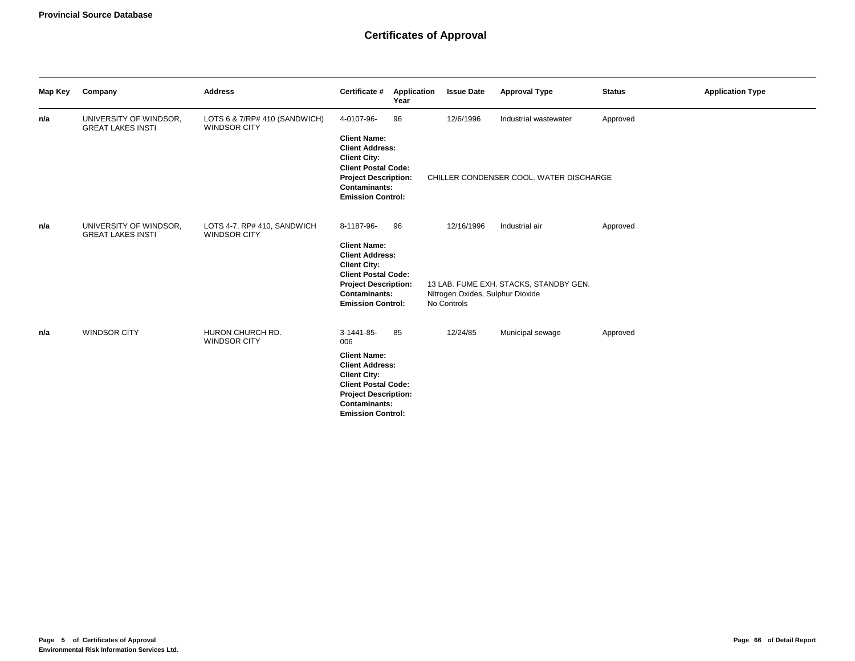| Map Key | Company                                            | <b>Address</b>                                       | Certificate #                                                                                                                                                                                              | Application<br>Year | <b>Issue Date</b>                                             | <b>Approval Type</b>                                             | <b>Status</b> | <b>Application Type</b> |
|---------|----------------------------------------------------|------------------------------------------------------|------------------------------------------------------------------------------------------------------------------------------------------------------------------------------------------------------------|---------------------|---------------------------------------------------------------|------------------------------------------------------------------|---------------|-------------------------|
| n/a     | UNIVERSITY OF WINDSOR,<br><b>GREAT LAKES INSTI</b> | LOTS 6 & 7/RP# 410 (SANDWICH)<br><b>WINDSOR CITY</b> | 4-0107-96-<br><b>Client Name:</b><br><b>Client Address:</b><br><b>Client City:</b><br><b>Client Postal Code:</b><br><b>Project Description:</b><br><b>Contaminants:</b><br><b>Emission Control:</b>        | 96                  | 12/6/1996                                                     | Industrial wastewater<br>CHILLER CONDENSER COOL. WATER DISCHARGE | Approved      |                         |
| n/a     | UNIVERSITY OF WINDSOR,<br><b>GREAT LAKES INSTI</b> | LOTS 4-7, RP# 410, SANDWICH<br><b>WINDSOR CITY</b>   | 8-1187-96-<br><b>Client Name:</b><br><b>Client Address:</b><br><b>Client City:</b><br><b>Client Postal Code:</b><br><b>Project Description:</b><br><b>Contaminants:</b><br><b>Emission Control:</b>        | 96                  | 12/16/1996<br>Nitrogen Oxides, Sulphur Dioxide<br>No Controls | Industrial air<br>13 LAB. FUME EXH. STACKS, STANDBY GEN.         | Approved      |                         |
| n/a     | <b>WINDSOR CITY</b>                                | HURON CHURCH RD.<br><b>WINDSOR CITY</b>              | 3-1441-85-<br>006<br><b>Client Name:</b><br><b>Client Address:</b><br><b>Client City:</b><br><b>Client Postal Code:</b><br><b>Project Description:</b><br><b>Contaminants:</b><br><b>Emission Control:</b> | 85                  | 12/24/85                                                      | Municipal sewage                                                 | Approved      |                         |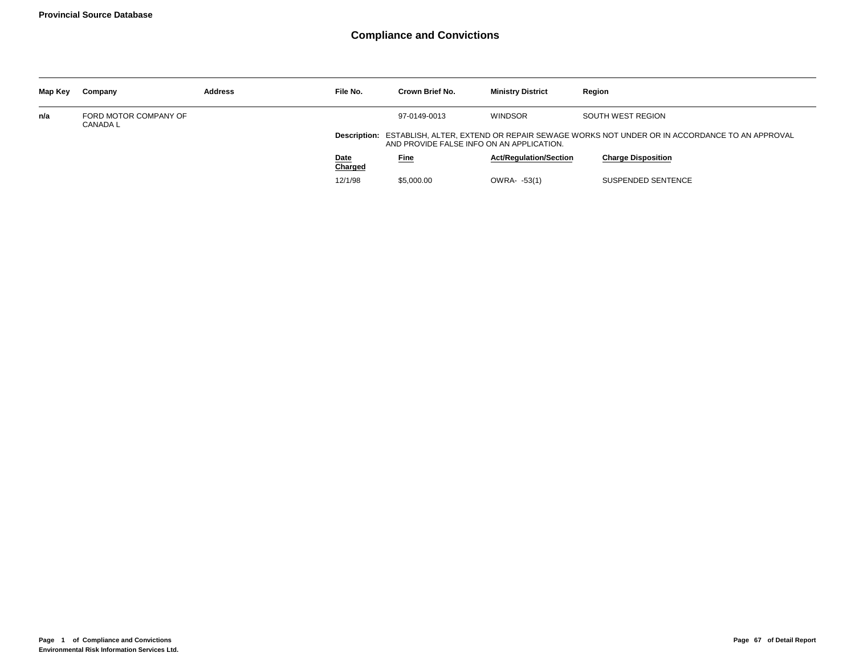| Map Key | Company                                  | <b>Address</b> | File No.        | Crown Brief No.                           | <b>Ministry District</b>      | Region                                                                                                 |
|---------|------------------------------------------|----------------|-----------------|-------------------------------------------|-------------------------------|--------------------------------------------------------------------------------------------------------|
| n/a     | FORD MOTOR COMPANY OF<br><b>CANADA L</b> |                |                 | 97-0149-0013                              | <b>WINDSOR</b>                | SOUTH WEST REGION                                                                                      |
|         |                                          |                |                 | AND PROVIDE FALSE INFO ON AN APPLICATION. |                               | Description: ESTABLISH, ALTER, EXTEND OR REPAIR SEWAGE WORKS NOT UNDER OR IN ACCORDANCE TO AN APPROVAL |
|         |                                          |                | Date<br>Charged | <b>Fine</b>                               | <b>Act/Regulation/Section</b> | <b>Charge Disposition</b>                                                                              |
|         |                                          |                | 12/1/98         | \$5.000.00                                | OWRA- -53(1)                  | SUSPENDED SENTENCE                                                                                     |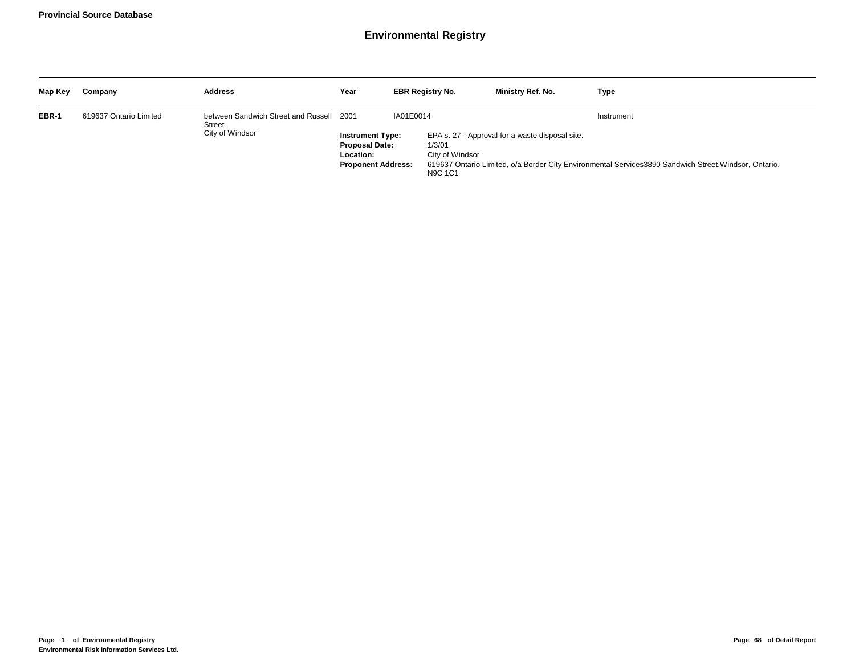| Map Key | Company                | <b>Address</b>                                                        | Year                                                                                       |           | <b>EBR Registry No.</b>                     | Ministry Ref. No.                               | Type                                                                                                                |
|---------|------------------------|-----------------------------------------------------------------------|--------------------------------------------------------------------------------------------|-----------|---------------------------------------------|-------------------------------------------------|---------------------------------------------------------------------------------------------------------------------|
| EBR-1   | 619637 Ontario Limited | between Sandwich Street and Russell 2001<br>Street<br>City of Windsor | <b>Instrument Type:</b><br><b>Proposal Date:</b><br>Location:<br><b>Proponent Address:</b> | IA01E0014 | 1/3/01<br>City of Windsor<br><b>N9C 1C1</b> | EPA s. 27 - Approval for a waste disposal site. | Instrument<br>619637 Ontario Limited, o/a Border City Environmental Services3890 Sandwich Street, Windsor, Ontario, |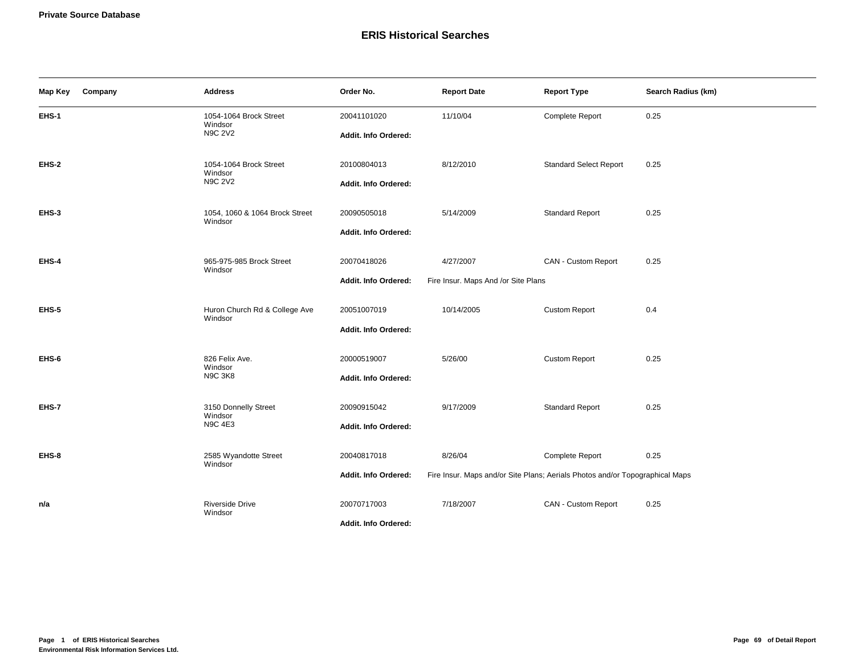# **ERIS Historical Searches**

| Map Key | Company | <b>Address</b>                            | Order No.            | <b>Report Date</b>                                                           | <b>Report Type</b>            | Search Radius (km) |
|---------|---------|-------------------------------------------|----------------------|------------------------------------------------------------------------------|-------------------------------|--------------------|
| EHS-1   |         | 1054-1064 Brock Street<br>Windsor         | 20041101020          | 11/10/04                                                                     | Complete Report               | 0.25               |
|         |         | <b>N9C 2V2</b>                            | Addit. Info Ordered: |                                                                              |                               |                    |
| EHS-2   |         | 1054-1064 Brock Street<br>Windsor         | 20100804013          | 8/12/2010                                                                    | <b>Standard Select Report</b> | 0.25               |
|         |         | <b>N9C 2V2</b>                            | Addit. Info Ordered: |                                                                              |                               |                    |
| EHS-3   |         | 1054, 1060 & 1064 Brock Street<br>Windsor | 20090505018          | 5/14/2009                                                                    | <b>Standard Report</b>        | 0.25               |
|         |         |                                           | Addit. Info Ordered: |                                                                              |                               |                    |
| EHS-4   |         | 965-975-985 Brock Street<br>Windsor       | 20070418026          | 4/27/2007                                                                    | CAN - Custom Report           | 0.25               |
|         |         |                                           | Addit. Info Ordered: | Fire Insur. Maps And /or Site Plans                                          |                               |                    |
| EHS-5   |         | Huron Church Rd & College Ave<br>Windsor  | 20051007019          | 10/14/2005                                                                   | <b>Custom Report</b>          | 0.4                |
|         |         |                                           | Addit. Info Ordered: |                                                                              |                               |                    |
| EHS-6   |         | 826 Felix Ave.<br>Windsor                 | 20000519007          | 5/26/00                                                                      | <b>Custom Report</b>          | 0.25               |
|         |         | <b>N9C 3K8</b>                            | Addit. Info Ordered: |                                                                              |                               |                    |
| EHS-7   |         | 3150 Donnelly Street<br>Windsor           | 20090915042          | 9/17/2009                                                                    | <b>Standard Report</b>        | 0.25               |
|         |         | <b>N9C 4E3</b>                            | Addit. Info Ordered: |                                                                              |                               |                    |
| EHS-8   |         | 2585 Wyandotte Street<br>Windsor          | 20040817018          | 8/26/04                                                                      | Complete Report               | 0.25               |
|         |         |                                           | Addit. Info Ordered: | Fire Insur. Maps and/or Site Plans; Aerials Photos and/or Topographical Maps |                               |                    |
| n/a     |         | <b>Riverside Drive</b><br>Windsor         | 20070717003          | 7/18/2007                                                                    | CAN - Custom Report           | 0.25               |
|         |         |                                           | Addit. Info Ordered: |                                                                              |                               |                    |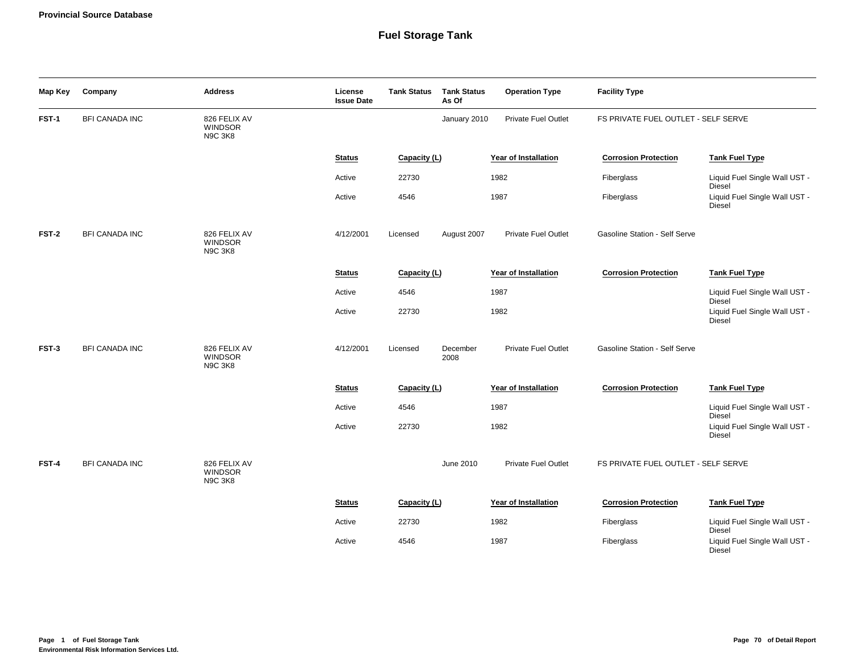| Map Key | Company               | <b>Address</b>                                   | License<br><b>Issue Date</b> | <b>Tank Status</b> | <b>Tank Status</b><br>As Of | <b>Operation Type</b>      | <b>Facility Type</b>                |                                                          |
|---------|-----------------------|--------------------------------------------------|------------------------------|--------------------|-----------------------------|----------------------------|-------------------------------------|----------------------------------------------------------|
| FST-1   | <b>BFI CANADA INC</b> | 826 FELIX AV<br><b>WINDSOR</b><br><b>N9C 3K8</b> |                              |                    | January 2010                | Private Fuel Outlet        | FS PRIVATE FUEL OUTLET - SELF SERVE |                                                          |
|         |                       |                                                  | <b>Status</b>                | Capacity (L)       |                             | Year of Installation       | <b>Corrosion Protection</b>         | <b>Tank Fuel Type</b>                                    |
|         |                       |                                                  | Active                       | 22730              |                             | 1982                       | Fiberglass                          | Liquid Fuel Single Wall UST -                            |
|         |                       |                                                  | Active                       | 4546               |                             | 1987                       | Fiberglass                          | Diesel<br>Liquid Fuel Single Wall UST -<br><b>Diesel</b> |
| FST-2   | <b>BFI CANADA INC</b> | 826 FELIX AV<br><b>WINDSOR</b><br><b>N9C 3K8</b> | 4/12/2001                    | Licensed           | August 2007                 | Private Fuel Outlet        | Gasoline Station - Self Serve       |                                                          |
|         |                       |                                                  | <b>Status</b>                | Capacity (L)       |                             | Year of Installation       | <b>Corrosion Protection</b>         | <b>Tank Fuel Type</b>                                    |
|         |                       |                                                  | Active                       | 4546               |                             | 1987                       |                                     | Liquid Fuel Single Wall UST -<br>Diesel                  |
|         |                       |                                                  | Active                       | 22730              |                             | 1982                       |                                     | Liquid Fuel Single Wall UST -<br><b>Diesel</b>           |
| FST-3   | <b>BFI CANADA INC</b> | 826 FELIX AV<br><b>WINDSOR</b><br><b>N9C 3K8</b> | 4/12/2001                    | Licensed           | December<br>2008            | Private Fuel Outlet        | Gasoline Station - Self Serve       |                                                          |
|         |                       |                                                  | <b>Status</b>                | Capacity (L)       |                             | Year of Installation       | <b>Corrosion Protection</b>         | <b>Tank Fuel Type</b>                                    |
|         |                       |                                                  | Active                       | 4546               |                             | 1987                       |                                     | Liquid Fuel Single Wall UST -<br><b>Diesel</b>           |
|         |                       |                                                  | Active                       | 22730              |                             | 1982                       |                                     | Liquid Fuel Single Wall UST -<br><b>Diesel</b>           |
| FST-4   | <b>BFI CANADA INC</b> | 826 FELIX AV<br><b>WINDSOR</b><br><b>N9C 3K8</b> |                              |                    | June 2010                   | <b>Private Fuel Outlet</b> | FS PRIVATE FUEL OUTLET - SELF SERVE |                                                          |
|         |                       |                                                  | <b>Status</b>                | Capacity (L)       |                             | Year of Installation       | <b>Corrosion Protection</b>         | <b>Tank Fuel Type</b>                                    |
|         |                       |                                                  | Active                       | 22730              |                             | 1982                       | Fiberglass                          | Liquid Fuel Single Wall UST -<br><b>Diesel</b>           |
|         |                       |                                                  | Active                       | 4546               |                             | 1987                       | Fiberglass                          | Liquid Fuel Single Wall UST -<br>Diesel                  |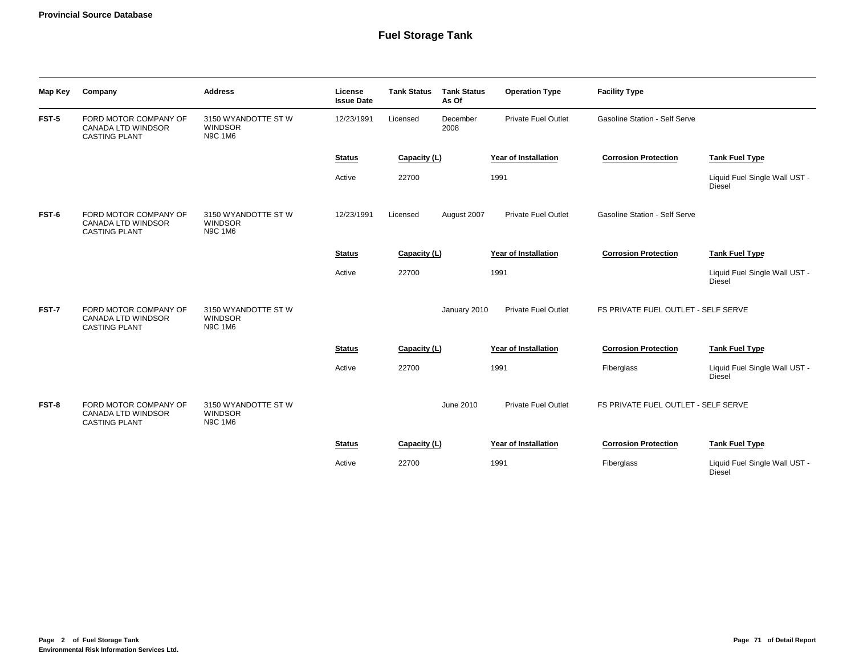| Map Key | Company                                                                    | <b>Address</b>                                          | License<br><b>Issue Date</b> | <b>Tank Status</b> | <b>Tank Status</b><br>As Of | <b>Operation Type</b>      | <b>Facility Type</b>                |                                                |
|---------|----------------------------------------------------------------------------|---------------------------------------------------------|------------------------------|--------------------|-----------------------------|----------------------------|-------------------------------------|------------------------------------------------|
| FST-5   | FORD MOTOR COMPANY OF<br><b>CANADA LTD WINDSOR</b><br><b>CASTING PLANT</b> | 3150 WYANDOTTE ST W<br><b>WINDSOR</b><br><b>N9C 1M6</b> | 12/23/1991                   | Licensed           | December<br>2008            | <b>Private Fuel Outlet</b> | Gasoline Station - Self Serve       |                                                |
|         |                                                                            |                                                         | <b>Status</b>                | Capacity (L)       |                             | Year of Installation       | <b>Corrosion Protection</b>         | <b>Tank Fuel Type</b>                          |
|         |                                                                            |                                                         | Active                       | 22700              |                             | 1991                       |                                     | Liquid Fuel Single Wall UST -<br><b>Diesel</b> |
| FST-6   | FORD MOTOR COMPANY OF<br><b>CANADA LTD WINDSOR</b><br><b>CASTING PLANT</b> | 3150 WYANDOTTE ST W<br><b>WINDSOR</b><br><b>N9C 1M6</b> | 12/23/1991                   | Licensed           | August 2007                 | <b>Private Fuel Outlet</b> | Gasoline Station - Self Serve       |                                                |
|         |                                                                            |                                                         | <b>Status</b>                | Capacity (L)       |                             | Year of Installation       | <b>Corrosion Protection</b>         | <b>Tank Fuel Type</b>                          |
|         |                                                                            |                                                         | Active                       | 22700              |                             | 1991                       |                                     | Liquid Fuel Single Wall UST -<br><b>Diesel</b> |
| FST-7   | FORD MOTOR COMPANY OF<br>CANADA LTD WINDSOR<br><b>CASTING PLANT</b>        | 3150 WYANDOTTE ST W<br><b>WINDSOR</b><br><b>N9C 1M6</b> |                              |                    | January 2010                | <b>Private Fuel Outlet</b> | FS PRIVATE FUEL OUTLET - SELF SERVE |                                                |
|         |                                                                            |                                                         | <b>Status</b>                | Capacity (L)       |                             | Year of Installation       | <b>Corrosion Protection</b>         | <b>Tank Fuel Type</b>                          |
|         |                                                                            |                                                         | Active                       | 22700              |                             | 1991                       | Fiberglass                          | Liquid Fuel Single Wall UST -<br><b>Diesel</b> |
| FST-8   | FORD MOTOR COMPANY OF<br>CANADA LTD WINDSOR<br><b>CASTING PLANT</b>        | 3150 WYANDOTTE ST W<br><b>WINDSOR</b><br><b>N9C 1M6</b> |                              |                    | June 2010                   | <b>Private Fuel Outlet</b> | FS PRIVATE FUEL OUTLET - SELF SERVE |                                                |
|         |                                                                            |                                                         | <b>Status</b>                | Capacity (L)       |                             | Year of Installation       | <b>Corrosion Protection</b>         | <b>Tank Fuel Type</b>                          |
|         |                                                                            |                                                         | Active                       | 22700              |                             | 1991                       | Fiberglass                          | Liquid Fuel Single Wall UST -<br><b>Diesel</b> |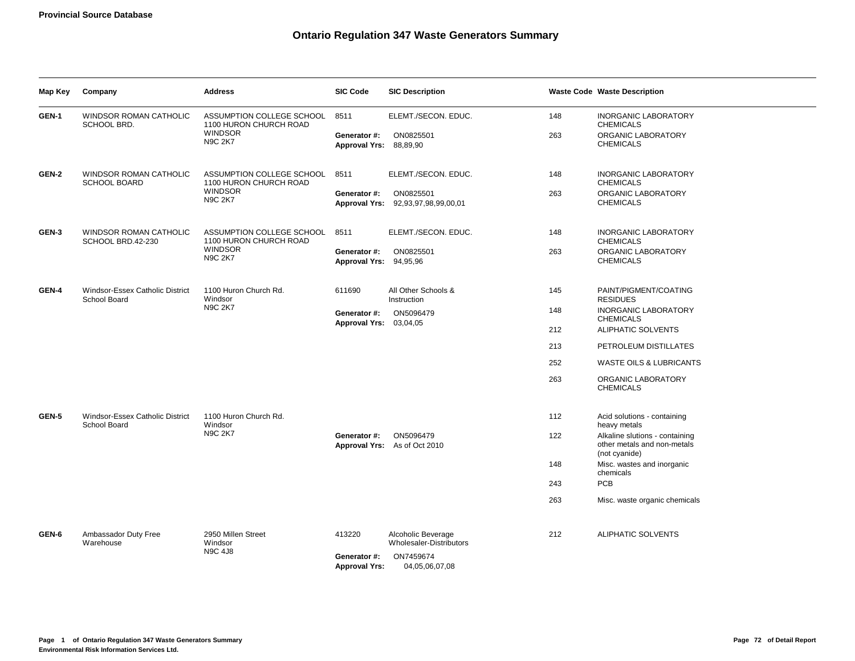| Map Key | Company                                            | <b>Address</b>                                      | <b>SIC Code</b>                        | <b>SIC Description</b>                          |     | <b>Waste Code Waste Description</b>                                            |
|---------|----------------------------------------------------|-----------------------------------------------------|----------------------------------------|-------------------------------------------------|-----|--------------------------------------------------------------------------------|
| GEN-1   | <b>WINDSOR ROMAN CATHOLIC</b><br>SCHOOL BRD.       | ASSUMPTION COLLEGE SCHOOL<br>1100 HURON CHURCH ROAD | 8511                                   | ELEMT./SECON. EDUC.                             | 148 | <b>INORGANIC LABORATORY</b><br><b>CHEMICALS</b>                                |
|         |                                                    | <b>WINDSOR</b><br><b>N9C 2K7</b>                    | Generator #:<br>Approval Yrs: 88,89,90 | ON0825501                                       | 263 | ORGANIC LABORATORY<br><b>CHEMICALS</b>                                         |
| GEN-2   | WINDSOR ROMAN CATHOLIC<br><b>SCHOOL BOARD</b>      | ASSUMPTION COLLEGE SCHOOL<br>1100 HURON CHURCH ROAD | 8511                                   | ELEMT./SECON. EDUC.                             | 148 | <b>INORGANIC LABORATORY</b><br><b>CHEMICALS</b>                                |
|         |                                                    | <b>WINDSOR</b><br><b>N9C 2K7</b>                    | Generator #:                           | ON0825501<br>Approval Yrs: 92,93,97,98,99,00,01 | 263 | ORGANIC LABORATORY<br><b>CHEMICALS</b>                                         |
| GEN-3   | <b>WINDSOR ROMAN CATHOLIC</b><br>SCHOOL BRD.42-230 | ASSUMPTION COLLEGE SCHOOL<br>1100 HURON CHURCH ROAD | 8511                                   | ELEMT./SECON. EDUC.                             | 148 | <b>INORGANIC LABORATORY</b><br><b>CHEMICALS</b>                                |
|         |                                                    | <b>WINDSOR</b><br><b>N9C 2K7</b>                    | Generator #:<br>Approval Yrs: 94,95,96 | ON0825501                                       | 263 | ORGANIC LABORATORY<br><b>CHEMICALS</b>                                         |
| GEN-4   | Windsor-Essex Catholic District<br>School Board    | 1100 Huron Church Rd.<br>Windsor<br><b>N9C 2K7</b>  | 611690                                 | All Other Schools &<br>Instruction              | 145 | PAINT/PIGMENT/COATING<br><b>RESIDUES</b>                                       |
|         |                                                    |                                                     | Generator #:                           | ON5096479                                       | 148 | <b>INORGANIC LABORATORY</b><br><b>CHEMICALS</b>                                |
|         |                                                    |                                                     | Approval Yrs: 03,04,05                 |                                                 | 212 | ALIPHATIC SOLVENTS                                                             |
|         |                                                    |                                                     |                                        |                                                 | 213 | PETROLEUM DISTILLATES                                                          |
|         |                                                    |                                                     |                                        |                                                 | 252 | <b>WASTE OILS &amp; LUBRICANTS</b>                                             |
|         |                                                    |                                                     |                                        |                                                 | 263 | ORGANIC LABORATORY<br><b>CHEMICALS</b>                                         |
| GEN-5   | Windsor-Essex Catholic District<br>School Board    | 1100 Huron Church Rd.<br>Windsor                    |                                        |                                                 | 112 | Acid solutions - containing<br>heavy metals                                    |
|         |                                                    | <b>N9C 2K7</b>                                      | Generator #:                           | ON5096479<br>Approval Yrs: As of Oct 2010       | 122 | Alkaline slutions - containing<br>other metals and non-metals<br>(not cyanide) |
|         |                                                    |                                                     |                                        |                                                 | 148 | Misc. wastes and inorganic<br>chemicals                                        |
|         |                                                    |                                                     |                                        |                                                 | 243 | PCB                                                                            |
|         |                                                    |                                                     |                                        |                                                 | 263 | Misc. waste organic chemicals                                                  |
| GEN-6   | Ambassador Duty Free<br>Warehouse                  | 2950 Millen Street<br>Windsor                       | 413220                                 | Alcoholic Beverage<br>Wholesaler-Distributors   | 212 | <b>ALIPHATIC SOLVENTS</b>                                                      |
|         |                                                    | <b>N9C 4J8</b>                                      | Generator #:<br><b>Approval Yrs:</b>   | ON7459674<br>04,05,06,07,08                     |     |                                                                                |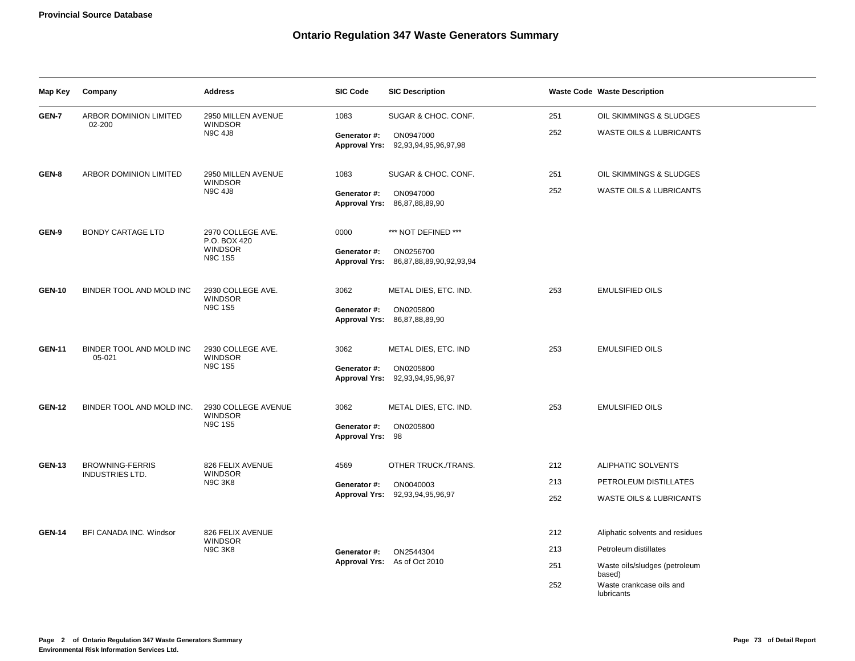| Map Key       | Company                                          | <b>Address</b>                                        | <b>SIC Code</b>                  | <b>SIC Description</b>                             |     | <b>Waste Code Waste Description</b>     |
|---------------|--------------------------------------------------|-------------------------------------------------------|----------------------------------|----------------------------------------------------|-----|-----------------------------------------|
| GEN-7         | ARBOR DOMINION LIMITED                           | 2950 MILLEN AVENUE<br><b>WINDSOR</b>                  | 1083                             | SUGAR & CHOC. CONF.                                | 251 | OIL SKIMMINGS & SLUDGES                 |
|               | 02-200                                           | <b>N9C 4J8</b>                                        | Generator #:                     | ON0947000<br>Approval Yrs: 92,93,94,95,96,97,98    | 252 | <b>WASTE OILS &amp; LUBRICANTS</b>      |
| GEN-8         | <b>ARBOR DOMINION LIMITED</b>                    | 2950 MILLEN AVENUE<br><b>WINDSOR</b>                  | 1083                             | SUGAR & CHOC. CONF.                                | 251 | OIL SKIMMINGS & SLUDGES                 |
|               |                                                  | <b>N9C 4J8</b>                                        | Generator #:                     | ON0947000<br>Approval Yrs: 86,87,88,89,90          | 252 | WASTE OILS & LUBRICANTS                 |
| GEN-9         | <b>BONDY CARTAGE LTD</b>                         | 2970 COLLEGE AVE.<br>P.O. BOX 420                     | 0000                             | *** NOT DEFINED ***                                |     |                                         |
|               |                                                  | <b>WINDSOR</b><br><b>N9C 1S5</b>                      | Generator #:                     | ON0256700<br>Approval Yrs: 86,87,88,89,90,92,93,94 |     |                                         |
| <b>GEN-10</b> | BINDER TOOL AND MOLD INC                         | 2930 COLLEGE AVE.<br><b>WINDSOR</b>                   | 3062                             | METAL DIES, ETC. IND.                              | 253 | <b>EMULSIFIED OILS</b>                  |
|               |                                                  | <b>N9C 1S5</b>                                        | Generator #:                     | ON0205800<br>Approval Yrs: 86,87,88,89,90          |     |                                         |
| <b>GEN-11</b> | BINDER TOOL AND MOLD INC<br>05-021               | 2930 COLLEGE AVE.<br><b>WINDSOR</b><br><b>N9C 1S5</b> | 3062                             | METAL DIES, ETC. IND                               | 253 | <b>EMULSIFIED OILS</b>                  |
|               |                                                  |                                                       | Generator #:                     | ON0205800<br>Approval Yrs: 92,93,94,95,96,97       |     |                                         |
| <b>GEN-12</b> | BINDER TOOL AND MOLD INC.                        | 2930 COLLEGE AVENUE<br><b>WINDSOR</b>                 | 3062                             | METAL DIES, ETC. IND.                              | 253 | <b>EMULSIFIED OILS</b>                  |
|               |                                                  | <b>N9C 1S5</b>                                        | Generator #:<br>Approval Yrs: 98 | ON0205800                                          |     |                                         |
| <b>GEN-13</b> | <b>BROWNING-FERRIS</b><br><b>INDUSTRIES LTD.</b> | 826 FELIX AVENUE<br><b>WINDSOR</b>                    | 4569                             | OTHER TRUCK./TRANS.                                | 212 | ALIPHATIC SOLVENTS                      |
|               |                                                  | <b>N9C 3K8</b>                                        | Generator #:                     | ON0040003                                          | 213 | PETROLEUM DISTILLATES                   |
|               |                                                  |                                                       |                                  | Approval Yrs: 92,93,94,95,96,97                    | 252 | <b>WASTE OILS &amp; LUBRICANTS</b>      |
| <b>GEN-14</b> | BFI CANADA INC. Windsor                          | 826 FELIX AVENUE                                      |                                  |                                                    | 212 | Aliphatic solvents and residues         |
|               |                                                  | <b>WINDSOR</b><br><b>N9C 3K8</b>                      | Generator #:                     | ON2544304                                          | 213 | Petroleum distillates                   |
|               |                                                  |                                                       |                                  | Approval Yrs: As of Oct 2010                       | 251 | Waste oils/sludges (petroleum<br>based) |
|               |                                                  |                                                       |                                  |                                                    | 252 | Waste crankcase oils and<br>lubricants  |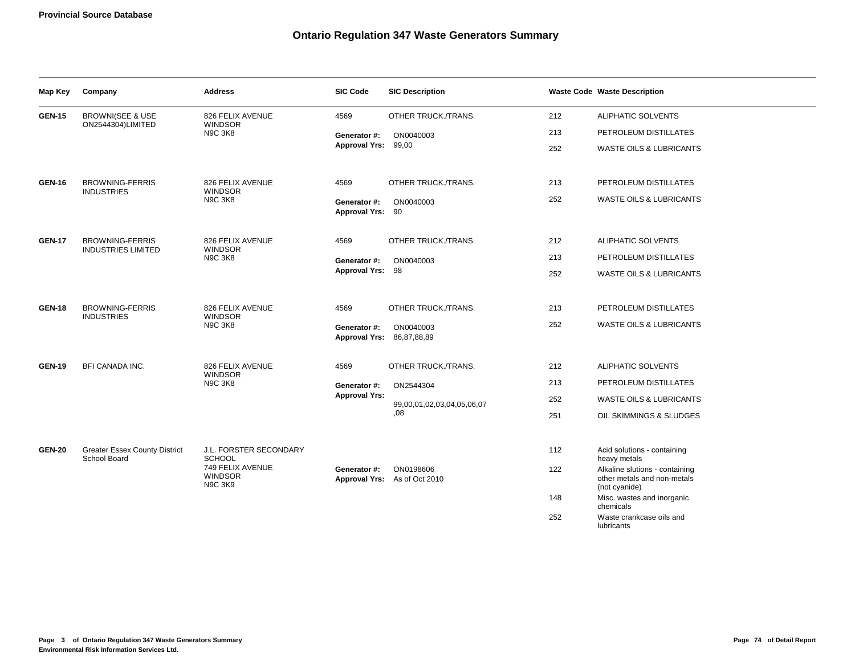| Map Key       | Company                                              | <b>Address</b>                                       | <b>SIC Code</b>                           | <b>SIC Description</b>                    |     | <b>Waste Code Waste Description</b>                                            |
|---------------|------------------------------------------------------|------------------------------------------------------|-------------------------------------------|-------------------------------------------|-----|--------------------------------------------------------------------------------|
| <b>GEN-15</b> | <b>BROWNI(SEE &amp; USE</b>                          | 826 FELIX AVENUE                                     | 4569                                      | OTHER TRUCK./TRANS.                       | 212 | ALIPHATIC SOLVENTS                                                             |
|               | ON2544304)LIMITED                                    | <b>WINDSOR</b><br><b>N9C 3K8</b>                     | Generator #:                              | ON0040003                                 | 213 | PETROLEUM DISTILLATES                                                          |
|               |                                                      |                                                      | Approval Yrs: 99,00                       |                                           | 252 | <b>WASTE OILS &amp; LUBRICANTS</b>                                             |
| <b>GEN-16</b> | <b>BROWNING-FERRIS</b><br><b>INDUSTRIES</b>          | 826 FELIX AVENUE                                     | 4569                                      | OTHER TRUCK./TRANS.                       | 213 | PETROLEUM DISTILLATES                                                          |
|               |                                                      | <b>WINDSOR</b><br><b>N9C 3K8</b>                     | Generator #:<br>Approval Yrs: 90          | ON0040003                                 | 252 | WASTE OILS & LUBRICANTS                                                        |
| <b>GEN-17</b> | <b>BROWNING-FERRIS</b>                               | 826 FELIX AVENUE                                     | 4569                                      | OTHER TRUCK./TRANS.                       | 212 | ALIPHATIC SOLVENTS                                                             |
|               | <b>INDUSTRIES LIMITED</b>                            | <b>WINDSOR</b><br><b>N9C 3K8</b>                     | Generator #:                              | ON0040003                                 | 213 | PETROLEUM DISTILLATES                                                          |
|               |                                                      |                                                      | Approval Yrs: 98                          |                                           | 252 | WASTE OILS & LUBRICANTS                                                        |
| <b>GEN-18</b> | <b>BROWNING-FERRIS</b><br><b>INDUSTRIES</b>          | 826 FELIX AVENUE<br><b>WINDSOR</b><br><b>N9C 3K8</b> | 4569                                      | OTHER TRUCK./TRANS.                       | 213 | PETROLEUM DISTILLATES                                                          |
|               |                                                      |                                                      | Generator #:<br>Approval Yrs: 86,87,88,89 | ON0040003                                 | 252 | <b>WASTE OILS &amp; LUBRICANTS</b>                                             |
| <b>GEN-19</b> | <b>BFI CANADA INC.</b>                               | 826 FELIX AVENUE<br><b>WINDSOR</b>                   | 4569                                      | OTHER TRUCK./TRANS.                       | 212 | ALIPHATIC SOLVENTS                                                             |
|               |                                                      | <b>N9C 3K8</b>                                       | Generator #:                              | ON2544304                                 | 213 | PETROLEUM DISTILLATES                                                          |
|               |                                                      |                                                      | <b>Approval Yrs:</b>                      | 99,00,01,02,03,04,05,06,07                | 252 | <b>WASTE OILS &amp; LUBRICANTS</b>                                             |
|               |                                                      |                                                      |                                           | 80,                                       | 251 | OIL SKIMMINGS & SLUDGES                                                        |
| <b>GEN-20</b> | <b>Greater Essex County District</b><br>School Board | J.L. FORSTER SECONDARY<br><b>SCHOOL</b>              |                                           |                                           | 112 | Acid solutions - containing<br>heavy metals                                    |
|               |                                                      | 749 FELIX AVENUE<br><b>WINDSOR</b><br><b>N9C 3K9</b> | Generator #:                              | ON0198606<br>Approval Yrs: As of Oct 2010 | 122 | Alkaline slutions - containing<br>other metals and non-metals<br>(not cyanide) |
|               |                                                      |                                                      |                                           |                                           | 148 | Misc. wastes and inorganic<br>chemicals                                        |
|               |                                                      |                                                      |                                           |                                           | 252 | Waste crankcase oils and<br>lubricants                                         |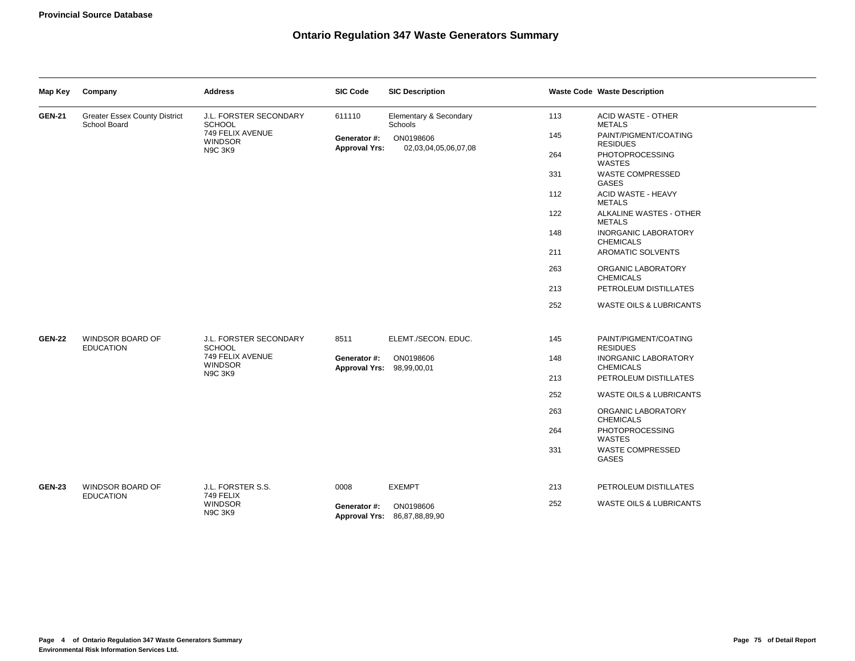| Map Key       | Company                                              | <b>Address</b>                                                                | <b>SIC Code</b>                           | <b>SIC Description</b>                    |     | <b>Waste Code Waste Description</b>             |
|---------------|------------------------------------------------------|-------------------------------------------------------------------------------|-------------------------------------------|-------------------------------------------|-----|-------------------------------------------------|
| <b>GEN-21</b> | <b>Greater Essex County District</b><br>School Board | J.L. FORSTER SECONDARY<br><b>SCHOOL</b>                                       | 611110                                    | Elementary & Secondary<br>Schools         | 113 | ACID WASTE - OTHER<br><b>METALS</b>             |
|               |                                                      | 749 FELIX AVENUE<br><b>WINDSOR</b>                                            | Generator #:<br><b>Approval Yrs:</b>      | ON0198606<br>02,03,04,05,06,07,08         | 145 | PAINT/PIGMENT/COATING<br><b>RESIDUES</b>        |
|               |                                                      | <b>N9C 3K9</b>                                                                |                                           |                                           | 264 | PHOTOPROCESSING<br><b>WASTES</b>                |
|               |                                                      |                                                                               |                                           |                                           | 331 | <b>WASTE COMPRESSED</b><br>GASES                |
|               |                                                      |                                                                               |                                           |                                           | 112 | ACID WASTE - HEAVY<br><b>METALS</b>             |
|               |                                                      |                                                                               |                                           |                                           | 122 | ALKALINE WASTES - OTHER<br><b>METALS</b>        |
|               |                                                      |                                                                               |                                           |                                           | 148 | <b>INORGANIC LABORATORY</b><br><b>CHEMICALS</b> |
|               |                                                      |                                                                               |                                           |                                           | 211 | AROMATIC SOLVENTS                               |
|               |                                                      |                                                                               |                                           |                                           | 263 | ORGANIC LABORATORY<br><b>CHEMICALS</b>          |
|               |                                                      |                                                                               |                                           |                                           | 213 | PETROLEUM DISTILLATES                           |
|               |                                                      |                                                                               |                                           |                                           | 252 | <b>WASTE OILS &amp; LUBRICANTS</b>              |
| <b>GEN-22</b> | WINDSOR BOARD OF<br><b>EDUCATION</b>                 | J.L. FORSTER SECONDARY<br><b>SCHOOL</b><br>749 FELIX AVENUE<br><b>WINDSOR</b> | 8511                                      | ELEMT./SECON. EDUC.                       | 145 | PAINT/PIGMENT/COATING<br><b>RESIDUES</b>        |
|               |                                                      |                                                                               | Generator #:<br>Approval Yrs: 98,99,00,01 | ON0198606                                 | 148 | <b>INORGANIC LABORATORY</b><br><b>CHEMICALS</b> |
|               |                                                      | <b>N9C 3K9</b>                                                                |                                           |                                           | 213 | PETROLEUM DISTILLATES                           |
|               |                                                      |                                                                               |                                           |                                           | 252 | WASTE OILS & LUBRICANTS                         |
|               |                                                      |                                                                               |                                           |                                           | 263 | ORGANIC LABORATORY<br><b>CHEMICALS</b>          |
|               |                                                      |                                                                               |                                           |                                           | 264 | <b>PHOTOPROCESSING</b><br>WASTES                |
|               |                                                      |                                                                               |                                           |                                           | 331 | WASTE COMPRESSED<br><b>GASES</b>                |
| <b>GEN-23</b> | WINDSOR BOARD OF<br><b>EDUCATION</b>                 | J.L. FORSTER S.S.<br>749 FELIX                                                | 0008                                      | <b>EXEMPT</b>                             | 213 | PETROLEUM DISTILLATES                           |
|               |                                                      | <b>WINDSOR</b><br><b>N9C 3K9</b>                                              | Generator #:                              | ON0198606<br>Approval Yrs: 86,87,88,89,90 | 252 | <b>WASTE OILS &amp; LUBRICANTS</b>              |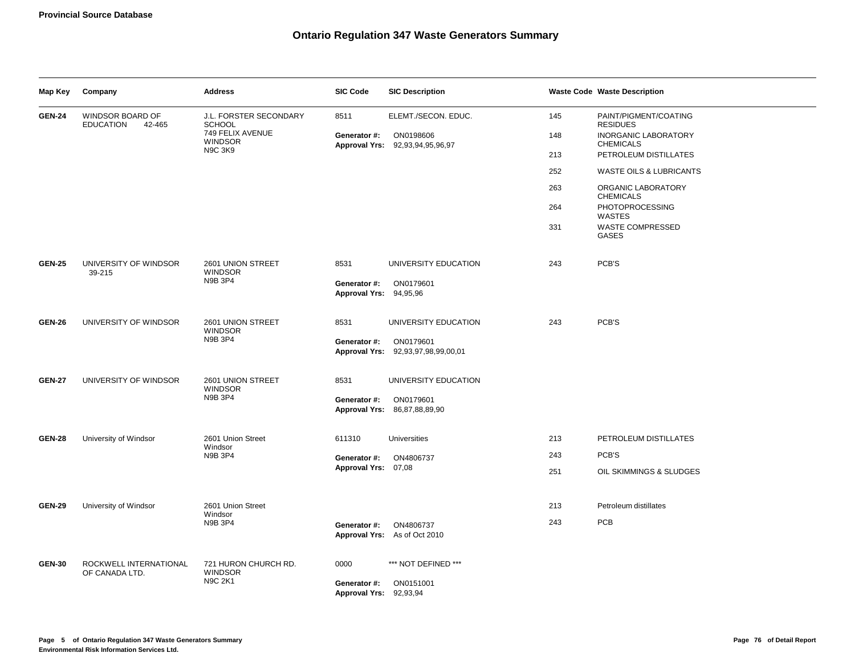| Map Key                                | Company                                        | <b>Address</b>                          | <b>SIC Code</b>                        | <b>SIC Description</b>                          |       | <b>Waste Code Waste Description</b>             |
|----------------------------------------|------------------------------------------------|-----------------------------------------|----------------------------------------|-------------------------------------------------|-------|-------------------------------------------------|
| <b>GEN-24</b>                          | WINDSOR BOARD OF<br><b>EDUCATION</b><br>42-465 | J.L. FORSTER SECONDARY<br><b>SCHOOL</b> | 8511                                   | ELEMT./SECON. EDUC.                             | 145   | PAINT/PIGMENT/COATING<br><b>RESIDUES</b>        |
|                                        |                                                | 749 FELIX AVENUE<br><b>WINDSOR</b>      | Generator #:                           | ON0198606<br>Approval Yrs: 92,93,94,95,96,97    | 148   | <b>INORGANIC LABORATORY</b><br><b>CHEMICALS</b> |
|                                        |                                                | <b>N9C 3K9</b>                          |                                        |                                                 | 213   | PETROLEUM DISTILLATES                           |
|                                        |                                                |                                         |                                        |                                                 | 252   | <b>WASTE OILS &amp; LUBRICANTS</b>              |
|                                        |                                                |                                         |                                        |                                                 | 263   | ORGANIC LABORATORY<br><b>CHEMICALS</b>          |
|                                        |                                                |                                         |                                        |                                                 | 264   | PHOTOPROCESSING<br>WASTES                       |
|                                        |                                                |                                         |                                        |                                                 | 331   | <b>WASTE COMPRESSED</b><br>GASES                |
| <b>GEN-25</b>                          | UNIVERSITY OF WINDSOR<br>39-215                | 2601 UNION STREET<br><b>WINDSOR</b>     | 8531                                   | UNIVERSITY EDUCATION                            | 243   | PCB'S                                           |
|                                        |                                                | N9B 3P4                                 | Generator #:<br>Approval Yrs: 94,95,96 | ON0179601                                       |       |                                                 |
| <b>GEN-26</b><br>UNIVERSITY OF WINDSOR | 2601 UNION STREET<br><b>WINDSOR</b>            | 8531                                    | UNIVERSITY EDUCATION                   | 243                                             | PCB'S |                                                 |
|                                        |                                                | N9B 3P4                                 | Generator #:                           | ON0179601<br>Approval Yrs: 92,93,97,98,99,00,01 |       |                                                 |
|                                        |                                                |                                         |                                        |                                                 |       |                                                 |
| <b>GEN-27</b>                          | UNIVERSITY OF WINDSOR                          | 2601 UNION STREET<br><b>WINDSOR</b>     | 8531                                   | UNIVERSITY EDUCATION                            |       |                                                 |
|                                        |                                                | <b>N9B 3P4</b>                          | Generator #:                           | ON0179601<br>Approval Yrs: 86,87,88,89,90       |       |                                                 |
| <b>GEN-28</b>                          | University of Windsor                          | 2601 Union Street                       | 611310                                 | Universities                                    | 213   | PETROLEUM DISTILLATES                           |
|                                        |                                                | Windsor<br>N9B 3P4                      | Generator #:                           | ON4806737                                       | 243   | PCB'S                                           |
|                                        |                                                |                                         | Approval Yrs: 07,08                    |                                                 | 251   | OIL SKIMMINGS & SLUDGES                         |
| <b>GEN-29</b>                          | University of Windsor                          | 2601 Union Street                       |                                        |                                                 | 213   | Petroleum distillates                           |
|                                        |                                                | Windsor<br>N9B 3P4                      | Generator #:                           | ON4806737<br>Approval Yrs: As of Oct 2010       | 243   | PCB                                             |
| <b>GEN-30</b>                          | ROCKWELL INTERNATIONAL<br>OF CANADA LTD.       | 721 HURON CHURCH RD.<br><b>WINDSOR</b>  | 0000                                   | *** NOT DEFINED ***                             |       |                                                 |
|                                        |                                                | <b>N9C 2K1</b>                          | Generator #:<br>Approval Yrs: 92,93,94 | ON0151001                                       |       |                                                 |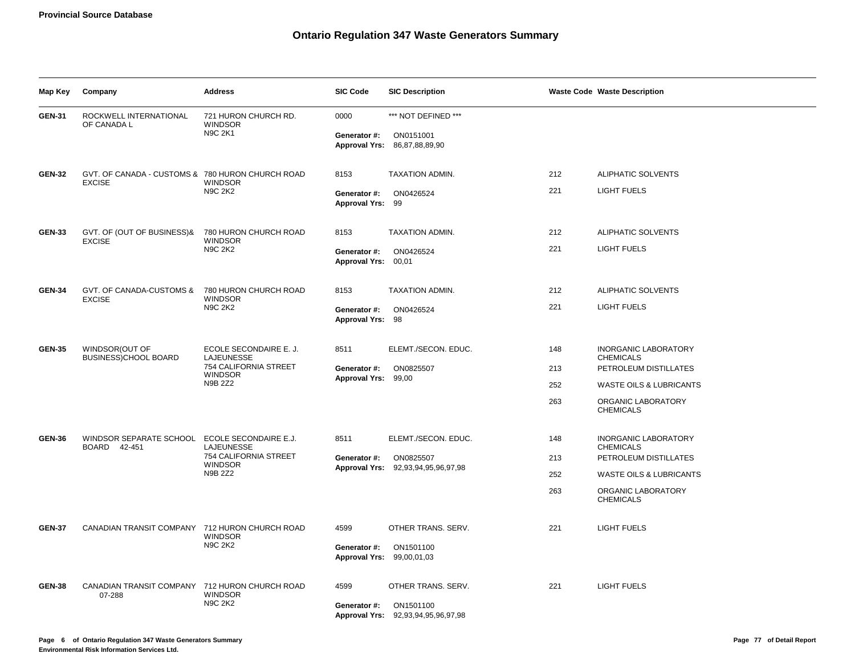| Map Key                                                                            | Company                                                       | <b>Address</b>                                                                                           | <b>SIC Code</b>                           | <b>SIC Description</b>                          |                    | <b>Waste Code Waste Description</b>             |
|------------------------------------------------------------------------------------|---------------------------------------------------------------|----------------------------------------------------------------------------------------------------------|-------------------------------------------|-------------------------------------------------|--------------------|-------------------------------------------------|
| <b>GEN-31</b>                                                                      | ROCKWELL INTERNATIONAL<br>OF CANADA L                         | 721 HURON CHURCH RD.<br><b>WINDSOR</b>                                                                   | 0000                                      | *** NOT DEFINED ***                             |                    |                                                 |
|                                                                                    |                                                               | <b>N9C 2K1</b>                                                                                           | Generator #:                              | ON0151001<br>Approval Yrs: 86,87,88,89,90       |                    |                                                 |
| GVT. OF CANADA - CUSTOMS & 780 HURON CHURCH ROAD<br><b>GEN-32</b><br><b>EXCISE</b> |                                                               | 8153                                                                                                     | TAXATION ADMIN.                           | 212                                             | ALIPHATIC SOLVENTS |                                                 |
|                                                                                    |                                                               | <b>WINDSOR</b><br>N9C 2K2                                                                                | Generator #:<br>Approval Yrs: 99          | ON0426524                                       | 221                | <b>LIGHT FUELS</b>                              |
| <b>GEN-33</b>                                                                      | GVT. OF (OUT OF BUSINESS)&                                    | 780 HURON CHURCH ROAD                                                                                    | 8153                                      | TAXATION ADMIN.                                 | 212                | ALIPHATIC SOLVENTS                              |
| <b>EXCISE</b>                                                                      |                                                               | <b>WINDSOR</b><br><b>N9C 2K2</b>                                                                         | Generator #:<br>Approval Yrs: 00,01       | ON0426524                                       | 221                | LIGHT FUELS                                     |
| GVT. OF CANADA-CUSTOMS & 780 HURON CHURCH ROAD<br><b>GEN-34</b><br><b>EXCISE</b>   |                                                               | 8153                                                                                                     | TAXATION ADMIN.                           | 212                                             | ALIPHATIC SOLVENTS |                                                 |
|                                                                                    |                                                               | <b>WINDSOR</b><br><b>N9C 2K2</b>                                                                         | Generator #:<br>Approval Yrs: 98          | ON0426524                                       | 221                | LIGHT FUELS                                     |
| WINDSOR(OUT OF<br><b>GEN-35</b>                                                    |                                                               | ECOLE SECONDAIRE E. J.<br><b>LAJEUNESSE</b><br>754 CALIFORNIA STREET<br><b>WINDSOR</b><br><b>N9B 2Z2</b> | 8511                                      | ELEMT./SECON. EDUC.                             | 148                | <b>INORGANIC LABORATORY</b><br><b>CHEMICALS</b> |
|                                                                                    | BUSINESS)CHOOL BOARD                                          |                                                                                                          | Generator #:<br>Approval Yrs: 99,00       | ON0825507                                       | 213                | PETROLEUM DISTILLATES                           |
|                                                                                    |                                                               |                                                                                                          |                                           |                                                 | 252                | <b>WASTE OILS &amp; LUBRICANTS</b>              |
|                                                                                    |                                                               |                                                                                                          |                                           |                                                 | 263                | ORGANIC LABORATORY<br><b>CHEMICALS</b>          |
| <b>GEN-36</b>                                                                      | WINDSOR SEPARATE SCHOOL ECOLE SECONDAIRE E.J.<br>BOARD 42-451 | LAJEUNESSE                                                                                               | 8511                                      | ELEMT./SECON. EDUC.                             | 148                | <b>INORGANIC LABORATORY</b><br><b>CHEMICALS</b> |
|                                                                                    |                                                               | 754 CALIFORNIA STREET<br><b>WINDSOR</b>                                                                  | Generator #:                              | ON0825507<br>Approval Yrs: 92,93,94,95,96,97,98 | 213                | PETROLEUM DISTILLATES                           |
|                                                                                    |                                                               | N9B 2Z2                                                                                                  |                                           |                                                 | 252                | WASTE OILS & LUBRICANTS                         |
|                                                                                    |                                                               |                                                                                                          |                                           |                                                 | 263                | ORGANIC LABORATORY<br><b>CHEMICALS</b>          |
| <b>GEN-37</b>                                                                      | CANADIAN TRANSIT COMPANY 712 HURON CHURCH ROAD                | <b>WINDSOR</b>                                                                                           | 4599                                      | OTHER TRANS. SERV.                              | 221                | <b>LIGHT FUELS</b>                              |
|                                                                                    |                                                               | N9C 2K2                                                                                                  | Generator #:<br>Approval Yrs: 99,00,01,03 | ON1501100                                       |                    |                                                 |
| <b>GEN-38</b>                                                                      | CANADIAN TRANSIT COMPANY 712 HURON CHURCH ROAD<br>07-288      | <b>WINDSOR</b>                                                                                           | 4599                                      | OTHER TRANS. SERV.                              | 221                | LIGHT FUELS                                     |
|                                                                                    |                                                               | N9C 2K2                                                                                                  | Generator #:                              | ON1501100<br>Approval Yrs: 92,93,94,95,96,97,98 |                    |                                                 |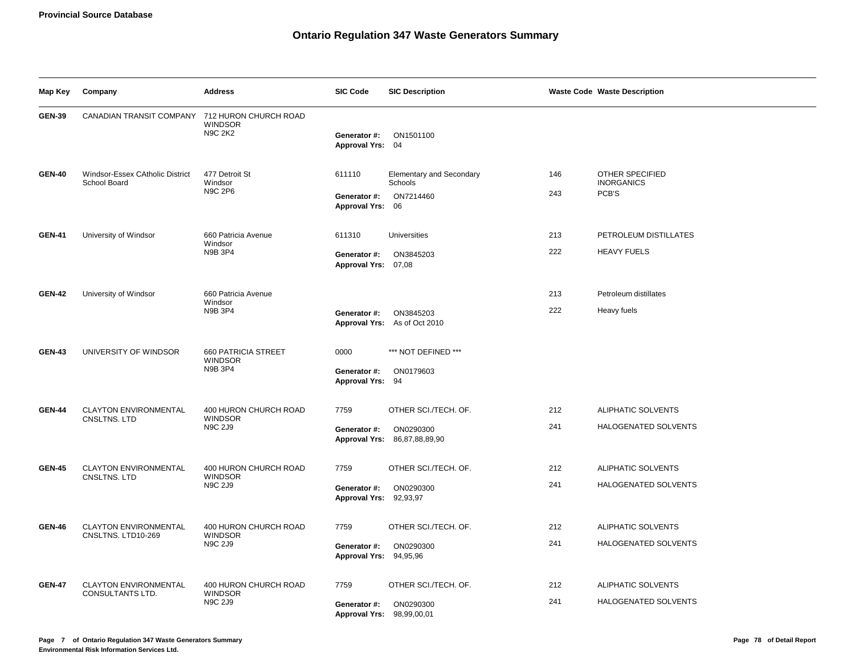| Map Key       | Company                                            | <b>Address</b>                                            | <b>SIC Code</b>                                | <b>SIC Description</b>                                            |            | <b>Waste Code Waste Description</b>           |
|---------------|----------------------------------------------------|-----------------------------------------------------------|------------------------------------------------|-------------------------------------------------------------------|------------|-----------------------------------------------|
| <b>GEN-39</b> | CANADIAN TRANSIT COMPANY 712 HURON CHURCH ROAD     | <b>WINDSOR</b><br><b>N9C 2K2</b>                          | Generator #:<br>Approval Yrs: 04               | ON1501100                                                         |            |                                               |
| <b>GEN-40</b> | Windsor-Essex CAtholic District<br>School Board    | 477 Detroit St<br>Windsor<br><b>N9C 2P6</b>               | 611110<br>Generator #:<br>Approval Yrs: 06     | <b>Elementary and Secondary</b><br>Schools<br>ON7214460           | 146<br>243 | OTHER SPECIFIED<br><b>INORGANICS</b><br>PCB'S |
| <b>GEN-41</b> | University of Windsor                              | 660 Patricia Avenue<br>Windsor<br>N9B 3P4                 | 611310<br>Generator #:<br>Approval Yrs: 07,08  | <b>Universities</b><br>ON3845203                                  | 213<br>222 | PETROLEUM DISTILLATES<br><b>HEAVY FUELS</b>   |
| <b>GEN-42</b> | University of Windsor                              | 660 Patricia Avenue<br>Windsor<br>N9B 3P4                 | Generator #:                                   | ON3845203<br>Approval Yrs: As of Oct 2010                         | 213<br>222 | Petroleum distillates<br>Heavy fuels          |
| <b>GEN-43</b> | UNIVERSITY OF WINDSOR                              | <b>660 PATRICIA STREET</b><br><b>WINDSOR</b><br>N9B 3P4   | 0000<br>Generator #:<br>Approval Yrs: 94       | *** NOT DEFINED ***<br>ON0179603                                  |            |                                               |
| <b>GEN-44</b> | <b>CLAYTON ENVIRONMENTAL</b><br>CNSLTNS. LTD       | 400 HURON CHURCH ROAD<br><b>WINDSOR</b><br><b>N9C 2J9</b> | 7759<br>Generator #:                           | OTHER SCI./TECH. OF.<br>ON0290300<br>Approval Yrs: 86,87,88,89,90 | 212<br>241 | ALIPHATIC SOLVENTS<br>HALOGENATED SOLVENTS    |
| <b>GEN-45</b> | <b>CLAYTON ENVIRONMENTAL</b><br>CNSLTNS, LTD       | 400 HURON CHURCH ROAD<br><b>WINDSOR</b><br><b>N9C 2J9</b> | 7759<br>Generator #:<br>Approval Yrs: 92,93,97 | OTHER SCI./TECH. OF.<br>ON0290300                                 | 212<br>241 | ALIPHATIC SOLVENTS<br>HALOGENATED SOLVENTS    |
| <b>GEN-46</b> | <b>CLAYTON ENVIRONMENTAL</b><br>CNSLTNS. LTD10-269 | 400 HURON CHURCH ROAD<br><b>WINDSOR</b><br><b>N9C 2J9</b> | 7759<br>Generator #:<br>Approval Yrs: 94,95,96 | OTHER SCI./TECH. OF.<br>ON0290300                                 | 212<br>241 | ALIPHATIC SOLVENTS<br>HALOGENATED SOLVENTS    |
| <b>GEN-47</b> | <b>CLAYTON ENVIRONMENTAL</b><br>CONSULTANTS LTD.   | 400 HURON CHURCH ROAD<br><b>WINDSOR</b><br><b>N9C 2J9</b> | 7759<br>Generator #:<br><b>Approval Yrs:</b>   | OTHER SCI./TECH. OF.<br>ON0290300<br>98,99,00,01                  | 212<br>241 | ALIPHATIC SOLVENTS<br>HALOGENATED SOLVENTS    |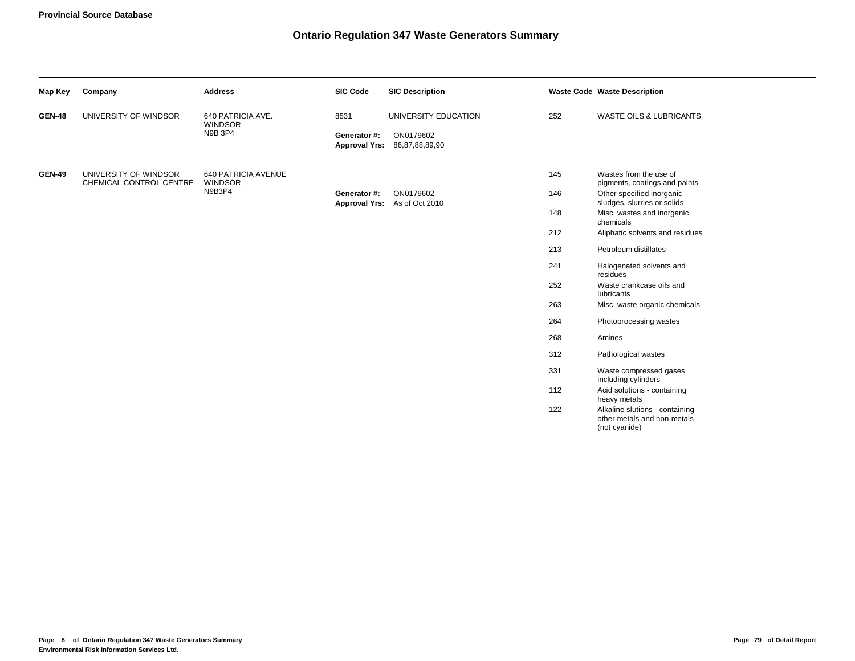| Map Key       | Company                                          | <b>Address</b>                                        | <b>SIC Code</b>                      | <b>SIC Description</b>                    |     | <b>Waste Code Waste Description</b>                                            |
|---------------|--------------------------------------------------|-------------------------------------------------------|--------------------------------------|-------------------------------------------|-----|--------------------------------------------------------------------------------|
| <b>GEN-48</b> | UNIVERSITY OF WINDSOR                            | 640 PATRICIA AVE.<br><b>WINDSOR</b><br><b>N9B 3P4</b> | 8531                                 | UNIVERSITY EDUCATION                      | 252 | <b>WASTE OILS &amp; LUBRICANTS</b>                                             |
|               |                                                  |                                                       | Generator #:<br><b>Approval Yrs:</b> | ON0179602<br>86,87,88,89,90               |     |                                                                                |
| <b>GEN-49</b> | UNIVERSITY OF WINDSOR<br>CHEMICAL CONTROL CENTRE | 640 PATRICIA AVENUE<br><b>WINDSOR</b>                 |                                      |                                           | 145 | Wastes from the use of<br>pigments, coatings and paints                        |
|               |                                                  | N9B3P4                                                | Generator #:                         | ON0179602<br>Approval Yrs: As of Oct 2010 | 146 | Other specified inorganic<br>sludges, slurries or solids                       |
|               |                                                  |                                                       |                                      |                                           | 148 | Misc. wastes and inorganic<br>chemicals                                        |
|               |                                                  |                                                       |                                      |                                           | 212 | Aliphatic solvents and residues                                                |
|               |                                                  |                                                       |                                      |                                           | 213 | Petroleum distillates                                                          |
|               |                                                  |                                                       |                                      |                                           | 241 | Halogenated solvents and<br>residues                                           |
|               |                                                  |                                                       |                                      |                                           | 252 | Waste crankcase oils and<br><b>lubricants</b>                                  |
|               |                                                  |                                                       |                                      |                                           | 263 | Misc. waste organic chemicals                                                  |
|               |                                                  |                                                       |                                      |                                           | 264 | Photoprocessing wastes                                                         |
|               |                                                  |                                                       |                                      |                                           | 268 | Amines                                                                         |
|               |                                                  |                                                       |                                      |                                           | 312 | Pathological wastes                                                            |
|               |                                                  |                                                       |                                      |                                           | 331 | Waste compressed gases<br>including cylinders                                  |
|               |                                                  |                                                       |                                      |                                           | 112 | Acid solutions - containing<br>heavy metals                                    |
|               |                                                  |                                                       |                                      |                                           | 122 | Alkaline slutions - containing<br>other metals and non-metals<br>(not cyanide) |
|               |                                                  |                                                       |                                      |                                           |     |                                                                                |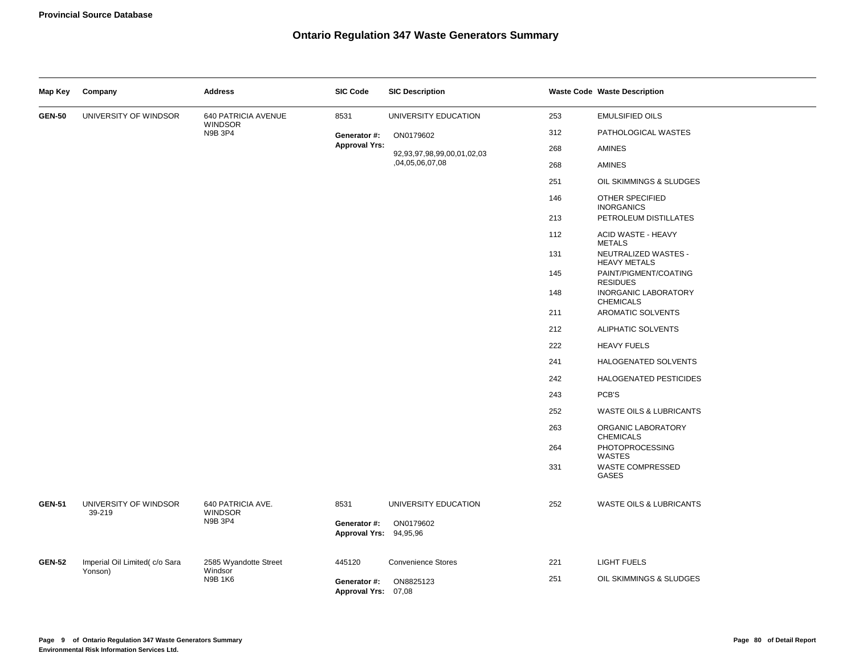| Map Key       | Company                         | <b>Address</b>                        | <b>SIC Code</b>                        | <b>SIC Description</b>             |     | <b>Waste Code Waste Description</b>             |
|---------------|---------------------------------|---------------------------------------|----------------------------------------|------------------------------------|-----|-------------------------------------------------|
| <b>GEN-50</b> | UNIVERSITY OF WINDSOR           | 640 PATRICIA AVENUE<br><b>WINDSOR</b> | 8531                                   | UNIVERSITY EDUCATION               | 253 | <b>EMULSIFIED OILS</b>                          |
|               |                                 | N9B 3P4                               | Generator #:                           | ON0179602                          | 312 | PATHOLOGICAL WASTES                             |
|               |                                 |                                       | <b>Approval Yrs:</b>                   | 92, 93, 97, 98, 99, 00, 01, 02, 03 | 268 | AMINES                                          |
|               |                                 |                                       |                                        | ,04,05,06,07,08                    | 268 | <b>AMINES</b>                                   |
|               |                                 |                                       |                                        |                                    | 251 | OIL SKIMMINGS & SLUDGES                         |
|               |                                 |                                       |                                        |                                    | 146 | OTHER SPECIFIED<br><b>INORGANICS</b>            |
|               |                                 |                                       |                                        |                                    | 213 | PETROLEUM DISTILLATES                           |
|               |                                 |                                       |                                        |                                    | 112 | <b>ACID WASTE - HEAVY</b><br><b>METALS</b>      |
|               |                                 |                                       |                                        |                                    | 131 | NEUTRALIZED WASTES -<br><b>HEAVY METALS</b>     |
|               |                                 |                                       |                                        |                                    | 145 | PAINT/PIGMENT/COATING<br><b>RESIDUES</b>        |
|               |                                 |                                       |                                        |                                    | 148 | <b>INORGANIC LABORATORY</b><br><b>CHEMICALS</b> |
|               |                                 |                                       |                                        |                                    | 211 | AROMATIC SOLVENTS                               |
|               |                                 |                                       |                                        |                                    | 212 | ALIPHATIC SOLVENTS                              |
|               |                                 |                                       |                                        |                                    | 222 | <b>HEAVY FUELS</b>                              |
|               |                                 |                                       |                                        |                                    | 241 | HALOGENATED SOLVENTS                            |
|               |                                 |                                       |                                        |                                    | 242 | <b>HALOGENATED PESTICIDES</b>                   |
|               |                                 |                                       |                                        |                                    | 243 | PCB'S                                           |
|               |                                 |                                       |                                        |                                    | 252 | <b>WASTE OILS &amp; LUBRICANTS</b>              |
|               |                                 |                                       |                                        |                                    | 263 | ORGANIC LABORATORY<br><b>CHEMICALS</b>          |
|               |                                 |                                       |                                        |                                    | 264 | PHOTOPROCESSING<br>WASTES                       |
|               |                                 |                                       |                                        |                                    | 331 | <b>WASTE COMPRESSED</b><br>GASES                |
| <b>GEN-51</b> | UNIVERSITY OF WINDSOR<br>39-219 | 640 PATRICIA AVE.<br><b>WINDSOR</b>   | 8531                                   | UNIVERSITY EDUCATION               | 252 | WASTE OILS & LUBRICANTS                         |
|               |                                 | N9B 3P4                               | Generator #:<br>Approval Yrs: 94,95,96 | ON0179602                          |     |                                                 |
| <b>GEN-52</b> | Imperial Oil Limited(c/o Sara   | 2585 Wyandotte Street                 | 445120                                 | <b>Convenience Stores</b>          | 221 | <b>LIGHT FUELS</b>                              |
|               | Yonson)                         | Windsor<br><b>N9B 1K6</b>             | Generator #:<br>Approval Yrs: 07,08    | ON8825123                          | 251 | OIL SKIMMINGS & SLUDGES                         |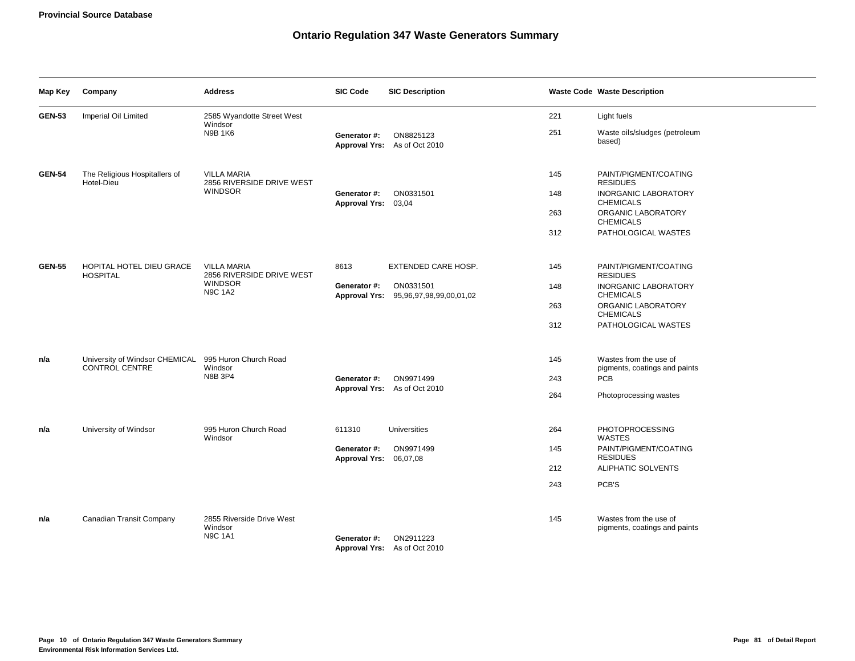| Map Key                                                                                                                | Company                                                                       | <b>Address</b>                                         | <b>SIC Code</b>                        | <b>SIC Description</b>                             |                                          | <b>Waste Code Waste Description</b>                     |
|------------------------------------------------------------------------------------------------------------------------|-------------------------------------------------------------------------------|--------------------------------------------------------|----------------------------------------|----------------------------------------------------|------------------------------------------|---------------------------------------------------------|
| <b>GEN-53</b>                                                                                                          | Imperial Oil Limited                                                          | 2585 Wyandotte Street West<br>Windsor                  |                                        |                                                    | 221                                      | Light fuels                                             |
|                                                                                                                        |                                                                               | <b>N9B 1K6</b>                                         | Generator #:                           | ON8825123<br>Approval Yrs: As of Oct 2010          | 251                                      | Waste oils/sludges (petroleum<br>based)                 |
| <b>GEN-54</b>                                                                                                          | The Religious Hospitallers of<br>Hotel-Dieu                                   | <b>VILLA MARIA</b><br>2856 RIVERSIDE DRIVE WEST        |                                        |                                                    | 145                                      | PAINT/PIGMENT/COATING<br><b>RESIDUES</b>                |
|                                                                                                                        |                                                                               | <b>WINDSOR</b>                                         | Generator #:<br>Approval Yrs: 03,04    | ON0331501                                          | 148                                      | <b>INORGANIC LABORATORY</b><br><b>CHEMICALS</b>         |
|                                                                                                                        |                                                                               |                                                        |                                        |                                                    | 263                                      | ORGANIC LABORATORY<br><b>CHEMICALS</b>                  |
|                                                                                                                        |                                                                               |                                                        |                                        |                                                    | 312                                      | PATHOLOGICAL WASTES                                     |
| <b>GEN-55</b><br>HOPITAL HOTEL DIEU GRACE<br><b>VILLA MARIA</b><br><b>HOSPITAL</b><br><b>WINDSOR</b><br><b>N9C 1A2</b> | 2856 RIVERSIDE DRIVE WEST                                                     | 8613                                                   | EXTENDED CARE HOSP.                    | 145                                                | PAINT/PIGMENT/COATING<br><b>RESIDUES</b> |                                                         |
|                                                                                                                        |                                                                               |                                                        | Generator #:                           | ON0331501<br>Approval Yrs: 95,96,97,98,99,00,01,02 | 148                                      | <b>INORGANIC LABORATORY</b><br><b>CHEMICALS</b>         |
|                                                                                                                        |                                                                               |                                                        |                                        |                                                    | 263                                      | ORGANIC LABORATORY<br><b>CHEMICALS</b>                  |
|                                                                                                                        |                                                                               |                                                        |                                        |                                                    | 312                                      | PATHOLOGICAL WASTES                                     |
| n/a                                                                                                                    | University of Windsor CHEMICAL 995 Huron Church Road<br><b>CONTROL CENTRE</b> | Windsor                                                |                                        |                                                    | 145                                      | Wastes from the use of<br>pigments, coatings and paints |
|                                                                                                                        |                                                                               | N8B 3P4                                                | Generator #:                           | ON9971499<br>Approval Yrs: As of Oct 2010          | 243                                      | PCB                                                     |
|                                                                                                                        |                                                                               |                                                        |                                        |                                                    | 264                                      | Photoprocessing wastes                                  |
| n/a                                                                                                                    | University of Windsor                                                         | 995 Huron Church Road<br>Windsor                       | 611310                                 | <b>Universities</b>                                | 264                                      | PHOTOPROCESSING<br>WASTES                               |
|                                                                                                                        |                                                                               |                                                        | Generator #:<br>Approval Yrs: 06,07,08 | ON9971499                                          | 145                                      | PAINT/PIGMENT/COATING<br><b>RESIDUES</b>                |
|                                                                                                                        |                                                                               |                                                        |                                        |                                                    | 212                                      | ALIPHATIC SOLVENTS                                      |
|                                                                                                                        |                                                                               |                                                        |                                        |                                                    | 243                                      | PCB'S                                                   |
| n/a                                                                                                                    | Canadian Transit Company                                                      | 2855 Riverside Drive West<br>Windsor<br><b>N9C 1A1</b> | Generator #:                           | ON2911223<br>Approval Yrs: As of Oct 2010          | 145                                      | Wastes from the use of<br>pigments, coatings and paints |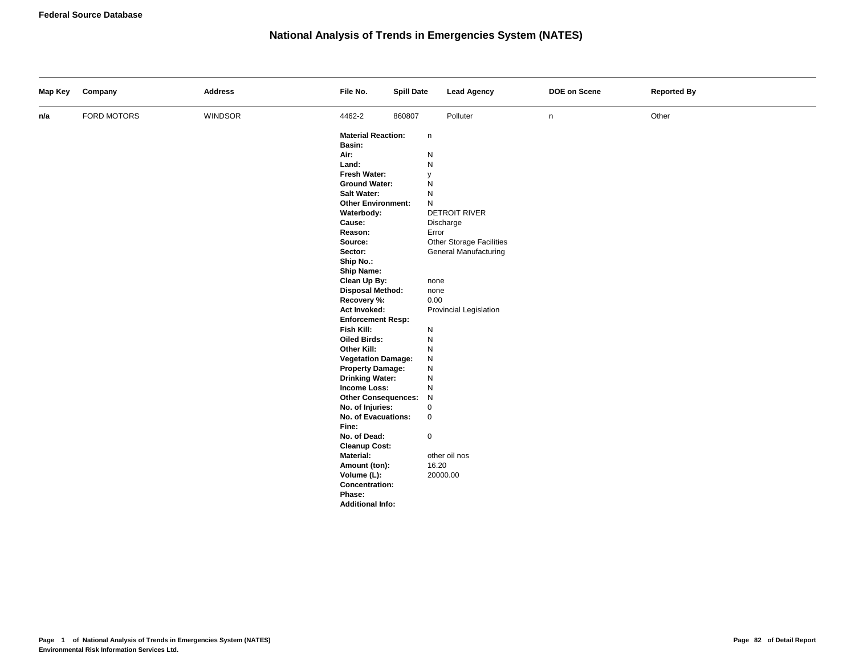# **National Analysis of Trends in Emergencies System (NATES)**

| Map Key | Company     | <b>Address</b> | File No.                                 | <b>Spill Date</b> |             | <b>Lead Agency</b>                                | DOE on Scene | <b>Reported By</b> |
|---------|-------------|----------------|------------------------------------------|-------------------|-------------|---------------------------------------------------|--------------|--------------------|
| n/a     | FORD MOTORS | WINDSOR        | 4462-2                                   | 860807            |             | Polluter                                          | n            | Other              |
|         |             |                | <b>Material Reaction:</b>                |                   | n           |                                                   |              |                    |
|         |             |                | Basin:                                   |                   |             |                                                   |              |                    |
|         |             |                | Air:                                     |                   | ${\sf N}$   |                                                   |              |                    |
|         |             |                | Land:                                    |                   | ${\sf N}$   |                                                   |              |                    |
|         |             |                | Fresh Water:                             |                   | y           |                                                   |              |                    |
|         |             |                | <b>Ground Water:</b>                     |                   | ${\sf N}$   |                                                   |              |                    |
|         |             |                | Salt Water:                              |                   | ${\sf N}$   |                                                   |              |                    |
|         |             |                | <b>Other Environment:</b>                |                   | N           |                                                   |              |                    |
|         |             |                | Waterbody:                               |                   |             | <b>DETROIT RIVER</b>                              |              |                    |
|         |             |                | Cause:                                   |                   | Discharge   |                                                   |              |                    |
|         |             |                | Reason:<br>Source:                       |                   | Error       |                                                   |              |                    |
|         |             |                | Sector:                                  |                   |             | Other Storage Facilities<br>General Manufacturing |              |                    |
|         |             |                | Ship No.:                                |                   |             |                                                   |              |                    |
|         |             |                | <b>Ship Name:</b>                        |                   |             |                                                   |              |                    |
|         |             |                | Clean Up By:                             |                   | none        |                                                   |              |                    |
|         |             |                | <b>Disposal Method:</b>                  |                   | none        |                                                   |              |                    |
|         |             |                | Recovery %:                              |                   | 0.00        |                                                   |              |                    |
|         |             |                | Act Invoked:                             |                   |             | Provincial Legislation                            |              |                    |
|         |             |                | <b>Enforcement Resp:</b>                 |                   |             |                                                   |              |                    |
|         |             |                | Fish Kill:                               |                   | ${\sf N}$   |                                                   |              |                    |
|         |             |                | <b>Oiled Birds:</b>                      |                   | ${\sf N}$   |                                                   |              |                    |
|         |             |                | Other Kill:                              |                   | ${\sf N}$   |                                                   |              |                    |
|         |             |                | <b>Vegetation Damage:</b>                |                   | ${\sf N}$   |                                                   |              |                    |
|         |             |                | <b>Property Damage:</b>                  |                   | ${\sf N}$   |                                                   |              |                    |
|         |             |                | <b>Drinking Water:</b>                   |                   | N           |                                                   |              |                    |
|         |             |                | Income Loss:                             |                   | ${\sf N}$   |                                                   |              |                    |
|         |             |                | <b>Other Consequences:</b>               |                   | N           |                                                   |              |                    |
|         |             |                | No. of Injuries:                         |                   | $\mathbf 0$ |                                                   |              |                    |
|         |             |                | No. of Evacuations:                      |                   | $\mathbf 0$ |                                                   |              |                    |
|         |             |                | Fine:                                    |                   |             |                                                   |              |                    |
|         |             |                | No. of Dead:                             |                   | $\mathbf 0$ |                                                   |              |                    |
|         |             |                | <b>Cleanup Cost:</b><br><b>Material:</b> |                   |             | other oil nos                                     |              |                    |
|         |             |                | Amount (ton):                            |                   | 16.20       |                                                   |              |                    |
|         |             |                | Volume (L):                              |                   | 20000.00    |                                                   |              |                    |
|         |             |                | <b>Concentration:</b>                    |                   |             |                                                   |              |                    |
|         |             |                | Phase:                                   |                   |             |                                                   |              |                    |
|         |             |                | <b>Additional Info:</b>                  |                   |             |                                                   |              |                    |
|         |             |                |                                          |                   |             |                                                   |              |                    |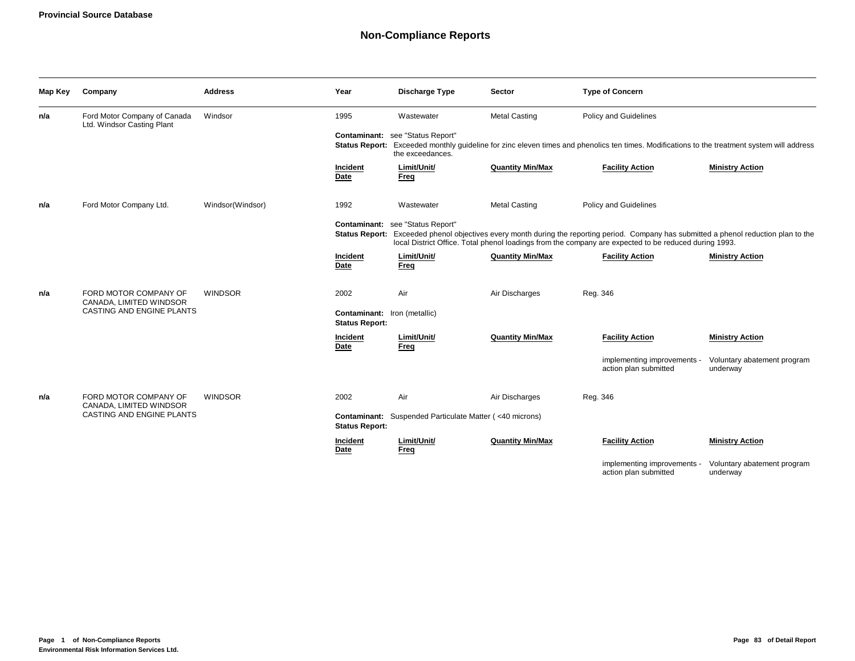# **Non-Compliance Reports**

| Map Key | Company                                                    | <b>Address</b>   | Year                                                  | <b>Discharge Type</b>                                          | <b>Sector</b>           | <b>Type of Concern</b>                                                                                                                                                                                                            |                                         |
|---------|------------------------------------------------------------|------------------|-------------------------------------------------------|----------------------------------------------------------------|-------------------------|-----------------------------------------------------------------------------------------------------------------------------------------------------------------------------------------------------------------------------------|-----------------------------------------|
| n/a     | Ford Motor Company of Canada<br>Ltd. Windsor Casting Plant | Windsor          | 1995                                                  | Wastewater                                                     | <b>Metal Casting</b>    | Policy and Guidelines                                                                                                                                                                                                             |                                         |
|         |                                                            |                  |                                                       | Contaminant: see "Status Report"<br>the exceedances.           |                         | Status Report: Exceeded monthly guideline for zinc eleven times and phenolics ten times. Modifications to the treatment system will address                                                                                       |                                         |
|         |                                                            |                  | Incident<br>Date                                      | Limit/Unit/<br>Freq                                            | <b>Quantity Min/Max</b> | <b>Facility Action</b>                                                                                                                                                                                                            | <b>Ministry Action</b>                  |
| n/a     | Ford Motor Company Ltd.                                    | Windsor(Windsor) | 1992                                                  | Wastewater                                                     | <b>Metal Casting</b>    | Policy and Guidelines                                                                                                                                                                                                             |                                         |
|         |                                                            |                  | <b>Status Report:</b>                                 | Contaminant: see "Status Report"                               |                         | Exceeded phenol objectives every month during the reporting period. Company has submitted a phenol reduction plan to the<br>local District Office. Total phenol loadings from the company are expected to be reduced during 1993. |                                         |
|         |                                                            |                  | Incident<br>Date                                      | Limit/Unit/<br>Freq                                            | <b>Quantity Min/Max</b> | <b>Facility Action</b>                                                                                                                                                                                                            | <b>Ministry Action</b>                  |
| n/a     | FORD MOTOR COMPANY OF<br>CANADA, LIMITED WINDSOR           | <b>WINDSOR</b>   | 2002                                                  | Air                                                            | Air Discharges          | Reg. 346                                                                                                                                                                                                                          |                                         |
|         | CASTING AND ENGINE PLANTS                                  |                  | Contaminant: Iron (metallic)<br><b>Status Report:</b> |                                                                |                         |                                                                                                                                                                                                                                   |                                         |
|         |                                                            |                  | Incident<br>Date                                      | Limit/Unit/<br>Freq                                            | <b>Quantity Min/Max</b> | <b>Facility Action</b>                                                                                                                                                                                                            | <b>Ministry Action</b>                  |
|         |                                                            |                  |                                                       |                                                                |                         | implementing improvements -<br>action plan submitted                                                                                                                                                                              | Voluntary abatement program<br>underway |
| n/a     | FORD MOTOR COMPANY OF<br>CANADA, LIMITED WINDSOR           | WINDSOR          | 2002                                                  | Air                                                            | Air Discharges          | Reg. 346                                                                                                                                                                                                                          |                                         |
|         | CASTING AND ENGINE PLANTS                                  |                  | <b>Status Report:</b>                                 | <b>Contaminant:</b> Suspended Particulate Matter (<40 microns) |                         |                                                                                                                                                                                                                                   |                                         |
|         |                                                            |                  | Incident<br>Date                                      | Limit/Unit/<br>Freq                                            | <b>Quantity Min/Max</b> | <b>Facility Action</b>                                                                                                                                                                                                            | <b>Ministry Action</b>                  |
|         |                                                            |                  |                                                       |                                                                |                         | implementing improvements -<br>action plan submitted                                                                                                                                                                              | Voluntary abatement program<br>underway |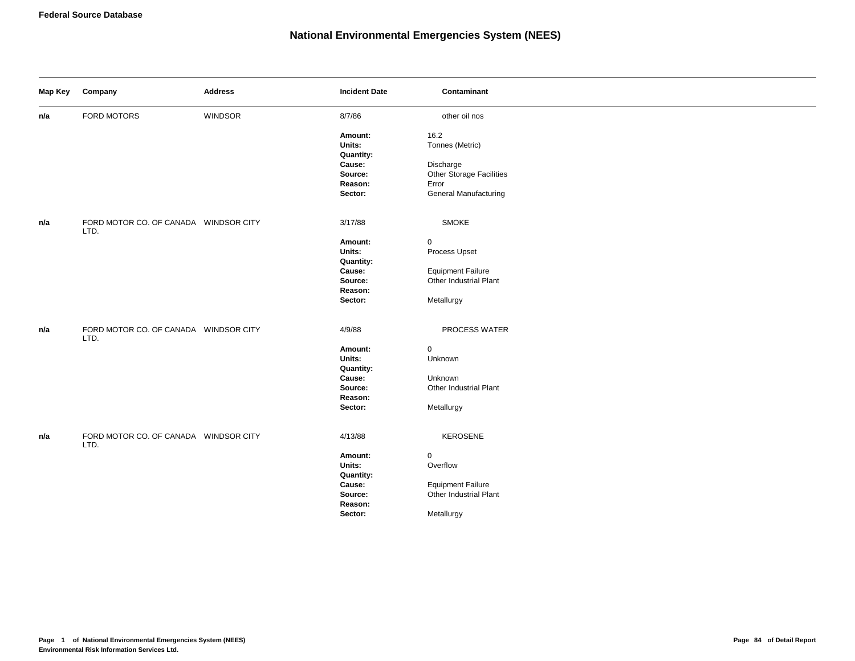| Map Key | Company                                       | <b>Address</b> | <b>Incident Date</b> | Contaminant              |
|---------|-----------------------------------------------|----------------|----------------------|--------------------------|
| n/a     | FORD MOTORS                                   | WINDSOR        | 8/7/86               | other oil nos            |
|         |                                               |                | Amount:              | 16.2                     |
|         |                                               |                | Units:               | Tonnes (Metric)          |
|         |                                               |                | Quantity:            |                          |
|         |                                               |                | Cause:               | Discharge                |
|         |                                               |                | Source:              | Other Storage Facilities |
|         |                                               |                | Reason:              | Error                    |
|         |                                               |                | Sector:              | General Manufacturing    |
| n/a     | FORD MOTOR CO. OF CANADA WINDSOR CITY<br>LTD. |                | 3/17/88              | <b>SMOKE</b>             |
|         |                                               |                | Amount:              | 0                        |
|         |                                               |                | Units:               | Process Upset            |
|         |                                               |                | <b>Quantity:</b>     |                          |
|         |                                               |                | Cause:               | <b>Equipment Failure</b> |
|         |                                               |                | Source:              | Other Industrial Plant   |
|         |                                               |                | Reason:              |                          |
|         |                                               |                | Sector:              | Metallurgy               |
| n/a     | FORD MOTOR CO. OF CANADA WINDSOR CITY<br>LTD. |                | 4/9/88               | PROCESS WATER            |
|         |                                               |                | Amount:              | $\mathbf 0$              |
|         |                                               |                | Units:               | Unknown                  |
|         |                                               |                | Quantity:            |                          |
|         |                                               |                | Cause:               | Unknown                  |
|         |                                               |                | Source:              | Other Industrial Plant   |
|         |                                               |                | Reason:              |                          |
|         |                                               |                | Sector:              | Metallurgy               |
| n/a     | FORD MOTOR CO. OF CANADA WINDSOR CITY<br>LTD. |                | 4/13/88              | KEROSENE                 |
|         |                                               |                | Amount:              | 0                        |
|         |                                               |                | Units:               | Overflow                 |
|         |                                               |                | Quantity:            |                          |
|         |                                               |                | Cause:               | <b>Equipment Failure</b> |
|         |                                               |                | Source:              | Other Industrial Plant   |
|         |                                               |                | Reason:              |                          |
|         |                                               |                | Sector:              | Metallurgy               |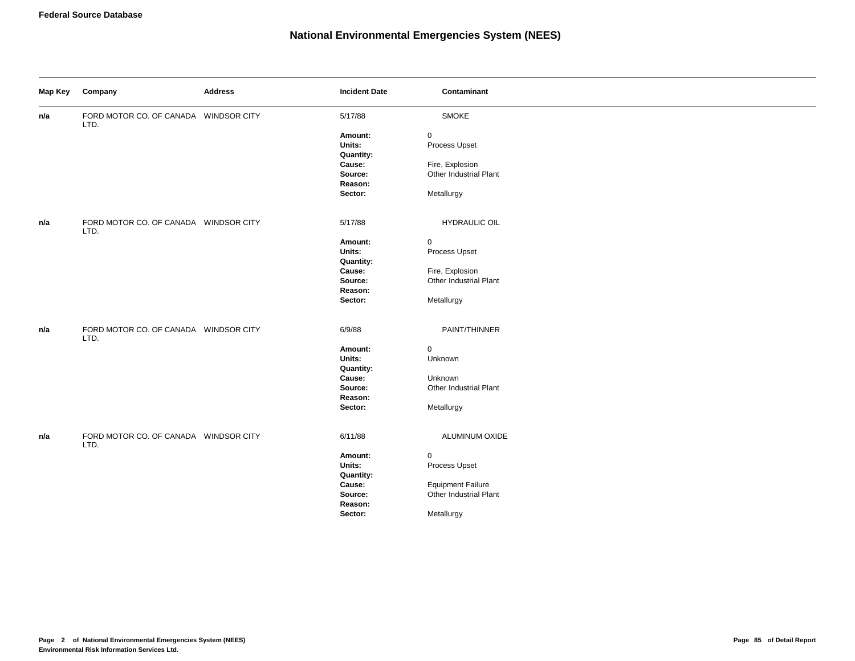| Map Key | Company                                       | <b>Address</b> | <b>Incident Date</b> | Contaminant              |
|---------|-----------------------------------------------|----------------|----------------------|--------------------------|
| n/a     | FORD MOTOR CO. OF CANADA WINDSOR CITY<br>LTD. |                | 5/17/88              | <b>SMOKE</b>             |
|         |                                               |                | Amount:              | 0                        |
|         |                                               |                | Units:               | Process Upset            |
|         |                                               |                | Quantity:            |                          |
|         |                                               |                | Cause:               | Fire, Explosion          |
|         |                                               |                | Source:              | Other Industrial Plant   |
|         |                                               |                | Reason:              |                          |
|         |                                               |                | Sector:              | Metallurgy               |
| n/a     | FORD MOTOR CO. OF CANADA WINDSOR CITY<br>LTD. |                | 5/17/88              | <b>HYDRAULIC OIL</b>     |
|         |                                               |                | Amount:              | 0                        |
|         |                                               |                | Units:               | Process Upset            |
|         |                                               |                | Quantity:            |                          |
|         |                                               |                | Cause:               | Fire, Explosion          |
|         |                                               |                | Source:              | Other Industrial Plant   |
|         |                                               |                | Reason:              |                          |
|         |                                               |                | Sector:              | Metallurgy               |
| n/a     | FORD MOTOR CO. OF CANADA WINDSOR CITY<br>LTD. |                | 6/9/88               | PAINT/THINNER            |
|         |                                               |                | Amount:              | 0                        |
|         |                                               |                | Units:               | Unknown                  |
|         |                                               |                | Quantity:            |                          |
|         |                                               |                | Cause:               | Unknown                  |
|         |                                               |                | Source:              | Other Industrial Plant   |
|         |                                               |                | Reason:              |                          |
|         |                                               |                | Sector:              | Metallurgy               |
| n/a     | FORD MOTOR CO. OF CANADA WINDSOR CITY         |                | 6/11/88              | ALUMINUM OXIDE           |
|         | LTD.                                          |                |                      |                          |
|         |                                               |                | Amount:              | 0                        |
|         |                                               |                | Units:               | Process Upset            |
|         |                                               |                | Quantity:            |                          |
|         |                                               |                | Cause:               | <b>Equipment Failure</b> |
|         |                                               |                | Source:              | Other Industrial Plant   |
|         |                                               |                | Reason:              |                          |
|         |                                               |                | Sector:              | Metallurgy               |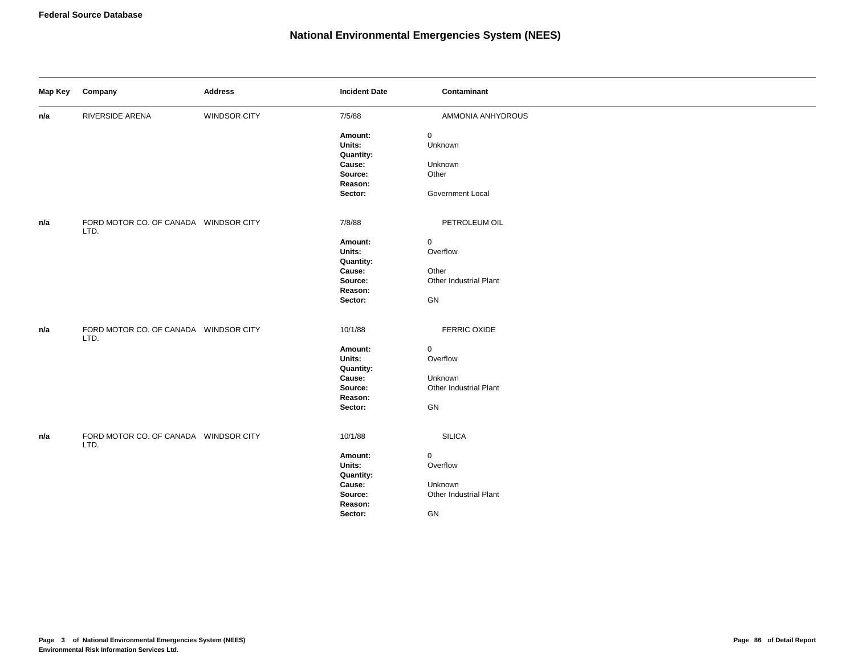| Map Key | Company                                       | <b>Address</b> | <b>Incident Date</b> | Contaminant            |
|---------|-----------------------------------------------|----------------|----------------------|------------------------|
| n/a     | RIVERSIDE ARENA                               | WINDSOR CITY   | 7/5/88               | AMMONIA ANHYDROUS      |
|         |                                               |                | Amount:              | $\mathbf 0$            |
|         |                                               |                | Units:               | Unknown                |
|         |                                               |                | <b>Quantity:</b>     |                        |
|         |                                               |                | Cause:<br>Source:    | Unknown<br>Other       |
|         |                                               |                | Reason:              |                        |
|         |                                               |                | Sector:              | Government Local       |
|         |                                               |                |                      |                        |
| n/a     | FORD MOTOR CO. OF CANADA WINDSOR CITY<br>LTD. |                | 7/8/88               | PETROLEUM OIL          |
|         |                                               |                | Amount:              | $\mathsf 0$            |
|         |                                               |                | Units:               | Overflow               |
|         |                                               |                | <b>Quantity:</b>     |                        |
|         |                                               |                | Cause:               | Other                  |
|         |                                               |                | Source:              | Other Industrial Plant |
|         |                                               |                | Reason:              |                        |
|         |                                               |                | Sector:              | GN                     |
| n/a     | FORD MOTOR CO. OF CANADA WINDSOR CITY<br>LTD. |                | 10/1/88              | <b>FERRIC OXIDE</b>    |
|         |                                               |                | Amount:              | $\mathsf{O}\xspace$    |
|         |                                               |                | Units:               | Overflow               |
|         |                                               |                | <b>Quantity:</b>     |                        |
|         |                                               |                | Cause:               | Unknown                |
|         |                                               |                | Source:              | Other Industrial Plant |
|         |                                               |                | Reason:              |                        |
|         |                                               |                | Sector:              | ${\sf GN}$             |
| n/a     | FORD MOTOR CO. OF CANADA WINDSOR CITY<br>LTD. |                | 10/1/88              | <b>SILICA</b>          |
|         |                                               |                | Amount:              | $\mathbf 0$            |
|         |                                               |                | Units:               | Overflow               |
|         |                                               |                | Quantity:            |                        |
|         |                                               |                | Cause:               | Unknown                |
|         |                                               |                | Source:              | Other Industrial Plant |
|         |                                               |                | Reason:              |                        |
|         |                                               |                | Sector:              | GN                     |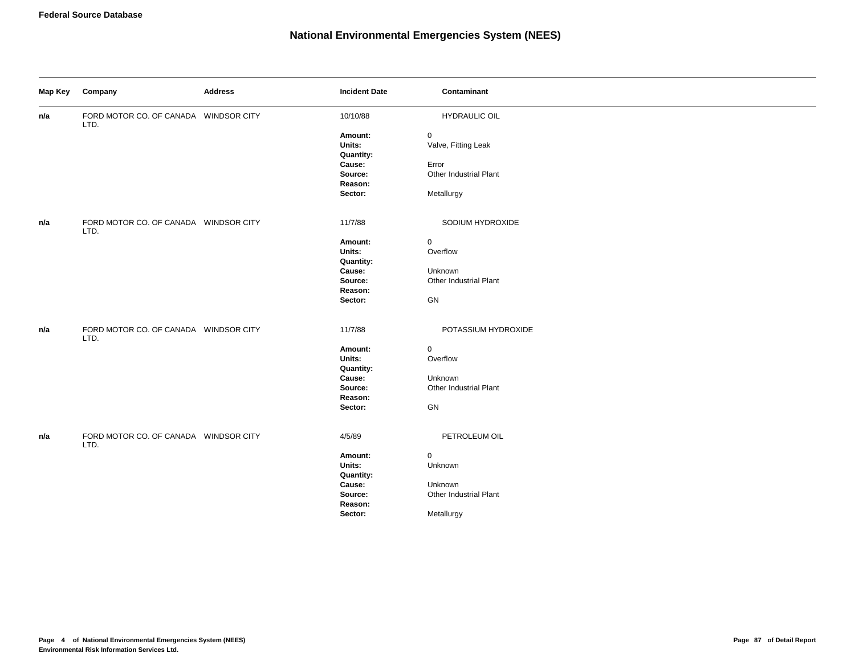| Map Key | Company                                       | <b>Address</b> | <b>Incident Date</b> | Contaminant            |
|---------|-----------------------------------------------|----------------|----------------------|------------------------|
| n/a     | FORD MOTOR CO. OF CANADA WINDSOR CITY<br>LTD. |                | 10/10/88             | <b>HYDRAULIC OIL</b>   |
|         |                                               |                | Amount:              | $\mathbf 0$            |
|         |                                               |                | Units:               | Valve, Fitting Leak    |
|         |                                               |                | Quantity:            |                        |
|         |                                               |                | Cause:               | Error                  |
|         |                                               |                | Source:              | Other Industrial Plant |
|         |                                               |                | Reason:              |                        |
|         |                                               |                | Sector:              | Metallurgy             |
| n/a     | FORD MOTOR CO. OF CANADA WINDSOR CITY<br>LTD. |                | 11/7/88              | SODIUM HYDROXIDE       |
|         |                                               |                | Amount:              | $\mathbf 0$            |
|         |                                               |                | Units:               | Overflow               |
|         |                                               |                | Quantity:            |                        |
|         |                                               |                | Cause:               | Unknown                |
|         |                                               |                | Source:              | Other Industrial Plant |
|         |                                               |                | Reason:              |                        |
|         |                                               |                | Sector:              | GN                     |
| n/a     | FORD MOTOR CO. OF CANADA WINDSOR CITY<br>LTD. |                | 11/7/88              | POTASSIUM HYDROXIDE    |
|         |                                               |                | Amount:              | $\mathsf 0$            |
|         |                                               |                | Units:               | Overflow               |
|         |                                               |                | <b>Quantity:</b>     |                        |
|         |                                               |                | Cause:               | Unknown                |
|         |                                               |                | Source:              | Other Industrial Plant |
|         |                                               |                | Reason:              |                        |
|         |                                               |                | Sector:              | GN                     |
| n/a     | FORD MOTOR CO. OF CANADA WINDSOR CITY<br>LTD. |                | 4/5/89               | PETROLEUM OIL          |
|         |                                               |                | Amount:              | $\mathsf 0$            |
|         |                                               |                | Units:               | Unknown                |
|         |                                               |                | Quantity:            |                        |
|         |                                               |                | Cause:               | Unknown                |
|         |                                               |                | Source:              | Other Industrial Plant |
|         |                                               |                | Reason:              |                        |
|         |                                               |                | Sector:              | Metallurgy             |
|         |                                               |                |                      |                        |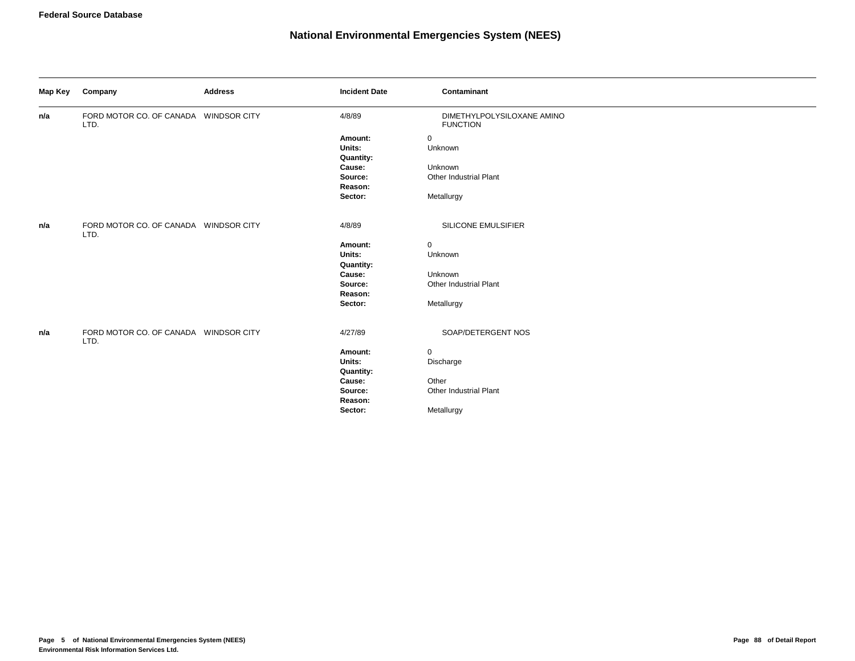| Map Key | Company                                       | <b>Address</b> | <b>Incident Date</b> | Contaminant                                   |
|---------|-----------------------------------------------|----------------|----------------------|-----------------------------------------------|
| n/a     | FORD MOTOR CO. OF CANADA WINDSOR CITY<br>LTD. |                | 4/8/89               | DIMETHYLPOLYSILOXANE AMINO<br><b>FUNCTION</b> |
|         |                                               |                | Amount:              | $\mathbf 0$                                   |
|         |                                               |                | Units:               | Unknown                                       |
|         |                                               |                | <b>Quantity:</b>     |                                               |
|         |                                               |                | Cause:               | Unknown                                       |
|         |                                               |                | Source:              | Other Industrial Plant                        |
|         |                                               |                | Reason:              |                                               |
|         |                                               |                | Sector:              | Metallurgy                                    |
| n/a     | FORD MOTOR CO. OF CANADA WINDSOR CITY<br>LTD. |                | 4/8/89               | SILICONE EMULSIFIER                           |
|         |                                               |                | Amount:              | $\mathbf 0$                                   |
|         |                                               |                | Units:               | Unknown                                       |
|         |                                               |                | <b>Quantity:</b>     |                                               |
|         |                                               |                | Cause:               | Unknown                                       |
|         |                                               |                | Source:              | Other Industrial Plant                        |
|         |                                               |                | Reason:              |                                               |
|         |                                               |                | Sector:              | Metallurgy                                    |
| n/a     | FORD MOTOR CO. OF CANADA WINDSOR CITY<br>LTD. |                | 4/27/89              | SOAP/DETERGENT NOS                            |
|         |                                               |                | Amount:              | $\mathbf 0$                                   |
|         |                                               |                | Units:               | Discharge                                     |
|         |                                               |                | Quantity:            |                                               |
|         |                                               |                | Cause:               | Other                                         |
|         |                                               |                | Source:              | Other Industrial Plant                        |
|         |                                               |                | Reason:              |                                               |
|         |                                               |                | Sector:              | Metallurgy                                    |
|         |                                               |                |                      |                                               |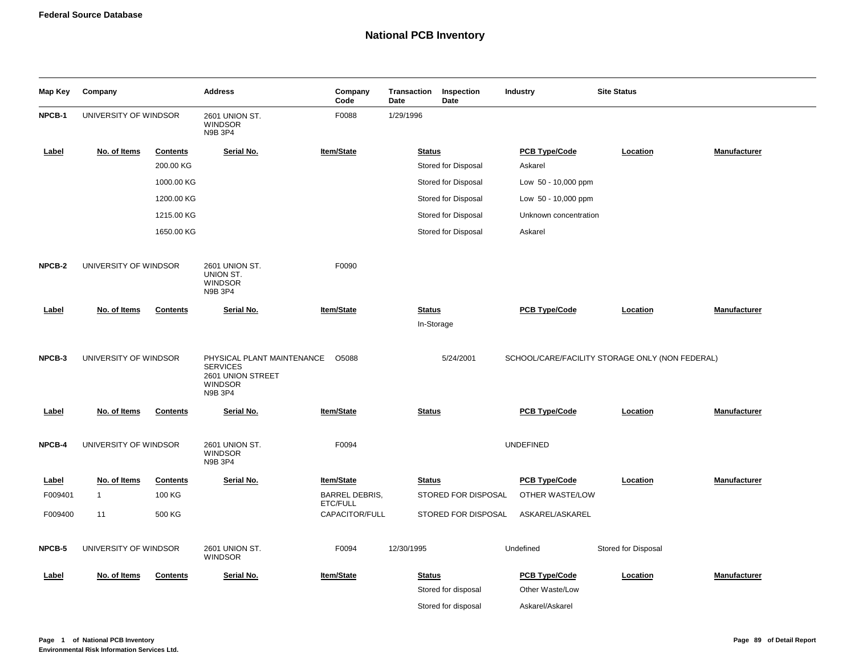| Map Key | Company               |                 | <b>Address</b>                                                                                  | Company<br>Code            | Transaction<br>Date | Inspection<br>Date  | <b>Industry</b>                         | <b>Site Status</b>                              |              |
|---------|-----------------------|-----------------|-------------------------------------------------------------------------------------------------|----------------------------|---------------------|---------------------|-----------------------------------------|-------------------------------------------------|--------------|
| NPCB-1  | UNIVERSITY OF WINDSOR |                 | 2601 UNION ST.<br><b>WINDSOR</b><br>N9B 3P4                                                     | F0088                      | 1/29/1996           |                     |                                         |                                                 |              |
| Label   | No. of Items          | <b>Contents</b> | Serial No.                                                                                      | Item/State                 | <b>Status</b>       |                     | <b>PCB Type/Code</b>                    | Location                                        | Manufacturer |
|         |                       | 200.00 KG       |                                                                                                 |                            |                     | Stored for Disposal | Askarel                                 |                                                 |              |
|         |                       | 1000.00 KG      |                                                                                                 |                            |                     | Stored for Disposal | Low 50 - 10,000 ppm                     |                                                 |              |
|         |                       | 1200.00 KG      |                                                                                                 |                            |                     | Stored for Disposal | Low $50 - 10,000$ ppm                   |                                                 |              |
|         |                       | 1215.00 KG      |                                                                                                 |                            |                     | Stored for Disposal | Unknown concentration                   |                                                 |              |
|         |                       | 1650.00 KG      |                                                                                                 |                            |                     | Stored for Disposal | Askarel                                 |                                                 |              |
| NPCB-2  | UNIVERSITY OF WINDSOR |                 | 2601 UNION ST.<br>UNION ST.<br><b>WINDSOR</b><br>N9B 3P4                                        | F0090                      |                     |                     |                                         |                                                 |              |
| Label   | No. of Items          | <b>Contents</b> | Serial No.                                                                                      | <b>Item/State</b>          | <b>Status</b>       | In-Storage          | <b>PCB Type/Code</b>                    | Location                                        | Manufacturer |
| NPCB-3  | UNIVERSITY OF WINDSOR |                 | PHYSICAL PLANT MAINTENANCE<br><b>SERVICES</b><br>2601 UNION STREET<br><b>WINDSOR</b><br>N9B 3P4 | O5088                      |                     | 5/24/2001           |                                         | SCHOOL/CARE/FACILITY STORAGE ONLY (NON FEDERAL) |              |
| Label   | No. of Items          | <b>Contents</b> | Serial No.                                                                                      | Item/State                 | <b>Status</b>       |                     | <b>PCB Type/Code</b>                    | Location                                        | Manufacturer |
| NPCB-4  | UNIVERSITY OF WINDSOR |                 | 2601 UNION ST.<br><b>WINDSOR</b><br>N9B 3P4                                                     | F0094                      |                     |                     | <b>UNDEFINED</b>                        |                                                 |              |
| Label   | No. of Items          | <b>Contents</b> | Serial No.                                                                                      | <b>Item/State</b>          | <b>Status</b>       |                     | <b>PCB Type/Code</b>                    | Location                                        | Manufacturer |
| F009401 | $\mathbf{1}$          | 100 KG          |                                                                                                 | <b>BARREL DEBRIS,</b>      |                     | STORED FOR DISPOSAL | OTHER WASTE/LOW                         |                                                 |              |
| F009400 | 11                    | 500 KG          |                                                                                                 | ETC/FULL<br>CAPACITOR/FULL |                     | STORED FOR DISPOSAL | ASKAREL/ASKAREL                         |                                                 |              |
| NPCB-5  | UNIVERSITY OF WINDSOR |                 | 2601 UNION ST.<br><b>WINDSOR</b>                                                                | F0094                      | 12/30/1995          |                     | Undefined                               | Stored for Disposal                             |              |
| Label   | No. of Items          | <b>Contents</b> | Serial No.                                                                                      | Item/State                 | <b>Status</b>       | Stored for disposal | <b>PCB Type/Code</b><br>Other Waste/Low | Location                                        | Manufacturer |
|         |                       |                 |                                                                                                 |                            |                     | Stored for disposal | Askarel/Askarel                         |                                                 |              |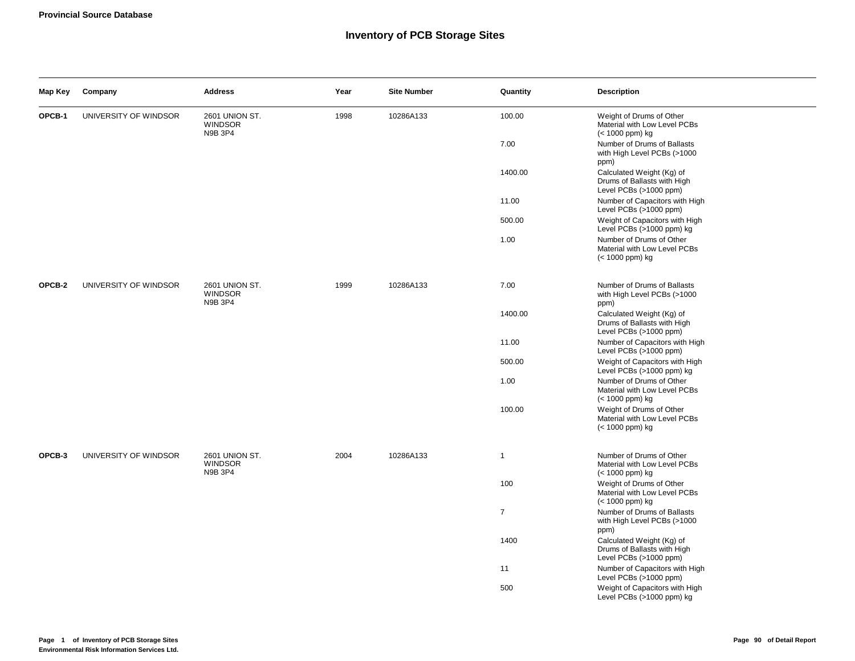#### **Inventory of PCB Storage Sites**

| Map Key | Company               | <b>Address</b>                                     | Year | <b>Site Number</b> | Quantity       | <b>Description</b>                                                                 |
|---------|-----------------------|----------------------------------------------------|------|--------------------|----------------|------------------------------------------------------------------------------------|
| OPCB-1  | UNIVERSITY OF WINDSOR | 2601 UNION ST.<br><b>WINDSOR</b><br>N9B 3P4        | 1998 | 10286A133          | 100.00         | Weight of Drums of Other<br>Material with Low Level PCBs<br>(< 1000 ppm) kg        |
|         |                       |                                                    |      |                    | 7.00           | Number of Drums of Ballasts<br>with High Level PCBs (>1000<br>ppm)                 |
|         |                       |                                                    |      |                    | 1400.00        | Calculated Weight (Kg) of<br>Drums of Ballasts with High<br>Level PCBs (>1000 ppm) |
|         |                       |                                                    |      |                    | 11.00          | Number of Capacitors with High<br>Level PCBs (>1000 ppm)                           |
|         |                       |                                                    |      |                    | 500.00         | Weight of Capacitors with High<br>Level PCBs (>1000 ppm) kg                        |
|         |                       |                                                    |      |                    | 1.00           | Number of Drums of Other<br>Material with Low Level PCBs<br>(< 1000 ppm) kg        |
| OPCB-2  | UNIVERSITY OF WINDSOR | 2601 UNION ST.<br><b>WINDSOR</b><br>N9B 3P4        | 1999 | 10286A133          | 7.00           | Number of Drums of Ballasts<br>with High Level PCBs (>1000<br>ppm)                 |
|         |                       |                                                    |      |                    | 1400.00        | Calculated Weight (Kg) of<br>Drums of Ballasts with High<br>Level PCBs (>1000 ppm) |
|         |                       |                                                    |      |                    | 11.00          | Number of Capacitors with High<br>Level PCBs (>1000 ppm)                           |
|         |                       |                                                    |      |                    | 500.00         | Weight of Capacitors with High<br>Level PCBs (>1000 ppm) kg                        |
|         |                       |                                                    |      |                    | 1.00           | Number of Drums of Other<br>Material with Low Level PCBs<br>(< 1000 ppm) kg        |
|         |                       |                                                    |      |                    | 100.00         | Weight of Drums of Other<br>Material with Low Level PCBs<br>(< 1000 ppm) kg        |
| OPCB-3  | UNIVERSITY OF WINDSOR | <b>2601 UNION ST.</b><br><b>WINDSOR</b><br>N9B 3P4 | 2004 | 10286A133          | $\mathbf{1}$   | Number of Drums of Other<br>Material with Low Level PCBs<br>(< 1000 ppm) kg        |
|         |                       |                                                    |      |                    | 100            | Weight of Drums of Other<br>Material with Low Level PCBs<br>(< 1000 ppm) kg        |
|         |                       |                                                    |      |                    | $\overline{7}$ | Number of Drums of Ballasts<br>with High Level PCBs (>1000<br>ppm)                 |
|         |                       |                                                    |      |                    | 1400           | Calculated Weight (Kg) of<br>Drums of Ballasts with High<br>Level PCBs (>1000 ppm) |
|         |                       |                                                    |      |                    | 11             | Number of Capacitors with High<br>Level PCBs (>1000 ppm)                           |
|         |                       |                                                    |      |                    | 500            | Weight of Capacitors with High<br>Level PCBs (>1000 ppm) kg                        |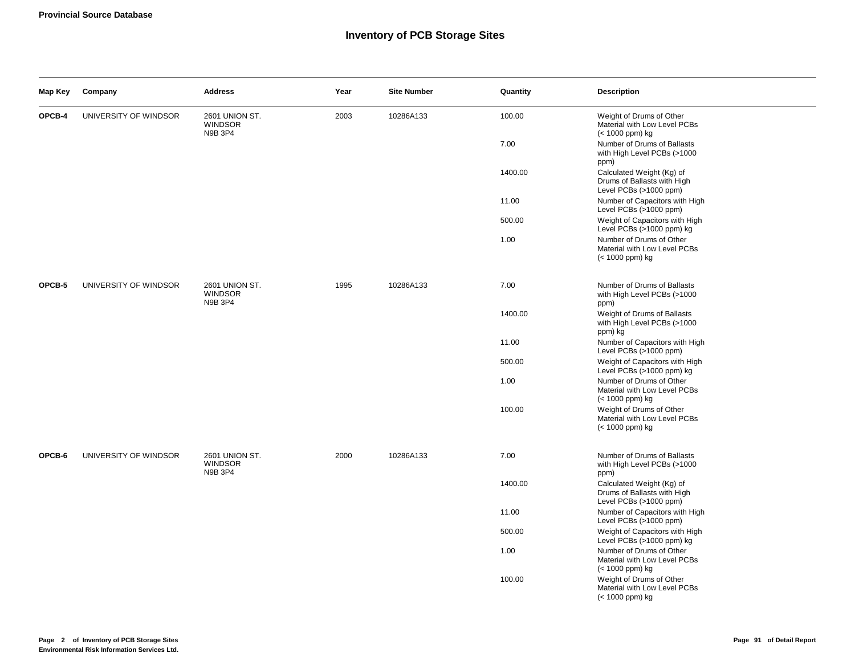#### **Inventory of PCB Storage Sites**

| Map Key | Company               | <b>Address</b>                                     | Year | <b>Site Number</b> | Quantity | <b>Description</b>                                                                 |
|---------|-----------------------|----------------------------------------------------|------|--------------------|----------|------------------------------------------------------------------------------------|
| OPCB-4  | UNIVERSITY OF WINDSOR | <b>2601 UNION ST.</b><br><b>WINDSOR</b><br>N9B 3P4 | 2003 | 10286A133          | 100.00   | Weight of Drums of Other<br>Material with Low Level PCBs<br>(< 1000 ppm) kg        |
|         |                       |                                                    |      |                    | 7.00     | Number of Drums of Ballasts<br>with High Level PCBs (>1000<br>ppm)                 |
|         |                       |                                                    |      |                    | 1400.00  | Calculated Weight (Kg) of<br>Drums of Ballasts with High<br>Level PCBs (>1000 ppm) |
|         |                       |                                                    |      |                    | 11.00    | Number of Capacitors with High<br>Level PCBs (>1000 ppm)                           |
|         |                       |                                                    |      |                    | 500.00   | Weight of Capacitors with High<br>Level PCBs (>1000 ppm) kg                        |
|         |                       |                                                    |      |                    | 1.00     | Number of Drums of Other<br>Material with Low Level PCBs<br>(< 1000 ppm) kg        |
| OPCB-5  | UNIVERSITY OF WINDSOR | 2601 UNION ST.<br><b>WINDSOR</b><br>N9B 3P4        | 1995 | 10286A133          | 7.00     | Number of Drums of Ballasts<br>with High Level PCBs (>1000<br>ppm)                 |
|         |                       |                                                    |      |                    | 1400.00  | Weight of Drums of Ballasts<br>with High Level PCBs (>1000<br>ppm) kg              |
|         |                       |                                                    |      |                    | 11.00    | Number of Capacitors with High<br>Level PCBs (>1000 ppm)                           |
|         |                       |                                                    |      |                    | 500.00   | Weight of Capacitors with High<br>Level PCBs (>1000 ppm) kg                        |
|         |                       |                                                    |      |                    | 1.00     | Number of Drums of Other<br>Material with Low Level PCBs<br>(< 1000 ppm) kg        |
|         |                       |                                                    |      |                    | 100.00   | Weight of Drums of Other<br>Material with Low Level PCBs<br>(< 1000 ppm) kg        |
| OPCB-6  | UNIVERSITY OF WINDSOR | <b>2601 UNION ST.</b><br><b>WINDSOR</b><br>N9B 3P4 | 2000 | 10286A133          | 7.00     | Number of Drums of Ballasts<br>with High Level PCBs (>1000<br>ppm)                 |
|         |                       |                                                    |      |                    | 1400.00  | Calculated Weight (Kg) of<br>Drums of Ballasts with High<br>Level PCBs (>1000 ppm) |
|         |                       |                                                    |      |                    | 11.00    | Number of Capacitors with High<br>Level PCBs (>1000 ppm)                           |
|         |                       |                                                    |      |                    | 500.00   | Weight of Capacitors with High<br>Level PCBs (>1000 ppm) kg                        |
|         |                       |                                                    |      |                    | 1.00     | Number of Drums of Other<br>Material with Low Level PCBs<br>(< 1000 ppm) kg        |
|         |                       |                                                    |      |                    | 100.00   | Weight of Drums of Other<br>Material with Low Level PCBs<br>(< 1000 ppm) kg        |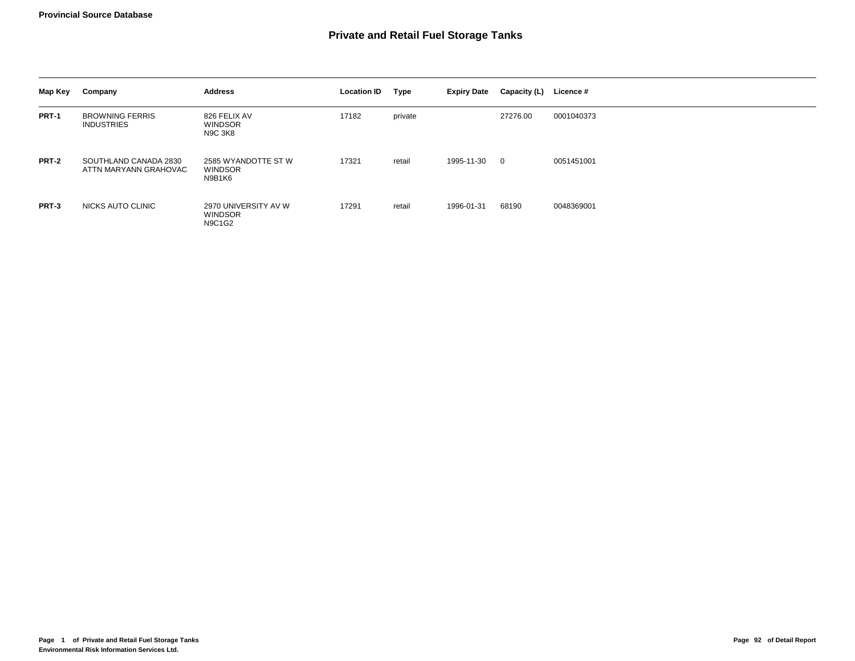| Map Key | Company                                        | <b>Address</b>                                          | <b>Location ID</b> | Type    | <b>Expiry Date</b> | Capacity (L) | Licence #  |
|---------|------------------------------------------------|---------------------------------------------------------|--------------------|---------|--------------------|--------------|------------|
| PRT-1   | <b>BROWNING FERRIS</b><br><b>INDUSTRIES</b>    | 826 FELIX AV<br><b>WINDSOR</b><br><b>N9C 3K8</b>        | 17182              | private |                    | 27276.00     | 0001040373 |
| PRT-2   | SOUTHLAND CANADA 2830<br>ATTN MARYANN GRAHOVAC | 2585 WYANDOTTE ST W<br>WINDSOR<br>N9B1K6                | 17321              | retail  | 1995-11-30         | $\mathbf 0$  | 0051451001 |
| PRT-3   | NICKS AUTO CLINIC                              | 2970 UNIVERSITY AV W<br><b>WINDSOR</b><br><b>N9C1G2</b> | 17291              | retail  | 1996-01-31         | 68190        | 0048369001 |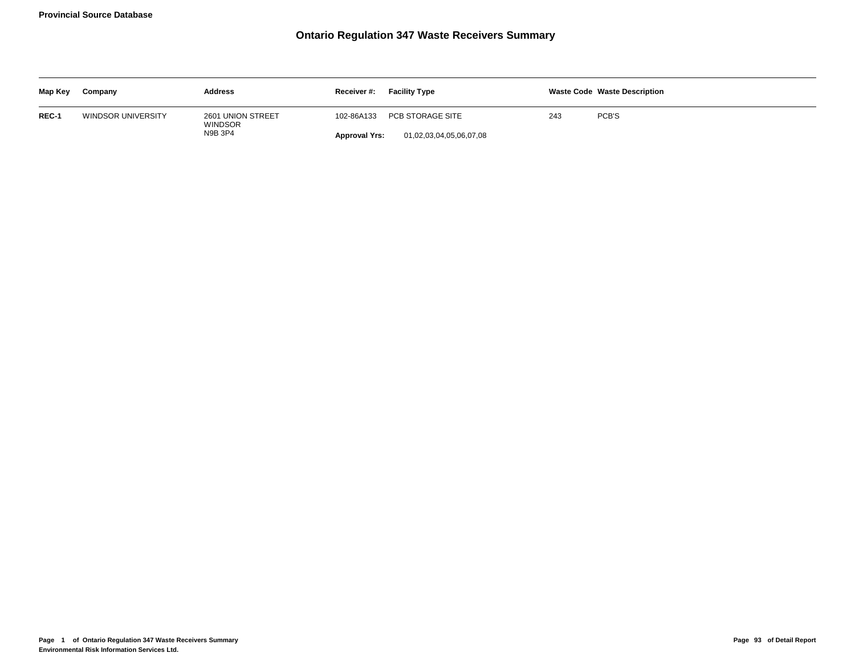# **Ontario Regulation 347 Waste Receivers Summary**

| Map Key | Company            | <b>Address</b>                      | Receiver #:          | <b>Facility Type</b>    |     | <b>Waste Code Waste Description</b> |
|---------|--------------------|-------------------------------------|----------------------|-------------------------|-----|-------------------------------------|
| REC-1   | WINDSOR UNIVERSITY | 2601 UNION STREET<br><b>WINDSOR</b> | 102-86A133           | PCB STORAGE SITE        | 243 | PCB'S                               |
|         |                    | N9B 3P4                             | <b>Approval Yrs:</b> | 01,02,03,04,05,06,07,08 |     |                                     |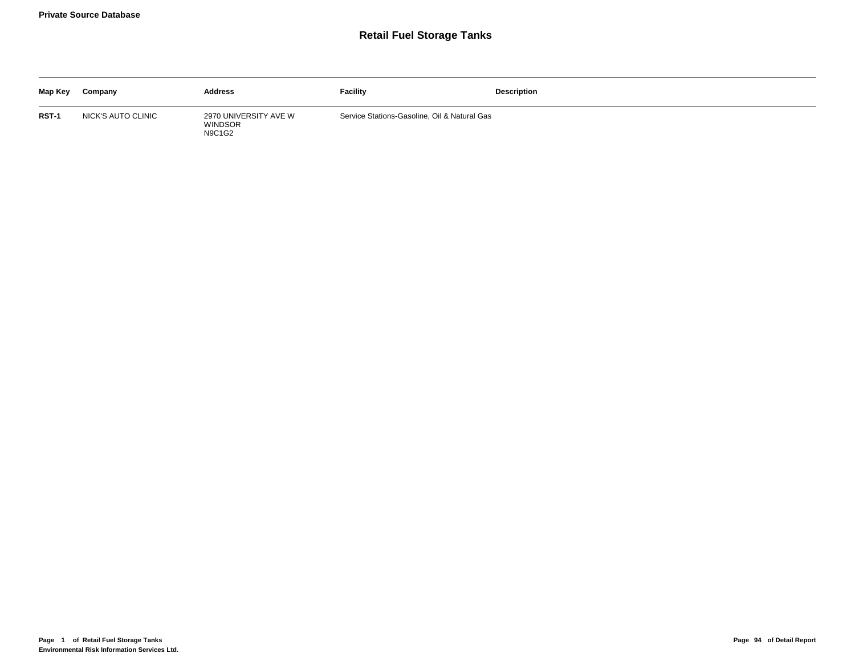## **Retail Fuel Storage Tanks**

| Map Key | Company            | <b>Address</b>                                           | Facility                                     | <b>Description</b> |
|---------|--------------------|----------------------------------------------------------|----------------------------------------------|--------------------|
| RST-1   | NICK'S AUTO CLINIC | 2970 UNIVERSITY AVE W<br><b>WINDSOR</b><br><b>N9C1G2</b> | Service Stations-Gasoline, Oil & Natural Gas |                    |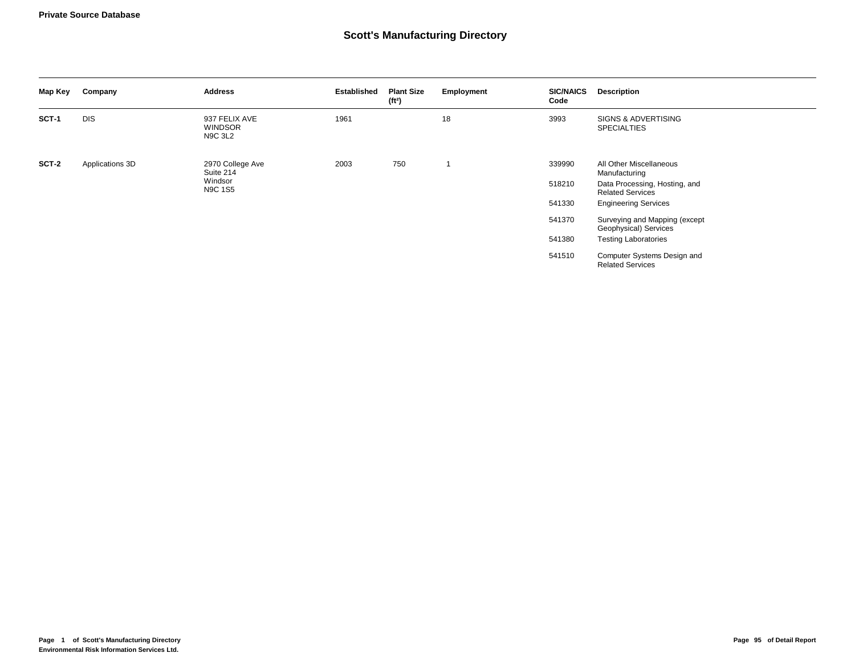#### **Scott's Manufacturing Directory**

| Map Key      | Company         | <b>Address</b>                                    | <b>Established</b> | <b>Plant Size</b><br>(f <sup>t2</sup> ) | Employment | <b>SIC/NAICS</b><br>Code | <b>Description</b>                                       |
|--------------|-----------------|---------------------------------------------------|--------------------|-----------------------------------------|------------|--------------------------|----------------------------------------------------------|
| <b>SCT-1</b> | <b>DIS</b>      | 937 FELIX AVE<br><b>WINDSOR</b><br><b>N9C 3L2</b> | 1961               |                                         | 18         | 3993                     | SIGNS & ADVERTISING<br><b>SPECIALTIES</b>                |
| SCT-2        | Applications 3D | 2970 College Ave<br>Suite 214                     | 2003               | 750                                     |            | 339990                   | All Other Miscellaneous<br>Manufacturing                 |
|              |                 | Windsor<br>N9C 1S5                                |                    |                                         |            | 518210                   | Data Processing, Hosting, and<br><b>Related Services</b> |
|              |                 |                                                   |                    |                                         |            | 541330                   | <b>Engineering Services</b>                              |
|              |                 |                                                   |                    |                                         |            | 541370                   | Surveying and Mapping (except<br>Geophysical) Services   |
|              |                 |                                                   |                    |                                         |            | 541380                   | <b>Testing Laboratories</b>                              |
|              |                 |                                                   |                    |                                         |            | 541510                   | Computer Systems Design and<br><b>Related Services</b>   |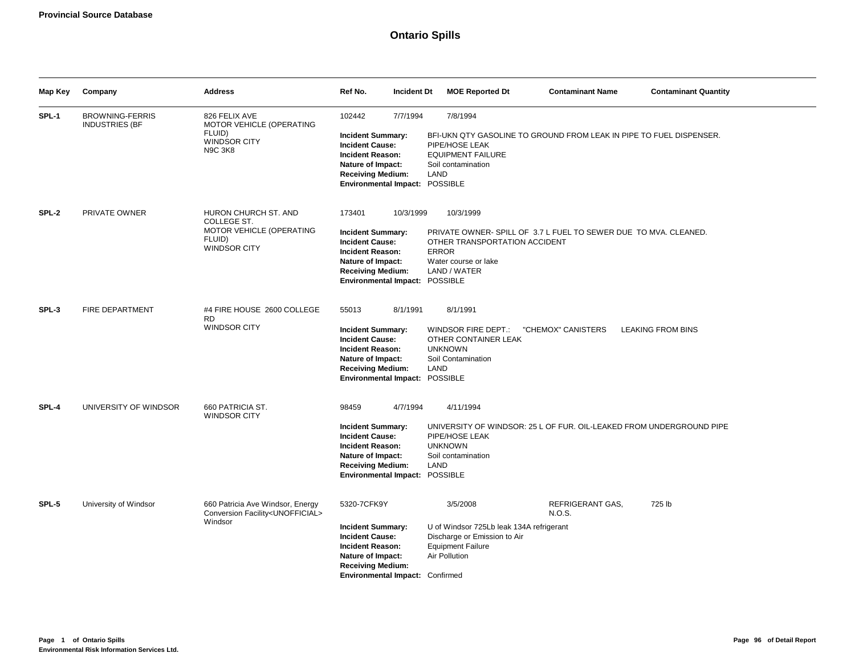# **Ontario Spills**

| Map Key | Company                                         | <b>Address</b>                                                                                   | Ref No.<br><b>Incident Dt</b>                                                                                                                                                           | <b>MOE Reported Dt</b>                                                                                                            | <b>Contaminant Name</b>                                              | <b>Contaminant Quantity</b> |
|---------|-------------------------------------------------|--------------------------------------------------------------------------------------------------|-----------------------------------------------------------------------------------------------------------------------------------------------------------------------------------------|-----------------------------------------------------------------------------------------------------------------------------------|----------------------------------------------------------------------|-----------------------------|
| SPL-1   | <b>BROWNING-FERRIS</b><br><b>INDUSTRIES (BF</b> | 826 FELIX AVE<br>MOTOR VEHICLE (OPERATING<br>FLUID)<br><b>WINDSOR CITY</b><br><b>N9C 3K8</b>     | 102442<br>7/7/1994<br><b>Incident Summary:</b><br><b>Incident Cause:</b><br><b>Incident Reason:</b><br>Nature of Impact:<br><b>Receiving Medium:</b><br>Environmental Impact: POSSIBLE  | 7/8/1994<br>PIPE/HOSE LEAK<br><b>EQUIPMENT FAILURE</b><br>Soil contamination<br>LAND                                              | BFI-UKN QTY GASOLINE TO GROUND FROM LEAK IN PIPE TO FUEL DISPENSER.  |                             |
| SPL-2   | PRIVATE OWNER                                   | HURON CHURCH ST. AND<br>COLLEGE ST.<br>MOTOR VEHICLE (OPERATING<br>FLUID)<br><b>WINDSOR CITY</b> | 173401<br>10/3/1999<br><b>Incident Summary:</b><br><b>Incident Cause:</b><br><b>Incident Reason:</b><br>Nature of Impact:<br><b>Receiving Medium:</b><br>Environmental Impact: POSSIBLE | 10/3/1999<br>OTHER TRANSPORTATION ACCIDENT<br><b>ERROR</b><br>Water course or lake<br>LAND / WATER                                | PRIVATE OWNER-SPILL OF 3.7 L FUEL TO SEWER DUE TO MVA, CLEANED.      |                             |
| SPL-3   | <b>FIRE DEPARTMENT</b>                          | #4 FIRE HOUSE 2600 COLLEGE<br><b>RD</b><br><b>WINDSOR CITY</b>                                   | 55013<br>8/1/1991<br><b>Incident Summary:</b><br><b>Incident Cause:</b><br><b>Incident Reason:</b><br>Nature of Impact:<br><b>Receiving Medium:</b><br>Environmental Impact: POSSIBLE   | 8/1/1991<br>WINDSOR FIRE DEPT.:<br>OTHER CONTAINER LEAK<br><b>UNKNOWN</b><br>Soil Contamination<br>LAND                           | "CHEMOX" CANISTERS                                                   | <b>LEAKING FROM BINS</b>    |
| SPL-4   | UNIVERSITY OF WINDSOR                           | 660 PATRICIA ST.<br><b>WINDSOR CITY</b>                                                          | 98459<br>4/7/1994<br><b>Incident Summary:</b><br><b>Incident Cause:</b><br><b>Incident Reason:</b><br>Nature of Impact:<br><b>Receiving Medium:</b><br>Environmental Impact: POSSIBLE   | 4/11/1994<br>PIPE/HOSE LEAK<br><b>UNKNOWN</b><br>Soil contamination<br>LAND                                                       | UNIVERSITY OF WINDSOR: 25 L OF FUR. OIL-LEAKED FROM UNDERGROUND PIPE |                             |
| SPL-5   | University of Windsor                           | 660 Patricia Ave Windsor, Energy<br>Conversion Facility <unofficial><br/>Windsor</unofficial>    | 5320-7CFK9Y<br><b>Incident Summary:</b><br><b>Incident Cause:</b><br><b>Incident Reason:</b><br>Nature of Impact:<br><b>Receiving Medium:</b><br>Environmental Impact: Confirmed        | 3/5/2008<br>U of Windsor 725Lb leak 134A refrigerant<br>Discharge or Emission to Air<br><b>Equipment Failure</b><br>Air Pollution | REFRIGERANT GAS,<br>N.O.S.                                           | 725 lb                      |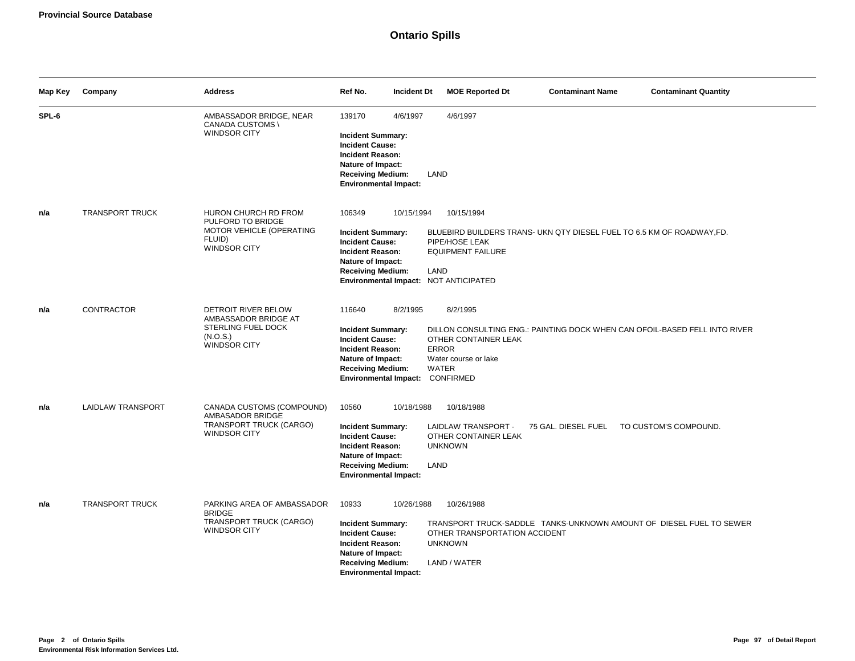| Map Key | Company                | <b>Address</b>                                                                                       | Ref No.<br><b>Incident Dt</b>                                                                                                                                                                   | <b>MOE Reported Dt</b>                                                                                                                                                 | <b>Contaminant Name</b> | <b>Contaminant Quantity</b> |
|---------|------------------------|------------------------------------------------------------------------------------------------------|-------------------------------------------------------------------------------------------------------------------------------------------------------------------------------------------------|------------------------------------------------------------------------------------------------------------------------------------------------------------------------|-------------------------|-----------------------------|
| SPL-6   |                        | AMBASSADOR BRIDGE, NEAR<br>CANADA CUSTOMS \<br><b>WINDSOR CITY</b>                                   | 139170<br>4/6/1997<br><b>Incident Summary:</b><br><b>Incident Cause:</b><br>Incident Reason:<br>Nature of Impact:<br><b>Receiving Medium:</b><br><b>Environmental Impact:</b>                   | 4/6/1997<br>LAND                                                                                                                                                       |                         |                             |
| n/a     | <b>TRANSPORT TRUCK</b> | HURON CHURCH RD FROM<br>PULFORD TO BRIDGE<br>MOTOR VEHICLE (OPERATING<br>FLUID)<br>WINDSOR CITY      | 106349<br>10/15/1994<br><b>Incident Summary:</b><br><b>Incident Cause:</b><br><b>Incident Reason:</b><br>Nature of Impact:<br><b>Receiving Medium:</b><br>Environmental Impact: NOT ANTICIPATED | 10/15/1994<br>BLUEBIRD BUILDERS TRANS- UKN QTY DIESEL FUEL TO 6.5 KM OF ROADWAY, FD.<br>PIPE/HOSE LEAK<br><b>EQUIPMENT FAILURE</b><br>LAND                             |                         |                             |
| n/a     | <b>CONTRACTOR</b>      | DETROIT RIVER BELOW<br>AMBASSADOR BRIDGE AT<br>STERLING FUEL DOCK<br>(N.O.S.)<br><b>WINDSOR CITY</b> | 116640<br>8/2/1995<br><b>Incident Summary:</b><br><b>Incident Cause:</b><br><b>Incident Reason:</b><br>Nature of Impact:<br><b>Receiving Medium:</b><br>Environmental Impact: CONFIRMED         | 8/2/1995<br>DILLON CONSULTING ENG.: PAINTING DOCK WHEN CAN OFOIL-BASED FELL INTO RIVER<br>OTHER CONTAINER LEAK<br><b>ERROR</b><br>Water course or lake<br><b>WATER</b> |                         |                             |
| n/a     | LAIDLAW TRANSPORT      | CANADA CUSTOMS (COMPOUND)<br>AMBASADOR BRIDGE<br>TRANSPORT TRUCK (CARGO)<br>WINDSOR CITY             | 10560<br>10/18/1988<br><b>Incident Summary:</b><br><b>Incident Cause:</b><br><b>Incident Reason:</b><br>Nature of Impact:<br><b>Receiving Medium:</b><br><b>Environmental Impact:</b>           | 10/18/1988<br>LAIDLAW TRANSPORT -<br>OTHER CONTAINER LEAK<br><b>UNKNOWN</b><br>LAND                                                                                    | 75 GAL. DIESEL FUEL     | TO CUSTOM'S COMPOUND.       |
| n/a     | <b>TRANSPORT TRUCK</b> | PARKING AREA OF AMBASSADOR<br><b>BRIDGE</b><br>TRANSPORT TRUCK (CARGO)<br><b>WINDSOR CITY</b>        | 10933<br>10/26/1988<br><b>Incident Summary:</b><br><b>Incident Cause:</b><br>Incident Reason:<br>Nature of Impact:<br><b>Receiving Medium:</b><br><b>Environmental Impact:</b>                  | 10/26/1988<br>TRANSPORT TRUCK-SADDLE TANKS-UNKNOWN AMOUNT OF DIESEL FUEL TO SEWER<br>OTHER TRANSPORTATION ACCIDENT<br><b>UNKNOWN</b><br>LAND / WATER                   |                         |                             |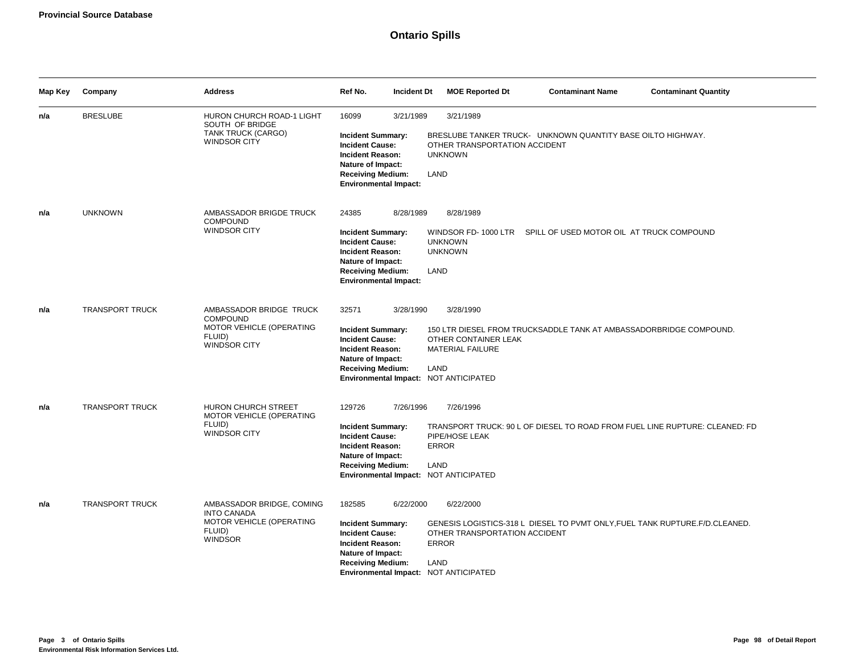# **Ontario Spills**

| Map Key | Company                | <b>Address</b>                                                                                          | Ref No.<br><b>Incident Dt</b>                                                                                                                                                                  | <b>MOE Reported Dt</b>                                                       | <b>Contaminant Name</b>                                                      | <b>Contaminant Quantity</b> |
|---------|------------------------|---------------------------------------------------------------------------------------------------------|------------------------------------------------------------------------------------------------------------------------------------------------------------------------------------------------|------------------------------------------------------------------------------|------------------------------------------------------------------------------|-----------------------------|
| n/a     | <b>BRESLUBE</b>        | HURON CHURCH ROAD-1 LIGHT<br>SOUTH OF BRIDGE<br>TANK TRUCK (CARGO)<br>WINDSOR CITY                      | 16099<br>3/21/1989<br><b>Incident Summary:</b><br><b>Incident Cause:</b><br><b>Incident Reason:</b><br>Nature of Impact:<br><b>Receiving Medium:</b><br><b>Environmental Impact:</b>           | 3/21/1989<br>OTHER TRANSPORTATION ACCIDENT<br><b>UNKNOWN</b><br>LAND         | BRESLUBE TANKER TRUCK- UNKNOWN QUANTITY BASE OILTO HIGHWAY.                  |                             |
| n/a     | <b>UNKNOWN</b>         | AMBASSADOR BRIGDE TRUCK<br><b>COMPOUND</b><br><b>WINDSOR CITY</b>                                       | 24385<br>8/28/1989<br><b>Incident Summary:</b><br><b>Incident Cause:</b><br><b>Incident Reason:</b><br>Nature of Impact:<br><b>Receiving Medium:</b><br><b>Environmental Impact:</b>           | 8/28/1989<br>WINDSOR FD-1000 LTR<br><b>UNKNOWN</b><br><b>UNKNOWN</b><br>LAND | SPILL OF USED MOTOR OIL AT TRUCK COMPOUND                                    |                             |
| n/a     | <b>TRANSPORT TRUCK</b> | AMBASSADOR BRIDGE TRUCK<br><b>COMPOUND</b><br>MOTOR VEHICLE (OPERATING<br>FLUID)<br><b>WINDSOR CITY</b> | 32571<br>3/28/1990<br><b>Incident Summary:</b><br><b>Incident Cause:</b><br><b>Incident Reason:</b><br>Nature of Impact:<br><b>Receiving Medium:</b><br>Environmental Impact: NOT ANTICIPATED  | 3/28/1990<br>OTHER CONTAINER LEAK<br><b>MATERIAL FAILURE</b><br>LAND         | 150 LTR DIESEL FROM TRUCKSADDLE TANK AT AMBASSADORBRIDGE COMPOUND.           |                             |
| n/a     | <b>TRANSPORT TRUCK</b> | HURON CHURCH STREET<br>MOTOR VEHICLE (OPERATING<br>FLUID)<br>WINDSOR CITY                               | 129726<br>7/26/1996<br><b>Incident Summary:</b><br><b>Incident Cause:</b><br>Incident Reason:<br>Nature of Impact:<br><b>Receiving Medium:</b><br>Environmental Impact: NOT ANTICIPATED        | 7/26/1996<br>PIPE/HOSE LEAK<br><b>ERROR</b><br>LAND                          | TRANSPORT TRUCK: 90 L OF DIESEL TO ROAD FROM FUEL LINE RUPTURE: CLEANED: FD  |                             |
| n/a     | TRANSPORT TRUCK        | AMBASSADOR BRIDGE, COMING<br><b>INTO CANADA</b><br>MOTOR VEHICLE (OPERATING<br>FLUID)<br><b>WINDSOR</b> | 182585<br>6/22/2000<br><b>Incident Summary:</b><br><b>Incident Cause:</b><br><b>Incident Reason:</b><br>Nature of Impact:<br><b>Receiving Medium:</b><br>Environmental Impact: NOT ANTICIPATED | 6/22/2000<br>OTHER TRANSPORTATION ACCIDENT<br><b>ERROR</b><br>LAND           | GENESIS LOGISTICS-318 L DIESEL TO PVMT ONLY, FUEL TANK RUPTURE. F/D.CLEANED. |                             |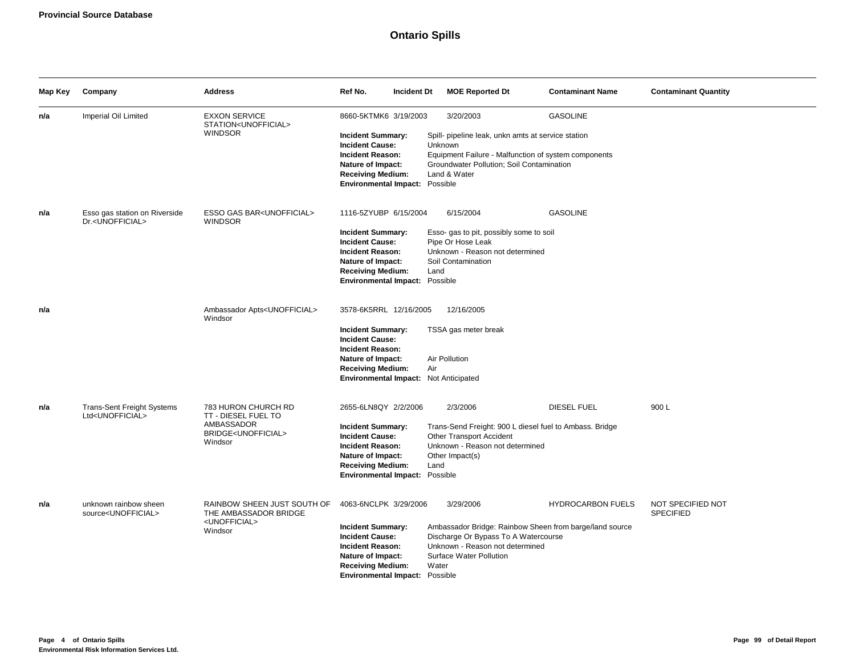# **Ontario Spills**

| Map Key | Company                                                            | <b>Address</b>                                                                                           | Ref No.<br>Incident Dt                                                                                                                                                                            | <b>MOE Reported Dt</b>                                                                                                                                                                          | <b>Contaminant Name</b>  | <b>Contaminant Quantity</b>           |
|---------|--------------------------------------------------------------------|----------------------------------------------------------------------------------------------------------|---------------------------------------------------------------------------------------------------------------------------------------------------------------------------------------------------|-------------------------------------------------------------------------------------------------------------------------------------------------------------------------------------------------|--------------------------|---------------------------------------|
| n/a     | Imperial Oil Limited                                               | <b>EXXON SERVICE</b><br>STATION <unofficial><br/><b>WINDSOR</b></unofficial>                             | 8660-5KTMK6 3/19/2003<br><b>Incident Summary:</b><br><b>Incident Cause:</b><br><b>Incident Reason:</b><br>Nature of Impact:<br><b>Receiving Medium:</b><br>Environmental Impact: Possible         | 3/20/2003<br>Spill- pipeline leak, unkn amts at service station<br>Unknown<br>Equipment Failure - Malfunction of system components<br>Groundwater Pollution; Soil Contamination<br>Land & Water | <b>GASOLINE</b>          |                                       |
| n/a     | Esso gas station on Riverside<br>Dr. <unofficial></unofficial>     | ESSO GAS BAR <unofficial><br/><b>WINDSOR</b></unofficial>                                                | 1116-5ZYUBP 6/15/2004<br><b>Incident Summary:</b><br><b>Incident Cause:</b><br><b>Incident Reason:</b><br>Nature of Impact:<br><b>Receiving Medium:</b><br>Environmental Impact: Possible         | 6/15/2004<br>Esso- gas to pit, possibly some to soil<br>Pipe Or Hose Leak<br>Unknown - Reason not determined<br>Soil Contamination<br>Land                                                      | <b>GASOLINE</b>          |                                       |
| n/a     |                                                                    | Ambassador Apts <unofficial><br/>Windsor</unofficial>                                                    | 3578-6K5RRL 12/16/2005<br><b>Incident Summary:</b><br><b>Incident Cause:</b><br><b>Incident Reason:</b><br>Nature of Impact:<br><b>Receiving Medium:</b><br>Environmental Impact: Not Anticipated | 12/16/2005<br>TSSA gas meter break<br>Air Pollution<br>Air                                                                                                                                      |                          |                                       |
| n/a     | <b>Trans-Sent Freight Systems</b><br>Ltd <unofficial></unofficial> | 783 HURON CHURCH RD<br>TT - DIESEL FUEL TO<br>AMBASSADOR<br>BRIDGE <unofficial><br/>Windsor</unofficial> | 2655-6LN8QY 2/2/2006<br><b>Incident Summary:</b><br><b>Incident Cause:</b><br><b>Incident Reason:</b><br>Nature of Impact:<br><b>Receiving Medium:</b><br>Environmental Impact: Possible          | 2/3/2006<br>Trans-Send Freight: 900 L diesel fuel to Ambass. Bridge<br><b>Other Transport Accident</b><br>Unknown - Reason not determined<br>Other Impact(s)<br>Land                            | <b>DIESEL FUEL</b>       | 900L                                  |
| n/a     | unknown rainbow sheen<br>source <unofficial></unofficial>          | RAINBOW SHEEN JUST SOUTH OF<br>THE AMBASSADOR BRIDGE<br><unofficial><br/>Windsor</unofficial>            | 4063-6NCLPK 3/29/2006<br><b>Incident Summary:</b><br><b>Incident Cause:</b><br><b>Incident Reason:</b><br>Nature of Impact:<br><b>Receiving Medium:</b><br><b>Environmental Impact: Possible</b>  | 3/29/2006<br>Ambassador Bridge: Rainbow Sheen from barge/land source<br>Discharge Or Bypass To A Watercourse<br>Unknown - Reason not determined<br>Surface Water Pollution<br>Water             | <b>HYDROCARBON FUELS</b> | NOT SPECIFIED NOT<br><b>SPECIFIED</b> |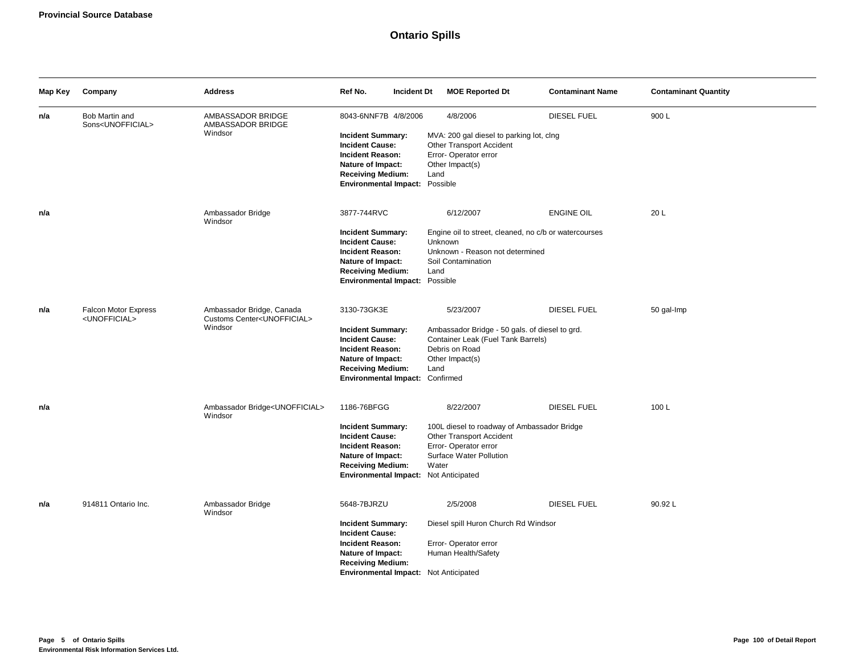# **Ontario Spills**

| Map Key | Company                                                  | <b>Address</b>                                                                    | Ref No.<br><b>Incident Dt</b>                                                                                                                                                          | <b>MOE Reported Dt</b>                                                                                                                           | <b>Contaminant Name</b> | <b>Contaminant Quantity</b> |
|---------|----------------------------------------------------------|-----------------------------------------------------------------------------------|----------------------------------------------------------------------------------------------------------------------------------------------------------------------------------------|--------------------------------------------------------------------------------------------------------------------------------------------------|-------------------------|-----------------------------|
| n/a     | Bob Martin and<br>Sons <unofficial></unofficial>         | AMBASSADOR BRIDGE<br>AMBASSADOR BRIDGE<br>Windsor                                 | 8043-6NNF7B 4/8/2006<br><b>Incident Summary:</b><br><b>Incident Cause:</b><br>Incident Reason:<br>Nature of Impact:<br><b>Receiving Medium:</b><br>Environmental Impact: Possible      | 4/8/2006<br>MVA: 200 gal diesel to parking lot, clng<br>Other Transport Accident<br>Error- Operator error<br>Other Impact(s)<br>Land             | DIESEL FUEL             | 900L                        |
| n/a     |                                                          | Ambassador Bridge<br>Windsor                                                      | 3877-744RVC<br><b>Incident Summary:</b><br><b>Incident Cause:</b><br><b>Incident Reason:</b><br>Nature of Impact:<br><b>Receiving Medium:</b><br>Environmental Impact: Possible        | 6/12/2007<br>Engine oil to street, cleaned, no c/b or watercourses<br>Unknown<br>Unknown - Reason not determined<br>Soil Contamination<br>Land   | <b>ENGINE OIL</b>       | 20 L                        |
| n/a     | <b>Falcon Motor Express</b><br><unofficial></unofficial> | Ambassador Bridge, Canada<br>Customs Center <unofficial><br/>Windsor</unofficial> | 3130-73GK3E<br><b>Incident Summary:</b><br><b>Incident Cause:</b><br><b>Incident Reason:</b><br>Nature of Impact:<br><b>Receiving Medium:</b><br>Environmental Impact: Confirmed       | 5/23/2007<br>Ambassador Bridge - 50 gals. of diesel to grd.<br>Container Leak (Fuel Tank Barrels)<br>Debris on Road<br>Other Impact(s)<br>Land   | DIESEL FUEL             | 50 gal-Imp                  |
| n/a     |                                                          | Ambassador Bridge <unofficial><br/>Windsor</unofficial>                           | 1186-76BFGG<br><b>Incident Summary:</b><br><b>Incident Cause:</b><br><b>Incident Reason:</b><br>Nature of Impact:<br><b>Receiving Medium:</b><br>Environmental Impact: Not Anticipated | 8/22/2007<br>100L diesel to roadway of Ambassador Bridge<br>Other Transport Accident<br>Error-Operator error<br>Surface Water Pollution<br>Water | DIESEL FUEL             | 100L                        |
| n/a     | 914811 Ontario Inc.                                      | Ambassador Bridge<br>Windsor                                                      | 5648-7BJRZU<br><b>Incident Summary:</b><br><b>Incident Cause:</b><br><b>Incident Reason:</b><br>Nature of Impact:<br><b>Receiving Medium:</b><br>Environmental Impact: Not Anticipated | 2/5/2008<br>Diesel spill Huron Church Rd Windsor<br>Error-Operator error<br>Human Health/Safety                                                  | <b>DIESEL FUEL</b>      | 90.92L                      |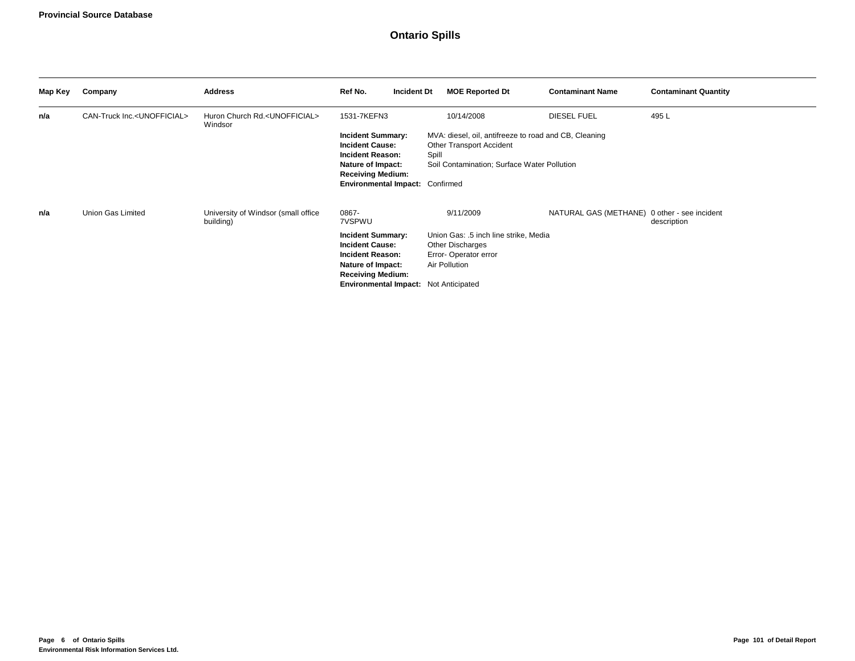# **Ontario Spills**

| Map Key | Company                                  | <b>Address</b>                                         | Ref No.                                                                                                                                                                 | <b>Incident Dt</b> | <b>MOE Reported Dt</b>                                                                                                           | <b>Contaminant Name</b>                      | <b>Contaminant Quantity</b> |
|---------|------------------------------------------|--------------------------------------------------------|-------------------------------------------------------------------------------------------------------------------------------------------------------------------------|--------------------|----------------------------------------------------------------------------------------------------------------------------------|----------------------------------------------|-----------------------------|
| n/a     | CAN-Truck Inc. <unofficial></unofficial> | Huron Church Rd. <unofficial><br/>Windsor</unofficial> | 1531-7KEFN3                                                                                                                                                             |                    | 10/14/2008                                                                                                                       | <b>DIESEL FUEL</b>                           | 495L                        |
|         |                                          |                                                        | <b>Incident Summary:</b><br><b>Incident Cause:</b><br>Incident Reason:<br>Nature of Impact:<br><b>Receiving Medium:</b><br>Environmental Impact: Confirmed              | Spill              | MVA: diesel, oil, antifreeze to road and CB, Cleaning<br>Other Transport Accident<br>Soil Contamination; Surface Water Pollution |                                              |                             |
|         |                                          |                                                        |                                                                                                                                                                         |                    |                                                                                                                                  |                                              |                             |
| n/a     | Union Gas Limited                        | University of Windsor (small office<br>building)       | 0867-<br>7VSPWU                                                                                                                                                         |                    | 9/11/2009                                                                                                                        | NATURAL GAS (METHANE) 0 other - see incident | description                 |
|         |                                          |                                                        | <b>Incident Summary:</b><br><b>Incident Cause:</b><br>Incident Reason:<br>Nature of Impact:<br><b>Receiving Medium:</b><br><b>Environmental Impact:</b> Not Anticipated |                    | Union Gas: .5 inch line strike, Media<br><b>Other Discharges</b><br>Error-Operator error<br>Air Pollution                        |                                              |                             |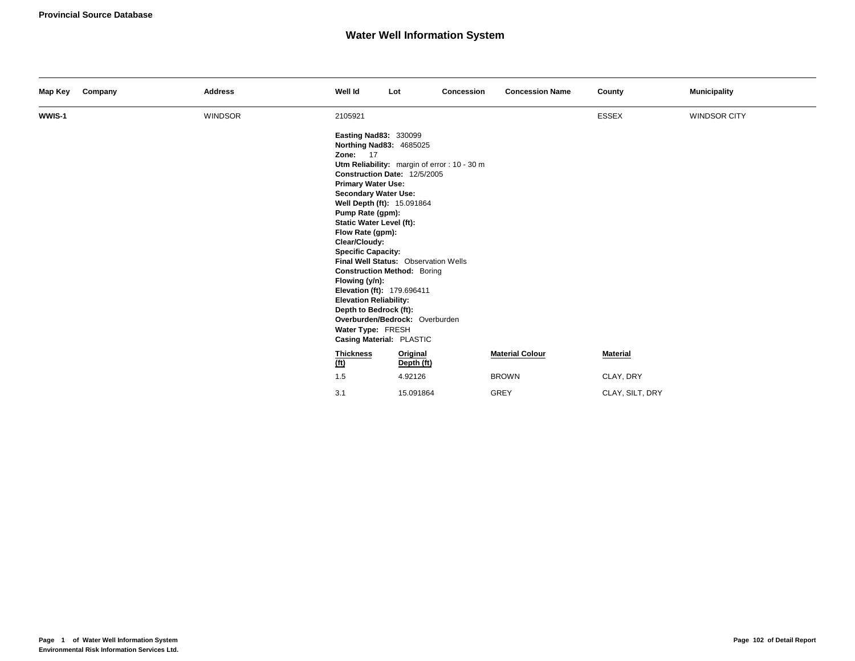| Map Key | Company | <b>Address</b> | Well Id                                                                                                                                                                                                                                                                                                                                                                                   | Lot                                                                                                                                                        | Concession | <b>Concession Name</b> | County          | <b>Municipality</b> |
|---------|---------|----------------|-------------------------------------------------------------------------------------------------------------------------------------------------------------------------------------------------------------------------------------------------------------------------------------------------------------------------------------------------------------------------------------------|------------------------------------------------------------------------------------------------------------------------------------------------------------|------------|------------------------|-----------------|---------------------|
| WWIS-1  |         | <b>WINDSOR</b> | 2105921<br><b>Easting Nad83: 330099</b><br>Northing Nad83: 4685025<br><b>Zone: 17</b><br><b>Primary Water Use:</b><br><b>Secondary Water Use:</b><br>Well Depth (ft): 15.091864<br>Pump Rate (gpm):<br><b>Static Water Level (ft):</b><br>Flow Rate (gpm):<br>Clear/Cloudy:<br><b>Specific Capacity:</b><br>Flowing (y/n):<br>Elevation (ft): 179.696411<br><b>Elevation Reliability:</b> | Utm Reliability: margin of error : 10 - 30 m<br>Construction Date: 12/5/2005<br>Final Well Status: Observation Wells<br><b>Construction Method: Boring</b> |            |                        | <b>ESSEX</b>    | <b>WINDSOR CITY</b> |
|         |         |                | Depth to Bedrock (ft):<br>Water Type: FRESH<br>Casing Material: PLASTIC                                                                                                                                                                                                                                                                                                                   | Overburden/Bedrock: Overburden                                                                                                                             |            |                        |                 |                     |
|         |         |                | <b>Thickness</b><br>(t)                                                                                                                                                                                                                                                                                                                                                                   | Original<br>Depth (ft)                                                                                                                                     |            | <b>Material Colour</b> | Material        |                     |
|         |         |                | 1.5                                                                                                                                                                                                                                                                                                                                                                                       | 4.92126                                                                                                                                                    |            | <b>BROWN</b>           | CLAY, DRY       |                     |
|         |         |                | 3.1                                                                                                                                                                                                                                                                                                                                                                                       | 15.091864                                                                                                                                                  |            | GREY                   | CLAY, SILT, DRY |                     |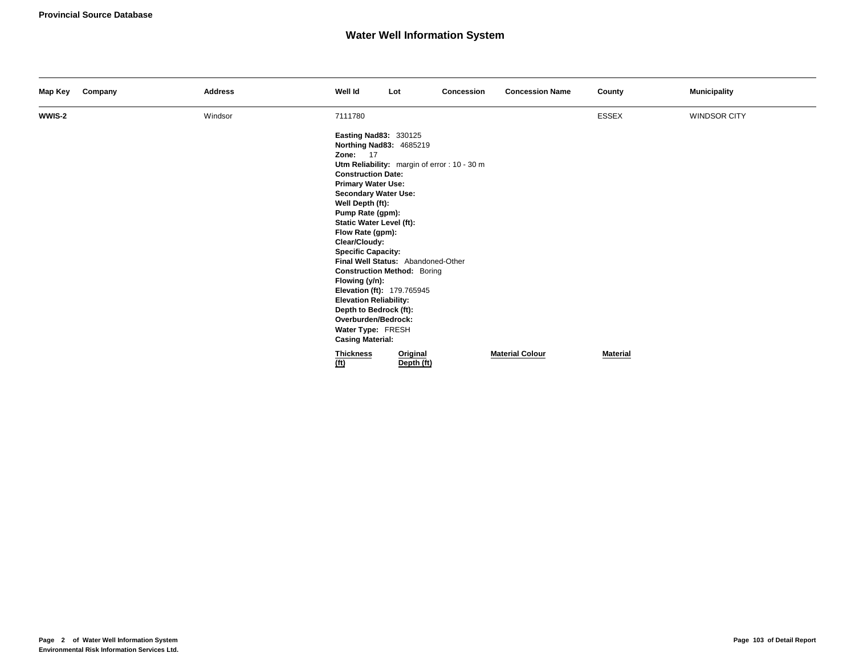| Map Key | Company | <b>Address</b> | Well Id                                                                                                                                                                                                                                                                                                                                                                                                                                                                                                                               | Lot                                                                                                                                                | Concession | <b>Concession Name</b> | County          | <b>Municipality</b> |
|---------|---------|----------------|---------------------------------------------------------------------------------------------------------------------------------------------------------------------------------------------------------------------------------------------------------------------------------------------------------------------------------------------------------------------------------------------------------------------------------------------------------------------------------------------------------------------------------------|----------------------------------------------------------------------------------------------------------------------------------------------------|------------|------------------------|-----------------|---------------------|
| WWIS-2  |         | Windsor        | 7111780                                                                                                                                                                                                                                                                                                                                                                                                                                                                                                                               |                                                                                                                                                    |            |                        | <b>ESSEX</b>    | <b>WINDSOR CITY</b> |
|         |         |                | <b>Easting Nad83: 330125</b><br>Northing Nad83: 4685219<br><b>Zone: 17</b><br><b>Construction Date:</b><br><b>Primary Water Use:</b><br><b>Secondary Water Use:</b><br>Well Depth (ft):<br>Pump Rate (gpm):<br><b>Static Water Level (ft):</b><br>Flow Rate (gpm):<br>Clear/Cloudy:<br><b>Specific Capacity:</b><br>Flowing (y/n):<br>Elevation (ft): 179.765945<br><b>Elevation Reliability:</b><br>Depth to Bedrock (ft):<br>Overburden/Bedrock:<br>Water Type: FRESH<br><b>Casing Material:</b><br><b>Thickness</b><br><u>(ft)</u> | Utm Reliability: margin of error : 10 - 30 m<br>Final Well Status: Abandoned-Other<br><b>Construction Method: Boring</b><br>Original<br>Depth (ft) |            | <b>Material Colour</b> | <b>Material</b> |                     |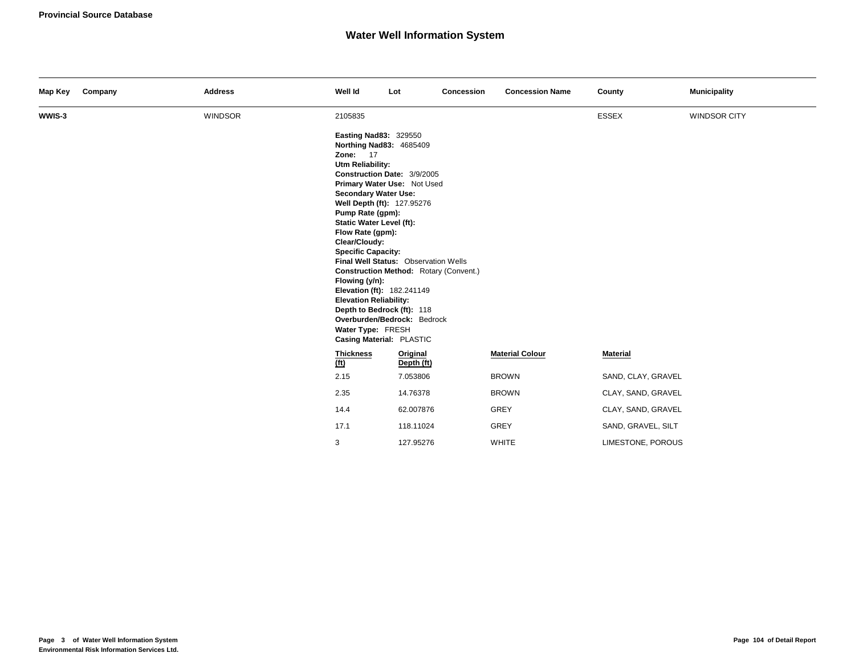| Map Key | Company | <b>Address</b> | Well Id                                                                                                                                                                                                                                                                                                                                                                                                                | Lot                                                                                                                                                                                                       | Concession | <b>Concession Name</b> | County             | <b>Municipality</b> |
|---------|---------|----------------|------------------------------------------------------------------------------------------------------------------------------------------------------------------------------------------------------------------------------------------------------------------------------------------------------------------------------------------------------------------------------------------------------------------------|-----------------------------------------------------------------------------------------------------------------------------------------------------------------------------------------------------------|------------|------------------------|--------------------|---------------------|
| WWIS-3  |         | <b>WINDSOR</b> | 2105835                                                                                                                                                                                                                                                                                                                                                                                                                |                                                                                                                                                                                                           |            |                        | <b>ESSEX</b>       | WINDSOR CITY        |
|         |         |                | <b>Easting Nad83: 329550</b><br>Northing Nad83: 4685409<br><b>Zone: 17</b><br>Utm Reliability:<br><b>Secondary Water Use:</b><br>Well Depth (ft): 127.95276<br>Pump Rate (gpm):<br><b>Static Water Level (ft):</b><br>Flow Rate (gpm):<br>Clear/Cloudy:<br><b>Specific Capacity:</b><br>Flowing (y/n):<br>Elevation (ft): 182.241149<br><b>Elevation Reliability:</b><br>Water Type: FRESH<br>Casing Material: PLASTIC | Construction Date: 3/9/2005<br>Primary Water Use: Not Used<br>Final Well Status: Observation Wells<br>Construction Method: Rotary (Convent.)<br>Depth to Bedrock (ft): 118<br>Overburden/Bedrock: Bedrock |            |                        |                    |                     |
|         |         |                | <b>Thickness</b><br>(t)                                                                                                                                                                                                                                                                                                                                                                                                | Original<br>Depth (ft)                                                                                                                                                                                    |            | <b>Material Colour</b> | <b>Material</b>    |                     |
|         |         |                | 2.15                                                                                                                                                                                                                                                                                                                                                                                                                   | 7.053806                                                                                                                                                                                                  |            | <b>BROWN</b>           | SAND, CLAY, GRAVEL |                     |
|         |         |                | 2.35                                                                                                                                                                                                                                                                                                                                                                                                                   | 14.76378                                                                                                                                                                                                  |            | <b>BROWN</b>           | CLAY, SAND, GRAVEL |                     |
|         |         |                | 14.4                                                                                                                                                                                                                                                                                                                                                                                                                   | 62.007876                                                                                                                                                                                                 |            | GREY                   | CLAY, SAND, GRAVEL |                     |
|         |         |                | 17.1                                                                                                                                                                                                                                                                                                                                                                                                                   | 118.11024                                                                                                                                                                                                 |            | GREY                   | SAND, GRAVEL, SILT |                     |
|         |         |                | 3                                                                                                                                                                                                                                                                                                                                                                                                                      | 127.95276                                                                                                                                                                                                 |            | <b>WHITE</b>           | LIMESTONE, POROUS  |                     |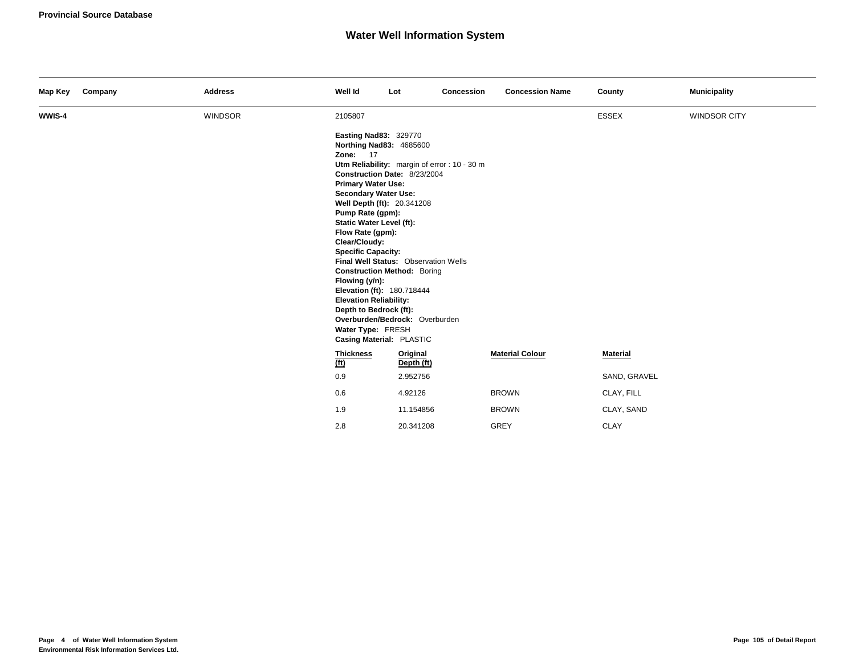| Map Key | Company | <b>Address</b> | Well Id                                                                                                                                                                                                                                                                                                                                                                                                                                                   | Lot                                                                                                                                                                                          | Concession | <b>Concession Name</b> | County          | <b>Municipality</b> |
|---------|---------|----------------|-----------------------------------------------------------------------------------------------------------------------------------------------------------------------------------------------------------------------------------------------------------------------------------------------------------------------------------------------------------------------------------------------------------------------------------------------------------|----------------------------------------------------------------------------------------------------------------------------------------------------------------------------------------------|------------|------------------------|-----------------|---------------------|
| WWIS-4  |         | <b>WINDSOR</b> | 2105807                                                                                                                                                                                                                                                                                                                                                                                                                                                   |                                                                                                                                                                                              |            |                        | <b>ESSEX</b>    | <b>WINDSOR CITY</b> |
|         |         |                | <b>Easting Nad83: 329770</b><br>Northing Nad83: 4685600<br><b>Zone: 17</b><br><b>Primary Water Use:</b><br><b>Secondary Water Use:</b><br>Well Depth (ft): 20.341208<br>Pump Rate (gpm):<br><b>Static Water Level (ft):</b><br>Flow Rate (gpm):<br>Clear/Cloudy:<br><b>Specific Capacity:</b><br>Flowing (y/n):<br>Elevation (ft): 180.718444<br><b>Elevation Reliability:</b><br>Depth to Bedrock (ft):<br>Water Type: FRESH<br>Casing Material: PLASTIC | Utm Reliability: margin of error : 10 - 30 m<br>Construction Date: 8/23/2004<br>Final Well Status: Observation Wells<br><b>Construction Method: Boring</b><br>Overburden/Bedrock: Overburden |            |                        |                 |                     |
|         |         |                | <b>Thickness</b><br>(f <sub>t</sub> )                                                                                                                                                                                                                                                                                                                                                                                                                     | Original<br>Depth (ft)                                                                                                                                                                       |            | <b>Material Colour</b> | <b>Material</b> |                     |
|         |         |                | 0.9                                                                                                                                                                                                                                                                                                                                                                                                                                                       | 2.952756                                                                                                                                                                                     |            |                        | SAND, GRAVEL    |                     |
|         |         |                | 0.6                                                                                                                                                                                                                                                                                                                                                                                                                                                       | 4.92126                                                                                                                                                                                      |            | <b>BROWN</b>           | CLAY, FILL      |                     |
|         |         |                | 1.9                                                                                                                                                                                                                                                                                                                                                                                                                                                       | 11.154856                                                                                                                                                                                    |            | <b>BROWN</b>           | CLAY, SAND      |                     |
|         |         |                | 2.8                                                                                                                                                                                                                                                                                                                                                                                                                                                       | 20.341208                                                                                                                                                                                    |            | <b>GREY</b>            | <b>CLAY</b>     |                     |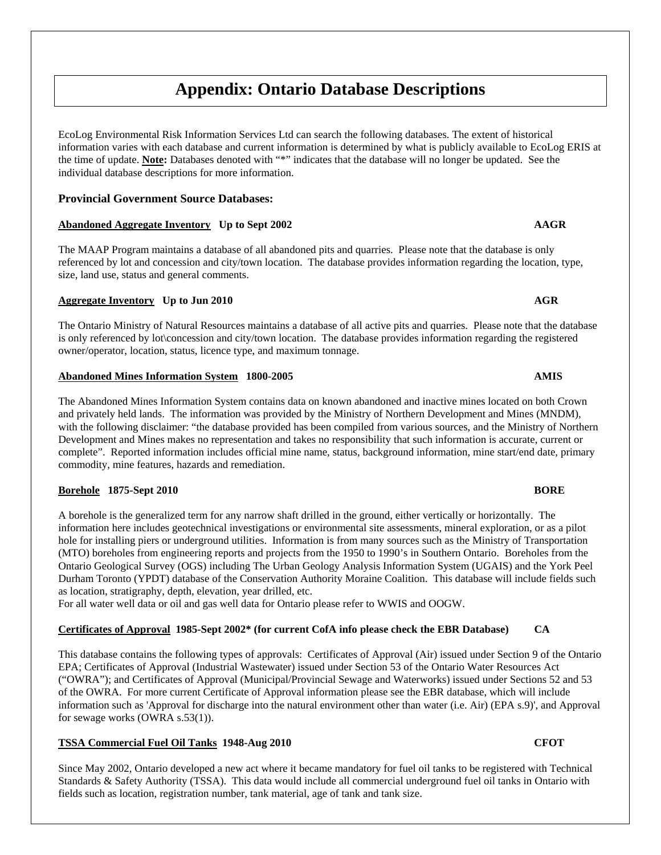# **Appendix: Ontario Database Descriptions**

EcoLog Environmental Risk Information Services Ltd can search the following databases. The extent of historical information varies with each database and current information is determined by what is publicly available to EcoLog ERIS at the time of update. **Note:** Databases denoted with "\*" indicates that the database will no longer be updated. See the individual database descriptions for more information.

### **Provincial Government Source Databases:**

### **Abandoned Aggregate Inventory Up to Sept 2002 AAGR**

The MAAP Program maintains a database of all abandoned pits and quarries. Please note that the database is only referenced by lot and concession and city/town location. The database provides information regarding the location, type, size, land use, status and general comments.

### **Aggregate Inventory Up to Jun 2010 AGR**

The Ontario Ministry of Natural Resources maintains a database of all active pits and quarries. Please note that the database is only referenced by lot\concession and city/town location. The database provides information regarding the registered owner/operator, location, status, licence type, and maximum tonnage.

### **Abandoned Mines Information System 1800-2005 AMIS**

The Abandoned Mines Information System contains data on known abandoned and inactive mines located on both Crown and privately held lands. The information was provided by the Ministry of Northern Development and Mines (MNDM), with the following disclaimer: "the database provided has been compiled from various sources, and the Ministry of Northern Development and Mines makes no representation and takes no responsibility that such information is accurate, current or complete". Reported information includes official mine name, status, background information, mine start/end date, primary commodity, mine features, hazards and remediation.

### **Borehole 1875-Sept 2010 BORE**

A borehole is the generalized term for any narrow shaft drilled in the ground, either vertically or horizontally. The information here includes geotechnical investigations or environmental site assessments, mineral exploration, or as a pilot hole for installing piers or underground utilities. Information is from many sources such as the Ministry of Transportation (MTO) boreholes from engineering reports and projects from the 1950 to 1990's in Southern Ontario. Boreholes from the Ontario Geological Survey (OGS) including The Urban Geology Analysis Information System (UGAIS) and the York Peel Durham Toronto (YPDT) database of the Conservation Authority Moraine Coalition. This database will include fields such as location, stratigraphy, depth, elevation, year drilled, etc.

For all water well data or oil and gas well data for Ontario please refer to WWIS and OOGW.

### **Certificates of Approval 1985-Sept 2002\* (for current CofA info please check the EBR Database) CA**

This database contains the following types of approvals: Certificates of Approval (Air) issued under Section 9 of the Ontario EPA; Certificates of Approval (Industrial Wastewater) issued under Section 53 of the Ontario Water Resources Act ("OWRA"); and Certificates of Approval (Municipal/Provincial Sewage and Waterworks) issued under Sections 52 and 53 of the OWRA. For more current Certificate of Approval information please see the EBR database, which will include information such as 'Approval for discharge into the natural environment other than water (i.e. Air) (EPA s.9)', and Approval for sewage works (OWRA s.53(1)).

### **TSSA Commercial Fuel Oil Tanks 1948-Aug 2010 CFOT**

Since May 2002, Ontario developed a new act where it became mandatory for fuel oil tanks to be registered with Technical Standards & Safety Authority (TSSA). This data would include all commercial underground fuel oil tanks in Ontario with fields such as location, registration number, tank material, age of tank and tank size.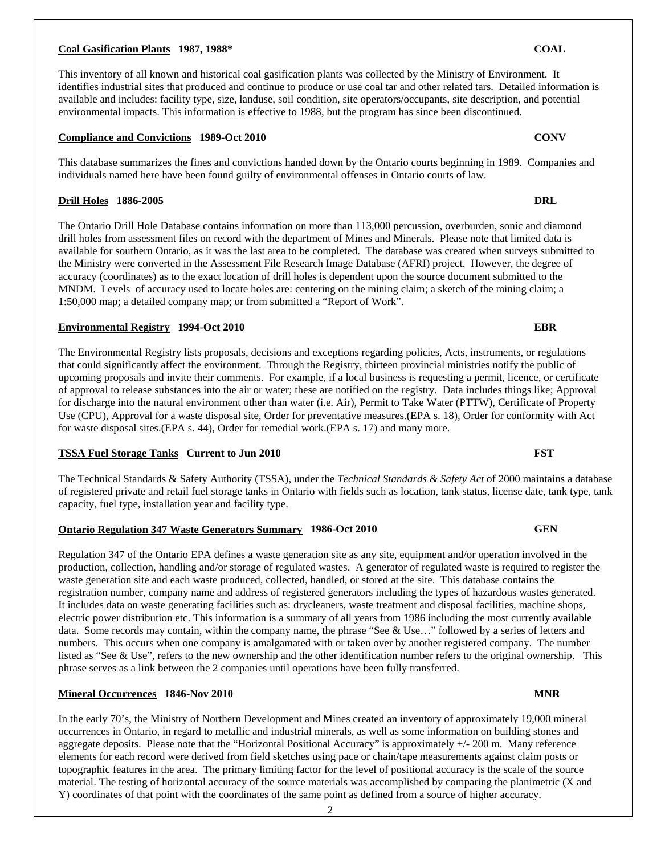#### 2

#### **Coal Gasification Plants 1987, 1988\* COAL**

This inventory of all known and historical coal gasification plants was collected by the Ministry of Environment. It identifies industrial sites that produced and continue to produce or use coal tar and other related tars. Detailed information is available and includes: facility type, size, landuse, soil condition, site operators/occupants, site description, and potential environmental impacts. This information is effective to 1988, but the program has since been discontinued.

#### **Compliance and Convictions 1989-Oct 2010 CONV**

This database summarizes the fines and convictions handed down by the Ontario courts beginning in 1989. Companies and individuals named here have been found guilty of environmental offenses in Ontario courts of law.

#### **Drill Holes 1886-2005 DRL**

The Ontario Drill Hole Database contains information on more than 113,000 percussion, overburden, sonic and diamond drill holes from assessment files on record with the department of Mines and Minerals. Please note that limited data is available for southern Ontario, as it was the last area to be completed. The database was created when surveys submitted to the Ministry were converted in the Assessment File Research Image Database (AFRI) project. However, the degree of accuracy (coordinates) as to the exact location of drill holes is dependent upon the source document submitted to the MNDM. Levels of accuracy used to locate holes are: centering on the mining claim; a sketch of the mining claim; a 1:50,000 map; a detailed company map; or from submitted a "Report of Work".

#### **Environmental Registry 1994-Oct 2010 EBR**

The Environmental Registry lists proposals, decisions and exceptions regarding policies, Acts, instruments, or regulations that could significantly affect the environment. Through the Registry, thirteen provincial ministries notify the public of upcoming proposals and invite their comments. For example, if a local business is requesting a permit, licence, or certificate of approval to release substances into the air or water; these are notified on the registry. Data includes things like; Approval for discharge into the natural environment other than water (i.e. Air), Permit to Take Water (PTTW), Certificate of Property Use (CPU), Approval for a waste disposal site, Order for preventative measures.(EPA s. 18), Order for conformity with Act for waste disposal sites.(EPA s. 44), Order for remedial work.(EPA s. 17) and many more.

#### **TSSA Fuel Storage Tanks Current to Jun 2010 FST**

The Technical Standards & Safety Authority (TSSA), under the *Technical Standards & Safety Act* of 2000 maintains a database of registered private and retail fuel storage tanks in Ontario with fields such as location, tank status, license date, tank type, tank capacity, fuel type, installation year and facility type.

### **Ontario Regulation 347 Waste Generators Summary 1986-Oct 2010 GEN**

Regulation 347 of the Ontario EPA defines a waste generation site as any site, equipment and/or operation involved in the production, collection, handling and/or storage of regulated wastes. A generator of regulated waste is required to register the waste generation site and each waste produced, collected, handled, or stored at the site. This database contains the registration number, company name and address of registered generators including the types of hazardous wastes generated. It includes data on waste generating facilities such as: drycleaners, waste treatment and disposal facilities, machine shops, electric power distribution etc. This information is a summary of all years from 1986 including the most currently available data. Some records may contain, within the company name, the phrase "See & Use…" followed by a series of letters and numbers. This occurs when one company is amalgamated with or taken over by another registered company. The number listed as "See & Use", refers to the new ownership and the other identification number refers to the original ownership. This phrase serves as a link between the 2 companies until operations have been fully transferred.

### **Mineral Occurrences 1846-Nov 2010 MNR MNR**

In the early 70's, the Ministry of Northern Development and Mines created an inventory of approximately 19,000 mineral occurrences in Ontario, in regard to metallic and industrial minerals, as well as some information on building stones and aggregate deposits. Please note that the "Horizontal Positional Accuracy" is approximately +/- 200 m. Many reference elements for each record were derived from field sketches using pace or chain/tape measurements against claim posts or topographic features in the area. The primary limiting factor for the level of positional accuracy is the scale of the source material. The testing of horizontal accuracy of the source materials was accomplished by comparing the planimetric (X and Y) coordinates of that point with the coordinates of the same point as defined from a source of higher accuracy.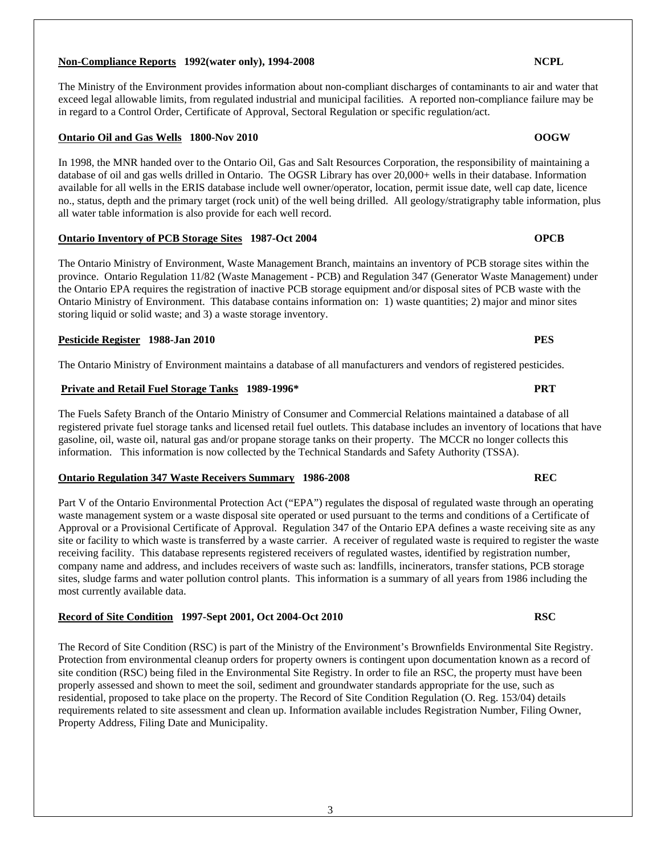### **Non-Compliance Reports 1992(water only), 1994-2008 NCPL**

The Ministry of the Environment provides information about non-compliant discharges of contaminants to air and water that exceed legal allowable limits, from regulated industrial and municipal facilities. A reported non-compliance failure may be in regard to a Control Order, Certificate of Approval, Sectoral Regulation or specific regulation/act.

#### **Ontario Oil and Gas Wells 1800-Nov 2010 OOGW**

In 1998, the MNR handed over to the Ontario Oil, Gas and Salt Resources Corporation, the responsibility of maintaining a database of oil and gas wells drilled in Ontario. The OGSR Library has over 20,000+ wells in their database. Information available for all wells in the ERIS database include well owner/operator, location, permit issue date, well cap date, licence no., status, depth and the primary target (rock unit) of the well being drilled. All geology/stratigraphy table information, plus all water table information is also provide for each well record.

#### **Ontario Inventory of PCB Storage Sites 1987-Oct 2004 OPCB**

The Ontario Ministry of Environment, Waste Management Branch, maintains an inventory of PCB storage sites within the province. Ontario Regulation 11/82 (Waste Management - PCB) and Regulation 347 (Generator Waste Management) under the Ontario EPA requires the registration of inactive PCB storage equipment and/or disposal sites of PCB waste with the Ontario Ministry of Environment. This database contains information on: 1) waste quantities; 2) major and minor sites storing liquid or solid waste; and 3) a waste storage inventory.

#### **Pesticide Register 1988-Jan 2010 PES**

The Ontario Ministry of Environment maintains a database of all manufacturers and vendors of registered pesticides.

### **Private and Retail Fuel Storage Tanks 1989-1996\* PRT**

The Fuels Safety Branch of the Ontario Ministry of Consumer and Commercial Relations maintained a database of all registered private fuel storage tanks and licensed retail fuel outlets. This database includes an inventory of locations that have gasoline, oil, waste oil, natural gas and/or propane storage tanks on their property. The MCCR no longer collects this information. This information is now collected by the Technical Standards and Safety Authority (TSSA).

### **Ontario Regulation 347 Waste Receivers Summary 1986-2008 REC**

Part V of the Ontario Environmental Protection Act ("EPA") regulates the disposal of regulated waste through an operating waste management system or a waste disposal site operated or used pursuant to the terms and conditions of a Certificate of Approval or a Provisional Certificate of Approval. Regulation 347 of the Ontario EPA defines a waste receiving site as any site or facility to which waste is transferred by a waste carrier. A receiver of regulated waste is required to register the waste receiving facility. This database represents registered receivers of regulated wastes, identified by registration number, company name and address, and includes receivers of waste such as: landfills, incinerators, transfer stations, PCB storage sites, sludge farms and water pollution control plants. This information is a summary of all years from 1986 including the most currently available data.

#### **Record of Site Condition 1997-Sept 2001, Oct 2004-Oct 2010 RSC**

The Record of Site Condition (RSC) is part of the Ministry of the Environment's Brownfields Environmental Site Registry. Protection from environmental cleanup orders for property owners is contingent upon documentation known as a record of site condition (RSC) being filed in the Environmental Site Registry. In order to file an RSC, the property must have been properly assessed and shown to meet the soil, sediment and groundwater standards appropriate for the use, such as residential, proposed to take place on the property. The Record of Site Condition Regulation (O. Reg. 153/04) details requirements related to site assessment and clean up. Information available includes Registration Number, Filing Owner, Property Address, Filing Date and Municipality.

#### 3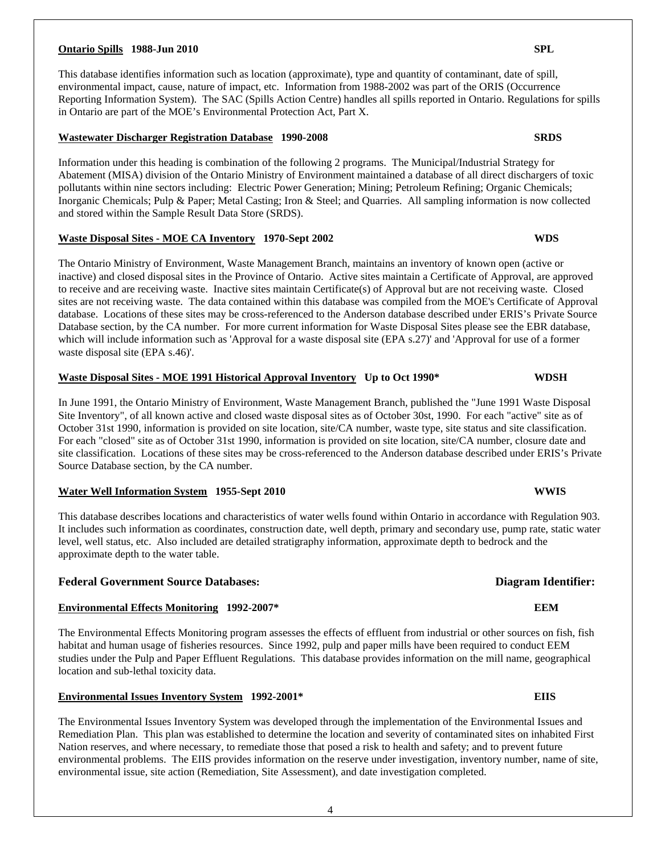#### **Ontario Spills 1988-Jun 2010 SPL**

This database identifies information such as location (approximate), type and quantity of contaminant, date of spill, environmental impact, cause, nature of impact, etc. Information from 1988-2002 was part of the ORIS (Occurrence Reporting Information System). The SAC (Spills Action Centre) handles all spills reported in Ontario. Regulations for spills in Ontario are part of the MOE's Environmental Protection Act, Part X.

### **Wastewater Discharger Registration Database 1990-2008 SRDS**

Information under this heading is combination of the following 2 programs. The Municipal/Industrial Strategy for Abatement (MISA) division of the Ontario Ministry of Environment maintained a database of all direct dischargers of toxic pollutants within nine sectors including: Electric Power Generation; Mining; Petroleum Refining; Organic Chemicals; Inorganic Chemicals; Pulp & Paper; Metal Casting; Iron & Steel; and Quarries. All sampling information is now collected and stored within the Sample Result Data Store (SRDS).

#### **Waste Disposal Sites - MOE CA Inventory 1970-Sept 2002 WDS**

The Ontario Ministry of Environment, Waste Management Branch, maintains an inventory of known open (active or inactive) and closed disposal sites in the Province of Ontario. Active sites maintain a Certificate of Approval, are approved to receive and are receiving waste. Inactive sites maintain Certificate(s) of Approval but are not receiving waste. Closed sites are not receiving waste. The data contained within this database was compiled from the MOE's Certificate of Approval database. Locations of these sites may be cross-referenced to the Anderson database described under ERIS's Private Source Database section, by the CA number. For more current information for Waste Disposal Sites please see the EBR database, which will include information such as 'Approval for a waste disposal site (EPA s.27)' and 'Approval for use of a former waste disposal site (EPA s.46)'.

#### **Waste Disposal Sites - MOE 1991 Historical Approval Inventory Up to Oct 1990\* WDSH**

In June 1991, the Ontario Ministry of Environment, Waste Management Branch, published the "June 1991 Waste Disposal Site Inventory", of all known active and closed waste disposal sites as of October 30st, 1990. For each "active" site as of October 31st 1990, information is provided on site location, site/CA number, waste type, site status and site classification. For each "closed" site as of October 31st 1990, information is provided on site location, site/CA number, closure date and site classification. Locations of these sites may be cross-referenced to the Anderson database described under ERIS's Private Source Database section, by the CA number.

#### **Water Well Information System 1955-Sept 2010 WWIS**

This database describes locations and characteristics of water wells found within Ontario in accordance with Regulation 903. It includes such information as coordinates, construction date, well depth, primary and secondary use, pump rate, static water level, well status, etc. Also included are detailed stratigraphy information, approximate depth to bedrock and the approximate depth to the water table.

### **Federal Government Source Databases: Diagram Identifier:**

### **Environmental Effects Monitoring 1992-2007\* EEM**

The Environmental Effects Monitoring program assesses the effects of effluent from industrial or other sources on fish, fish habitat and human usage of fisheries resources. Since 1992, pulp and paper mills have been required to conduct EEM studies under the Pulp and Paper Effluent Regulations. This database provides information on the mill name, geographical location and sub-lethal toxicity data.

### **Environmental Issues Inventory System 1992-2001\* EIIS**

The Environmental Issues Inventory System was developed through the implementation of the Environmental Issues and Remediation Plan. This plan was established to determine the location and severity of contaminated sites on inhabited First Nation reserves, and where necessary, to remediate those that posed a risk to health and safety; and to prevent future environmental problems. The EIIS provides information on the reserve under investigation, inventory number, name of site, environmental issue, site action (Remediation, Site Assessment), and date investigation completed.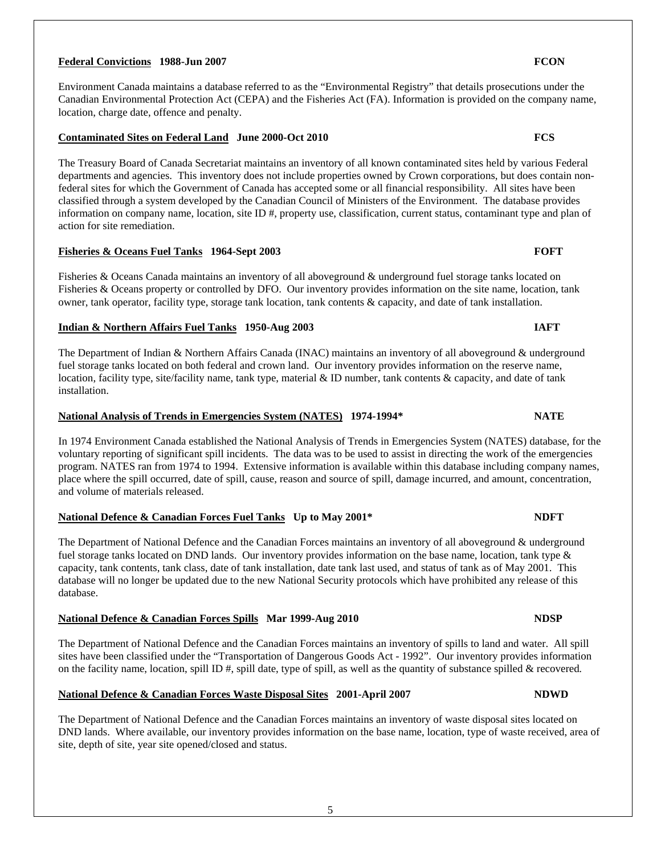### **Federal Convictions 1988-Jun 2007 FCON**

Environment Canada maintains a database referred to as the "Environmental Registry" that details prosecutions under the Canadian Environmental Protection Act (CEPA) and the Fisheries Act (FA). Information is provided on the company name, location, charge date, offence and penalty.

#### **Contaminated Sites on Federal Land June 2000-Oct 2010 FCS**

The Treasury Board of Canada Secretariat maintains an inventory of all known contaminated sites held by various Federal departments and agencies. This inventory does not include properties owned by Crown corporations, but does contain nonfederal sites for which the Government of Canada has accepted some or all financial responsibility. All sites have been classified through a system developed by the Canadian Council of Ministers of the Environment. The database provides information on company name, location, site ID #, property use, classification, current status, contaminant type and plan of action for site remediation.

### **Fisheries & Oceans Fuel Tanks 1964-Sept 2003 FOFT**

Fisheries & Oceans Canada maintains an inventory of all aboveground & underground fuel storage tanks located on Fisheries & Oceans property or controlled by DFO. Our inventory provides information on the site name, location, tank owner, tank operator, facility type, storage tank location, tank contents & capacity, and date of tank installation.

#### **Indian & Northern Affairs Fuel Tanks 1950-Aug 2003 IAFT**

The Department of Indian & Northern Affairs Canada (INAC) maintains an inventory of all aboveground & underground fuel storage tanks located on both federal and crown land. Our inventory provides information on the reserve name, location, facility type, site/facility name, tank type, material & ID number, tank contents & capacity, and date of tank installation.

### **National Analysis of Trends in Emergencies System (NATES) 1974-1994\* NATE**

In 1974 Environment Canada established the National Analysis of Trends in Emergencies System (NATES) database, for the voluntary reporting of significant spill incidents. The data was to be used to assist in directing the work of the emergencies program. NATES ran from 1974 to 1994. Extensive information is available within this database including company names, place where the spill occurred, date of spill, cause, reason and source of spill, damage incurred, and amount, concentration, and volume of materials released.

### **National Defence & Canadian Forces Fuel Tanks Up to May 2001\* NDFT**

The Department of National Defence and the Canadian Forces maintains an inventory of all aboveground & underground fuel storage tanks located on DND lands. Our inventory provides information on the base name, location, tank type & capacity, tank contents, tank class, date of tank installation, date tank last used, and status of tank as of May 2001. This database will no longer be updated due to the new National Security protocols which have prohibited any release of this database.

### **National Defence & Canadian Forces Spills Mar 1999-Aug 2010 1999-Aug 2010**

The Department of National Defence and the Canadian Forces maintains an inventory of spills to land and water. All spill sites have been classified under the "Transportation of Dangerous Goods Act - 1992". Our inventory provides information on the facility name, location, spill ID  $\#$ , spill date, type of spill, as well as the quantity of substance spilled  $\&$  recovered.

### **National Defence & Canadian Forces Waste Disposal Sites 2001-April 2007 NDWD**

The Department of National Defence and the Canadian Forces maintains an inventory of waste disposal sites located on DND lands. Where available, our inventory provides information on the base name, location, type of waste received, area of site, depth of site, year site opened/closed and status.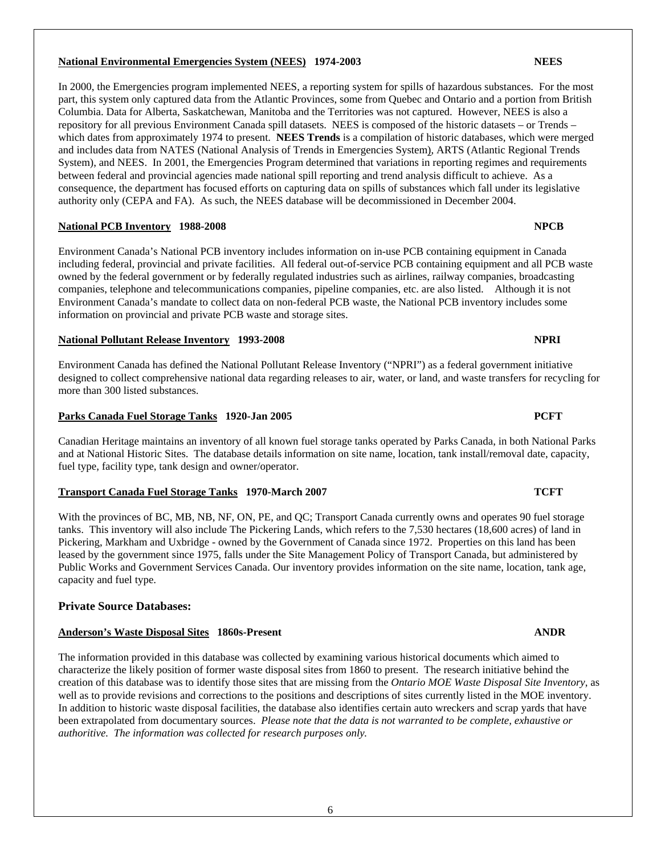### **National Environmental Emergencies System (NEES) 1974-2003 NEES**

In 2000, the Emergencies program implemented NEES, a reporting system for spills of hazardous substances. For the most part, this system only captured data from the Atlantic Provinces, some from Quebec and Ontario and a portion from British Columbia. Data for Alberta, Saskatchewan, Manitoba and the Territories was not captured. However, NEES is also a repository for all previous Environment Canada spill datasets. NEES is composed of the historic datasets – or Trends – which dates from approximately 1974 to present. **NEES Trends** is a compilation of historic databases, which were merged and includes data from NATES (National Analysis of Trends in Emergencies System), ARTS (Atlantic Regional Trends System), and NEES. In 2001, the Emergencies Program determined that variations in reporting regimes and requirements between federal and provincial agencies made national spill reporting and trend analysis difficult to achieve. As a consequence, the department has focused efforts on capturing data on spills of substances which fall under its legislative authority only (CEPA and FA). As such, the NEES database will be decommissioned in December 2004.

### **National PCB Inventory 1988-2008 NPCB**

Environment Canada's National PCB inventory includes information on in-use PCB containing equipment in Canada including federal, provincial and private facilities. All federal out-of-service PCB containing equipment and all PCB waste owned by the federal government or by federally regulated industries such as airlines, railway companies, broadcasting companies, telephone and telecommunications companies, pipeline companies, etc. are also listed. Although it is not Environment Canada's mandate to collect data on non-federal PCB waste, the National PCB inventory includes some information on provincial and private PCB waste and storage sites.

### **National Pollutant Release Inventory 1993-2008 NPRI**

Environment Canada has defined the National Pollutant Release Inventory ("NPRI") as a federal government initiative designed to collect comprehensive national data regarding releases to air, water, or land, and waste transfers for recycling for more than 300 listed substances.

### **Parks Canada Fuel Storage Tanks 1920-Jan 2005 PCFT**

Canadian Heritage maintains an inventory of all known fuel storage tanks operated by Parks Canada, in both National Parks and at National Historic Sites. The database details information on site name, location, tank install/removal date, capacity, fuel type, facility type, tank design and owner/operator.

### **Transport Canada Fuel Storage Tanks 1970-March 2007 TCFT**

With the provinces of BC, MB, NB, NF, ON, PE, and QC; Transport Canada currently owns and operates 90 fuel storage tanks. This inventory will also include The Pickering Lands, which refers to the 7,530 hectares (18,600 acres) of land in Pickering, Markham and Uxbridge - owned by the Government of Canada since 1972. Properties on this land has been leased by the government since 1975, falls under the Site Management Policy of Transport Canada, but administered by Public Works and Government Services Canada. Our inventory provides information on the site name, location, tank age, capacity and fuel type.

### **Private Source Databases:**

### **Anderson's Waste Disposal Sites 1860s-Present ANDR**

The information provided in this database was collected by examining various historical documents which aimed to characterize the likely position of former waste disposal sites from 1860 to present. The research initiative behind the creation of this database was to identify those sites that are missing from the *Ontario MOE Waste Disposal Site Inventory*, as well as to provide revisions and corrections to the positions and descriptions of sites currently listed in the MOE inventory. In addition to historic waste disposal facilities, the database also identifies certain auto wreckers and scrap yards that have been extrapolated from documentary sources. *Please note that the data is not warranted to be complete, exhaustive or authoritive. The information was collected for research purposes only.*